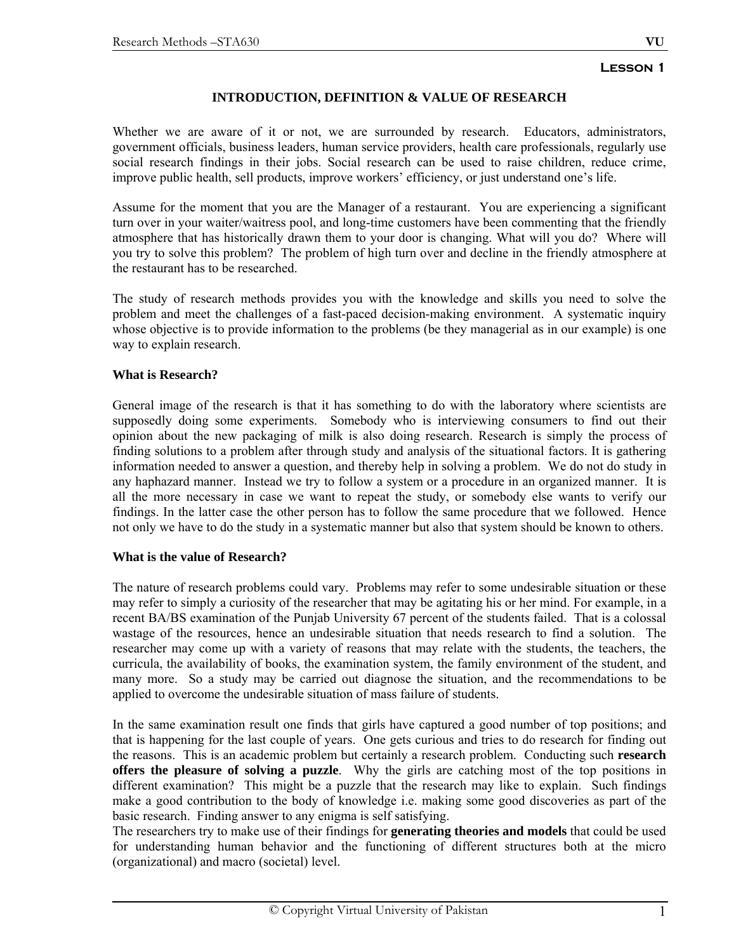## **INTRODUCTION, DEFINITION & VALUE OF RESEARCH**

Whether we are aware of it or not, we are surrounded by research. Educators, administrators, government officials, business leaders, human service providers, health care professionals, regularly use social research findings in their jobs. Social research can be used to raise children, reduce crime, improve public health, sell products, improve workers' efficiency, or just understand one's life.

Assume for the moment that you are the Manager of a restaurant. You are experiencing a significant turn over in your waiter/waitress pool, and long-time customers have been commenting that the friendly atmosphere that has historically drawn them to your door is changing. What will you do? Where will you try to solve this problem? The problem of high turn over and decline in the friendly atmosphere at the restaurant has to be researched.

The study of research methods provides you with the knowledge and skills you need to solve the problem and meet the challenges of a fast-paced decision-making environment. A systematic inquiry whose objective is to provide information to the problems (be they managerial as in our example) is one way to explain research.

### **What is Research?**

General image of the research is that it has something to do with the laboratory where scientists are supposedly doing some experiments. Somebody who is interviewing consumers to find out their opinion about the new packaging of milk is also doing research. Research is simply the process of finding solutions to a problem after through study and analysis of the situational factors. It is gathering information needed to answer a question, and thereby help in solving a problem. We do not do study in any haphazard manner. Instead we try to follow a system or a procedure in an organized manner. It is all the more necessary in case we want to repeat the study, or somebody else wants to verify our findings. In the latter case the other person has to follow the same procedure that we followed. Hence not only we have to do the study in a systematic manner but also that system should be known to others.

### **What is the value of Research?**

The nature of research problems could vary. Problems may refer to some undesirable situation or these may refer to simply a curiosity of the researcher that may be agitating his or her mind. For example, in a recent BA/BS examination of the Punjab University 67 percent of the students failed. That is a colossal wastage of the resources, hence an undesirable situation that needs research to find a solution. The researcher may come up with a variety of reasons that may relate with the students, the teachers, the curricula, the availability of books, the examination system, the family environment of the student, and many more. So a study may be carried out diagnose the situation, and the recommendations to be applied to overcome the undesirable situation of mass failure of students.

In the same examination result one finds that girls have captured a good number of top positions; and that is happening for the last couple of years. One gets curious and tries to do research for finding out the reasons. This is an academic problem but certainly a research problem. Conducting such **research offers the pleasure of solving a puzzle**. Why the girls are catching most of the top positions in different examination? This might be a puzzle that the research may like to explain. Such findings make a good contribution to the body of knowledge i.e. making some good discoveries as part of the basic research. Finding answer to any enigma is self satisfying.

The researchers try to make use of their findings for **generating theories and models** that could be used for understanding human behavior and the functioning of different structures both at the micro (organizational) and macro (societal) level.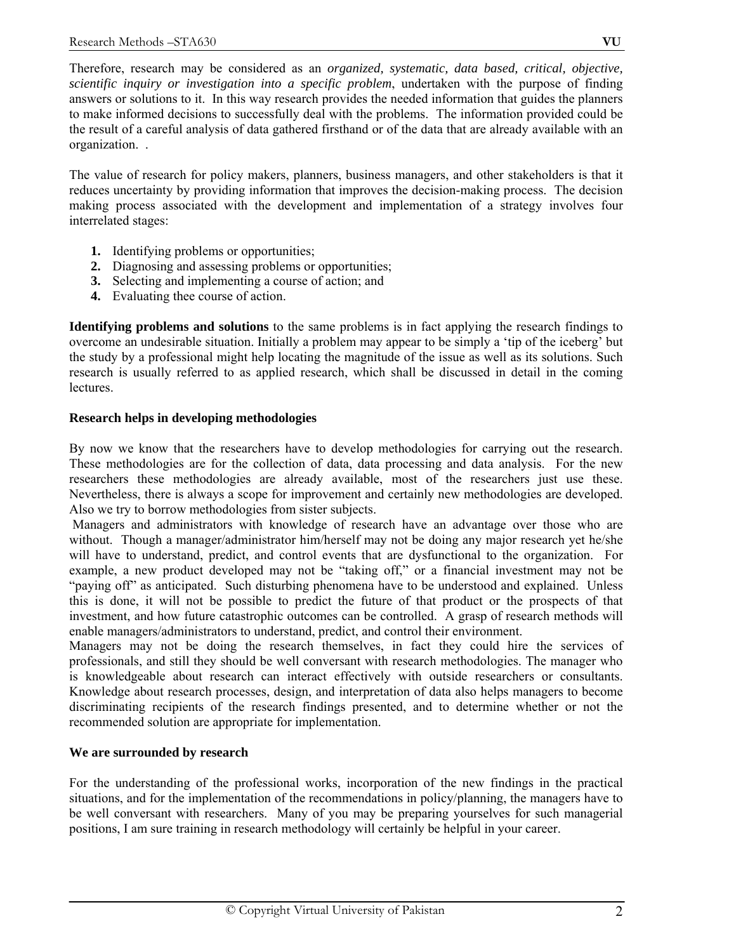Therefore, research may be considered as an *organized, systematic, data based, critical, objective, scientific inquiry or investigation into a specific problem*, undertaken with the purpose of finding answers or solutions to it. In this way research provides the needed information that guides the planners to make informed decisions to successfully deal with the problems. The information provided could be the result of a careful analysis of data gathered firsthand or of the data that are already available with an organization. .

The value of research for policy makers, planners, business managers, and other stakeholders is that it reduces uncertainty by providing information that improves the decision-making process. The decision making process associated with the development and implementation of a strategy involves four interrelated stages:

- **1.** Identifying problems or opportunities;
- **2.** Diagnosing and assessing problems or opportunities;
- **3.** Selecting and implementing a course of action; and
- **4.** Evaluating thee course of action.

**Identifying problems and solutions** to the same problems is in fact applying the research findings to overcome an undesirable situation. Initially a problem may appear to be simply a 'tip of the iceberg' but the study by a professional might help locating the magnitude of the issue as well as its solutions. Such research is usually referred to as applied research, which shall be discussed in detail in the coming **lectures** 

## **Research helps in developing methodologies**

By now we know that the researchers have to develop methodologies for carrying out the research. These methodologies are for the collection of data, data processing and data analysis. For the new researchers these methodologies are already available, most of the researchers just use these. Nevertheless, there is always a scope for improvement and certainly new methodologies are developed. Also we try to borrow methodologies from sister subjects.

 Managers and administrators with knowledge of research have an advantage over those who are without. Though a manager/administrator him/herself may not be doing any major research yet he/she will have to understand, predict, and control events that are dysfunctional to the organization. For example, a new product developed may not be "taking off," or a financial investment may not be "paying off" as anticipated. Such disturbing phenomena have to be understood and explained. Unless this is done, it will not be possible to predict the future of that product or the prospects of that investment, and how future catastrophic outcomes can be controlled. A grasp of research methods will enable managers/administrators to understand, predict, and control their environment.

Managers may not be doing the research themselves, in fact they could hire the services of professionals, and still they should be well conversant with research methodologies. The manager who is knowledgeable about research can interact effectively with outside researchers or consultants. Knowledge about research processes, design, and interpretation of data also helps managers to become discriminating recipients of the research findings presented, and to determine whether or not the recommended solution are appropriate for implementation.

## **We are surrounded by research**

For the understanding of the professional works, incorporation of the new findings in the practical situations, and for the implementation of the recommendations in policy/planning, the managers have to be well conversant with researchers. Many of you may be preparing yourselves for such managerial positions, I am sure training in research methodology will certainly be helpful in your career.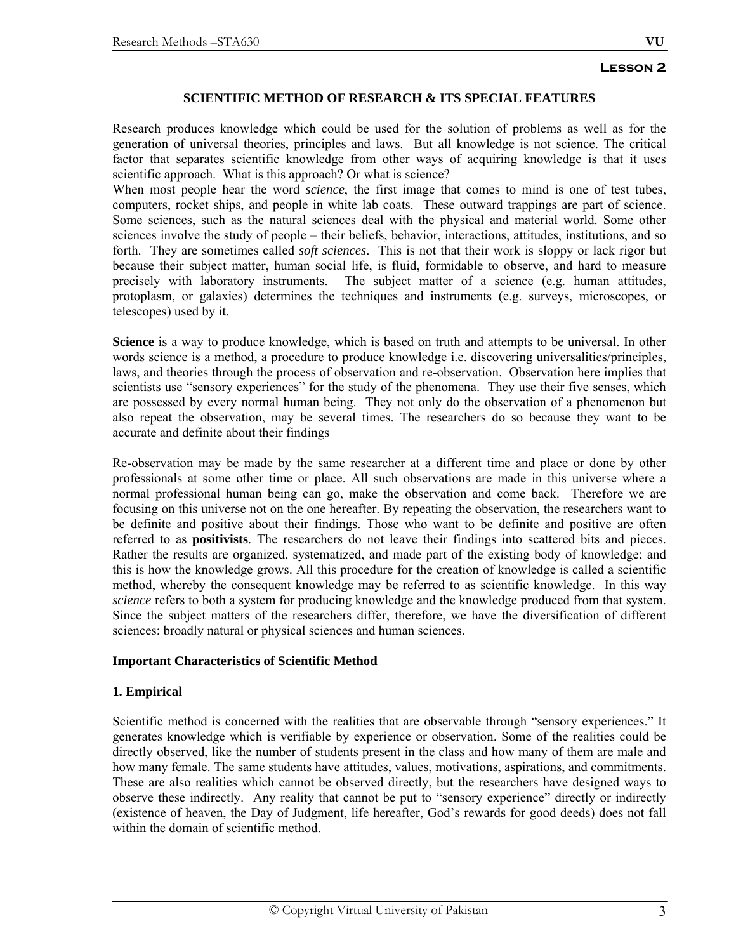#### **SCIENTIFIC METHOD OF RESEARCH & ITS SPECIAL FEATURES**

Research produces knowledge which could be used for the solution of problems as well as for the generation of universal theories, principles and laws. But all knowledge is not science. The critical factor that separates scientific knowledge from other ways of acquiring knowledge is that it uses scientific approach. What is this approach? Or what is science?

When most people hear the word *science*, the first image that comes to mind is one of test tubes, computers, rocket ships, and people in white lab coats. These outward trappings are part of science. Some sciences, such as the natural sciences deal with the physical and material world. Some other sciences involve the study of people – their beliefs, behavior, interactions, attitudes, institutions, and so forth. They are sometimes called *soft sciences*. This is not that their work is sloppy or lack rigor but because their subject matter, human social life, is fluid, formidable to observe, and hard to measure precisely with laboratory instruments. The subject matter of a science (e.g. human attitudes, protoplasm, or galaxies) determines the techniques and instruments (e.g. surveys, microscopes, or telescopes) used by it.

**Science** is a way to produce knowledge, which is based on truth and attempts to be universal. In other words science is a method, a procedure to produce knowledge i.e. discovering universalities/principles, laws, and theories through the process of observation and re-observation. Observation here implies that scientists use "sensory experiences" for the study of the phenomena. They use their five senses, which are possessed by every normal human being. They not only do the observation of a phenomenon but also repeat the observation, may be several times. The researchers do so because they want to be accurate and definite about their findings

Re-observation may be made by the same researcher at a different time and place or done by other professionals at some other time or place. All such observations are made in this universe where a normal professional human being can go, make the observation and come back. Therefore we are focusing on this universe not on the one hereafter. By repeating the observation, the researchers want to be definite and positive about their findings. Those who want to be definite and positive are often referred to as **positivists**. The researchers do not leave their findings into scattered bits and pieces. Rather the results are organized, systematized, and made part of the existing body of knowledge; and this is how the knowledge grows. All this procedure for the creation of knowledge is called a scientific method, whereby the consequent knowledge may be referred to as scientific knowledge. In this way *science* refers to both a system for producing knowledge and the knowledge produced from that system. Since the subject matters of the researchers differ, therefore, we have the diversification of different sciences: broadly natural or physical sciences and human sciences.

#### **Important Characteristics of Scientific Method**

### **1. Empirical**

Scientific method is concerned with the realities that are observable through "sensory experiences." It generates knowledge which is verifiable by experience or observation. Some of the realities could be directly observed, like the number of students present in the class and how many of them are male and how many female. The same students have attitudes, values, motivations, aspirations, and commitments. These are also realities which cannot be observed directly, but the researchers have designed ways to observe these indirectly. Any reality that cannot be put to "sensory experience" directly or indirectly (existence of heaven, the Day of Judgment, life hereafter, God's rewards for good deeds) does not fall within the domain of scientific method.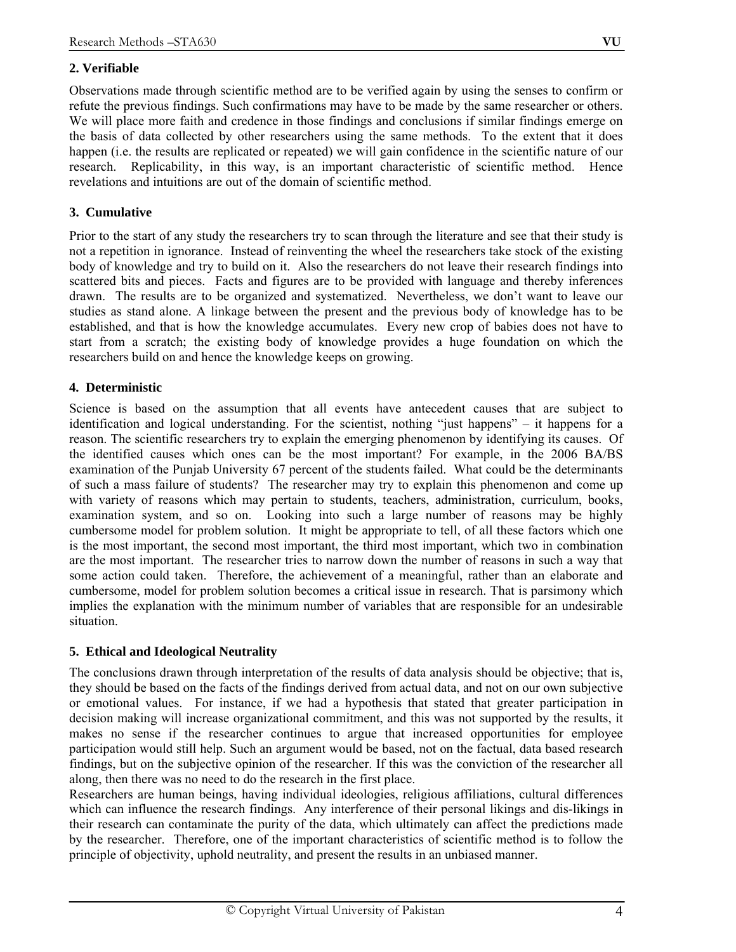## **2. Verifiable**

Observations made through scientific method are to be verified again by using the senses to confirm or refute the previous findings. Such confirmations may have to be made by the same researcher or others. We will place more faith and credence in those findings and conclusions if similar findings emerge on the basis of data collected by other researchers using the same methods. To the extent that it does happen (i.e. the results are replicated or repeated) we will gain confidence in the scientific nature of our research. Replicability, in this way, is an important characteristic of scientific method. Hence revelations and intuitions are out of the domain of scientific method.

## **3. Cumulative**

Prior to the start of any study the researchers try to scan through the literature and see that their study is not a repetition in ignorance. Instead of reinventing the wheel the researchers take stock of the existing body of knowledge and try to build on it. Also the researchers do not leave their research findings into scattered bits and pieces. Facts and figures are to be provided with language and thereby inferences drawn. The results are to be organized and systematized. Nevertheless, we don't want to leave our studies as stand alone. A linkage between the present and the previous body of knowledge has to be established, and that is how the knowledge accumulates. Every new crop of babies does not have to start from a scratch; the existing body of knowledge provides a huge foundation on which the researchers build on and hence the knowledge keeps on growing.

## **4. Deterministic**

Science is based on the assumption that all events have antecedent causes that are subject to identification and logical understanding. For the scientist, nothing "just happens" – it happens for a reason. The scientific researchers try to explain the emerging phenomenon by identifying its causes. Of the identified causes which ones can be the most important? For example, in the 2006 BA/BS examination of the Punjab University 67 percent of the students failed. What could be the determinants of such a mass failure of students? The researcher may try to explain this phenomenon and come up with variety of reasons which may pertain to students, teachers, administration, curriculum, books, examination system, and so on. Looking into such a large number of reasons may be highly cumbersome model for problem solution. It might be appropriate to tell, of all these factors which one is the most important, the second most important, the third most important, which two in combination are the most important. The researcher tries to narrow down the number of reasons in such a way that some action could taken. Therefore, the achievement of a meaningful, rather than an elaborate and cumbersome, model for problem solution becomes a critical issue in research. That is parsimony which implies the explanation with the minimum number of variables that are responsible for an undesirable situation.

## **5. Ethical and Ideological Neutrality**

The conclusions drawn through interpretation of the results of data analysis should be objective; that is, they should be based on the facts of the findings derived from actual data, and not on our own subjective or emotional values. For instance, if we had a hypothesis that stated that greater participation in decision making will increase organizational commitment, and this was not supported by the results, it makes no sense if the researcher continues to argue that increased opportunities for employee participation would still help. Such an argument would be based, not on the factual, data based research findings, but on the subjective opinion of the researcher. If this was the conviction of the researcher all along, then there was no need to do the research in the first place.

Researchers are human beings, having individual ideologies, religious affiliations, cultural differences which can influence the research findings. Any interference of their personal likings and dis-likings in their research can contaminate the purity of the data, which ultimately can affect the predictions made by the researcher. Therefore, one of the important characteristics of scientific method is to follow the principle of objectivity, uphold neutrality, and present the results in an unbiased manner.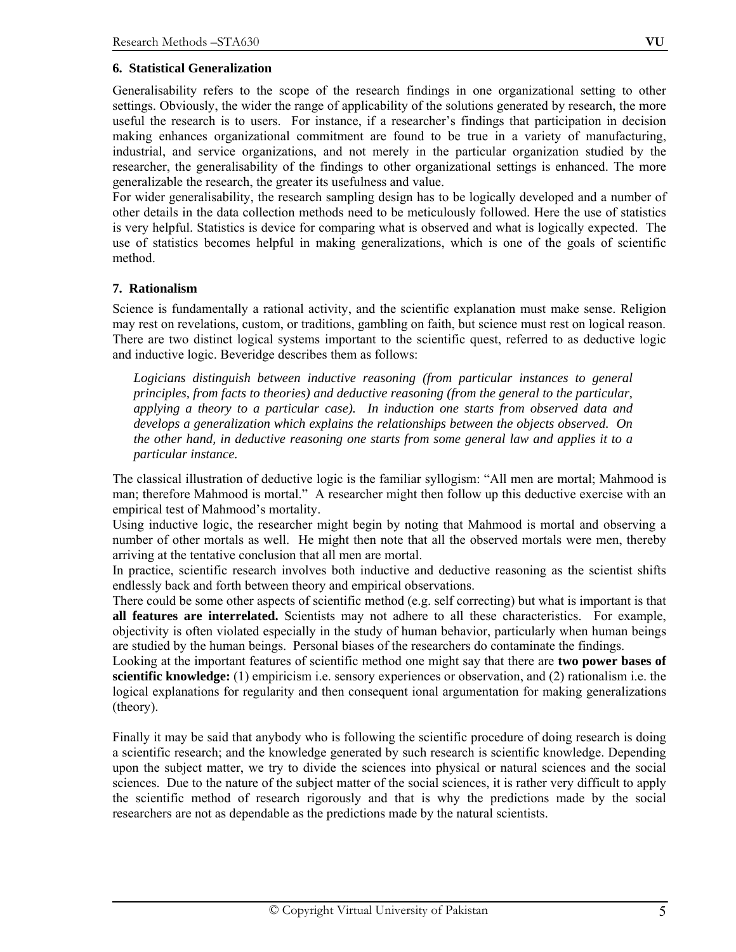### **6. Statistical Generalization**

Generalisability refers to the scope of the research findings in one organizational setting to other settings. Obviously, the wider the range of applicability of the solutions generated by research, the more useful the research is to users. For instance, if a researcher's findings that participation in decision making enhances organizational commitment are found to be true in a variety of manufacturing, industrial, and service organizations, and not merely in the particular organization studied by the researcher, the generalisability of the findings to other organizational settings is enhanced. The more generalizable the research, the greater its usefulness and value.

For wider generalisability, the research sampling design has to be logically developed and a number of other details in the data collection methods need to be meticulously followed. Here the use of statistics is very helpful. Statistics is device for comparing what is observed and what is logically expected. The use of statistics becomes helpful in making generalizations, which is one of the goals of scientific method.

### **7. Rationalism**

Science is fundamentally a rational activity, and the scientific explanation must make sense. Religion may rest on revelations, custom, or traditions, gambling on faith, but science must rest on logical reason. There are two distinct logical systems important to the scientific quest, referred to as deductive logic and inductive logic. Beveridge describes them as follows:

Logicians distinguish between inductive reasoning (from particular instances to general *principles, from facts to theories) and deductive reasoning (from the general to the particular, applying a theory to a particular case). In induction one starts from observed data and develops a generalization which explains the relationships between the objects observed. On the other hand, in deductive reasoning one starts from some general law and applies it to a particular instance.* 

The classical illustration of deductive logic is the familiar syllogism: "All men are mortal; Mahmood is man; therefore Mahmood is mortal." A researcher might then follow up this deductive exercise with an empirical test of Mahmood's mortality.

Using inductive logic, the researcher might begin by noting that Mahmood is mortal and observing a number of other mortals as well. He might then note that all the observed mortals were men, thereby arriving at the tentative conclusion that all men are mortal.

In practice, scientific research involves both inductive and deductive reasoning as the scientist shifts endlessly back and forth between theory and empirical observations.

There could be some other aspects of scientific method (e.g. self correcting) but what is important is that **all features are interrelated.** Scientists may not adhere to all these characteristics. For example, objectivity is often violated especially in the study of human behavior, particularly when human beings are studied by the human beings. Personal biases of the researchers do contaminate the findings.

Looking at the important features of scientific method one might say that there are **two power bases of scientific knowledge:** (1) empiricism i.e. sensory experiences or observation, and (2) rationalism i.e. the logical explanations for regularity and then consequent ional argumentation for making generalizations (theory).

Finally it may be said that anybody who is following the scientific procedure of doing research is doing a scientific research; and the knowledge generated by such research is scientific knowledge. Depending upon the subject matter, we try to divide the sciences into physical or natural sciences and the social sciences. Due to the nature of the subject matter of the social sciences, it is rather very difficult to apply the scientific method of research rigorously and that is why the predictions made by the social researchers are not as dependable as the predictions made by the natural scientists.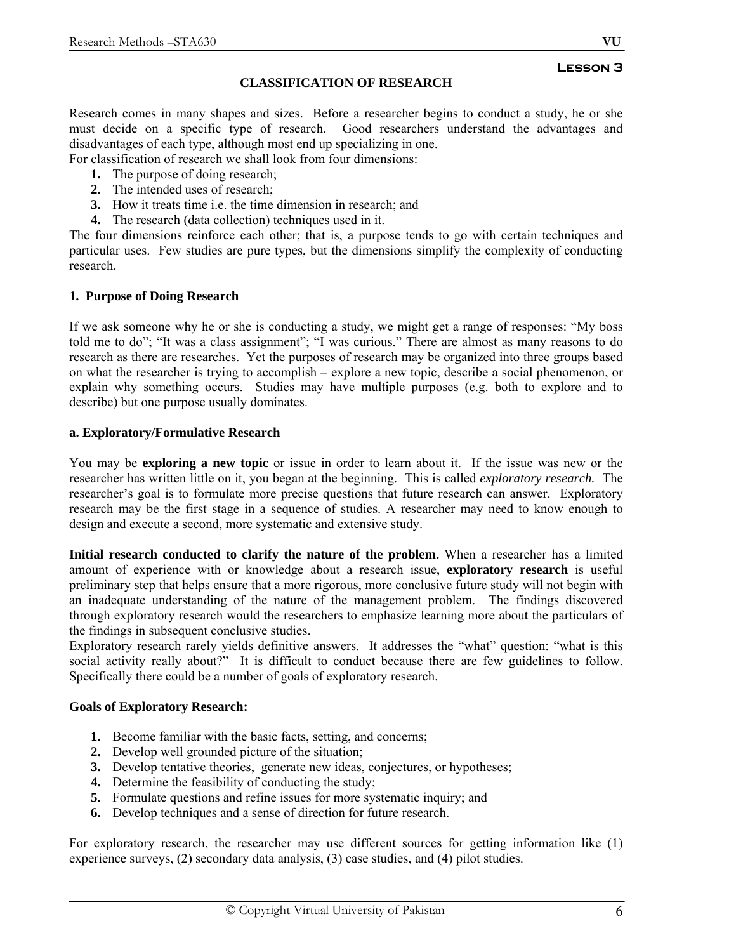### **CLASSIFICATION OF RESEARCH**

Research comes in many shapes and sizes. Before a researcher begins to conduct a study, he or she must decide on a specific type of research. Good researchers understand the advantages and disadvantages of each type, although most end up specializing in one.

For classification of research we shall look from four dimensions:

- **1.** The purpose of doing research;
- **2.** The intended uses of research;
- **3.** How it treats time i.e. the time dimension in research; and
- **4.** The research (data collection) techniques used in it.

The four dimensions reinforce each other; that is, a purpose tends to go with certain techniques and particular uses. Few studies are pure types, but the dimensions simplify the complexity of conducting research.

### **1. Purpose of Doing Research**

If we ask someone why he or she is conducting a study, we might get a range of responses: "My boss told me to do"; "It was a class assignment"; "I was curious." There are almost as many reasons to do research as there are researches. Yet the purposes of research may be organized into three groups based on what the researcher is trying to accomplish – explore a new topic, describe a social phenomenon, or explain why something occurs. Studies may have multiple purposes (e.g. both to explore and to describe) but one purpose usually dominates.

### **a. Exploratory/Formulative Research**

You may be **exploring a new topic** or issue in order to learn about it. If the issue was new or the researcher has written little on it, you began at the beginning. This is called *exploratory research.* The researcher's goal is to formulate more precise questions that future research can answer. Exploratory research may be the first stage in a sequence of studies. A researcher may need to know enough to design and execute a second, more systematic and extensive study.

**Initial research conducted to clarify the nature of the problem.** When a researcher has a limited amount of experience with or knowledge about a research issue, **exploratory research** is useful preliminary step that helps ensure that a more rigorous, more conclusive future study will not begin with an inadequate understanding of the nature of the management problem. The findings discovered through exploratory research would the researchers to emphasize learning more about the particulars of the findings in subsequent conclusive studies.

Exploratory research rarely yields definitive answers. It addresses the "what" question: "what is this social activity really about?" It is difficult to conduct because there are few guidelines to follow. Specifically there could be a number of goals of exploratory research.

### **Goals of Exploratory Research:**

- **1.** Become familiar with the basic facts, setting, and concerns;
- **2.** Develop well grounded picture of the situation;
- **3.** Develop tentative theories, generate new ideas, conjectures, or hypotheses;
- **4.** Determine the feasibility of conducting the study;
- **5.** Formulate questions and refine issues for more systematic inquiry; and
- **6.** Develop techniques and a sense of direction for future research.

For exploratory research, the researcher may use different sources for getting information like (1) experience surveys, (2) secondary data analysis, (3) case studies, and (4) pilot studies.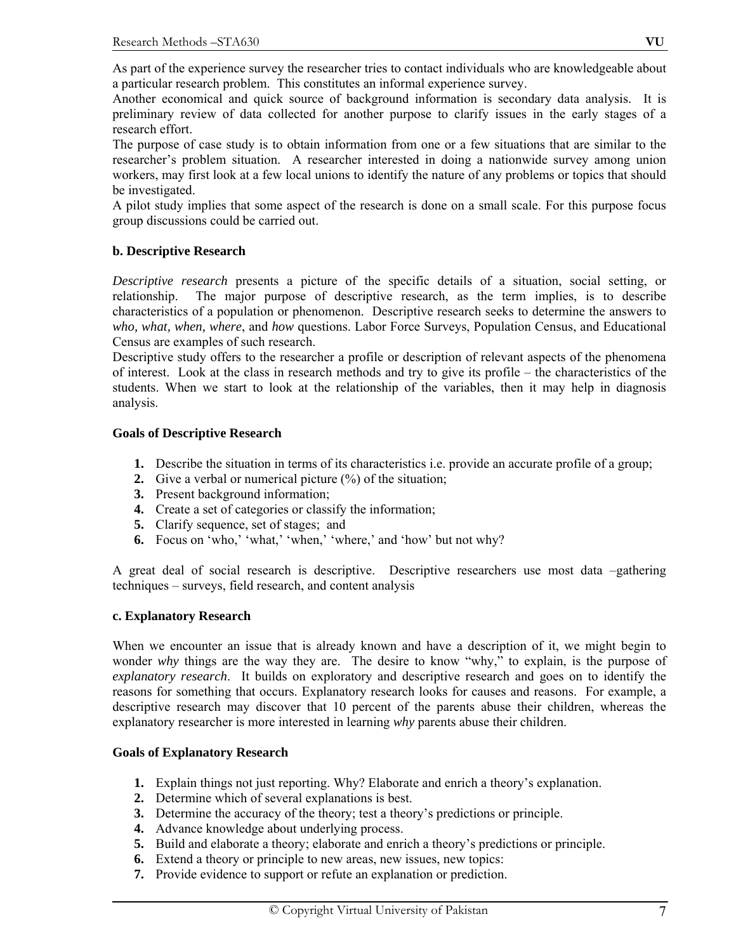As part of the experience survey the researcher tries to contact individuals who are knowledgeable about a particular research problem. This constitutes an informal experience survey.

Another economical and quick source of background information is secondary data analysis. It is preliminary review of data collected for another purpose to clarify issues in the early stages of a research effort.

The purpose of case study is to obtain information from one or a few situations that are similar to the researcher's problem situation. A researcher interested in doing a nationwide survey among union workers, may first look at a few local unions to identify the nature of any problems or topics that should be investigated.

A pilot study implies that some aspect of the research is done on a small scale. For this purpose focus group discussions could be carried out.

## **b. Descriptive Research**

*Descriptive research* presents a picture of the specific details of a situation, social setting, or relationship. The major purpose of descriptive research, as the term implies, is to describe characteristics of a population or phenomenon. Descriptive research seeks to determine the answers to *who, what, when, where*, and *how* questions. Labor Force Surveys, Population Census, and Educational Census are examples of such research.

Descriptive study offers to the researcher a profile or description of relevant aspects of the phenomena of interest. Look at the class in research methods and try to give its profile – the characteristics of the students. When we start to look at the relationship of the variables, then it may help in diagnosis analysis.

### **Goals of Descriptive Research**

- **1.** Describe the situation in terms of its characteristics i.e. provide an accurate profile of a group;
- **2.** Give a verbal or numerical picture (%) of the situation;
- **3.** Present background information;
- **4.** Create a set of categories or classify the information;
- **5.** Clarify sequence, set of stages; and
- **6.** Focus on 'who,' 'what,' 'when,' 'where,' and 'how' but not why?

A great deal of social research is descriptive. Descriptive researchers use most data –gathering techniques – surveys, field research, and content analysis

### **c. Explanatory Research**

When we encounter an issue that is already known and have a description of it, we might begin to wonder *why* things are the way they are. The desire to know "why," to explain, is the purpose of *explanatory research*. It builds on exploratory and descriptive research and goes on to identify the reasons for something that occurs. Explanatory research looks for causes and reasons. For example, a descriptive research may discover that 10 percent of the parents abuse their children, whereas the explanatory researcher is more interested in learning *why* parents abuse their children.

### **Goals of Explanatory Research**

- **1.** Explain things not just reporting. Why? Elaborate and enrich a theory's explanation.
- **2.** Determine which of several explanations is best.
- **3.** Determine the accuracy of the theory; test a theory's predictions or principle.
- **4.** Advance knowledge about underlying process.
- **5.** Build and elaborate a theory; elaborate and enrich a theory's predictions or principle.
- **6.** Extend a theory or principle to new areas, new issues, new topics:
- **7.** Provide evidence to support or refute an explanation or prediction.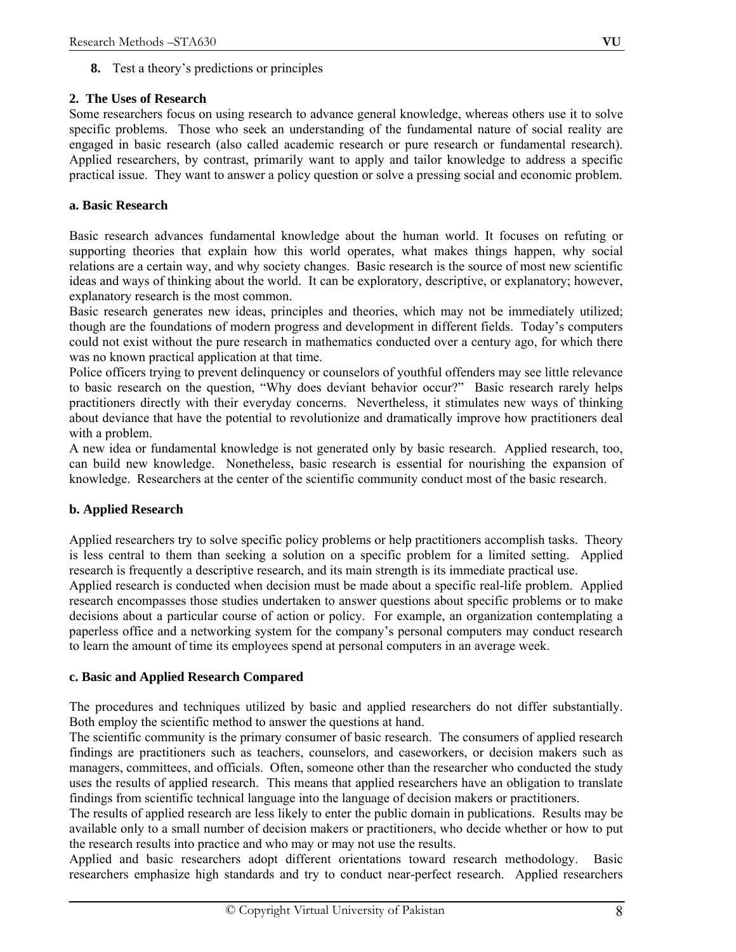## **2. The Uses of Research**

Some researchers focus on using research to advance general knowledge, whereas others use it to solve specific problems. Those who seek an understanding of the fundamental nature of social reality are engaged in basic research (also called academic research or pure research or fundamental research). Applied researchers, by contrast, primarily want to apply and tailor knowledge to address a specific practical issue. They want to answer a policy question or solve a pressing social and economic problem.

## **a. Basic Research**

Basic research advances fundamental knowledge about the human world. It focuses on refuting or supporting theories that explain how this world operates, what makes things happen, why social relations are a certain way, and why society changes. Basic research is the source of most new scientific ideas and ways of thinking about the world. It can be exploratory, descriptive, or explanatory; however, explanatory research is the most common.

Basic research generates new ideas, principles and theories, which may not be immediately utilized; though are the foundations of modern progress and development in different fields. Today's computers could not exist without the pure research in mathematics conducted over a century ago, for which there was no known practical application at that time.

Police officers trying to prevent delinquency or counselors of youthful offenders may see little relevance to basic research on the question, "Why does deviant behavior occur?" Basic research rarely helps practitioners directly with their everyday concerns. Nevertheless, it stimulates new ways of thinking about deviance that have the potential to revolutionize and dramatically improve how practitioners deal with a problem.

A new idea or fundamental knowledge is not generated only by basic research. Applied research, too, can build new knowledge. Nonetheless, basic research is essential for nourishing the expansion of knowledge. Researchers at the center of the scientific community conduct most of the basic research.

## **b. Applied Research**

Applied researchers try to solve specific policy problems or help practitioners accomplish tasks. Theory is less central to them than seeking a solution on a specific problem for a limited setting. Applied research is frequently a descriptive research, and its main strength is its immediate practical use.

Applied research is conducted when decision must be made about a specific real-life problem. Applied research encompasses those studies undertaken to answer questions about specific problems or to make decisions about a particular course of action or policy. For example, an organization contemplating a paperless office and a networking system for the company's personal computers may conduct research to learn the amount of time its employees spend at personal computers in an average week.

## **c. Basic and Applied Research Compared**

The procedures and techniques utilized by basic and applied researchers do not differ substantially. Both employ the scientific method to answer the questions at hand.

The scientific community is the primary consumer of basic research. The consumers of applied research findings are practitioners such as teachers, counselors, and caseworkers, or decision makers such as managers, committees, and officials. Often, someone other than the researcher who conducted the study uses the results of applied research. This means that applied researchers have an obligation to translate findings from scientific technical language into the language of decision makers or practitioners.

The results of applied research are less likely to enter the public domain in publications. Results may be available only to a small number of decision makers or practitioners, who decide whether or how to put the research results into practice and who may or may not use the results.

Applied and basic researchers adopt different orientations toward research methodology. Basic researchers emphasize high standards and try to conduct near-perfect research. Applied researchers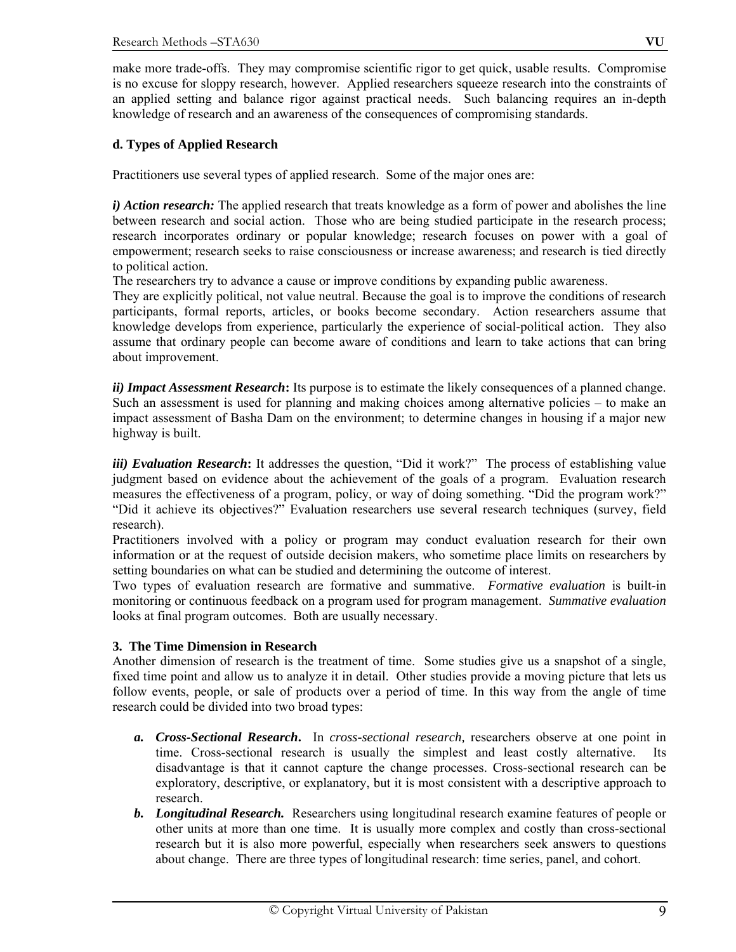make more trade-offs. They may compromise scientific rigor to get quick, usable results. Compromise is no excuse for sloppy research, however. Applied researchers squeeze research into the constraints of an applied setting and balance rigor against practical needs. Such balancing requires an in-depth knowledge of research and an awareness of the consequences of compromising standards.

## **d. Types of Applied Research**

Practitioners use several types of applied research. Some of the major ones are:

*i) Action research:* The applied research that treats knowledge as a form of power and abolishes the line between research and social action. Those who are being studied participate in the research process; research incorporates ordinary or popular knowledge; research focuses on power with a goal of empowerment; research seeks to raise consciousness or increase awareness; and research is tied directly to political action.

The researchers try to advance a cause or improve conditions by expanding public awareness.

They are explicitly political, not value neutral. Because the goal is to improve the conditions of research participants, formal reports, articles, or books become secondary. Action researchers assume that knowledge develops from experience, particularly the experience of social-political action. They also assume that ordinary people can become aware of conditions and learn to take actions that can bring about improvement.

*ii) Impact Assessment Research***:** Its purpose is to estimate the likely consequences of a planned change. Such an assessment is used for planning and making choices among alternative policies – to make an impact assessment of Basha Dam on the environment; to determine changes in housing if a major new highway is built.

*iii) Evaluation Research*: It addresses the question, "Did it work?" The process of establishing value judgment based on evidence about the achievement of the goals of a program. Evaluation research measures the effectiveness of a program, policy, or way of doing something. "Did the program work?" "Did it achieve its objectives?" Evaluation researchers use several research techniques (survey, field research).

Practitioners involved with a policy or program may conduct evaluation research for their own information or at the request of outside decision makers, who sometime place limits on researchers by setting boundaries on what can be studied and determining the outcome of interest.

Two types of evaluation research are formative and summative. *Formative evaluation* is built-in monitoring or continuous feedback on a program used for program management. *Summative evaluation* looks at final program outcomes. Both are usually necessary.

## **3. The Time Dimension in Research**

Another dimension of research is the treatment of time. Some studies give us a snapshot of a single, fixed time point and allow us to analyze it in detail. Other studies provide a moving picture that lets us follow events, people, or sale of products over a period of time. In this way from the angle of time research could be divided into two broad types:

- *a. Cross-Sectional Research***.** In *cross-sectional research,* researchers observe at one point in time. Cross-sectional research is usually the simplest and least costly alternative. disadvantage is that it cannot capture the change processes. Cross-sectional research can be exploratory, descriptive, or explanatory, but it is most consistent with a descriptive approach to research.
- *b. Longitudinal Research.* Researchers using longitudinal research examine features of people or other units at more than one time. It is usually more complex and costly than cross-sectional research but it is also more powerful, especially when researchers seek answers to questions about change. There are three types of longitudinal research: time series, panel, and cohort.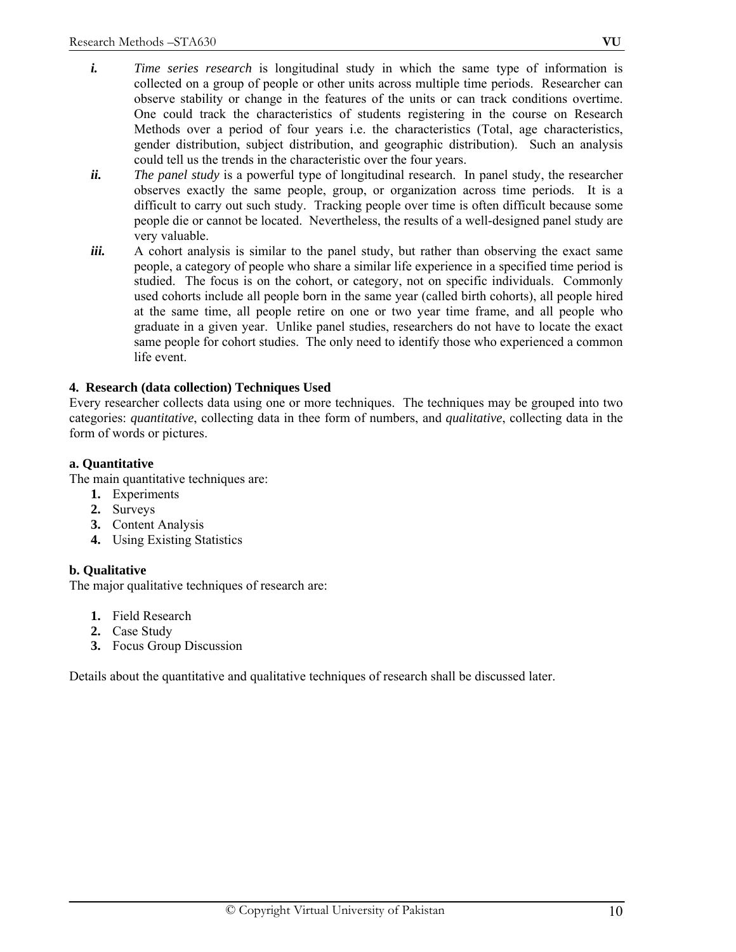- *i. Time series research* is longitudinal study in which the same type of information is collected on a group of people or other units across multiple time periods. Researcher can observe stability or change in the features of the units or can track conditions overtime. One could track the characteristics of students registering in the course on Research Methods over a period of four years i.e. the characteristics (Total, age characteristics, gender distribution, subject distribution, and geographic distribution). Such an analysis could tell us the trends in the characteristic over the four years.
- *ii. The panel study* is a powerful type of longitudinal research. In panel study, the researcher observes exactly the same people, group, or organization across time periods. It is a difficult to carry out such study. Tracking people over time is often difficult because some people die or cannot be located. Nevertheless, the results of a well-designed panel study are very valuable.
- *iii.* A cohort analysis is similar to the panel study, but rather than observing the exact same people, a category of people who share a similar life experience in a specified time period is studied. The focus is on the cohort, or category, not on specific individuals. Commonly used cohorts include all people born in the same year (called birth cohorts), all people hired at the same time, all people retire on one or two year time frame, and all people who graduate in a given year. Unlike panel studies, researchers do not have to locate the exact same people for cohort studies. The only need to identify those who experienced a common life event.

## **4. Research (data collection) Techniques Used**

Every researcher collects data using one or more techniques. The techniques may be grouped into two categories: *quantitative*, collecting data in thee form of numbers, and *qualitative*, collecting data in the form of words or pictures.

### **a. Quantitative**

The main quantitative techniques are:

- **1.** Experiments
- **2.** Surveys
- **3.** Content Analysis
- **4.** Using Existing Statistics

## **b. Qualitative**

The major qualitative techniques of research are:

- **1.** Field Research
- **2.** Case Study
- **3.** Focus Group Discussion

Details about the quantitative and qualitative techniques of research shall be discussed later.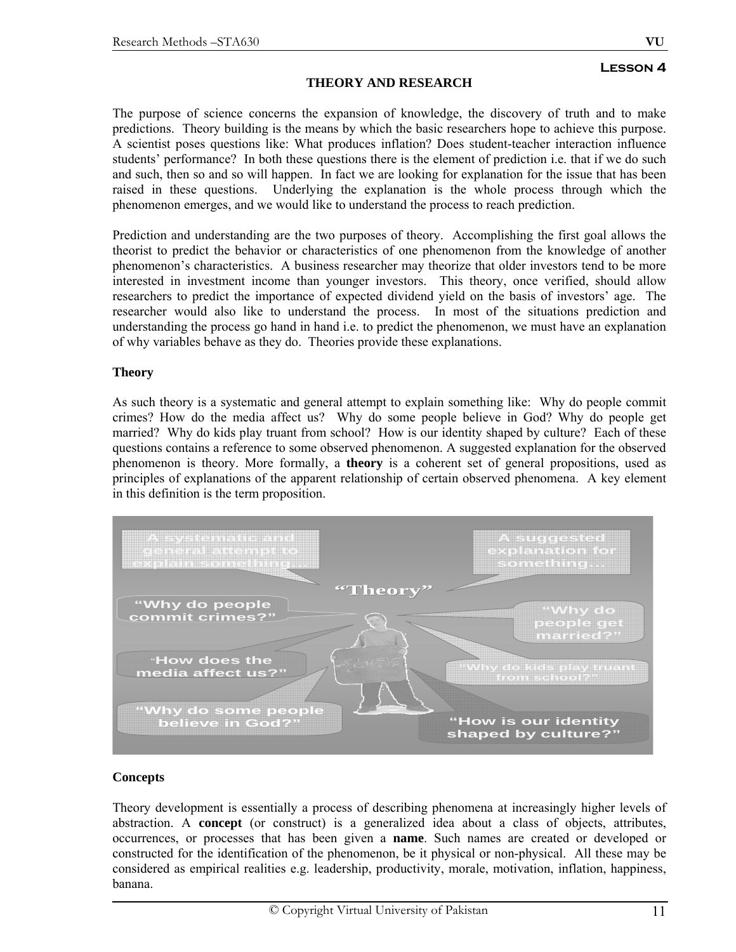## **THEORY AND RESEARCH**

The purpose of science concerns the expansion of knowledge, the discovery of truth and to make predictions. Theory building is the means by which the basic researchers hope to achieve this purpose. A scientist poses questions like: What produces inflation? Does student-teacher interaction influence students' performance? In both these questions there is the element of prediction i.e. that if we do such and such, then so and so will happen. In fact we are looking for explanation for the issue that has been raised in these questions. Underlying the explanation is the whole process through which the phenomenon emerges, and we would like to understand the process to reach prediction.

Prediction and understanding are the two purposes of theory. Accomplishing the first goal allows the theorist to predict the behavior or characteristics of one phenomenon from the knowledge of another phenomenon's characteristics. A business researcher may theorize that older investors tend to be more interested in investment income than younger investors. This theory, once verified, should allow researchers to predict the importance of expected dividend yield on the basis of investors' age. The researcher would also like to understand the process. In most of the situations prediction and understanding the process go hand in hand i.e. to predict the phenomenon, we must have an explanation of why variables behave as they do. Theories provide these explanations.

### **Theory**

As such theory is a systematic and general attempt to explain something like: Why do people commit crimes? How do the media affect us? Why do some people believe in God? Why do people get married? Why do kids play truant from school? How is our identity shaped by culture? Each of these questions contains a reference to some observed phenomenon. A suggested explanation for the observed phenomenon is theory. More formally, a **theory** is a coherent set of general propositions, used as principles of explanations of the apparent relationship of certain observed phenomena. A key element in this definition is the term proposition.



## **Concepts**

Theory development is essentially a process of describing phenomena at increasingly higher levels of abstraction. A **concept** (or construct) is a generalized idea about a class of objects, attributes, occurrences, or processes that has been given a **name**. Such names are created or developed or constructed for the identification of the phenomenon, be it physical or non-physical. All these may be considered as empirical realities e.g. leadership, productivity, morale, motivation, inflation, happiness, banana.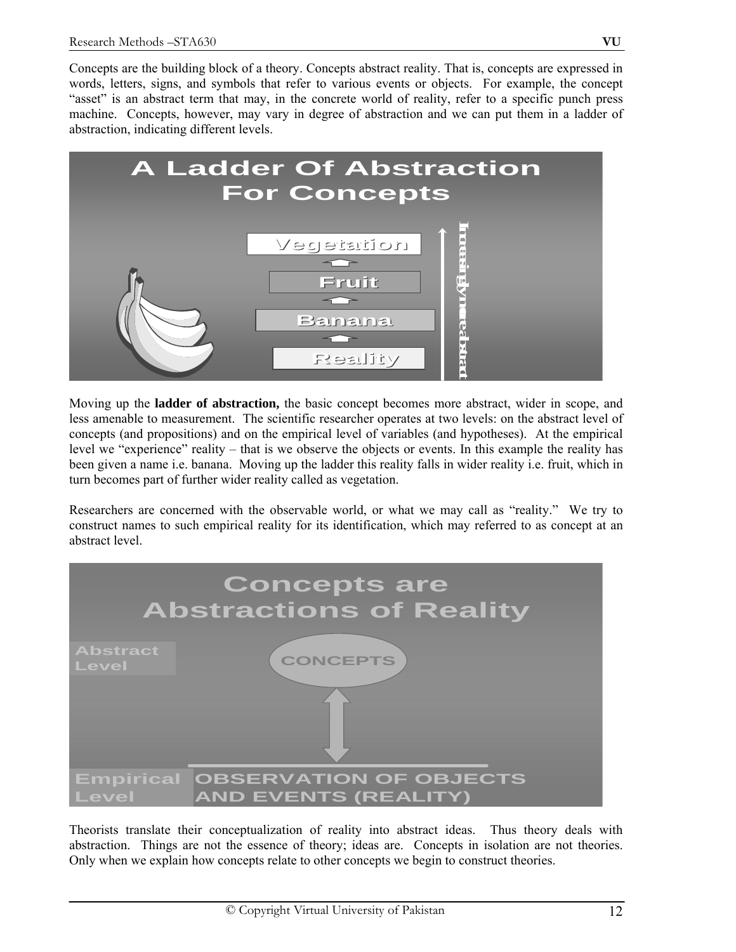Concepts are the building block of a theory. Concepts abstract reality. That is, concepts are expressed in words, letters, signs, and symbols that refer to various events or objects. For example, the concept "asset" is an abstract term that may, in the concrete world of reality, refer to a specific punch press machine. Concepts, however, may vary in degree of abstraction and we can put them in a ladder of abstraction, indicating different levels.



Moving up the **ladder of abstraction,** the basic concept becomes more abstract, wider in scope, and less amenable to measurement. The scientific researcher operates at two levels: on the abstract level of concepts (and propositions) and on the empirical level of variables (and hypotheses). At the empirical level we "experience" reality – that is we observe the objects or events. In this example the reality has been given a name i.e. banana. Moving up the ladder this reality falls in wider reality i.e. fruit, which in turn becomes part of further wider reality called as vegetation.

Researchers are concerned with the observable world, or what we may call as "reality." We try to construct names to such empirical reality for its identification, which may referred to as concept at an abstract level.



Theorists translate their conceptualization of reality into abstract ideas. Thus theory deals with abstraction. Things are not the essence of theory; ideas are. Concepts in isolation are not theories. Only when we explain how concepts relate to other concepts we begin to construct theories.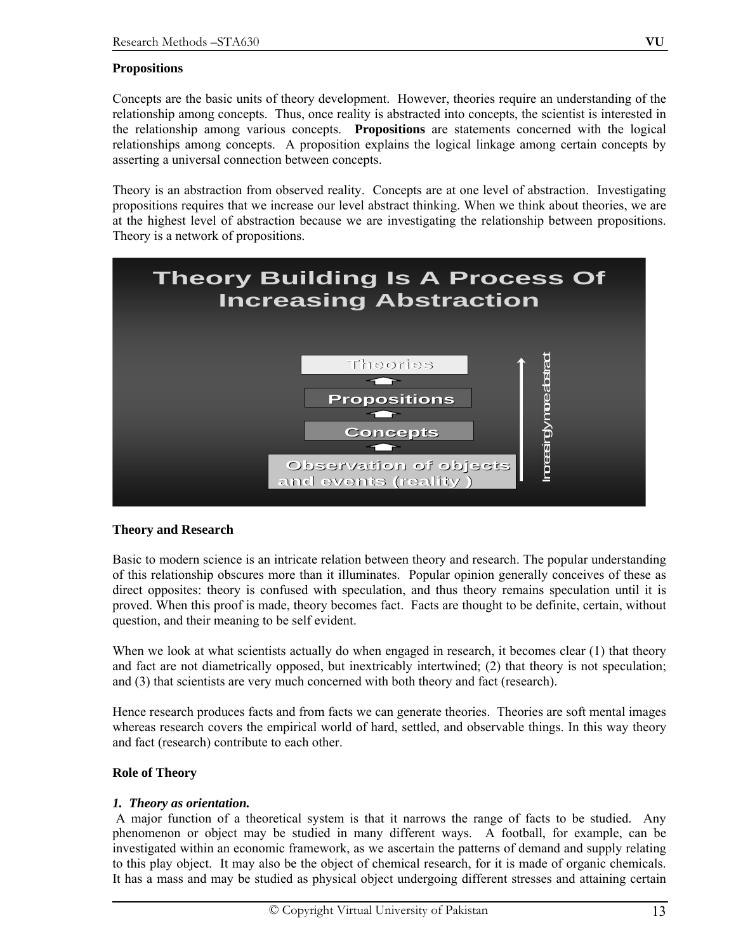### **Propositions**

Concepts are the basic units of theory development. However, theories require an understanding of the relationship among concepts. Thus, once reality is abstracted into concepts, the scientist is interested in the relationship among various concepts. **Propositions** are statements concerned with the logical relationships among concepts. A proposition explains the logical linkage among certain concepts by asserting a universal connection between concepts.

Theory is an abstraction from observed reality. Concepts are at one level of abstraction. Investigating propositions requires that we increase our level abstract thinking. When we think about theories, we are at the highest level of abstraction because we are investigating the relationship between propositions. Theory is a network of propositions.



### **Theory and Research**

Basic to modern science is an intricate relation between theory and research. The popular understanding of this relationship obscures more than it illuminates. Popular opinion generally conceives of these as direct opposites: theory is confused with speculation, and thus theory remains speculation until it is proved. When this proof is made, theory becomes fact. Facts are thought to be definite, certain, without question, and their meaning to be self evident.

When we look at what scientists actually do when engaged in research, it becomes clear (1) that theory and fact are not diametrically opposed, but inextricably intertwined; (2) that theory is not speculation; and (3) that scientists are very much concerned with both theory and fact (research).

Hence research produces facts and from facts we can generate theories. Theories are soft mental images whereas research covers the empirical world of hard, settled, and observable things. In this way theory and fact (research) contribute to each other.

## **Role of Theory**

### *1. Theory as orientation.*

A major function of a theoretical system is that it narrows the range of facts to be studied. Any phenomenon or object may be studied in many different ways. A football, for example, can be investigated within an economic framework, as we ascertain the patterns of demand and supply relating to this play object. It may also be the object of chemical research, for it is made of organic chemicals. It has a mass and may be studied as physical object undergoing different stresses and attaining certain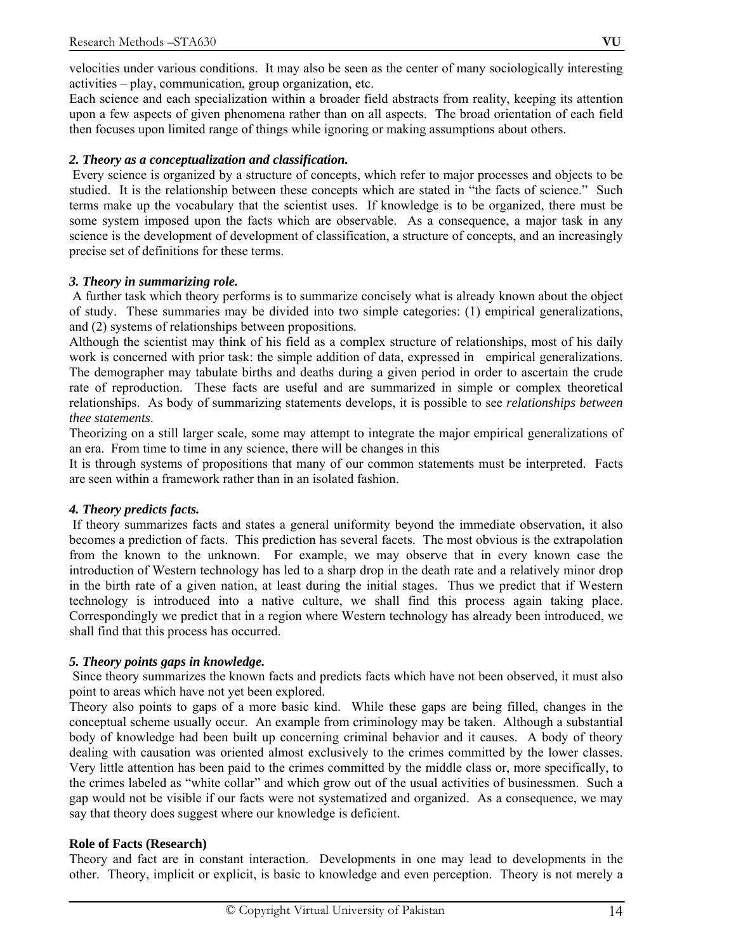velocities under various conditions. It may also be seen as the center of many sociologically interesting activities – play, communication, group organization, etc.

Each science and each specialization within a broader field abstracts from reality, keeping its attention upon a few aspects of given phenomena rather than on all aspects. The broad orientation of each field then focuses upon limited range of things while ignoring or making assumptions about others.

## *2. Theory as a conceptualization and classification.*

Every science is organized by a structure of concepts, which refer to major processes and objects to be studied. It is the relationship between these concepts which are stated in "the facts of science." Such terms make up the vocabulary that the scientist uses. If knowledge is to be organized, there must be some system imposed upon the facts which are observable. As a consequence, a major task in any science is the development of development of classification, a structure of concepts, and an increasingly precise set of definitions for these terms.

## *3. Theory in summarizing role.*

 A further task which theory performs is to summarize concisely what is already known about the object of study. These summaries may be divided into two simple categories: (1) empirical generalizations, and (2) systems of relationships between propositions.

Although the scientist may think of his field as a complex structure of relationships, most of his daily work is concerned with prior task: the simple addition of data, expressed in empirical generalizations. The demographer may tabulate births and deaths during a given period in order to ascertain the crude rate of reproduction. These facts are useful and are summarized in simple or complex theoretical relationships. As body of summarizing statements develops, it is possible to see *relationships between thee statements*.

Theorizing on a still larger scale, some may attempt to integrate the major empirical generalizations of an era. From time to time in any science, there will be changes in this

It is through systems of propositions that many of our common statements must be interpreted. Facts are seen within a framework rather than in an isolated fashion.

## *4. Theory predicts facts.*

If theory summarizes facts and states a general uniformity beyond the immediate observation, it also becomes a prediction of facts. This prediction has several facets. The most obvious is the extrapolation from the known to the unknown. For example, we may observe that in every known case the introduction of Western technology has led to a sharp drop in the death rate and a relatively minor drop in the birth rate of a given nation, at least during the initial stages. Thus we predict that if Western technology is introduced into a native culture, we shall find this process again taking place. Correspondingly we predict that in a region where Western technology has already been introduced, we shall find that this process has occurred.

## *5. Theory points gaps in knowledge.*

Since theory summarizes the known facts and predicts facts which have not been observed, it must also point to areas which have not yet been explored.

Theory also points to gaps of a more basic kind. While these gaps are being filled, changes in the conceptual scheme usually occur. An example from criminology may be taken. Although a substantial body of knowledge had been built up concerning criminal behavior and it causes. A body of theory dealing with causation was oriented almost exclusively to the crimes committed by the lower classes. Very little attention has been paid to the crimes committed by the middle class or, more specifically, to the crimes labeled as "white collar" and which grow out of the usual activities of businessmen. Such a gap would not be visible if our facts were not systematized and organized. As a consequence, we may say that theory does suggest where our knowledge is deficient.

## **Role of Facts (Research)**

Theory and fact are in constant interaction. Developments in one may lead to developments in the other. Theory, implicit or explicit, is basic to knowledge and even perception. Theory is not merely a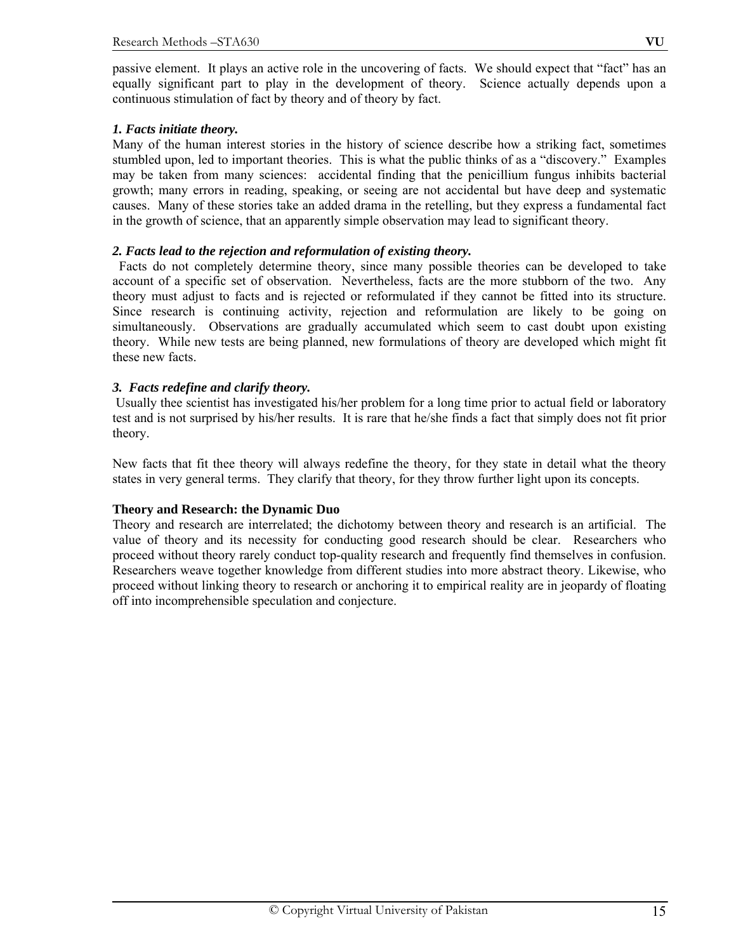passive element. It plays an active role in the uncovering of facts. We should expect that "fact" has an equally significant part to play in the development of theory. Science actually depends upon a continuous stimulation of fact by theory and of theory by fact.

## *1. Facts initiate theory.*

Many of the human interest stories in the history of science describe how a striking fact, sometimes stumbled upon, led to important theories. This is what the public thinks of as a "discovery." Examples may be taken from many sciences: accidental finding that the penicillium fungus inhibits bacterial growth; many errors in reading, speaking, or seeing are not accidental but have deep and systematic causes. Many of these stories take an added drama in the retelling, but they express a fundamental fact in the growth of science, that an apparently simple observation may lead to significant theory.

## *2. Facts lead to the rejection and reformulation of existing theory.*

 Facts do not completely determine theory, since many possible theories can be developed to take account of a specific set of observation. Nevertheless, facts are the more stubborn of the two. Any theory must adjust to facts and is rejected or reformulated if they cannot be fitted into its structure. Since research is continuing activity, rejection and reformulation are likely to be going on simultaneously. Observations are gradually accumulated which seem to cast doubt upon existing theory. While new tests are being planned, new formulations of theory are developed which might fit these new facts.

## *3. Facts redefine and clarify theory.*

Usually thee scientist has investigated his/her problem for a long time prior to actual field or laboratory test and is not surprised by his/her results. It is rare that he/she finds a fact that simply does not fit prior theory.

New facts that fit thee theory will always redefine the theory, for they state in detail what the theory states in very general terms. They clarify that theory, for they throw further light upon its concepts.

## **Theory and Research: the Dynamic Duo**

Theory and research are interrelated; the dichotomy between theory and research is an artificial. The value of theory and its necessity for conducting good research should be clear. Researchers who proceed without theory rarely conduct top-quality research and frequently find themselves in confusion. Researchers weave together knowledge from different studies into more abstract theory. Likewise, who proceed without linking theory to research or anchoring it to empirical reality are in jeopardy of floating off into incomprehensible speculation and conjecture.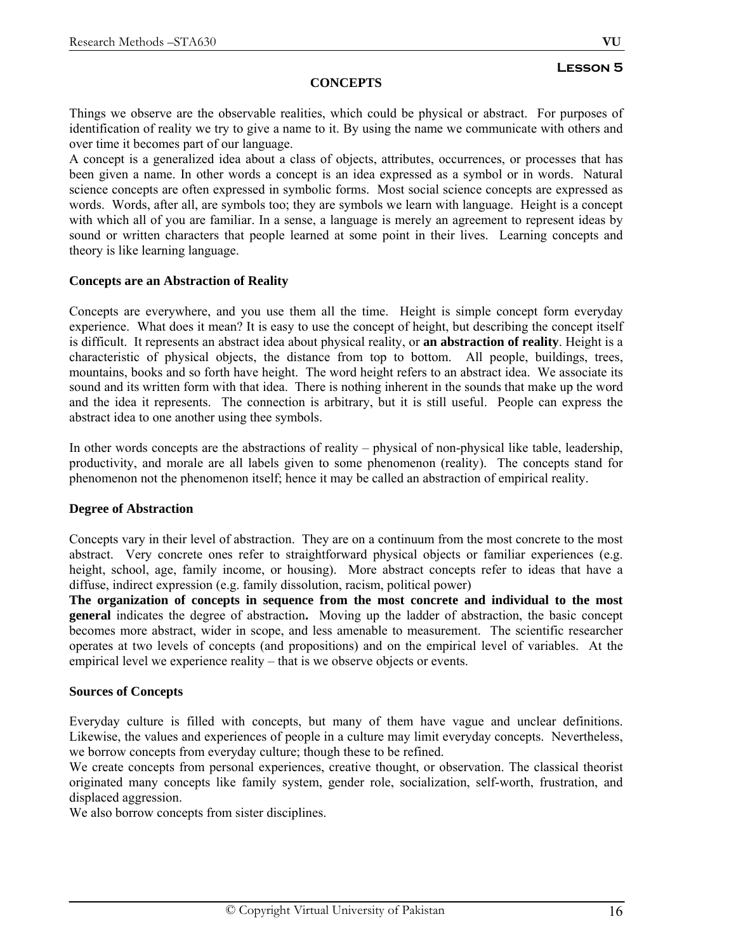## **CONCEPTS**

Things we observe are the observable realities, which could be physical or abstract. For purposes of identification of reality we try to give a name to it. By using the name we communicate with others and over time it becomes part of our language.

A concept is a generalized idea about a class of objects, attributes, occurrences, or processes that has been given a name. In other words a concept is an idea expressed as a symbol or in words. Natural science concepts are often expressed in symbolic forms. Most social science concepts are expressed as words. Words, after all, are symbols too; they are symbols we learn with language. Height is a concept with which all of you are familiar. In a sense, a language is merely an agreement to represent ideas by sound or written characters that people learned at some point in their lives. Learning concepts and theory is like learning language.

### **Concepts are an Abstraction of Reality**

Concepts are everywhere, and you use them all the time. Height is simple concept form everyday experience. What does it mean? It is easy to use the concept of height, but describing the concept itself is difficult. It represents an abstract idea about physical reality, or **an abstraction of reality**. Height is a characteristic of physical objects, the distance from top to bottom. All people, buildings, trees, mountains, books and so forth have height. The word height refers to an abstract idea. We associate its sound and its written form with that idea. There is nothing inherent in the sounds that make up the word and the idea it represents. The connection is arbitrary, but it is still useful. People can express the abstract idea to one another using thee symbols.

In other words concepts are the abstractions of reality – physical of non-physical like table, leadership, productivity, and morale are all labels given to some phenomenon (reality). The concepts stand for phenomenon not the phenomenon itself; hence it may be called an abstraction of empirical reality.

### **Degree of Abstraction**

Concepts vary in their level of abstraction. They are on a continuum from the most concrete to the most abstract. Very concrete ones refer to straightforward physical objects or familiar experiences (e.g. height, school, age, family income, or housing). More abstract concepts refer to ideas that have a diffuse, indirect expression (e.g. family dissolution, racism, political power)

**The organization of concepts in sequence from the most concrete and individual to the most general** indicates the degree of abstraction**.** Moving up the ladder of abstraction, the basic concept becomes more abstract, wider in scope, and less amenable to measurement. The scientific researcher operates at two levels of concepts (and propositions) and on the empirical level of variables. At the empirical level we experience reality – that is we observe objects or events.

### **Sources of Concepts**

Everyday culture is filled with concepts, but many of them have vague and unclear definitions. Likewise, the values and experiences of people in a culture may limit everyday concepts. Nevertheless, we borrow concepts from everyday culture; though these to be refined.

We create concepts from personal experiences, creative thought, or observation. The classical theorist originated many concepts like family system, gender role, socialization, self-worth, frustration, and displaced aggression.

We also borrow concepts from sister disciplines.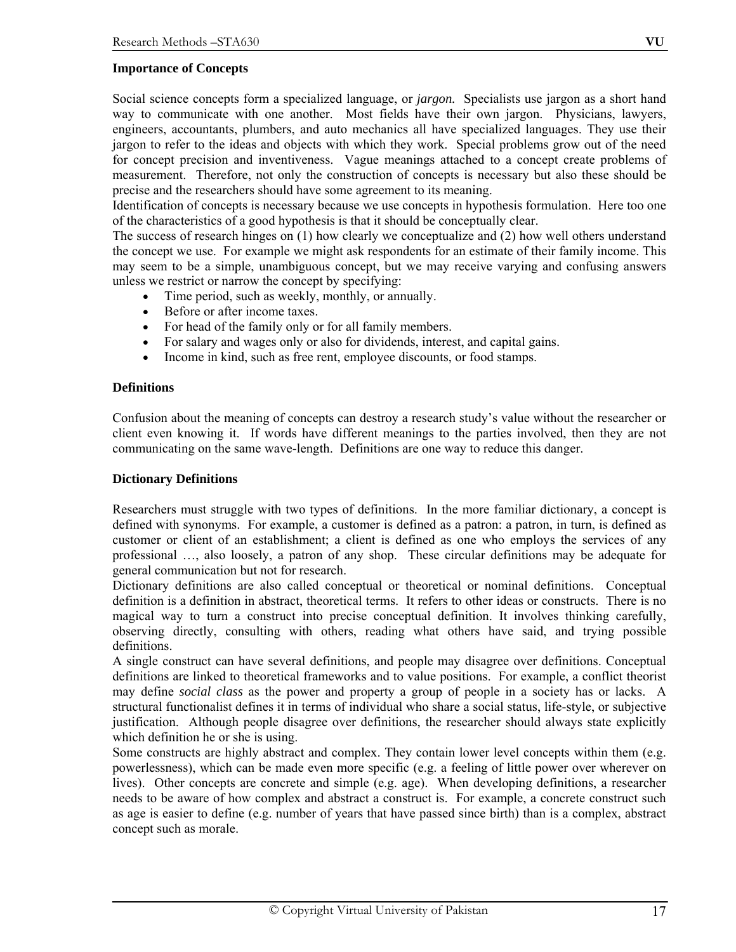## **Importance of Concepts**

Social science concepts form a specialized language, or *jargon.* Specialists use jargon as a short hand way to communicate with one another. Most fields have their own jargon. Physicians, lawyers, engineers, accountants, plumbers, and auto mechanics all have specialized languages. They use their jargon to refer to the ideas and objects with which they work. Special problems grow out of the need for concept precision and inventiveness. Vague meanings attached to a concept create problems of measurement. Therefore, not only the construction of concepts is necessary but also these should be precise and the researchers should have some agreement to its meaning.

Identification of concepts is necessary because we use concepts in hypothesis formulation. Here too one of the characteristics of a good hypothesis is that it should be conceptually clear.

The success of research hinges on (1) how clearly we conceptualize and (2) how well others understand the concept we use. For example we might ask respondents for an estimate of their family income. This may seem to be a simple, unambiguous concept, but we may receive varying and confusing answers unless we restrict or narrow the concept by specifying:

- Time period, such as weekly, monthly, or annually.
- Before or after income taxes.
- For head of the family only or for all family members.
- For salary and wages only or also for dividends, interest, and capital gains.
- Income in kind, such as free rent, employee discounts, or food stamps.

### **Definitions**

Confusion about the meaning of concepts can destroy a research study's value without the researcher or client even knowing it. If words have different meanings to the parties involved, then they are not communicating on the same wave-length. Definitions are one way to reduce this danger.

### **Dictionary Definitions**

Researchers must struggle with two types of definitions. In the more familiar dictionary, a concept is defined with synonyms. For example, a customer is defined as a patron: a patron, in turn, is defined as customer or client of an establishment; a client is defined as one who employs the services of any professional …, also loosely, a patron of any shop. These circular definitions may be adequate for general communication but not for research.

Dictionary definitions are also called conceptual or theoretical or nominal definitions. Conceptual definition is a definition in abstract, theoretical terms. It refers to other ideas or constructs. There is no magical way to turn a construct into precise conceptual definition. It involves thinking carefully, observing directly, consulting with others, reading what others have said, and trying possible definitions.

A single construct can have several definitions, and people may disagree over definitions. Conceptual definitions are linked to theoretical frameworks and to value positions. For example, a conflict theorist may define *social class* as the power and property a group of people in a society has or lacks. A structural functionalist defines it in terms of individual who share a social status, life-style, or subjective justification. Although people disagree over definitions, the researcher should always state explicitly which definition he or she is using.

Some constructs are highly abstract and complex. They contain lower level concepts within them (e.g. powerlessness), which can be made even more specific (e.g. a feeling of little power over wherever on lives). Other concepts are concrete and simple (e.g. age). When developing definitions, a researcher needs to be aware of how complex and abstract a construct is. For example, a concrete construct such as age is easier to define (e.g. number of years that have passed since birth) than is a complex, abstract concept such as morale.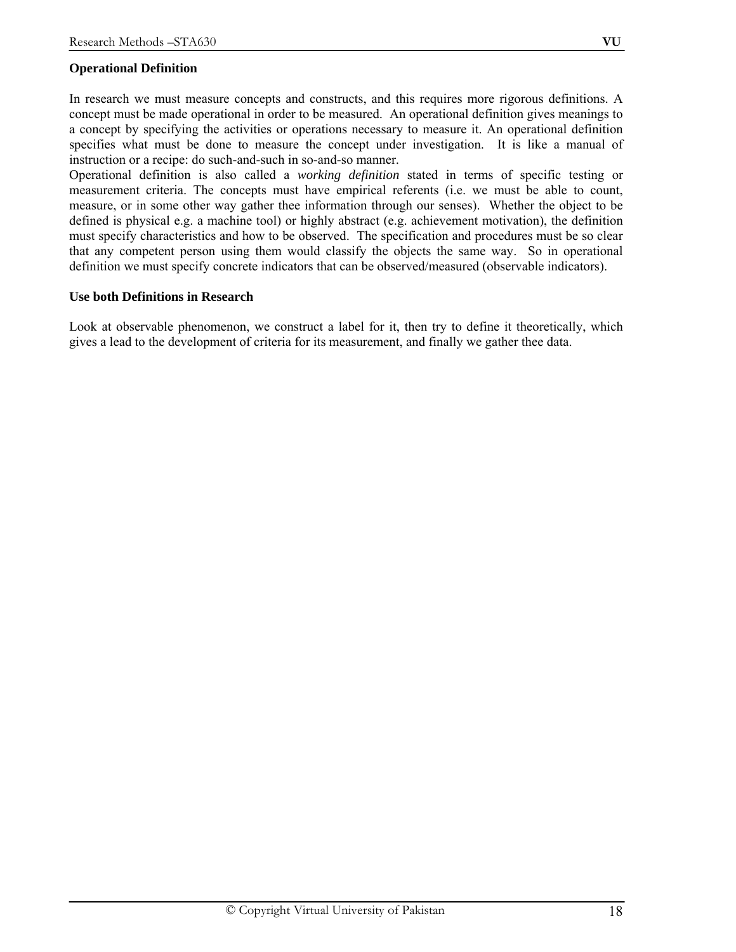#### **Operational Definition**

In research we must measure concepts and constructs, and this requires more rigorous definitions. A concept must be made operational in order to be measured. An operational definition gives meanings to a concept by specifying the activities or operations necessary to measure it. An operational definition specifies what must be done to measure the concept under investigation. It is like a manual of instruction or a recipe: do such-and-such in so-and-so manner.

Operational definition is also called a *working definition* stated in terms of specific testing or measurement criteria. The concepts must have empirical referents (i.e. we must be able to count, measure, or in some other way gather thee information through our senses). Whether the object to be defined is physical e.g. a machine tool) or highly abstract (e.g. achievement motivation), the definition must specify characteristics and how to be observed. The specification and procedures must be so clear that any competent person using them would classify the objects the same way. So in operational definition we must specify concrete indicators that can be observed/measured (observable indicators).

### **Use both Definitions in Research**

Look at observable phenomenon, we construct a label for it, then try to define it theoretically, which gives a lead to the development of criteria for its measurement, and finally we gather thee data.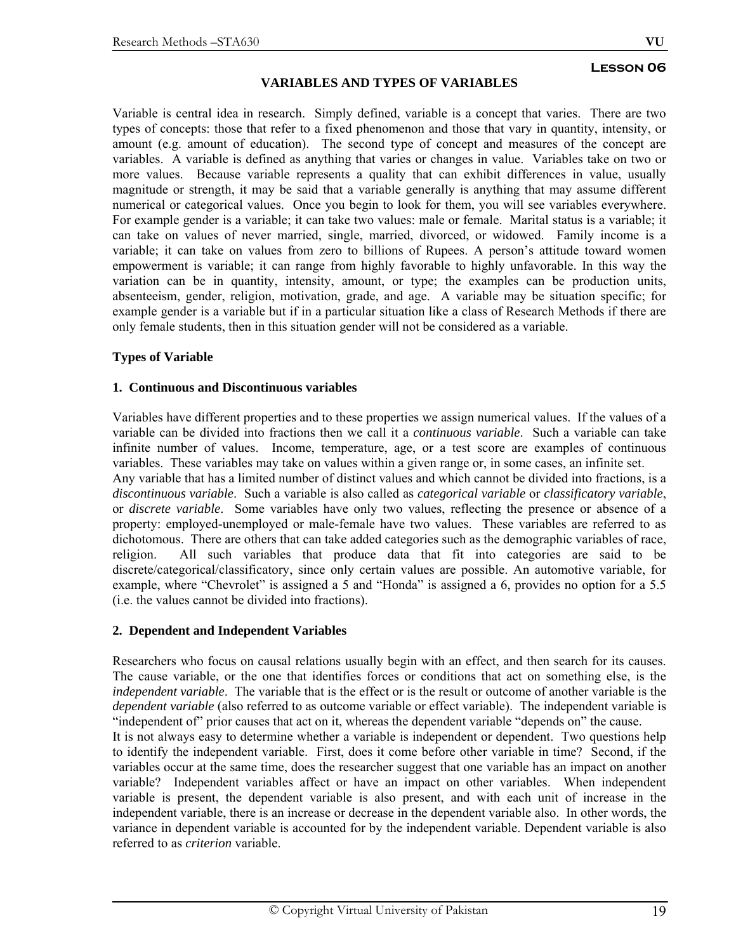## **VARIABLES AND TYPES OF VARIABLES**

Variable is central idea in research. Simply defined, variable is a concept that varies. There are two types of concepts: those that refer to a fixed phenomenon and those that vary in quantity, intensity, or amount (e.g. amount of education). The second type of concept and measures of the concept are variables. A variable is defined as anything that varies or changes in value. Variables take on two or more values. Because variable represents a quality that can exhibit differences in value, usually magnitude or strength, it may be said that a variable generally is anything that may assume different numerical or categorical values. Once you begin to look for them, you will see variables everywhere. For example gender is a variable; it can take two values: male or female. Marital status is a variable; it can take on values of never married, single, married, divorced, or widowed. Family income is a variable; it can take on values from zero to billions of Rupees. A person's attitude toward women empowerment is variable; it can range from highly favorable to highly unfavorable. In this way the variation can be in quantity, intensity, amount, or type; the examples can be production units, absenteeism, gender, religion, motivation, grade, and age. A variable may be situation specific; for example gender is a variable but if in a particular situation like a class of Research Methods if there are only female students, then in this situation gender will not be considered as a variable.

## **Types of Variable**

## **1. Continuous and Discontinuous variables**

Variables have different properties and to these properties we assign numerical values. If the values of a variable can be divided into fractions then we call it a *continuous variable*. Such a variable can take infinite number of values. Income, temperature, age, or a test score are examples of continuous variables. These variables may take on values within a given range or, in some cases, an infinite set. Any variable that has a limited number of distinct values and which cannot be divided into fractions, is a *discontinuous variable*. Such a variable is also called as *categorical variable* or *classificatory variable*, or *discrete variable*. Some variables have only two values, reflecting the presence or absence of a property: employed-unemployed or male-female have two values. These variables are referred to as dichotomous. There are others that can take added categories such as the demographic variables of race, religion. All such variables that produce data that fit into categories are said to be discrete/categorical/classificatory, since only certain values are possible. An automotive variable, for example, where "Chevrolet" is assigned a 5 and "Honda" is assigned a 6, provides no option for a 5.5 (i.e. the values cannot be divided into fractions).

## **2. Dependent and Independent Variables**

Researchers who focus on causal relations usually begin with an effect, and then search for its causes. The cause variable, or the one that identifies forces or conditions that act on something else, is the *independent variable*. The variable that is the effect or is the result or outcome of another variable is the *dependent variable* (also referred to as outcome variable or effect variable). The independent variable is "independent of" prior causes that act on it, whereas the dependent variable "depends on" the cause.

It is not always easy to determine whether a variable is independent or dependent. Two questions help to identify the independent variable. First, does it come before other variable in time? Second, if the variables occur at the same time, does the researcher suggest that one variable has an impact on another variable? Independent variables affect or have an impact on other variables. When independent variable is present, the dependent variable is also present, and with each unit of increase in the independent variable, there is an increase or decrease in the dependent variable also. In other words, the variance in dependent variable is accounted for by the independent variable. Dependent variable is also referred to as *criterion* variable.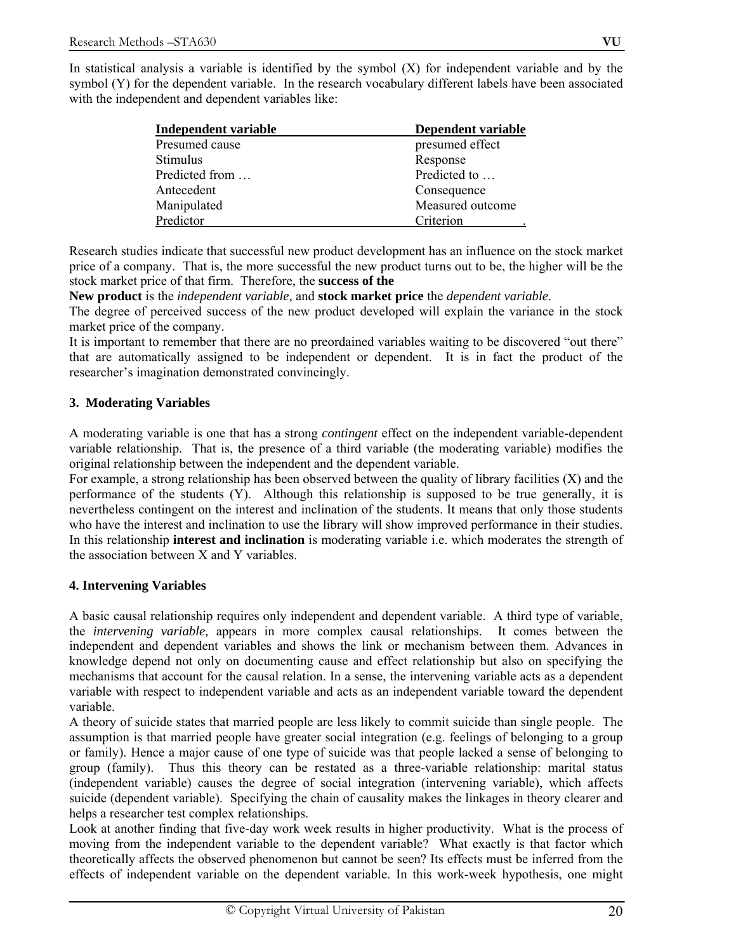In statistical analysis a variable is identified by the symbol (X) for independent variable and by the symbol (Y) for the dependent variable. In the research vocabulary different labels have been associated with the independent and dependent variables like:

| Independent variable | Dependent variable |
|----------------------|--------------------|
| Presumed cause       | presumed effect    |
| <b>Stimulus</b>      | Response           |
| Predicted from       | Predicted to       |
| Antecedent           | Consequence        |
| Manipulated          | Measured outcome   |
| Predictor            | Criterion          |

Research studies indicate that successful new product development has an influence on the stock market price of a company. That is, the more successful the new product turns out to be, the higher will be the stock market price of that firm. Therefore, the **success of the** 

**New product** is the *independent variable*, and **stock market price** the *dependent variable*.

The degree of perceived success of the new product developed will explain the variance in the stock market price of the company.

It is important to remember that there are no preordained variables waiting to be discovered "out there" that are automatically assigned to be independent or dependent. It is in fact the product of the researcher's imagination demonstrated convincingly.

## **3. Moderating Variables**

A moderating variable is one that has a strong *contingent* effect on the independent variable-dependent variable relationship. That is, the presence of a third variable (the moderating variable) modifies the original relationship between the independent and the dependent variable.

For example, a strong relationship has been observed between the quality of library facilities (X) and the performance of the students (Y). Although this relationship is supposed to be true generally, it is nevertheless contingent on the interest and inclination of the students. It means that only those students who have the interest and inclination to use the library will show improved performance in their studies. In this relationship **interest and inclination** is moderating variable i.e. which moderates the strength of the association between X and Y variables.

## **4. Intervening Variables**

A basic causal relationship requires only independent and dependent variable. A third type of variable, the *intervening variable,* appears in more complex causal relationships. It comes between the independent and dependent variables and shows the link or mechanism between them. Advances in knowledge depend not only on documenting cause and effect relationship but also on specifying the mechanisms that account for the causal relation. In a sense, the intervening variable acts as a dependent variable with respect to independent variable and acts as an independent variable toward the dependent variable.

A theory of suicide states that married people are less likely to commit suicide than single people. The assumption is that married people have greater social integration (e.g. feelings of belonging to a group or family). Hence a major cause of one type of suicide was that people lacked a sense of belonging to group (family). Thus this theory can be restated as a three-variable relationship: marital status (independent variable) causes the degree of social integration (intervening variable), which affects suicide (dependent variable). Specifying the chain of causality makes the linkages in theory clearer and helps a researcher test complex relationships.

Look at another finding that five-day work week results in higher productivity. What is the process of moving from the independent variable to the dependent variable? What exactly is that factor which theoretically affects the observed phenomenon but cannot be seen? Its effects must be inferred from the effects of independent variable on the dependent variable. In this work-week hypothesis, one might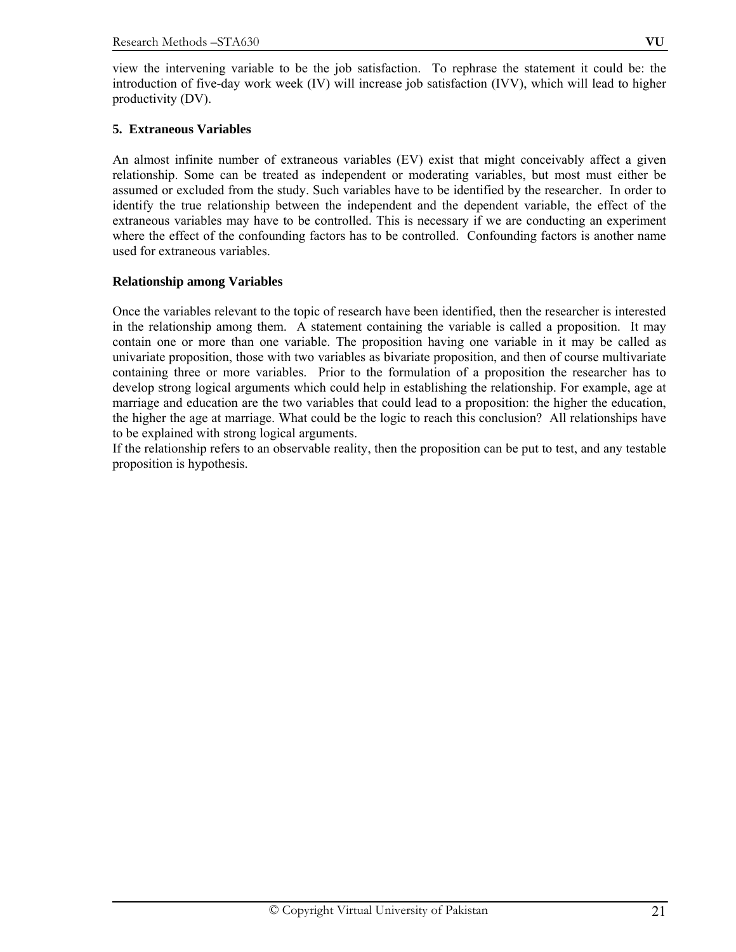view the intervening variable to be the job satisfaction. To rephrase the statement it could be: the introduction of five-day work week (IV) will increase job satisfaction (IVV), which will lead to higher productivity (DV).

## **5. Extraneous Variables**

An almost infinite number of extraneous variables (EV) exist that might conceivably affect a given relationship. Some can be treated as independent or moderating variables, but most must either be assumed or excluded from the study. Such variables have to be identified by the researcher. In order to identify the true relationship between the independent and the dependent variable, the effect of the extraneous variables may have to be controlled. This is necessary if we are conducting an experiment where the effect of the confounding factors has to be controlled. Confounding factors is another name used for extraneous variables.

## **Relationship among Variables**

Once the variables relevant to the topic of research have been identified, then the researcher is interested in the relationship among them. A statement containing the variable is called a proposition. It may contain one or more than one variable. The proposition having one variable in it may be called as univariate proposition, those with two variables as bivariate proposition, and then of course multivariate containing three or more variables. Prior to the formulation of a proposition the researcher has to develop strong logical arguments which could help in establishing the relationship. For example, age at marriage and education are the two variables that could lead to a proposition: the higher the education, the higher the age at marriage. What could be the logic to reach this conclusion? All relationships have to be explained with strong logical arguments.

If the relationship refers to an observable reality, then the proposition can be put to test, and any testable proposition is hypothesis.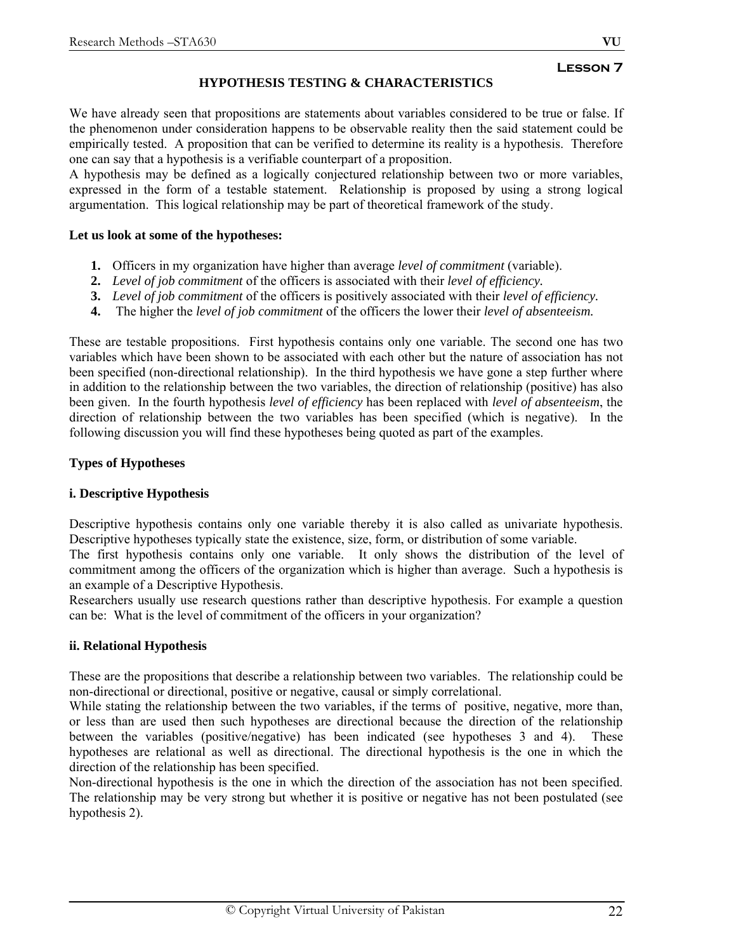We have already seen that propositions are statements about variables considered to be true or false. If the phenomenon under consideration happens to be observable reality then the said statement could be empirically tested. A proposition that can be verified to determine its reality is a hypothesis. Therefore one can say that a hypothesis is a verifiable counterpart of a proposition.

A hypothesis may be defined as a logically conjectured relationship between two or more variables, expressed in the form of a testable statement. Relationship is proposed by using a strong logical argumentation. This logical relationship may be part of theoretical framework of the study.

### **Let us look at some of the hypotheses:**

- **1.** Officers in my organization have higher than average *level of commitment* (variable).
- **2.** *Level of job commitment* of the officers is associated with their *level of efficiency.*
- **3.** *Level of job commitment* of the officers is positively associated with their *level of efficiency.*
- **4.** The higher the *level of job commitment* of the officers the lower their *level of absenteeism.*

These are testable propositions. First hypothesis contains only one variable. The second one has two variables which have been shown to be associated with each other but the nature of association has not been specified (non-directional relationship). In the third hypothesis we have gone a step further where in addition to the relationship between the two variables, the direction of relationship (positive) has also been given. In the fourth hypothesis *level of efficiency* has been replaced with *level of absenteeism*, the direction of relationship between the two variables has been specified (which is negative). In the following discussion you will find these hypotheses being quoted as part of the examples.

## **Types of Hypotheses**

### **i. Descriptive Hypothesis**

Descriptive hypothesis contains only one variable thereby it is also called as univariate hypothesis. Descriptive hypotheses typically state the existence, size, form, or distribution of some variable.

The first hypothesis contains only one variable. It only shows the distribution of the level of commitment among the officers of the organization which is higher than average. Such a hypothesis is an example of a Descriptive Hypothesis.

Researchers usually use research questions rather than descriptive hypothesis. For example a question can be: What is the level of commitment of the officers in your organization?

### **ii. Relational Hypothesis**

These are the propositions that describe a relationship between two variables. The relationship could be non-directional or directional, positive or negative, causal or simply correlational.

While stating the relationship between the two variables, if the terms of positive, negative, more than, or less than are used then such hypotheses are directional because the direction of the relationship between the variables (positive/negative) has been indicated (see hypotheses 3 and 4). These hypotheses are relational as well as directional. The directional hypothesis is the one in which the direction of the relationship has been specified.

Non-directional hypothesis is the one in which the direction of the association has not been specified. The relationship may be very strong but whether it is positive or negative has not been postulated (see hypothesis 2).

**Lesson 7**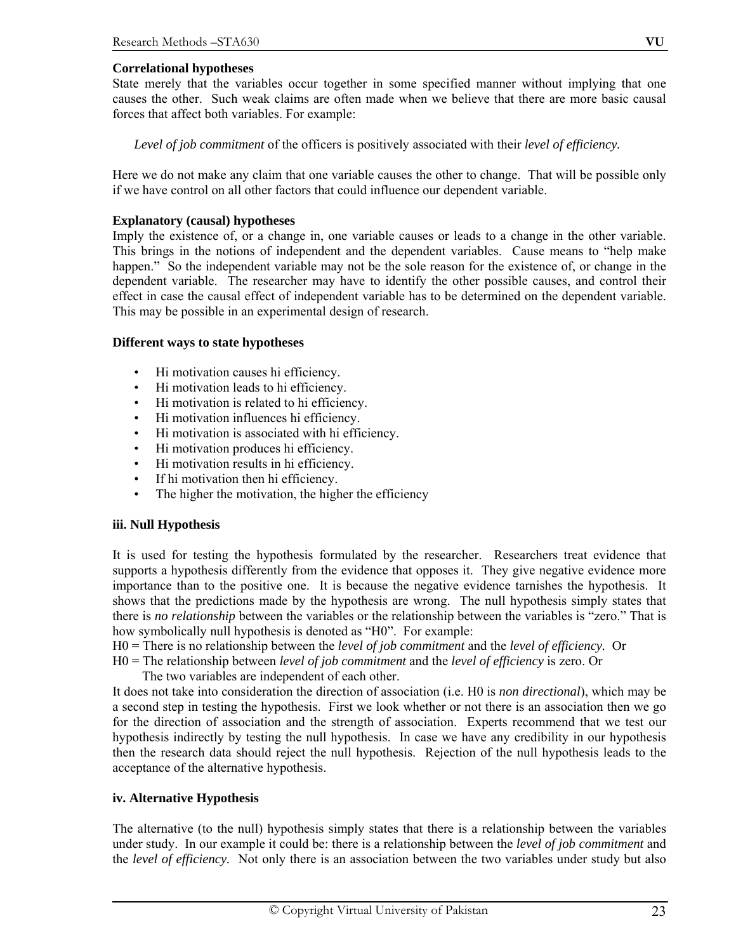### **Correlational hypotheses**

State merely that the variables occur together in some specified manner without implying that one causes the other. Such weak claims are often made when we believe that there are more basic causal forces that affect both variables. For example:

*Level of job commitment* of the officers is positively associated with their *level of efficiency.* 

Here we do not make any claim that one variable causes the other to change. That will be possible only if we have control on all other factors that could influence our dependent variable.

### **Explanatory (causal) hypotheses**

Imply the existence of, or a change in, one variable causes or leads to a change in the other variable. This brings in the notions of independent and the dependent variables. Cause means to "help make happen." So the independent variable may not be the sole reason for the existence of, or change in the dependent variable. The researcher may have to identify the other possible causes, and control their effect in case the causal effect of independent variable has to be determined on the dependent variable. This may be possible in an experimental design of research.

### **Different ways to state hypotheses**

- Hi motivation causes hi efficiency.
- Hi motivation leads to hi efficiency.
- Hi motivation is related to hi efficiency.
- Hi motivation influences hi efficiency.
- Hi motivation is associated with hi efficiency.
- Hi motivation produces hi efficiency.
- Hi motivation results in hi efficiency.
- If hi motivation then hi efficiency.
- The higher the motivation, the higher the efficiency

### **iii. Null Hypothesis**

It is used for testing the hypothesis formulated by the researcher. Researchers treat evidence that supports a hypothesis differently from the evidence that opposes it. They give negative evidence more importance than to the positive one. It is because the negative evidence tarnishes the hypothesis. It shows that the predictions made by the hypothesis are wrong. The null hypothesis simply states that there is *no relationship* between the variables or the relationship between the variables is "zero." That is how symbolically null hypothesis is denoted as "H0". For example:

H0 = There is no relationship between the *level of job commitment* and the *level of efficiency.* Or

H0 = The relationship between *level of job commitment* and the *level of efficiency* is zero. Or The two variables are independent of each other.

It does not take into consideration the direction of association (i.e. H0 is *non directional*), which may be a second step in testing the hypothesis. First we look whether or not there is an association then we go for the direction of association and the strength of association. Experts recommend that we test our hypothesis indirectly by testing the null hypothesis. In case we have any credibility in our hypothesis then the research data should reject the null hypothesis. Rejection of the null hypothesis leads to the acceptance of the alternative hypothesis.

## **iv. Alternative Hypothesis**

The alternative (to the null) hypothesis simply states that there is a relationship between the variables under study. In our example it could be: there is a relationship between the *level of job commitment* and the *level of efficiency.* Not only there is an association between the two variables under study but also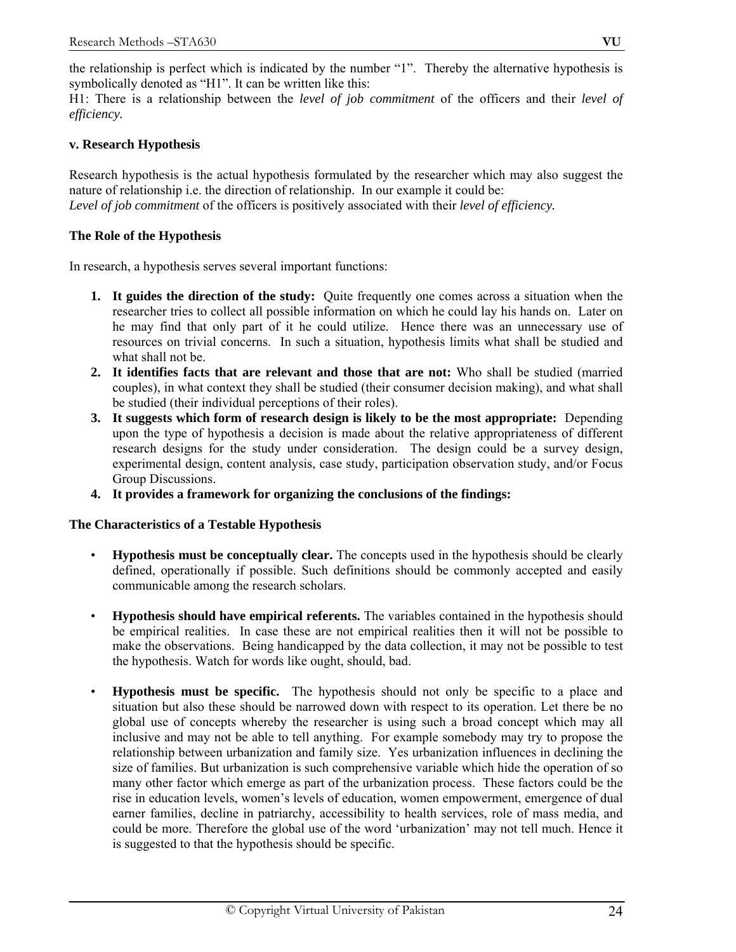H1: There is a relationship between the *level of job commitment* of the officers and their *level of efficiency.*

## **v. Research Hypothesis**

Research hypothesis is the actual hypothesis formulated by the researcher which may also suggest the nature of relationship i.e. the direction of relationship. In our example it could be: *Level of job commitment* of the officers is positively associated with their *level of efficiency.*

## **The Role of the Hypothesis**

In research, a hypothesis serves several important functions:

- **1. It guides the direction of the study:** Quite frequently one comes across a situation when the researcher tries to collect all possible information on which he could lay his hands on. Later on he may find that only part of it he could utilize. Hence there was an unnecessary use of resources on trivial concerns. In such a situation, hypothesis limits what shall be studied and what shall not be.
- **2. It identifies facts that are relevant and those that are not:** Who shall be studied (married couples), in what context they shall be studied (their consumer decision making), and what shall be studied (their individual perceptions of their roles).
- **3. It suggests which form of research design is likely to be the most appropriate:** Depending upon the type of hypothesis a decision is made about the relative appropriateness of different research designs for the study under consideration. The design could be a survey design, experimental design, content analysis, case study, participation observation study, and/or Focus Group Discussions.
- **4. It provides a framework for organizing the conclusions of the findings:**

## **The Characteristics of a Testable Hypothesis**

- **Hypothesis must be conceptually clear.** The concepts used in the hypothesis should be clearly defined, operationally if possible. Such definitions should be commonly accepted and easily communicable among the research scholars.
- **Hypothesis should have empirical referents.** The variables contained in the hypothesis should be empirical realities. In case these are not empirical realities then it will not be possible to make the observations. Being handicapped by the data collection, it may not be possible to test the hypothesis. Watch for words like ought, should, bad.
- **Hypothesis must be specific.** The hypothesis should not only be specific to a place and situation but also these should be narrowed down with respect to its operation. Let there be no global use of concepts whereby the researcher is using such a broad concept which may all inclusive and may not be able to tell anything. For example somebody may try to propose the relationship between urbanization and family size. Yes urbanization influences in declining the size of families. But urbanization is such comprehensive variable which hide the operation of so many other factor which emerge as part of the urbanization process. These factors could be the rise in education levels, women's levels of education, women empowerment, emergence of dual earner families, decline in patriarchy, accessibility to health services, role of mass media, and could be more. Therefore the global use of the word 'urbanization' may not tell much. Hence it is suggested to that the hypothesis should be specific.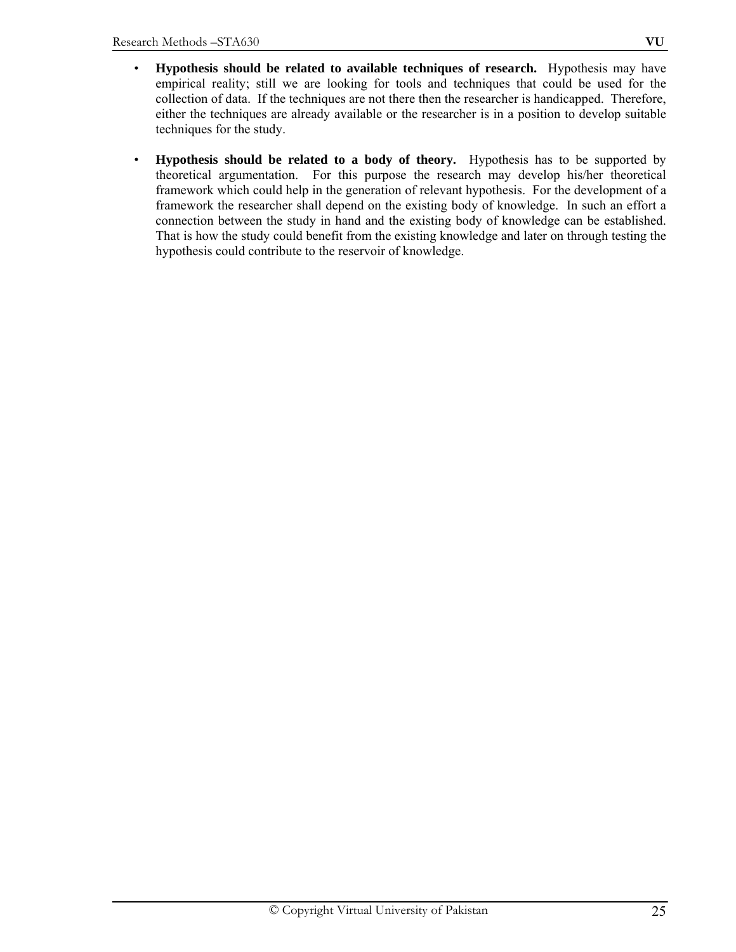- **Hypothesis should be related to available techniques of research.** Hypothesis may have empirical reality; still we are looking for tools and techniques that could be used for the collection of data. If the techniques are not there then the researcher is handicapped. Therefore, either the techniques are already available or the researcher is in a position to develop suitable techniques for the study.
- **Hypothesis should be related to a body of theory.** Hypothesis has to be supported by theoretical argumentation. For this purpose the research may develop his/her theoretical framework which could help in the generation of relevant hypothesis. For the development of a framework the researcher shall depend on the existing body of knowledge. In such an effort a connection between the study in hand and the existing body of knowledge can be established. That is how the study could benefit from the existing knowledge and later on through testing the hypothesis could contribute to the reservoir of knowledge.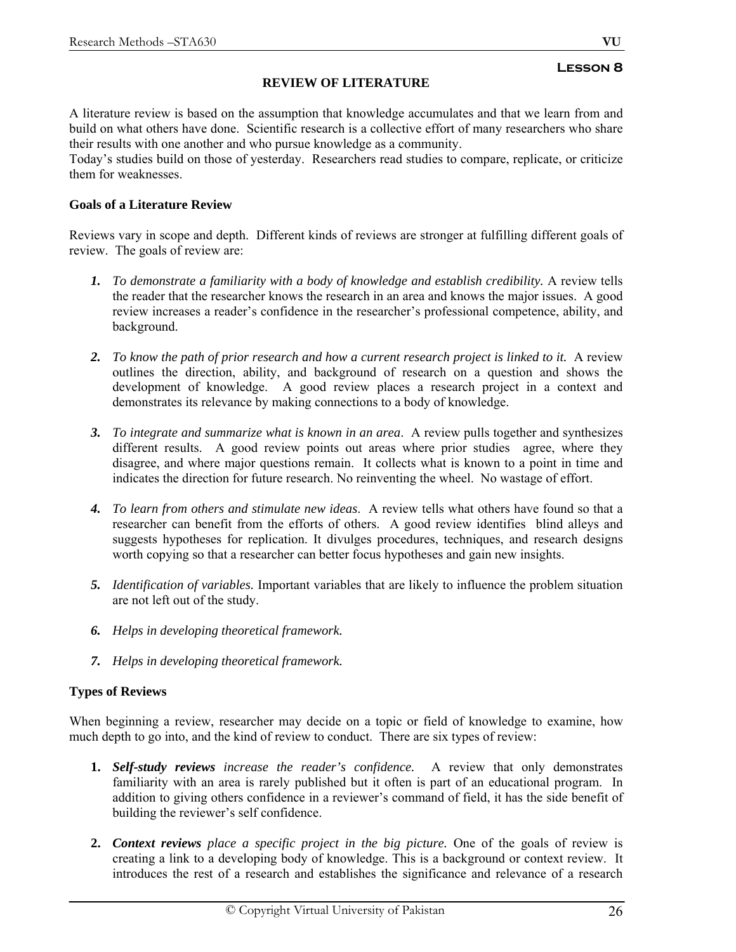## **REVIEW OF LITERATURE**

A literature review is based on the assumption that knowledge accumulates and that we learn from and build on what others have done. Scientific research is a collective effort of many researchers who share their results with one another and who pursue knowledge as a community.

Today's studies build on those of yesterday. Researchers read studies to compare, replicate, or criticize them for weaknesses.

## **Goals of a Literature Review**

Reviews vary in scope and depth. Different kinds of reviews are stronger at fulfilling different goals of review. The goals of review are:

- *1. To demonstrate a familiarity with a body of knowledge and establish credibility.* A review tells the reader that the researcher knows the research in an area and knows the major issues. A good review increases a reader's confidence in the researcher's professional competence, ability, and background.
- *2. To know the path of prior research and how a current research project is linked to it.* A review outlines the direction, ability, and background of research on a question and shows the development of knowledge. A good review places a research project in a context and demonstrates its relevance by making connections to a body of knowledge.
- *3. To integrate and summarize what is known in an area*. A review pulls together and synthesizes different results. A good review points out areas where prior studies agree, where they disagree, and where major questions remain. It collects what is known to a point in time and indicates the direction for future research. No reinventing the wheel. No wastage of effort.
- *4. To learn from others and stimulate new ideas*. A review tells what others have found so that a researcher can benefit from the efforts of others. A good review identifies blind alleys and suggests hypotheses for replication. It divulges procedures, techniques, and research designs worth copying so that a researcher can better focus hypotheses and gain new insights.
- *5. Identification of variables.* Important variables that are likely to influence the problem situation are not left out of the study.
- *6. Helps in developing theoretical framework.*
- *7. Helps in developing theoretical framework.*

## **Types of Reviews**

When beginning a review, researcher may decide on a topic or field of knowledge to examine, how much depth to go into, and the kind of review to conduct. There are six types of review:

- **1.** *Self-study reviews increase the reader's confidence.* A review that only demonstrates familiarity with an area is rarely published but it often is part of an educational program. In addition to giving others confidence in a reviewer's command of field, it has the side benefit of building the reviewer's self confidence.
- **2.** *Context reviews place a specific project in the big picture.* One of the goals of review is creating a link to a developing body of knowledge. This is a background or context review. It introduces the rest of a research and establishes the significance and relevance of a research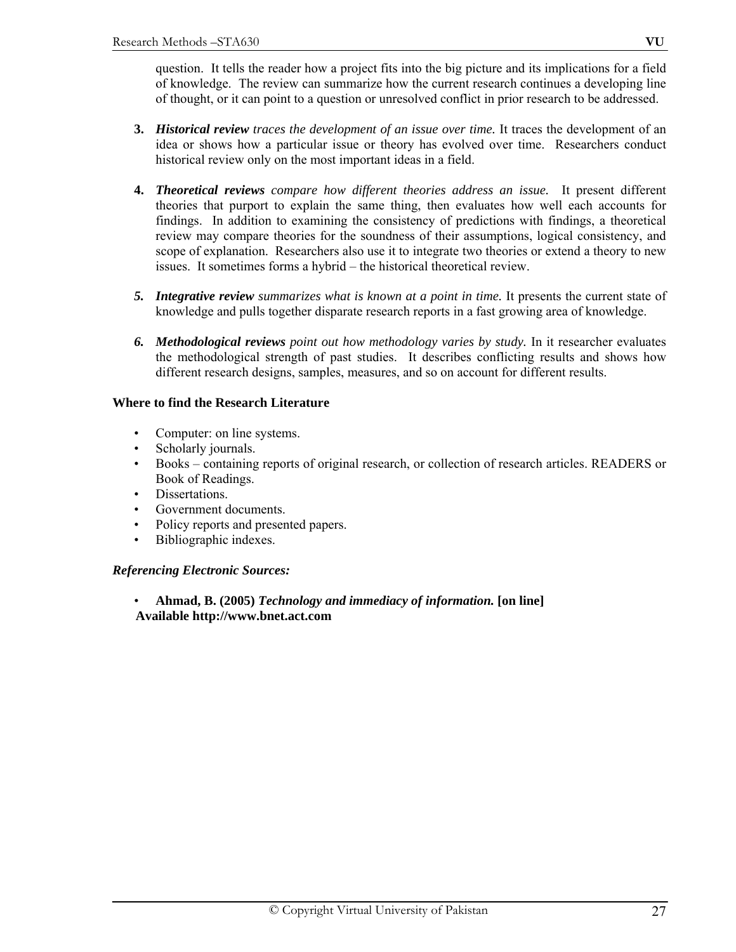question. It tells the reader how a project fits into the big picture and its implications for a field of knowledge. The review can summarize how the current research continues a developing line of thought, or it can point to a question or unresolved conflict in prior research to be addressed.

- **3.** *Historical review traces the development of an issue over time.* It traces the development of an idea or shows how a particular issue or theory has evolved over time. Researchers conduct historical review only on the most important ideas in a field.
- **4.** *Theoretical reviews compare how different theories address an issue.* It present different theories that purport to explain the same thing, then evaluates how well each accounts for findings. In addition to examining the consistency of predictions with findings, a theoretical review may compare theories for the soundness of their assumptions, logical consistency, and scope of explanation. Researchers also use it to integrate two theories or extend a theory to new issues. It sometimes forms a hybrid – the historical theoretical review.
- *5. Integrative review summarizes what is known at a point in time.* It presents the current state of knowledge and pulls together disparate research reports in a fast growing area of knowledge.
- *6. Methodological reviews point out how methodology varies by study.* In it researcher evaluates the methodological strength of past studies. It describes conflicting results and shows how different research designs, samples, measures, and so on account for different results.

## **Where to find the Research Literature**

- Computer: on line systems.
- Scholarly journals.
- Books containing reports of original research, or collection of research articles. READERS or Book of Readings.
- Dissertations.
- Government documents.
- Policy reports and presented papers.
- Bibliographic indexes.

## *Referencing Electronic Sources:*

• **Ahmad, B. (2005)** *Technology and immediacy of information.* **[on line]**  **Available http://www.bnet.act.com**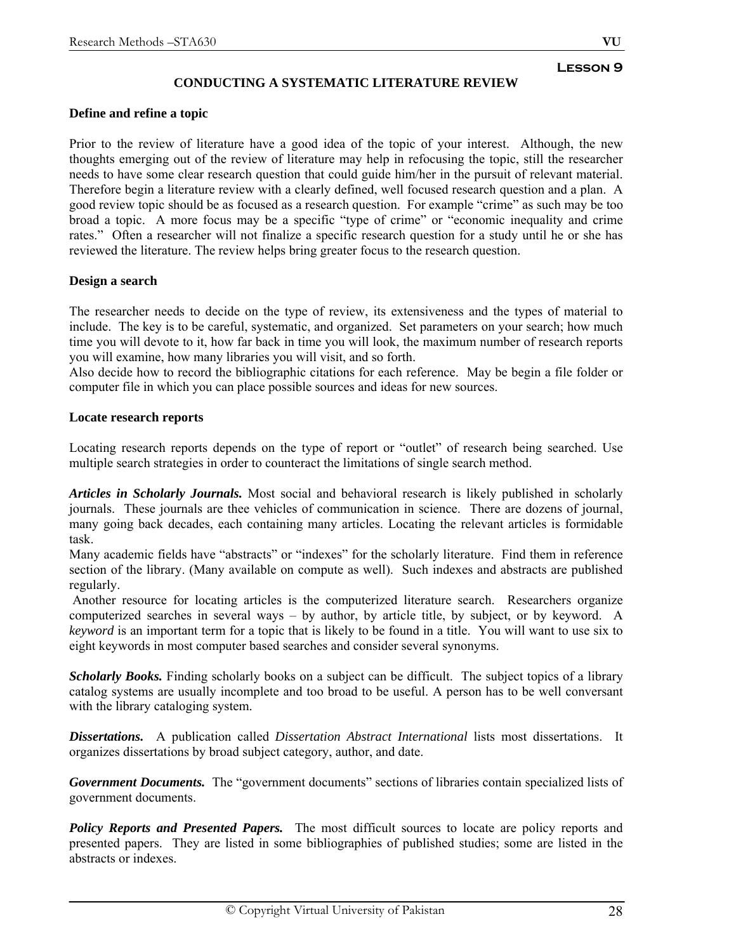## **CONDUCTING A SYSTEMATIC LITERATURE REVIEW**

#### **Define and refine a topic**

Prior to the review of literature have a good idea of the topic of your interest. Although, the new thoughts emerging out of the review of literature may help in refocusing the topic, still the researcher needs to have some clear research question that could guide him/her in the pursuit of relevant material. Therefore begin a literature review with a clearly defined, well focused research question and a plan. A good review topic should be as focused as a research question. For example "crime" as such may be too broad a topic. A more focus may be a specific "type of crime" or "economic inequality and crime rates." Often a researcher will not finalize a specific research question for a study until he or she has reviewed the literature. The review helps bring greater focus to the research question.

### **Design a search**

The researcher needs to decide on the type of review, its extensiveness and the types of material to include. The key is to be careful, systematic, and organized. Set parameters on your search; how much time you will devote to it, how far back in time you will look, the maximum number of research reports you will examine, how many libraries you will visit, and so forth.

Also decide how to record the bibliographic citations for each reference. May be begin a file folder or computer file in which you can place possible sources and ideas for new sources.

### **Locate research reports**

Locating research reports depends on the type of report or "outlet" of research being searched. Use multiple search strategies in order to counteract the limitations of single search method.

*Articles in Scholarly Journals.* Most social and behavioral research is likely published in scholarly journals. These journals are thee vehicles of communication in science. There are dozens of journal, many going back decades, each containing many articles. Locating the relevant articles is formidable task.

Many academic fields have "abstracts" or "indexes" for the scholarly literature. Find them in reference section of the library. (Many available on compute as well). Such indexes and abstracts are published regularly.

 Another resource for locating articles is the computerized literature search. Researchers organize computerized searches in several ways – by author, by article title, by subject, or by keyword. A *keyword* is an important term for a topic that is likely to be found in a title. You will want to use six to eight keywords in most computer based searches and consider several synonyms.

*Scholarly Books.* Finding scholarly books on a subject can be difficult. The subject topics of a library catalog systems are usually incomplete and too broad to be useful. A person has to be well conversant with the library cataloging system.

*Dissertations.* A publication called *Dissertation Abstract International* lists most dissertations. It organizes dissertations by broad subject category, author, and date.

*Government Documents.* The "government documents" sections of libraries contain specialized lists of government documents.

*Policy Reports and Presented Papers.* The most difficult sources to locate are policy reports and presented papers. They are listed in some bibliographies of published studies; some are listed in the abstracts or indexes.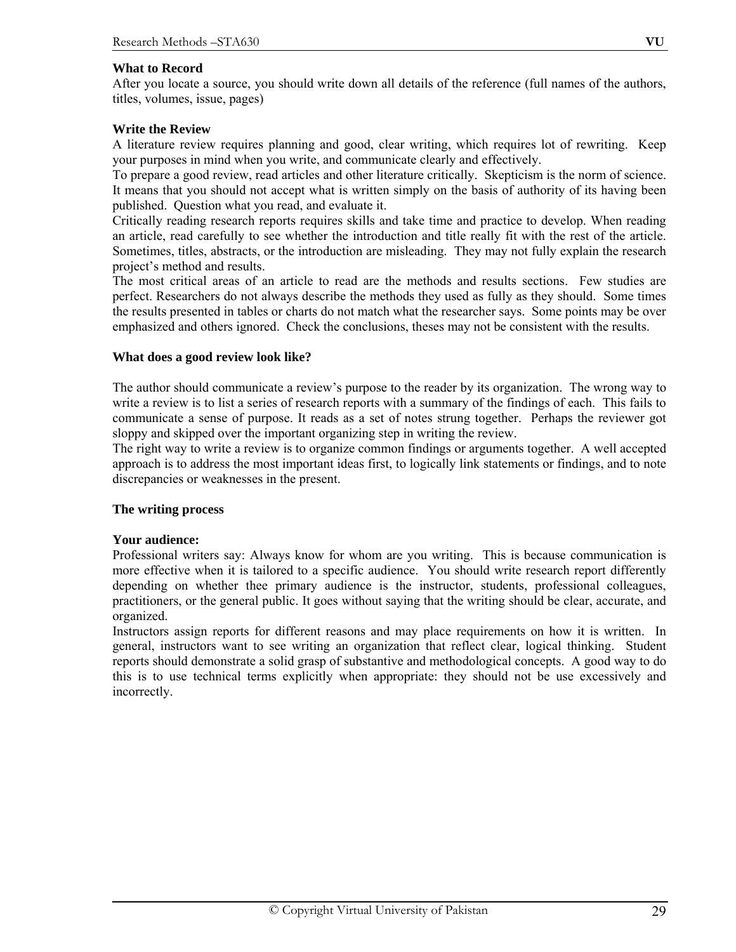### **What to Record**

After you locate a source, you should write down all details of the reference (full names of the authors, titles, volumes, issue, pages)

## **Write the Review**

A literature review requires planning and good, clear writing, which requires lot of rewriting. Keep your purposes in mind when you write, and communicate clearly and effectively.

To prepare a good review, read articles and other literature critically. Skepticism is the norm of science. It means that you should not accept what is written simply on the basis of authority of its having been published. Question what you read, and evaluate it.

Critically reading research reports requires skills and take time and practice to develop. When reading an article, read carefully to see whether the introduction and title really fit with the rest of the article. Sometimes, titles, abstracts, or the introduction are misleading. They may not fully explain the research project's method and results.

The most critical areas of an article to read are the methods and results sections. Few studies are perfect. Researchers do not always describe the methods they used as fully as they should. Some times the results presented in tables or charts do not match what the researcher says. Some points may be over emphasized and others ignored. Check the conclusions, theses may not be consistent with the results.

### **What does a good review look like?**

The author should communicate a review's purpose to the reader by its organization. The wrong way to write a review is to list a series of research reports with a summary of the findings of each. This fails to communicate a sense of purpose. It reads as a set of notes strung together. Perhaps the reviewer got sloppy and skipped over the important organizing step in writing the review.

The right way to write a review is to organize common findings or arguments together. A well accepted approach is to address the most important ideas first, to logically link statements or findings, and to note discrepancies or weaknesses in the present.

### **The writing process**

### **Your audience:**

Professional writers say: Always know for whom are you writing. This is because communication is more effective when it is tailored to a specific audience. You should write research report differently depending on whether thee primary audience is the instructor, students, professional colleagues, practitioners, or the general public. It goes without saying that the writing should be clear, accurate, and organized.

Instructors assign reports for different reasons and may place requirements on how it is written. In general, instructors want to see writing an organization that reflect clear, logical thinking. Student reports should demonstrate a solid grasp of substantive and methodological concepts. A good way to do this is to use technical terms explicitly when appropriate: they should not be use excessively and incorrectly.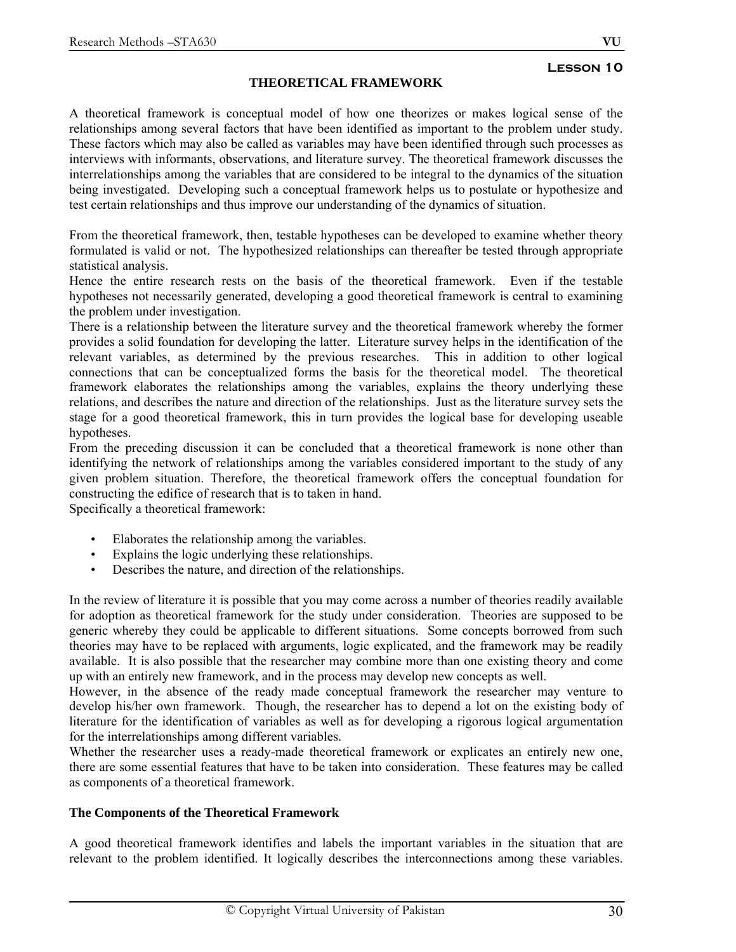## **THEORETICAL FRAMEWORK**

A theoretical framework is conceptual model of how one theorizes or makes logical sense of the relationships among several factors that have been identified as important to the problem under study. These factors which may also be called as variables may have been identified through such processes as interviews with informants, observations, and literature survey. The theoretical framework discusses the interrelationships among the variables that are considered to be integral to the dynamics of the situation being investigated. Developing such a conceptual framework helps us to postulate or hypothesize and test certain relationships and thus improve our understanding of the dynamics of situation.

From the theoretical framework, then, testable hypotheses can be developed to examine whether theory formulated is valid or not. The hypothesized relationships can thereafter be tested through appropriate statistical analysis.

Hence the entire research rests on the basis of the theoretical framework. Even if the testable hypotheses not necessarily generated, developing a good theoretical framework is central to examining the problem under investigation.

There is a relationship between the literature survey and the theoretical framework whereby the former provides a solid foundation for developing the latter. Literature survey helps in the identification of the relevant variables, as determined by the previous researches. This in addition to other logical connections that can be conceptualized forms the basis for the theoretical model. The theoretical framework elaborates the relationships among the variables, explains the theory underlying these relations, and describes the nature and direction of the relationships. Just as the literature survey sets the stage for a good theoretical framework, this in turn provides the logical base for developing useable hypotheses.

From the preceding discussion it can be concluded that a theoretical framework is none other than identifying the network of relationships among the variables considered important to the study of any given problem situation. Therefore, the theoretical framework offers the conceptual foundation for constructing the edifice of research that is to taken in hand.

Specifically a theoretical framework:

- Elaborates the relationship among the variables.
- Explains the logic underlying these relationships.
- Describes the nature, and direction of the relationships.

In the review of literature it is possible that you may come across a number of theories readily available for adoption as theoretical framework for the study under consideration. Theories are supposed to be generic whereby they could be applicable to different situations. Some concepts borrowed from such theories may have to be replaced with arguments, logic explicated, and the framework may be readily available. It is also possible that the researcher may combine more than one existing theory and come up with an entirely new framework, and in the process may develop new concepts as well.

However, in the absence of the ready made conceptual framework the researcher may venture to develop his/her own framework. Though, the researcher has to depend a lot on the existing body of literature for the identification of variables as well as for developing a rigorous logical argumentation for the interrelationships among different variables.

Whether the researcher uses a ready-made theoretical framework or explicates an entirely new one, there are some essential features that have to be taken into consideration. These features may be called as components of a theoretical framework.

## **The Components of the Theoretical Framework**

A good theoretical framework identifies and labels the important variables in the situation that are relevant to the problem identified. It logically describes the interconnections among these variables.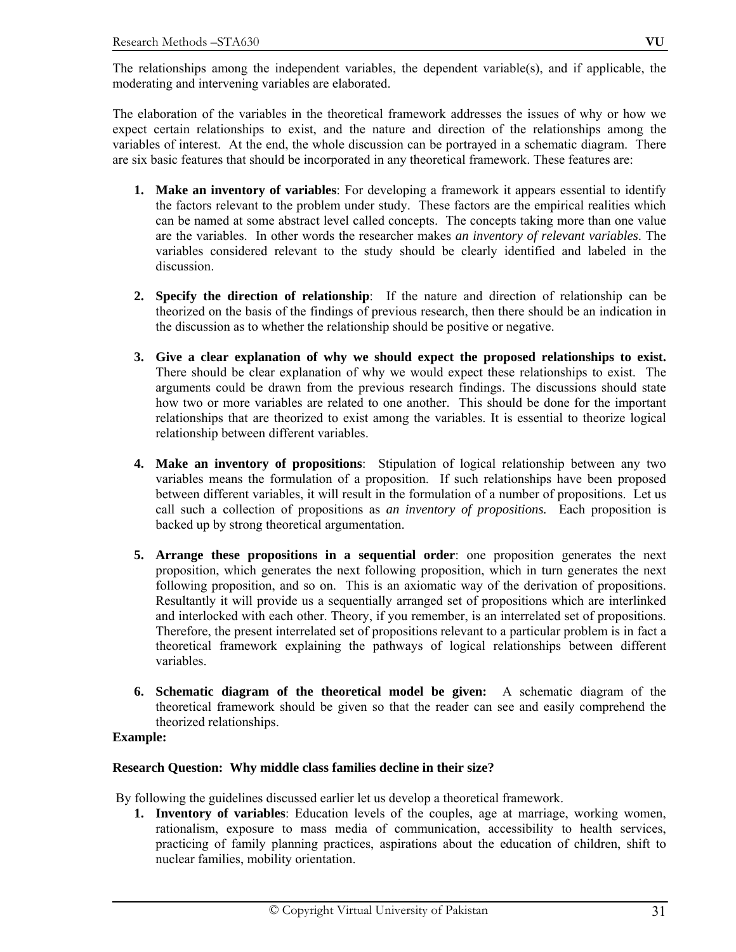The relationships among the independent variables, the dependent variable(s), and if applicable, the moderating and intervening variables are elaborated.

The elaboration of the variables in the theoretical framework addresses the issues of why or how we expect certain relationships to exist, and the nature and direction of the relationships among the variables of interest. At the end, the whole discussion can be portrayed in a schematic diagram. There are six basic features that should be incorporated in any theoretical framework. These features are:

- **1. Make an inventory of variables**: For developing a framework it appears essential to identify the factors relevant to the problem under study. These factors are the empirical realities which can be named at some abstract level called concepts. The concepts taking more than one value are the variables. In other words the researcher makes *an inventory of relevant variables*. The variables considered relevant to the study should be clearly identified and labeled in the discussion.
- **2. Specify the direction of relationship**: If the nature and direction of relationship can be theorized on the basis of the findings of previous research, then there should be an indication in the discussion as to whether the relationship should be positive or negative.
- **3. Give a clear explanation of why we should expect the proposed relationships to exist.**  There should be clear explanation of why we would expect these relationships to exist. The arguments could be drawn from the previous research findings. The discussions should state how two or more variables are related to one another. This should be done for the important relationships that are theorized to exist among the variables. It is essential to theorize logical relationship between different variables.
- **4. Make an inventory of propositions**: Stipulation of logical relationship between any two variables means the formulation of a proposition. If such relationships have been proposed between different variables, it will result in the formulation of a number of propositions. Let us call such a collection of propositions as *an inventory of propositions.* Each proposition is backed up by strong theoretical argumentation.
- **5. Arrange these propositions in a sequential order**: one proposition generates the next proposition, which generates the next following proposition, which in turn generates the next following proposition, and so on. This is an axiomatic way of the derivation of propositions. Resultantly it will provide us a sequentially arranged set of propositions which are interlinked and interlocked with each other. Theory, if you remember, is an interrelated set of propositions. Therefore, the present interrelated set of propositions relevant to a particular problem is in fact a theoretical framework explaining the pathways of logical relationships between different variables.
- **6. Schematic diagram of the theoretical model be given:** A schematic diagram of the theoretical framework should be given so that the reader can see and easily comprehend the theorized relationships.

### **Example:**

### **Research Question: Why middle class families decline in their size?**

By following the guidelines discussed earlier let us develop a theoretical framework.

**1. Inventory of variables**: Education levels of the couples, age at marriage, working women, rationalism, exposure to mass media of communication, accessibility to health services, practicing of family planning practices, aspirations about the education of children, shift to nuclear families, mobility orientation.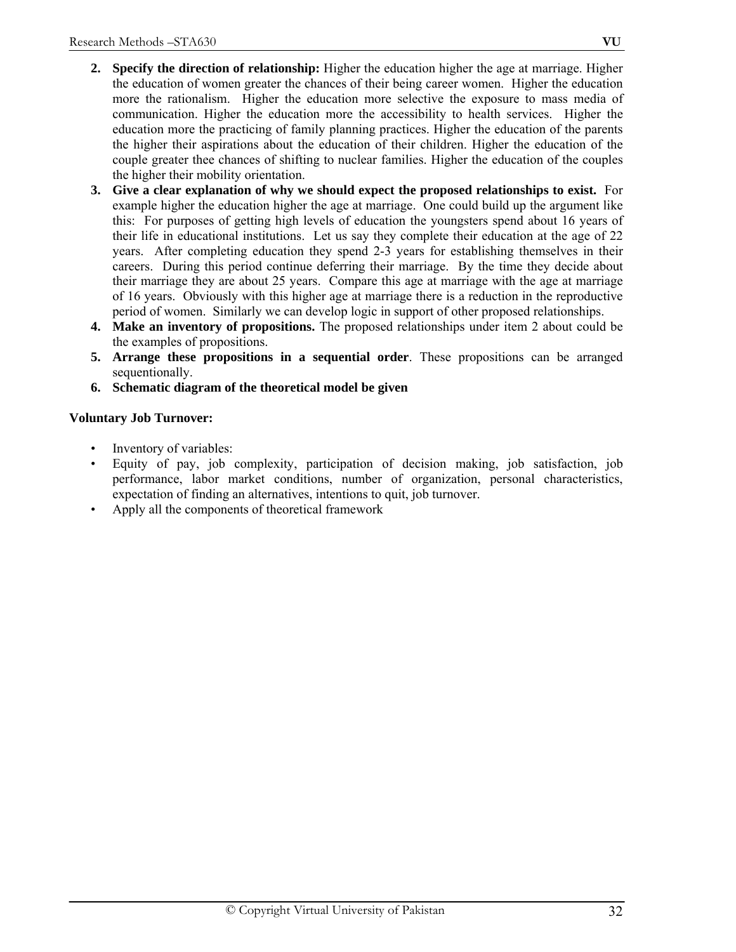- **2. Specify the direction of relationship:** Higher the education higher the age at marriage. Higher the education of women greater the chances of their being career women. Higher the education more the rationalism. Higher the education more selective the exposure to mass media of communication. Higher the education more the accessibility to health services. Higher the education more the practicing of family planning practices. Higher the education of the parents the higher their aspirations about the education of their children. Higher the education of the couple greater thee chances of shifting to nuclear families. Higher the education of the couples the higher their mobility orientation.
- **3. Give a clear explanation of why we should expect the proposed relationships to exist.** For example higher the education higher the age at marriage. One could build up the argument like this: For purposes of getting high levels of education the youngsters spend about 16 years of their life in educational institutions. Let us say they complete their education at the age of 22 years. After completing education they spend 2-3 years for establishing themselves in their careers. During this period continue deferring their marriage. By the time they decide about their marriage they are about 25 years. Compare this age at marriage with the age at marriage of 16 years. Obviously with this higher age at marriage there is a reduction in the reproductive period of women. Similarly we can develop logic in support of other proposed relationships.
- **4. Make an inventory of propositions.** The proposed relationships under item 2 about could be the examples of propositions.
- **5. Arrange these propositions in a sequential order**. These propositions can be arranged sequentionally.
- **6. Schematic diagram of the theoretical model be given**

## **Voluntary Job Turnover:**

- Inventory of variables:
- Equity of pay, job complexity, participation of decision making, job satisfaction, job performance, labor market conditions, number of organization, personal characteristics, expectation of finding an alternatives, intentions to quit, job turnover.
- Apply all the components of theoretical framework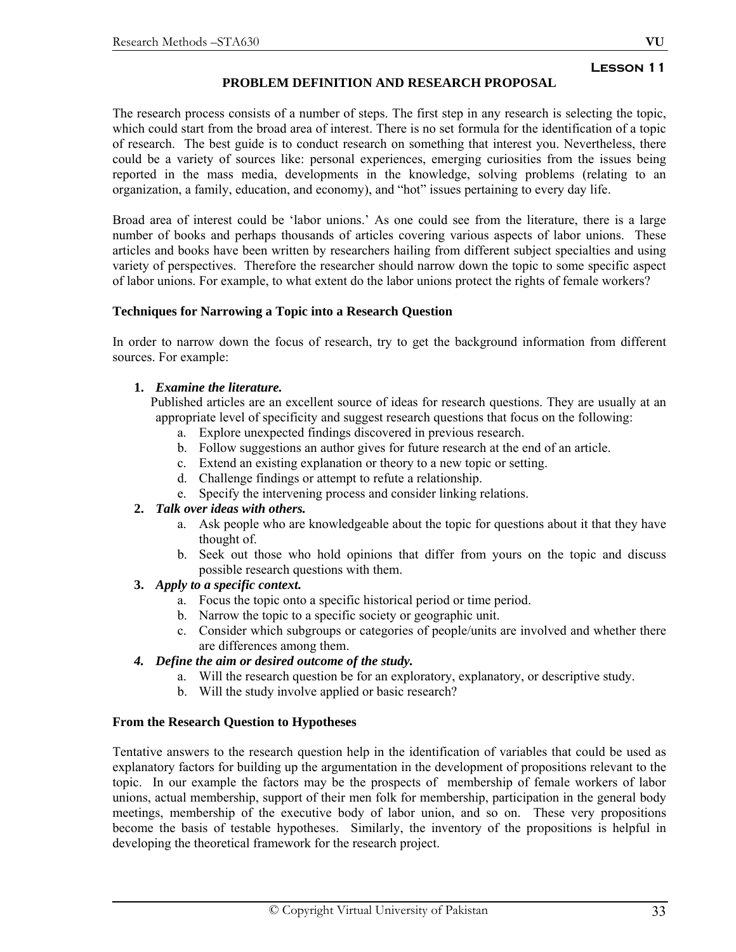## **PROBLEM DEFINITION AND RESEARCH PROPOSAL**

The research process consists of a number of steps. The first step in any research is selecting the topic, which could start from the broad area of interest. There is no set formula for the identification of a topic of research. The best guide is to conduct research on something that interest you. Nevertheless, there could be a variety of sources like: personal experiences, emerging curiosities from the issues being reported in the mass media, developments in the knowledge, solving problems (relating to an organization, a family, education, and economy), and "hot" issues pertaining to every day life.

Broad area of interest could be 'labor unions.' As one could see from the literature, there is a large number of books and perhaps thousands of articles covering various aspects of labor unions. These articles and books have been written by researchers hailing from different subject specialties and using variety of perspectives. Therefore the researcher should narrow down the topic to some specific aspect of labor unions. For example, to what extent do the labor unions protect the rights of female workers?

## **Techniques for Narrowing a Topic into a Research Question**

In order to narrow down the focus of research, try to get the background information from different sources. For example:

### **1.** *Examine the literature.*

Published articles are an excellent source of ideas for research questions. They are usually at an appropriate level of specificity and suggest research questions that focus on the following:

- a. Explore unexpected findings discovered in previous research.
- b. Follow suggestions an author gives for future research at the end of an article.
- c. Extend an existing explanation or theory to a new topic or setting.
- d. Challenge findings or attempt to refute a relationship.
- e. Specify the intervening process and consider linking relations.

## **2.** *Talk over ideas with others.*

- a. Ask people who are knowledgeable about the topic for questions about it that they have thought of.
- b. Seek out those who hold opinions that differ from yours on the topic and discuss possible research questions with them.

## **3.** *Apply to a specific context.*

- a. Focus the topic onto a specific historical period or time period.
- b. Narrow the topic to a specific society or geographic unit.
- c. Consider which subgroups or categories of people/units are involved and whether there are differences among them.

## *4. Define the aim or desired outcome of the study.*

- a. Will the research question be for an exploratory, explanatory, or descriptive study.
- b. Will the study involve applied or basic research?

### **From the Research Question to Hypotheses**

Tentative answers to the research question help in the identification of variables that could be used as explanatory factors for building up the argumentation in the development of propositions relevant to the topic. In our example the factors may be the prospects of membership of female workers of labor unions, actual membership, support of their men folk for membership, participation in the general body meetings, membership of the executive body of labor union, and so on. These very propositions become the basis of testable hypotheses. Similarly, the inventory of the propositions is helpful in developing the theoretical framework for the research project.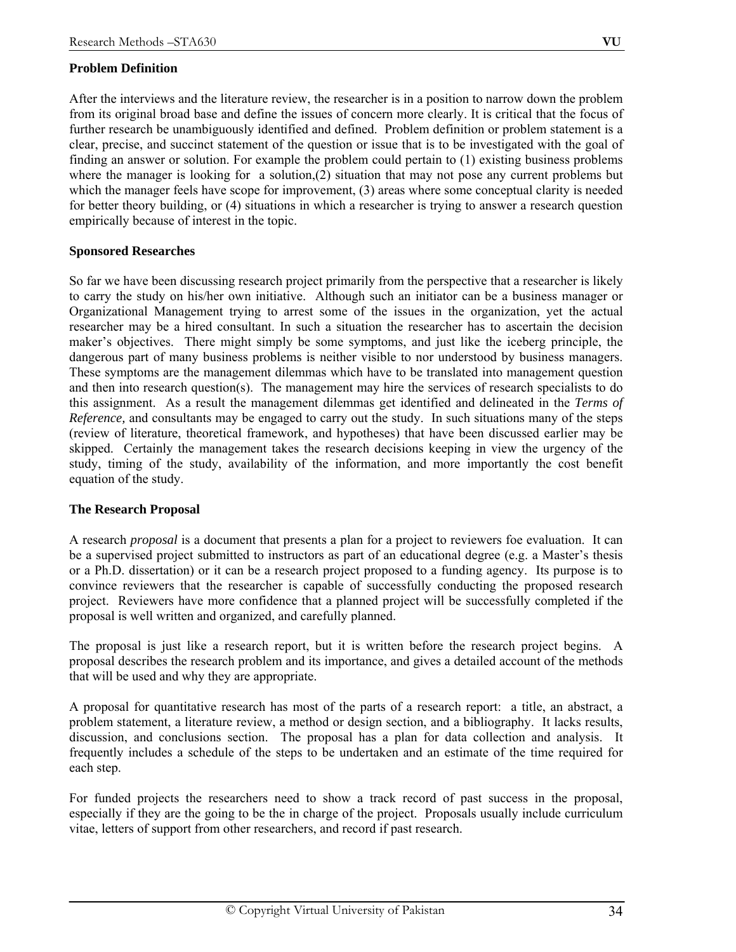### **Problem Definition**

After the interviews and the literature review, the researcher is in a position to narrow down the problem from its original broad base and define the issues of concern more clearly. It is critical that the focus of further research be unambiguously identified and defined. Problem definition or problem statement is a clear, precise, and succinct statement of the question or issue that is to be investigated with the goal of finding an answer or solution. For example the problem could pertain to (1) existing business problems where the manager is looking for a solution, (2) situation that may not pose any current problems but which the manager feels have scope for improvement, (3) areas where some conceptual clarity is needed for better theory building, or (4) situations in which a researcher is trying to answer a research question empirically because of interest in the topic.

### **Sponsored Researches**

So far we have been discussing research project primarily from the perspective that a researcher is likely to carry the study on his/her own initiative. Although such an initiator can be a business manager or Organizational Management trying to arrest some of the issues in the organization, yet the actual researcher may be a hired consultant. In such a situation the researcher has to ascertain the decision maker's objectives. There might simply be some symptoms, and just like the iceberg principle, the dangerous part of many business problems is neither visible to nor understood by business managers. These symptoms are the management dilemmas which have to be translated into management question and then into research question(s). The management may hire the services of research specialists to do this assignment. As a result the management dilemmas get identified and delineated in the *Terms of Reference,* and consultants may be engaged to carry out the study. In such situations many of the steps (review of literature, theoretical framework, and hypotheses) that have been discussed earlier may be skipped. Certainly the management takes the research decisions keeping in view the urgency of the study, timing of the study, availability of the information, and more importantly the cost benefit equation of the study.

## **The Research Proposal**

A research *proposal* is a document that presents a plan for a project to reviewers foe evaluation. It can be a supervised project submitted to instructors as part of an educational degree (e.g. a Master's thesis or a Ph.D. dissertation) or it can be a research project proposed to a funding agency. Its purpose is to convince reviewers that the researcher is capable of successfully conducting the proposed research project. Reviewers have more confidence that a planned project will be successfully completed if the proposal is well written and organized, and carefully planned.

The proposal is just like a research report, but it is written before the research project begins. A proposal describes the research problem and its importance, and gives a detailed account of the methods that will be used and why they are appropriate.

A proposal for quantitative research has most of the parts of a research report: a title, an abstract, a problem statement, a literature review, a method or design section, and a bibliography. It lacks results, discussion, and conclusions section. The proposal has a plan for data collection and analysis. It frequently includes a schedule of the steps to be undertaken and an estimate of the time required for each step.

For funded projects the researchers need to show a track record of past success in the proposal, especially if they are the going to be the in charge of the project. Proposals usually include curriculum vitae, letters of support from other researchers, and record if past research.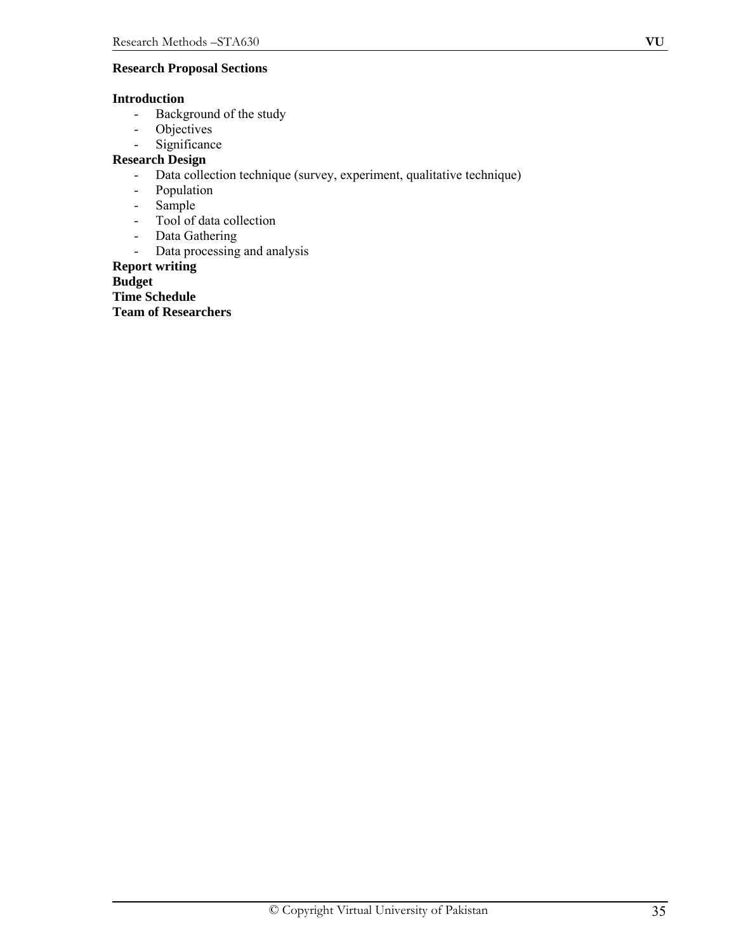### **Research Proposal Sections**

### **Introduction**

- Background of the study<br>- Objectives
- **Objectives**
- Significance

## **Research Design**

- Data collection technique (survey, experiment, qualitative technique)
- Population
- Sample
- Tool of data collection<br>- Data Gathering
- Data Gathering
- Data processing and analysis

## **Report writing**

**Budget** 

**Time Schedule** 

**Team of Researchers**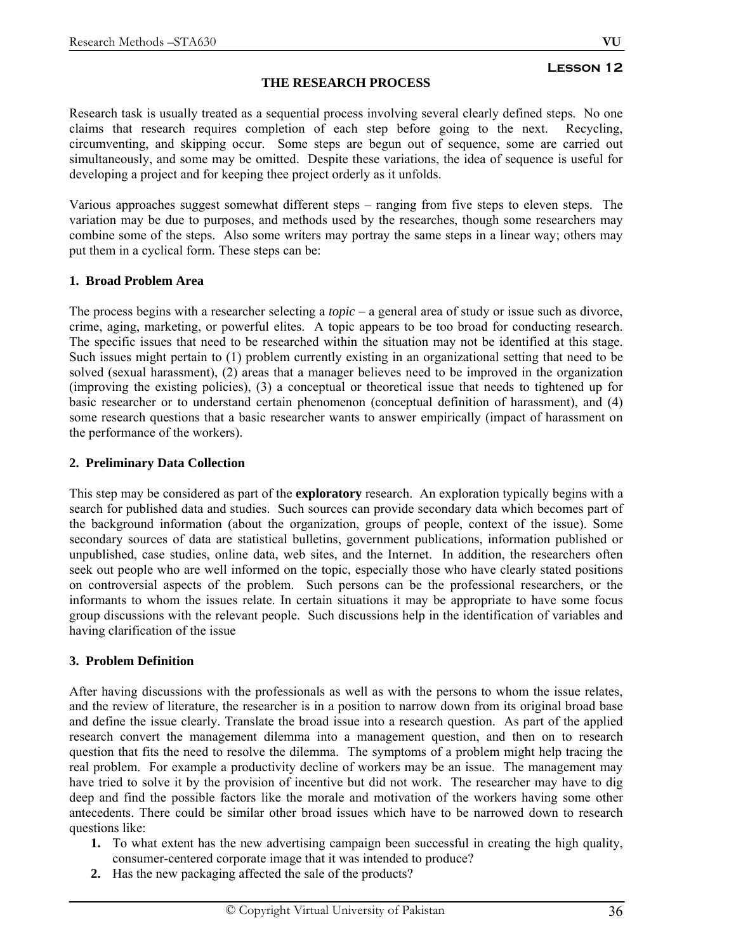### **THE RESEARCH PROCESS**

Research task is usually treated as a sequential process involving several clearly defined steps. No one claims that research requires completion of each step before going to the next. Recycling, circumventing, and skipping occur. Some steps are begun out of sequence, some are carried out simultaneously, and some may be omitted. Despite these variations, the idea of sequence is useful for developing a project and for keeping thee project orderly as it unfolds.

Various approaches suggest somewhat different steps – ranging from five steps to eleven steps. The variation may be due to purposes, and methods used by the researches, though some researchers may combine some of the steps. Also some writers may portray the same steps in a linear way; others may put them in a cyclical form. These steps can be:

### **1. Broad Problem Area**

The process begins with a researcher selecting a *topic* – a general area of study or issue such as divorce, crime, aging, marketing, or powerful elites. A topic appears to be too broad for conducting research. The specific issues that need to be researched within the situation may not be identified at this stage. Such issues might pertain to (1) problem currently existing in an organizational setting that need to be solved (sexual harassment), (2) areas that a manager believes need to be improved in the organization (improving the existing policies), (3) a conceptual or theoretical issue that needs to tightened up for basic researcher or to understand certain phenomenon (conceptual definition of harassment), and (4) some research questions that a basic researcher wants to answer empirically (impact of harassment on the performance of the workers).

### **2. Preliminary Data Collection**

This step may be considered as part of the **exploratory** research. An exploration typically begins with a search for published data and studies. Such sources can provide secondary data which becomes part of the background information (about the organization, groups of people, context of the issue). Some secondary sources of data are statistical bulletins, government publications, information published or unpublished, case studies, online data, web sites, and the Internet. In addition, the researchers often seek out people who are well informed on the topic, especially those who have clearly stated positions on controversial aspects of the problem. Such persons can be the professional researchers, or the informants to whom the issues relate. In certain situations it may be appropriate to have some focus group discussions with the relevant people. Such discussions help in the identification of variables and having clarification of the issue

## **3. Problem Definition**

After having discussions with the professionals as well as with the persons to whom the issue relates, and the review of literature, the researcher is in a position to narrow down from its original broad base and define the issue clearly. Translate the broad issue into a research question. As part of the applied research convert the management dilemma into a management question, and then on to research question that fits the need to resolve the dilemma. The symptoms of a problem might help tracing the real problem. For example a productivity decline of workers may be an issue. The management may have tried to solve it by the provision of incentive but did not work. The researcher may have to dig deep and find the possible factors like the morale and motivation of the workers having some other antecedents. There could be similar other broad issues which have to be narrowed down to research questions like:

- **1.** To what extent has the new advertising campaign been successful in creating the high quality, consumer-centered corporate image that it was intended to produce?
- **2.** Has the new packaging affected the sale of the products?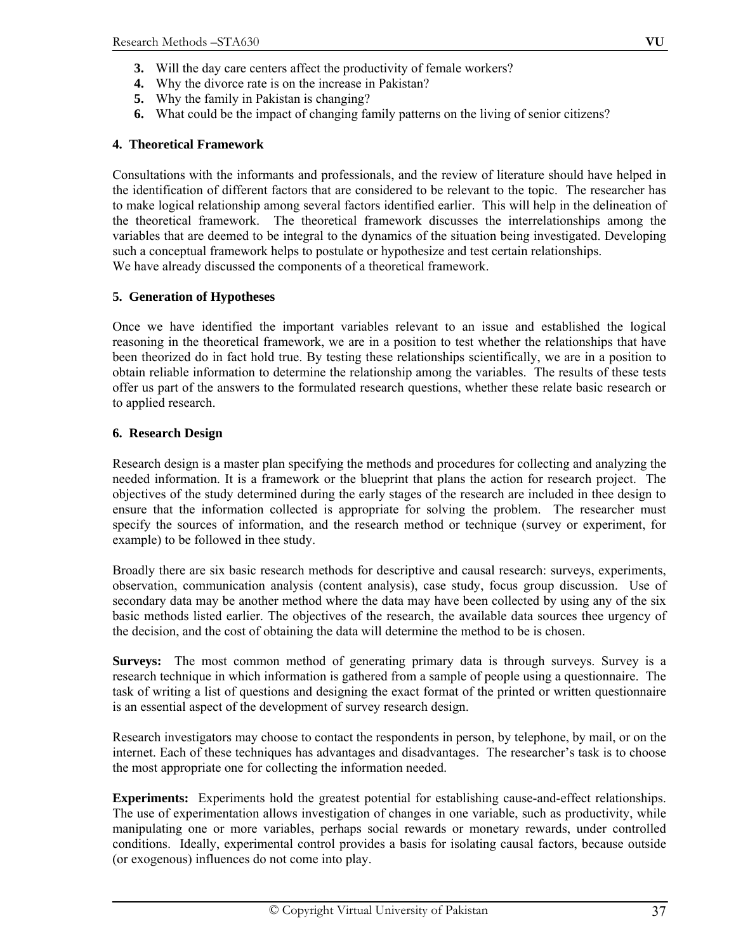- **4.** Why the divorce rate is on the increase in Pakistan?
- **5.** Why the family in Pakistan is changing?
- **6.** What could be the impact of changing family patterns on the living of senior citizens?

### **4. Theoretical Framework**

Consultations with the informants and professionals, and the review of literature should have helped in the identification of different factors that are considered to be relevant to the topic. The researcher has to make logical relationship among several factors identified earlier. This will help in the delineation of the theoretical framework. The theoretical framework discusses the interrelationships among the variables that are deemed to be integral to the dynamics of the situation being investigated. Developing such a conceptual framework helps to postulate or hypothesize and test certain relationships. We have already discussed the components of a theoretical framework.

### **5. Generation of Hypotheses**

Once we have identified the important variables relevant to an issue and established the logical reasoning in the theoretical framework, we are in a position to test whether the relationships that have been theorized do in fact hold true. By testing these relationships scientifically, we are in a position to obtain reliable information to determine the relationship among the variables. The results of these tests offer us part of the answers to the formulated research questions, whether these relate basic research or to applied research.

### **6. Research Design**

Research design is a master plan specifying the methods and procedures for collecting and analyzing the needed information. It is a framework or the blueprint that plans the action for research project. The objectives of the study determined during the early stages of the research are included in thee design to ensure that the information collected is appropriate for solving the problem. The researcher must specify the sources of information, and the research method or technique (survey or experiment, for example) to be followed in thee study.

Broadly there are six basic research methods for descriptive and causal research: surveys, experiments, observation, communication analysis (content analysis), case study, focus group discussion. Use of secondary data may be another method where the data may have been collected by using any of the six basic methods listed earlier. The objectives of the research, the available data sources thee urgency of the decision, and the cost of obtaining the data will determine the method to be is chosen.

**Surveys:** The most common method of generating primary data is through surveys. Survey is a research technique in which information is gathered from a sample of people using a questionnaire. The task of writing a list of questions and designing the exact format of the printed or written questionnaire is an essential aspect of the development of survey research design.

Research investigators may choose to contact the respondents in person, by telephone, by mail, or on the internet. Each of these techniques has advantages and disadvantages. The researcher's task is to choose the most appropriate one for collecting the information needed.

**Experiments:** Experiments hold the greatest potential for establishing cause-and-effect relationships. The use of experimentation allows investigation of changes in one variable, such as productivity, while manipulating one or more variables, perhaps social rewards or monetary rewards, under controlled conditions. Ideally, experimental control provides a basis for isolating causal factors, because outside (or exogenous) influences do not come into play.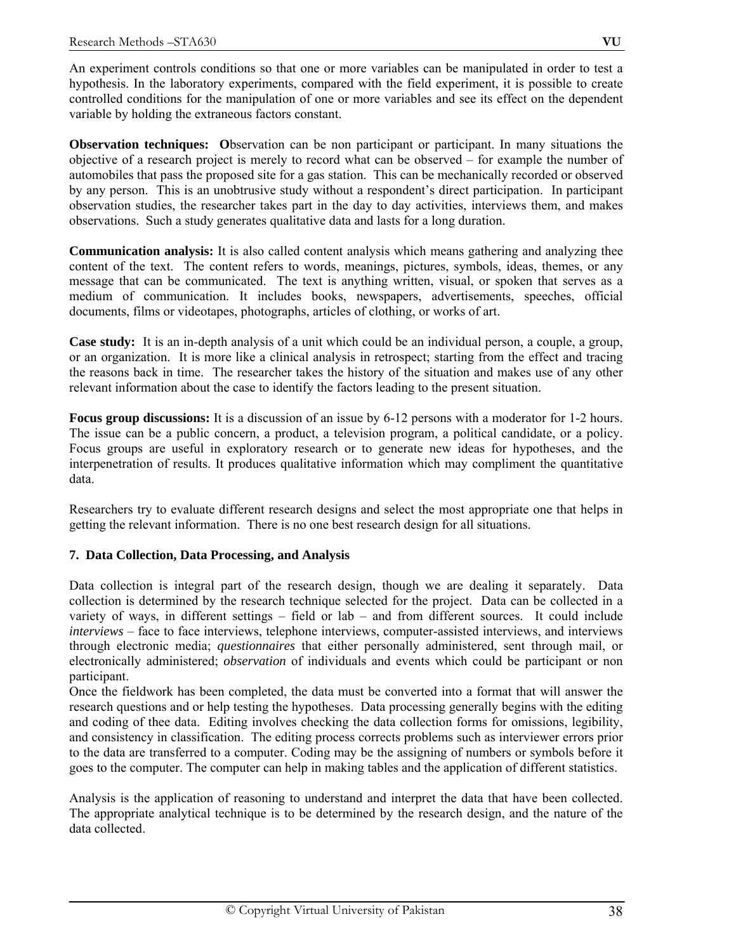An experiment controls conditions so that one or more variables can be manipulated in order to test a hypothesis. In the laboratory experiments, compared with the field experiment, it is possible to create controlled conditions for the manipulation of one or more variables and see its effect on the dependent variable by holding the extraneous factors constant.

**Observation techniques:** Observation can be non participant or participant. In many situations the objective of a research project is merely to record what can be observed – for example the number of automobiles that pass the proposed site for a gas station. This can be mechanically recorded or observed by any person. This is an unobtrusive study without a respondent's direct participation. In participant observation studies, the researcher takes part in the day to day activities, interviews them, and makes observations. Such a study generates qualitative data and lasts for a long duration.

**Communication analysis:** It is also called content analysis which means gathering and analyzing thee content of the text. The content refers to words, meanings, pictures, symbols, ideas, themes, or any message that can be communicated. The text is anything written, visual, or spoken that serves as a medium of communication. It includes books, newspapers, advertisements, speeches, official documents, films or videotapes, photographs, articles of clothing, or works of art.

**Case study:** It is an in-depth analysis of a unit which could be an individual person, a couple, a group, or an organization. It is more like a clinical analysis in retrospect; starting from the effect and tracing the reasons back in time. The researcher takes the history of the situation and makes use of any other relevant information about the case to identify the factors leading to the present situation.

**Focus group discussions:** It is a discussion of an issue by 6-12 persons with a moderator for 1-2 hours. The issue can be a public concern, a product, a television program, a political candidate, or a policy. Focus groups are useful in exploratory research or to generate new ideas for hypotheses, and the interpenetration of results. It produces qualitative information which may compliment the quantitative data.

Researchers try to evaluate different research designs and select the most appropriate one that helps in getting the relevant information. There is no one best research design for all situations.

### **7. Data Collection, Data Processing, and Analysis**

Data collection is integral part of the research design, though we are dealing it separately. Data collection is determined by the research technique selected for the project. Data can be collected in a variety of ways, in different settings – field or lab – and from different sources. It could include *interviews* – face to face interviews, telephone interviews, computer-assisted interviews, and interviews through electronic media; *questionnaires* that either personally administered, sent through mail, or electronically administered; *observation* of individuals and events which could be participant or non participant.

Once the fieldwork has been completed, the data must be converted into a format that will answer the research questions and or help testing the hypotheses. Data processing generally begins with the editing and coding of thee data. Editing involves checking the data collection forms for omissions, legibility, and consistency in classification. The editing process corrects problems such as interviewer errors prior to the data are transferred to a computer. Coding may be the assigning of numbers or symbols before it goes to the computer. The computer can help in making tables and the application of different statistics.

Analysis is the application of reasoning to understand and interpret the data that have been collected. The appropriate analytical technique is to be determined by the research design, and the nature of the data collected.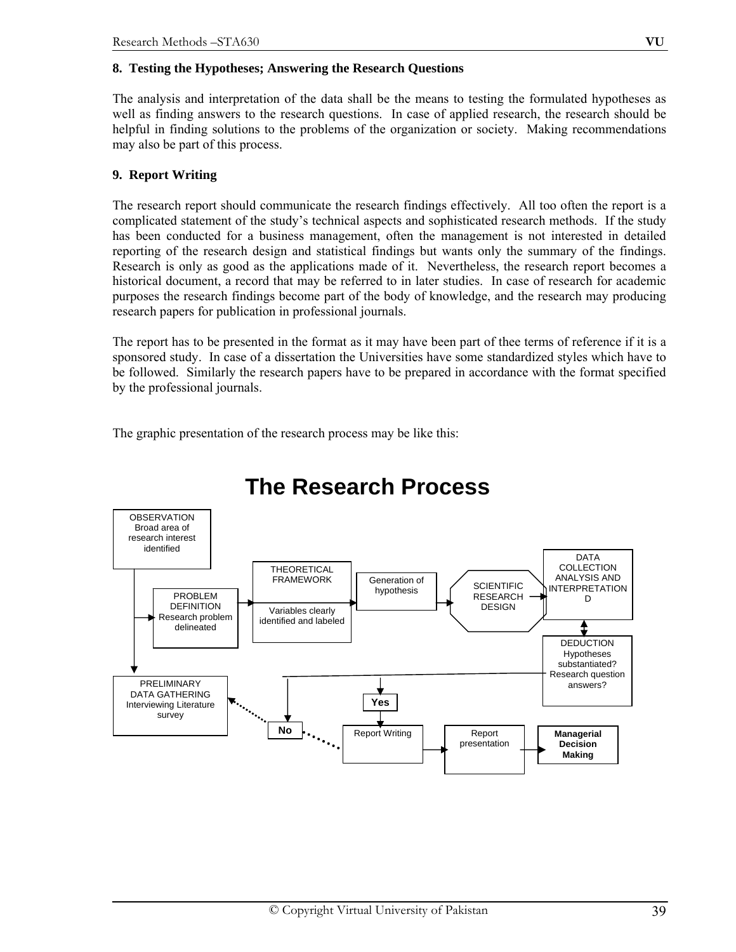### **8. Testing the Hypotheses; Answering the Research Questions**

The analysis and interpretation of the data shall be the means to testing the formulated hypotheses as well as finding answers to the research questions. In case of applied research, the research should be helpful in finding solutions to the problems of the organization or society. Making recommendations may also be part of this process.

### **9. Report Writing**

The research report should communicate the research findings effectively. All too often the report is a complicated statement of the study's technical aspects and sophisticated research methods. If the study has been conducted for a business management, often the management is not interested in detailed reporting of the research design and statistical findings but wants only the summary of the findings. Research is only as good as the applications made of it. Nevertheless, the research report becomes a historical document, a record that may be referred to in later studies. In case of research for academic purposes the research findings become part of the body of knowledge, and the research may producing research papers for publication in professional journals.

The report has to be presented in the format as it may have been part of thee terms of reference if it is a sponsored study. In case of a dissertation the Universities have some standardized styles which have to be followed. Similarly the research papers have to be prepared in accordance with the format specified by the professional journals.

The graphic presentation of the research process may be like this:



# **The Research Process**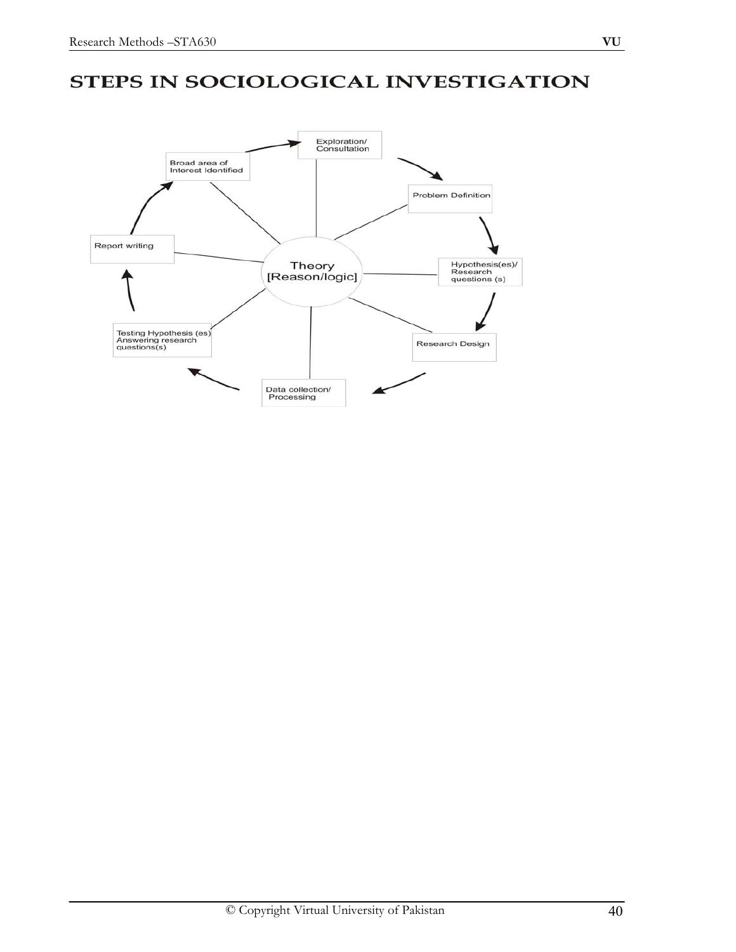## STEPS IN SOCIOLOGICAL INVESTIGATION

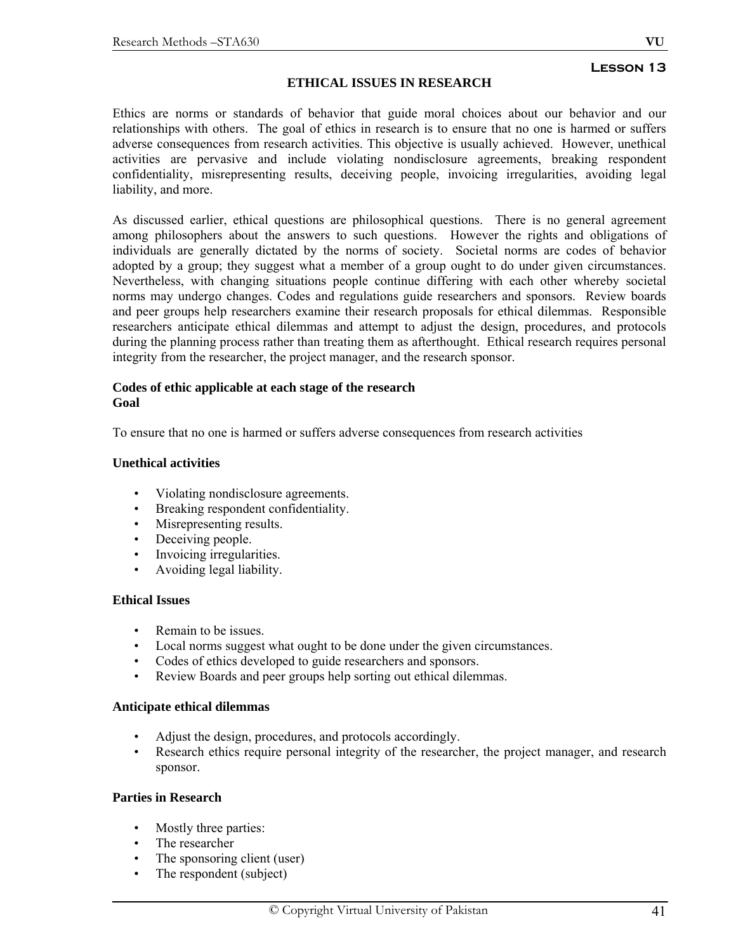### **ETHICAL ISSUES IN RESEARCH**

Ethics are norms or standards of behavior that guide moral choices about our behavior and our relationships with others. The goal of ethics in research is to ensure that no one is harmed or suffers adverse consequences from research activities. This objective is usually achieved. However, unethical activities are pervasive and include violating nondisclosure agreements, breaking respondent confidentiality, misrepresenting results, deceiving people, invoicing irregularities, avoiding legal liability, and more.

As discussed earlier, ethical questions are philosophical questions. There is no general agreement among philosophers about the answers to such questions. However the rights and obligations of individuals are generally dictated by the norms of society. Societal norms are codes of behavior adopted by a group; they suggest what a member of a group ought to do under given circumstances. Nevertheless, with changing situations people continue differing with each other whereby societal norms may undergo changes. Codes and regulations guide researchers and sponsors. Review boards and peer groups help researchers examine their research proposals for ethical dilemmas. Responsible researchers anticipate ethical dilemmas and attempt to adjust the design, procedures, and protocols during the planning process rather than treating them as afterthought. Ethical research requires personal integrity from the researcher, the project manager, and the research sponsor.

#### **Codes of ethic applicable at each stage of the research Goal**

To ensure that no one is harmed or suffers adverse consequences from research activities

#### **Unethical activities**

- Violating nondisclosure agreements.
- Breaking respondent confidentiality.
- Misrepresenting results.
- Deceiving people.
- Invoicing irregularities.
- Avoiding legal liability.

#### **Ethical Issues**

- Remain to be issues.
- Local norms suggest what ought to be done under the given circumstances.
- Codes of ethics developed to guide researchers and sponsors.
- Review Boards and peer groups help sorting out ethical dilemmas.

#### **Anticipate ethical dilemmas**

- Adjust the design, procedures, and protocols accordingly.
- Research ethics require personal integrity of the researcher, the project manager, and research sponsor.

#### **Parties in Research**

- Mostly three parties:
- The researcher
- The sponsoring client (user)
- The respondent (subject)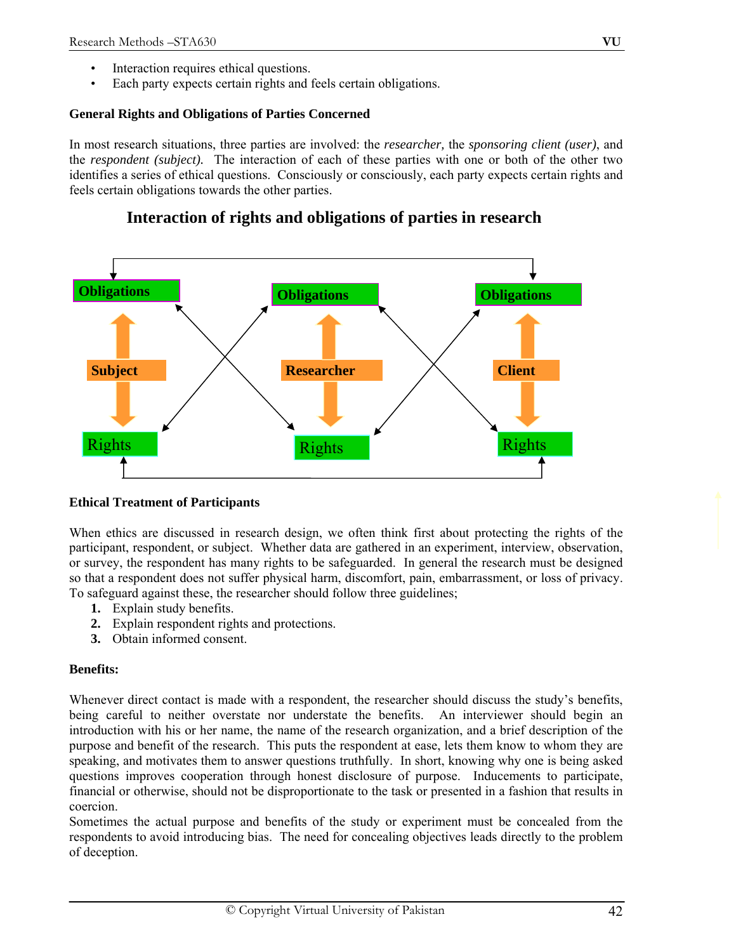- Interaction requires ethical questions.
- Each party expects certain rights and feels certain obligations.

### **General Rights and Obligations of Parties Concerned**

In most research situations, three parties are involved: the *researcher,* the *sponsoring client (user)*, and the *respondent (subject).* The interaction of each of these parties with one or both of the other two identifies a series of ethical questions. Consciously or consciously, each party expects certain rights and feels certain obligations towards the other parties.

### **Interaction of rights and obligations of parties in research**



### **Ethical Treatment of Participants**

When ethics are discussed in research design, we often think first about protecting the rights of the participant, respondent, or subject. Whether data are gathered in an experiment, interview, observation, or survey, the respondent has many rights to be safeguarded. In general the research must be designed so that a respondent does not suffer physical harm, discomfort, pain, embarrassment, or loss of privacy. To safeguard against these, the researcher should follow three guidelines;

- **1.** Explain study benefits.
- **2.** Explain respondent rights and protections.
- **3.** Obtain informed consent.

#### **Benefits:**

Whenever direct contact is made with a respondent, the researcher should discuss the study's benefits, being careful to neither overstate nor understate the benefits. An interviewer should begin an introduction with his or her name, the name of the research organization, and a brief description of the purpose and benefit of the research. This puts the respondent at ease, lets them know to whom they are speaking, and motivates them to answer questions truthfully. In short, knowing why one is being asked questions improves cooperation through honest disclosure of purpose. Inducements to participate, financial or otherwise, should not be disproportionate to the task or presented in a fashion that results in coercion.

Sometimes the actual purpose and benefits of the study or experiment must be concealed from the respondents to avoid introducing bias. The need for concealing objectives leads directly to the problem of deception.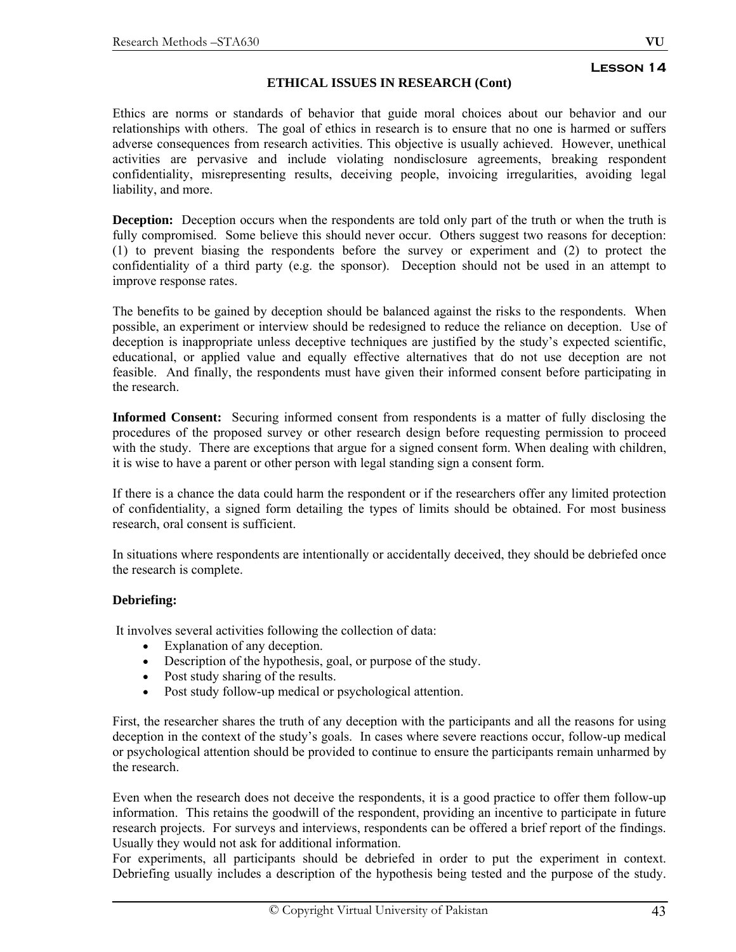### **Lesson 14**

### **ETHICAL ISSUES IN RESEARCH (Cont)**

Ethics are norms or standards of behavior that guide moral choices about our behavior and our relationships with others. The goal of ethics in research is to ensure that no one is harmed or suffers adverse consequences from research activities. This objective is usually achieved. However, unethical activities are pervasive and include violating nondisclosure agreements, breaking respondent confidentiality, misrepresenting results, deceiving people, invoicing irregularities, avoiding legal liability, and more.

**Deception:** Deception occurs when the respondents are told only part of the truth or when the truth is fully compromised. Some believe this should never occur. Others suggest two reasons for deception: (1) to prevent biasing the respondents before the survey or experiment and (2) to protect the confidentiality of a third party (e.g. the sponsor). Deception should not be used in an attempt to improve response rates.

The benefits to be gained by deception should be balanced against the risks to the respondents. When possible, an experiment or interview should be redesigned to reduce the reliance on deception. Use of deception is inappropriate unless deceptive techniques are justified by the study's expected scientific, educational, or applied value and equally effective alternatives that do not use deception are not feasible. And finally, the respondents must have given their informed consent before participating in the research.

**Informed Consent:** Securing informed consent from respondents is a matter of fully disclosing the procedures of the proposed survey or other research design before requesting permission to proceed with the study. There are exceptions that argue for a signed consent form. When dealing with children, it is wise to have a parent or other person with legal standing sign a consent form.

If there is a chance the data could harm the respondent or if the researchers offer any limited protection of confidentiality, a signed form detailing the types of limits should be obtained. For most business research, oral consent is sufficient.

In situations where respondents are intentionally or accidentally deceived, they should be debriefed once the research is complete.

### **Debriefing:**

It involves several activities following the collection of data:

- Explanation of any deception.
- Description of the hypothesis, goal, or purpose of the study.
- Post study sharing of the results.
- Post study follow-up medical or psychological attention.

First, the researcher shares the truth of any deception with the participants and all the reasons for using deception in the context of the study's goals. In cases where severe reactions occur, follow-up medical or psychological attention should be provided to continue to ensure the participants remain unharmed by the research.

Even when the research does not deceive the respondents, it is a good practice to offer them follow-up information. This retains the goodwill of the respondent, providing an incentive to participate in future research projects. For surveys and interviews, respondents can be offered a brief report of the findings. Usually they would not ask for additional information.

For experiments, all participants should be debriefed in order to put the experiment in context. Debriefing usually includes a description of the hypothesis being tested and the purpose of the study.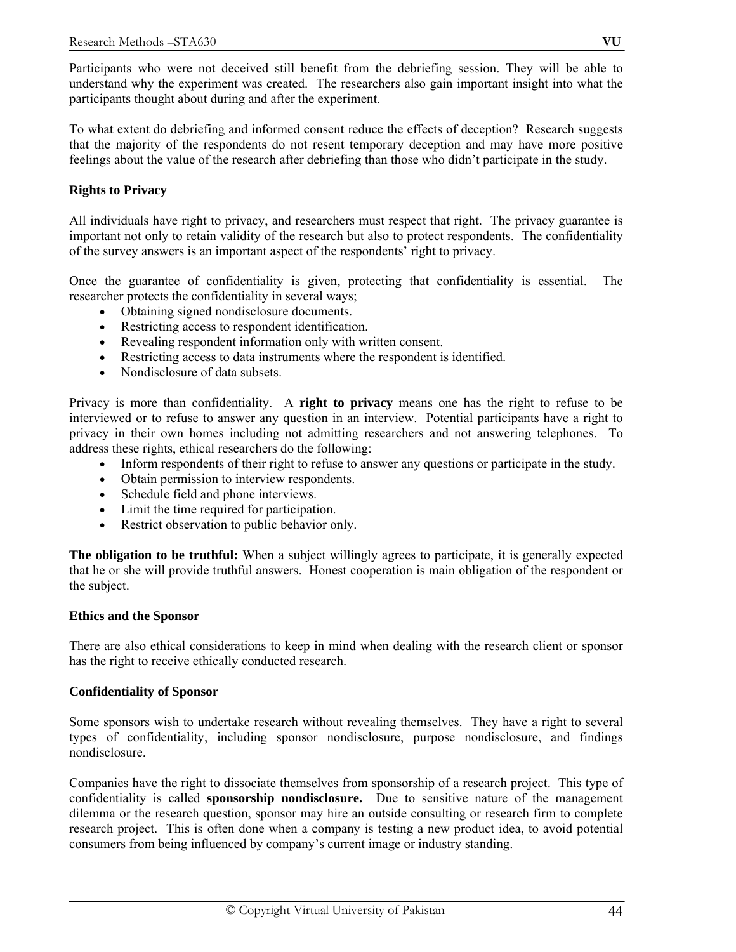Participants who were not deceived still benefit from the debriefing session. They will be able to understand why the experiment was created. The researchers also gain important insight into what the participants thought about during and after the experiment.

To what extent do debriefing and informed consent reduce the effects of deception? Research suggests that the majority of the respondents do not resent temporary deception and may have more positive feelings about the value of the research after debriefing than those who didn't participate in the study.

### **Rights to Privacy**

All individuals have right to privacy, and researchers must respect that right. The privacy guarantee is important not only to retain validity of the research but also to protect respondents. The confidentiality of the survey answers is an important aspect of the respondents' right to privacy.

Once the guarantee of confidentiality is given, protecting that confidentiality is essential. The researcher protects the confidentiality in several ways;

- Obtaining signed nondisclosure documents.
- Restricting access to respondent identification.
- Revealing respondent information only with written consent.
- Restricting access to data instruments where the respondent is identified.
- Nondisclosure of data subsets.

Privacy is more than confidentiality. A **right to privacy** means one has the right to refuse to be interviewed or to refuse to answer any question in an interview. Potential participants have a right to privacy in their own homes including not admitting researchers and not answering telephones. To address these rights, ethical researchers do the following:

- Inform respondents of their right to refuse to answer any questions or participate in the study.
- Obtain permission to interview respondents.
- Schedule field and phone interviews.
- Limit the time required for participation.
- Restrict observation to public behavior only.

**The obligation to be truthful:** When a subject willingly agrees to participate, it is generally expected that he or she will provide truthful answers. Honest cooperation is main obligation of the respondent or the subject.

### **Ethics and the Sponsor**

There are also ethical considerations to keep in mind when dealing with the research client or sponsor has the right to receive ethically conducted research.

### **Confidentiality of Sponsor**

Some sponsors wish to undertake research without revealing themselves. They have a right to several types of confidentiality, including sponsor nondisclosure, purpose nondisclosure, and findings nondisclosure.

Companies have the right to dissociate themselves from sponsorship of a research project. This type of confidentiality is called **sponsorship nondisclosure.** Due to sensitive nature of the management dilemma or the research question, sponsor may hire an outside consulting or research firm to complete research project. This is often done when a company is testing a new product idea, to avoid potential consumers from being influenced by company's current image or industry standing.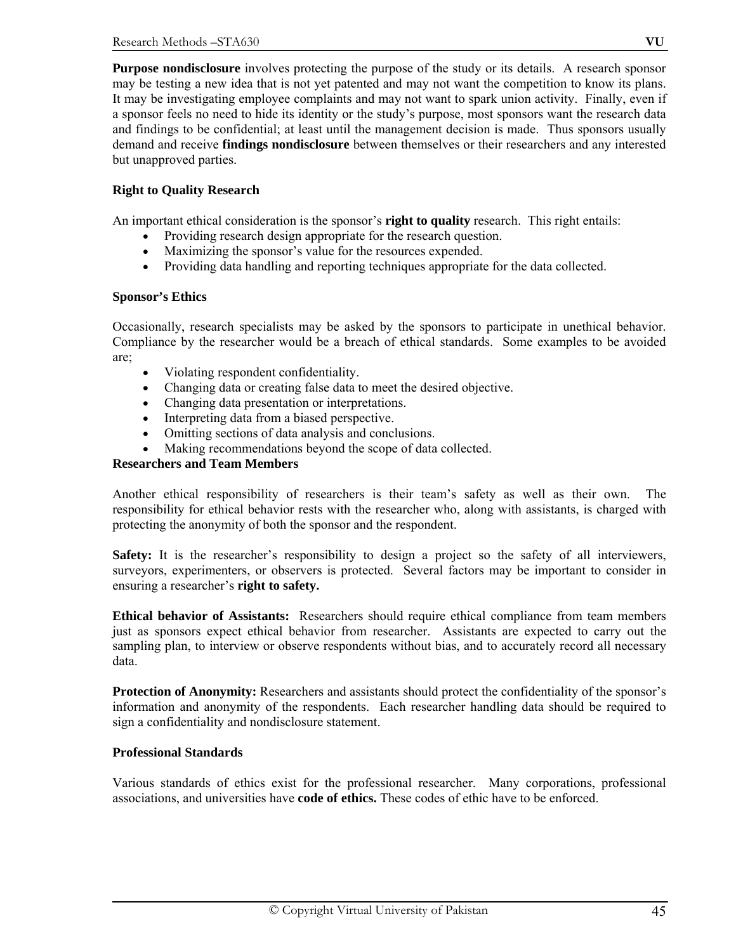**Purpose nondisclosure** involves protecting the purpose of the study or its details. A research sponsor may be testing a new idea that is not yet patented and may not want the competition to know its plans. It may be investigating employee complaints and may not want to spark union activity. Finally, even if a sponsor feels no need to hide its identity or the study's purpose, most sponsors want the research data and findings to be confidential; at least until the management decision is made. Thus sponsors usually demand and receive **findings nondisclosure** between themselves or their researchers and any interested but unapproved parties.

### **Right to Quality Research**

An important ethical consideration is the sponsor's **right to quality** research. This right entails:

- Providing research design appropriate for the research question.
- Maximizing the sponsor's value for the resources expended.
- Providing data handling and reporting techniques appropriate for the data collected.

### **Sponsor's Ethics**

Occasionally, research specialists may be asked by the sponsors to participate in unethical behavior. Compliance by the researcher would be a breach of ethical standards. Some examples to be avoided are;

- Violating respondent confidentiality.
- Changing data or creating false data to meet the desired objective.
- Changing data presentation or interpretations.
- Interpreting data from a biased perspective.
- Omitting sections of data analysis and conclusions.
- Making recommendations beyond the scope of data collected.

### **Researchers and Team Members**

Another ethical responsibility of researchers is their team's safety as well as their own. The responsibility for ethical behavior rests with the researcher who, along with assistants, is charged with protecting the anonymity of both the sponsor and the respondent.

**Safety:** It is the researcher's responsibility to design a project so the safety of all interviewers, surveyors, experimenters, or observers is protected. Several factors may be important to consider in ensuring a researcher's **right to safety.** 

**Ethical behavior of Assistants:** Researchers should require ethical compliance from team members just as sponsors expect ethical behavior from researcher. Assistants are expected to carry out the sampling plan, to interview or observe respondents without bias, and to accurately record all necessary data.

**Protection of Anonymity:** Researchers and assistants should protect the confidentiality of the sponsor's information and anonymity of the respondents. Each researcher handling data should be required to sign a confidentiality and nondisclosure statement.

### **Professional Standards**

Various standards of ethics exist for the professional researcher. Many corporations, professional associations, and universities have **code of ethics.** These codes of ethic have to be enforced.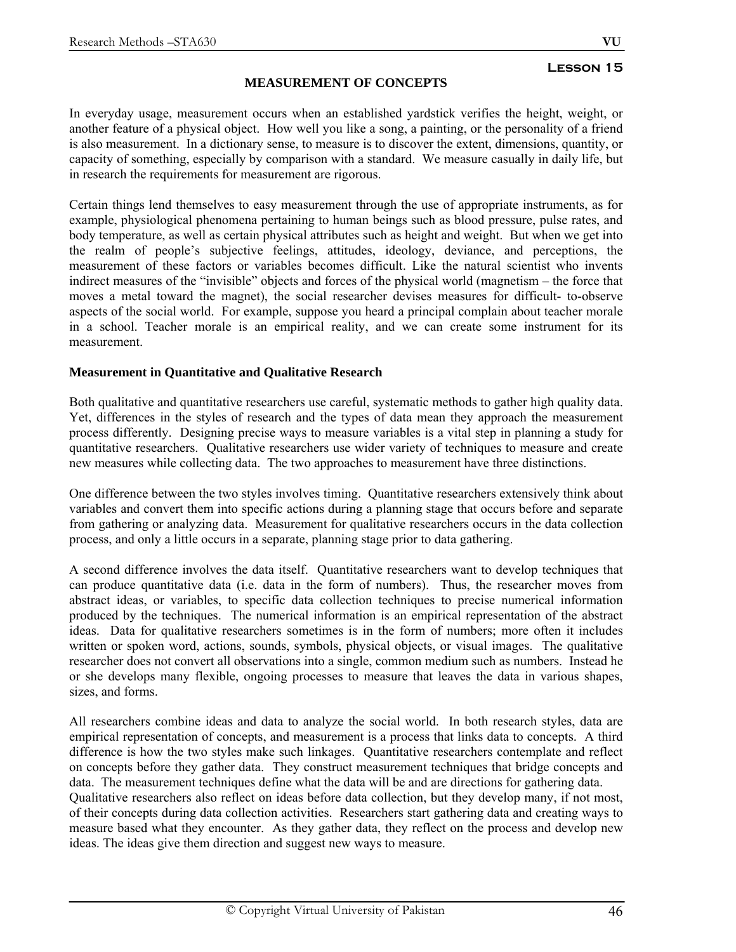#### **Lesson 15**

### **MEASUREMENT OF CONCEPTS**

In everyday usage, measurement occurs when an established yardstick verifies the height, weight, or another feature of a physical object. How well you like a song, a painting, or the personality of a friend is also measurement. In a dictionary sense, to measure is to discover the extent, dimensions, quantity, or capacity of something, especially by comparison with a standard. We measure casually in daily life, but in research the requirements for measurement are rigorous.

Certain things lend themselves to easy measurement through the use of appropriate instruments, as for example, physiological phenomena pertaining to human beings such as blood pressure, pulse rates, and body temperature, as well as certain physical attributes such as height and weight. But when we get into the realm of people's subjective feelings, attitudes, ideology, deviance, and perceptions, the measurement of these factors or variables becomes difficult. Like the natural scientist who invents indirect measures of the "invisible" objects and forces of the physical world (magnetism – the force that moves a metal toward the magnet), the social researcher devises measures for difficult- to-observe aspects of the social world. For example, suppose you heard a principal complain about teacher morale in a school. Teacher morale is an empirical reality, and we can create some instrument for its measurement.

#### **Measurement in Quantitative and Qualitative Research**

Both qualitative and quantitative researchers use careful, systematic methods to gather high quality data. Yet, differences in the styles of research and the types of data mean they approach the measurement process differently. Designing precise ways to measure variables is a vital step in planning a study for quantitative researchers. Qualitative researchers use wider variety of techniques to measure and create new measures while collecting data. The two approaches to measurement have three distinctions.

One difference between the two styles involves timing. Quantitative researchers extensively think about variables and convert them into specific actions during a planning stage that occurs before and separate from gathering or analyzing data. Measurement for qualitative researchers occurs in the data collection process, and only a little occurs in a separate, planning stage prior to data gathering.

A second difference involves the data itself. Quantitative researchers want to develop techniques that can produce quantitative data (i.e. data in the form of numbers). Thus, the researcher moves from abstract ideas, or variables, to specific data collection techniques to precise numerical information produced by the techniques. The numerical information is an empirical representation of the abstract ideas. Data for qualitative researchers sometimes is in the form of numbers; more often it includes written or spoken word, actions, sounds, symbols, physical objects, or visual images. The qualitative researcher does not convert all observations into a single, common medium such as numbers. Instead he or she develops many flexible, ongoing processes to measure that leaves the data in various shapes, sizes, and forms.

All researchers combine ideas and data to analyze the social world. In both research styles, data are empirical representation of concepts, and measurement is a process that links data to concepts. A third difference is how the two styles make such linkages. Quantitative researchers contemplate and reflect on concepts before they gather data. They construct measurement techniques that bridge concepts and data. The measurement techniques define what the data will be and are directions for gathering data. Qualitative researchers also reflect on ideas before data collection, but they develop many, if not most, of their concepts during data collection activities. Researchers start gathering data and creating ways to measure based what they encounter. As they gather data, they reflect on the process and develop new ideas. The ideas give them direction and suggest new ways to measure.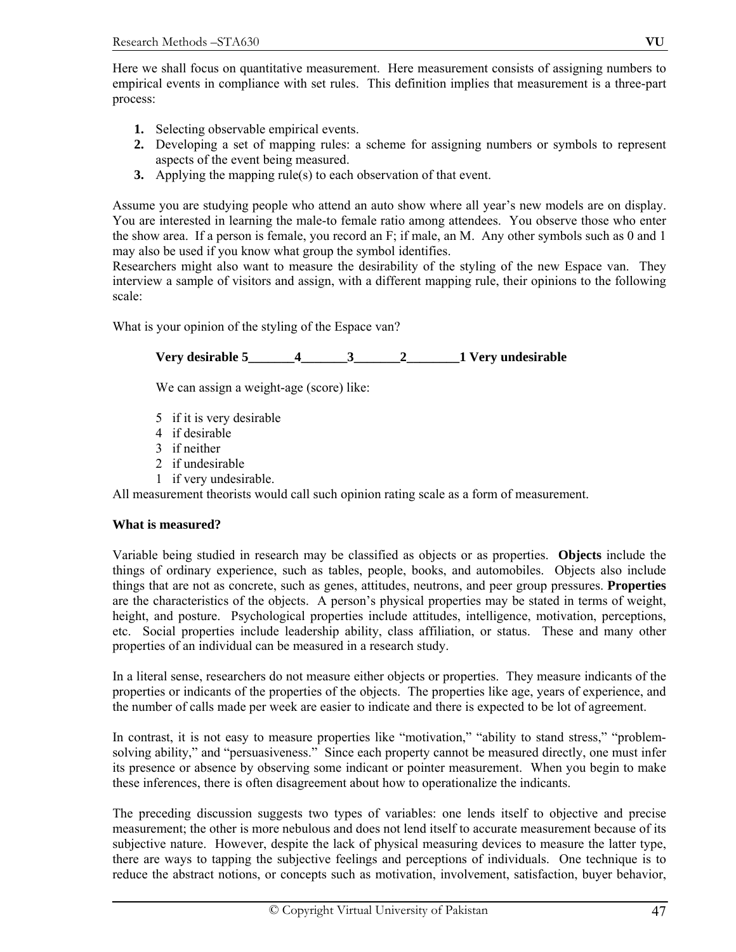Here we shall focus on quantitative measurement. Here measurement consists of assigning numbers to empirical events in compliance with set rules. This definition implies that measurement is a three-part process:

- **1.** Selecting observable empirical events.
- **2.** Developing a set of mapping rules: a scheme for assigning numbers or symbols to represent aspects of the event being measured.
- **3.** Applying the mapping rule(s) to each observation of that event.

Assume you are studying people who attend an auto show where all year's new models are on display. You are interested in learning the male-to female ratio among attendees. You observe those who enter the show area. If a person is female, you record an F; if male, an M. Any other symbols such as 0 and 1 may also be used if you know what group the symbol identifies.

Researchers might also want to measure the desirability of the styling of the new Espace van. They interview a sample of visitors and assign, with a different mapping rule, their opinions to the following scale:

What is your opinion of the styling of the Espace van?

**Very desirable 5\_\_\_\_\_\_\_4\_\_\_\_\_\_\_3\_\_\_\_\_\_\_2\_\_\_\_\_\_\_\_1 Very undesirable** 

We can assign a weight-age (score) like:

- 5 if it is very desirable
- 4 if desirable
- 3 if neither
- 2 if undesirable
- 1 if very undesirable.

All measurement theorists would call such opinion rating scale as a form of measurement.

### **What is measured?**

Variable being studied in research may be classified as objects or as properties. **Objects** include the things of ordinary experience, such as tables, people, books, and automobiles. Objects also include things that are not as concrete, such as genes, attitudes, neutrons, and peer group pressures. **Properties** are the characteristics of the objects. A person's physical properties may be stated in terms of weight, height, and posture. Psychological properties include attitudes, intelligence, motivation, perceptions, etc. Social properties include leadership ability, class affiliation, or status. These and many other properties of an individual can be measured in a research study.

In a literal sense, researchers do not measure either objects or properties. They measure indicants of the properties or indicants of the properties of the objects. The properties like age, years of experience, and the number of calls made per week are easier to indicate and there is expected to be lot of agreement.

In contrast, it is not easy to measure properties like "motivation," "ability to stand stress," "problemsolving ability," and "persuasiveness." Since each property cannot be measured directly, one must infer its presence or absence by observing some indicant or pointer measurement. When you begin to make these inferences, there is often disagreement about how to operationalize the indicants.

The preceding discussion suggests two types of variables: one lends itself to objective and precise measurement; the other is more nebulous and does not lend itself to accurate measurement because of its subjective nature. However, despite the lack of physical measuring devices to measure the latter type, there are ways to tapping the subjective feelings and perceptions of individuals. One technique is to reduce the abstract notions, or concepts such as motivation, involvement, satisfaction, buyer behavior,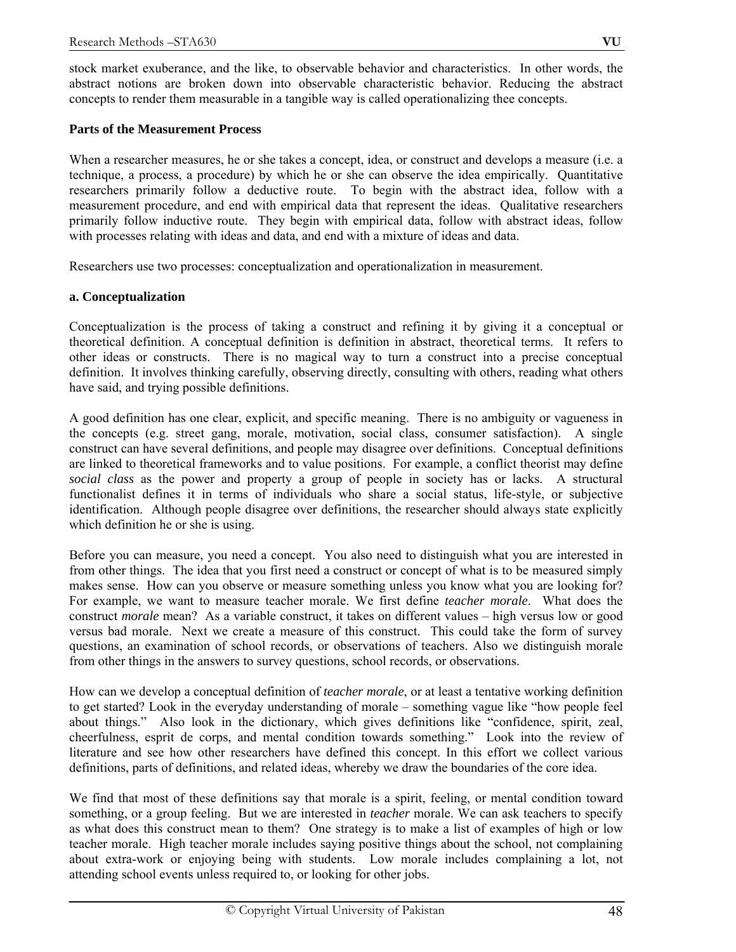#### **Parts of the Measurement Process**

When a researcher measures, he or she takes a concept, idea, or construct and develops a measure (i.e. a technique, a process, a procedure) by which he or she can observe the idea empirically. Quantitative researchers primarily follow a deductive route. To begin with the abstract idea, follow with a measurement procedure, and end with empirical data that represent the ideas. Qualitative researchers primarily follow inductive route. They begin with empirical data, follow with abstract ideas, follow with processes relating with ideas and data, and end with a mixture of ideas and data.

Researchers use two processes: conceptualization and operationalization in measurement.

#### **a. Conceptualization**

Conceptualization is the process of taking a construct and refining it by giving it a conceptual or theoretical definition. A conceptual definition is definition in abstract, theoretical terms. It refers to other ideas or constructs. There is no magical way to turn a construct into a precise conceptual definition. It involves thinking carefully, observing directly, consulting with others, reading what others have said, and trying possible definitions.

A good definition has one clear, explicit, and specific meaning. There is no ambiguity or vagueness in the concepts (e.g. street gang, morale, motivation, social class, consumer satisfaction). A single construct can have several definitions, and people may disagree over definitions. Conceptual definitions are linked to theoretical frameworks and to value positions. For example, a conflict theorist may define *social class* as the power and property a group of people in society has or lacks. A structural functionalist defines it in terms of individuals who share a social status, life-style, or subjective identification. Although people disagree over definitions, the researcher should always state explicitly which definition he or she is using.

Before you can measure, you need a concept. You also need to distinguish what you are interested in from other things. The idea that you first need a construct or concept of what is to be measured simply makes sense. How can you observe or measure something unless you know what you are looking for? For example, we want to measure teacher morale. We first define *teacher morale*. What does the construct *morale* mean? As a variable construct, it takes on different values – high versus low or good versus bad morale. Next we create a measure of this construct. This could take the form of survey questions, an examination of school records, or observations of teachers. Also we distinguish morale from other things in the answers to survey questions, school records, or observations.

How can we develop a conceptual definition of *teacher morale*, or at least a tentative working definition to get started? Look in the everyday understanding of morale – something vague like "how people feel about things." Also look in the dictionary, which gives definitions like "confidence, spirit, zeal, cheerfulness, esprit de corps, and mental condition towards something." Look into the review of literature and see how other researchers have defined this concept. In this effort we collect various definitions, parts of definitions, and related ideas, whereby we draw the boundaries of the core idea.

We find that most of these definitions say that morale is a spirit, feeling, or mental condition toward something, or a group feeling. But we are interested in *teacher* morale. We can ask teachers to specify as what does this construct mean to them? One strategy is to make a list of examples of high or low teacher morale. High teacher morale includes saying positive things about the school, not complaining about extra-work or enjoying being with students. Low morale includes complaining a lot, not attending school events unless required to, or looking for other jobs.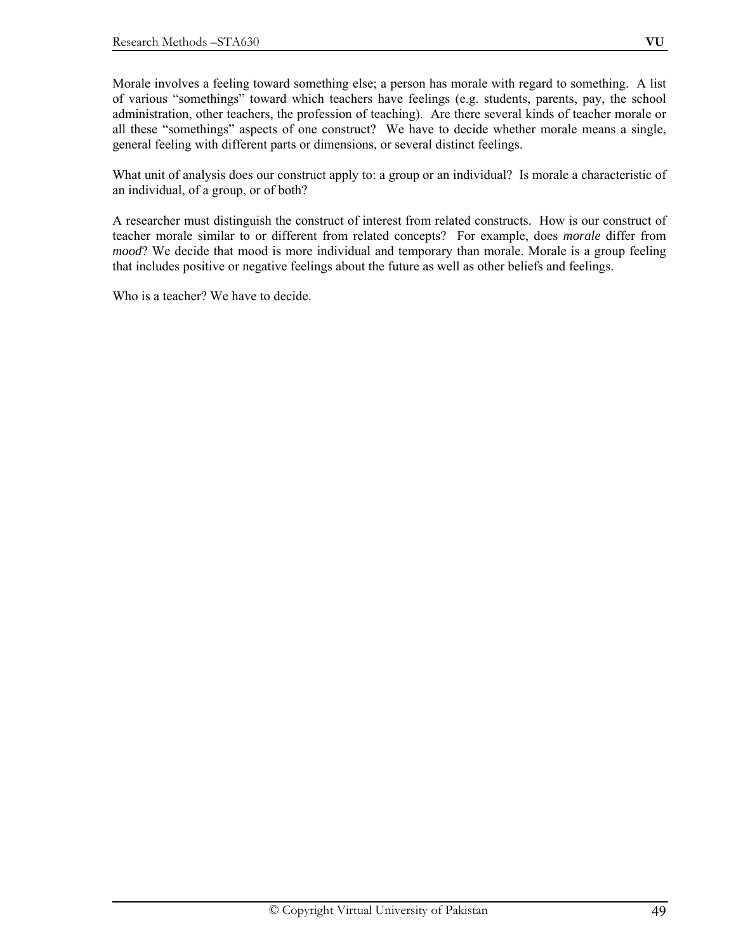Morale involves a feeling toward something else; a person has morale with regard to something. A list of various "somethings" toward which teachers have feelings (e.g. students, parents, pay, the school administration, other teachers, the profession of teaching). Are there several kinds of teacher morale or all these "somethings" aspects of one construct? We have to decide whether morale means a single, general feeling with different parts or dimensions, or several distinct feelings.

What unit of analysis does our construct apply to: a group or an individual? Is morale a characteristic of an individual, of a group, or of both?

A researcher must distinguish the construct of interest from related constructs. How is our construct of teacher morale similar to or different from related concepts? For example, does *morale* differ from *mood*? We decide that mood is more individual and temporary than morale. Morale is a group feeling that includes positive or negative feelings about the future as well as other beliefs and feelings.

Who is a teacher? We have to decide.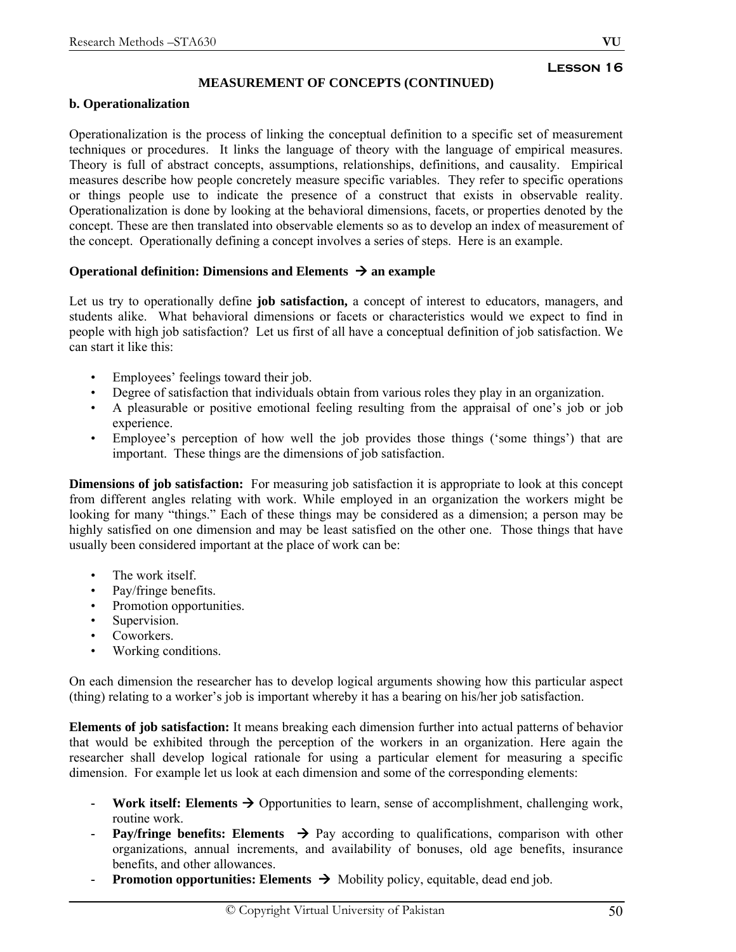### **MEASUREMENT OF CONCEPTS (CONTINUED)**

#### **b. Operationalization**

Operationalization is the process of linking the conceptual definition to a specific set of measurement techniques or procedures. It links the language of theory with the language of empirical measures. Theory is full of abstract concepts, assumptions, relationships, definitions, and causality. Empirical measures describe how people concretely measure specific variables. They refer to specific operations or things people use to indicate the presence of a construct that exists in observable reality. Operationalization is done by looking at the behavioral dimensions, facets, or properties denoted by the concept. These are then translated into observable elements so as to develop an index of measurement of the concept. Operationally defining a concept involves a series of steps. Here is an example.

### **Operational definition: Dimensions and Elements**  $\rightarrow$  **an example**

Let us try to operationally define **job satisfaction,** a concept of interest to educators, managers, and students alike. What behavioral dimensions or facets or characteristics would we expect to find in people with high job satisfaction? Let us first of all have a conceptual definition of job satisfaction. We can start it like this:

- Employees' feelings toward their job.
- Degree of satisfaction that individuals obtain from various roles they play in an organization.
- A pleasurable or positive emotional feeling resulting from the appraisal of one's job or job experience.
- Employee's perception of how well the job provides those things ('some things') that are important. These things are the dimensions of job satisfaction.

**Dimensions of job satisfaction:** For measuring job satisfaction it is appropriate to look at this concept from different angles relating with work. While employed in an organization the workers might be looking for many "things." Each of these things may be considered as a dimension; a person may be highly satisfied on one dimension and may be least satisfied on the other one.Those things that have usually been considered important at the place of work can be:

- The work itself.
- Pay/fringe benefits.
- Promotion opportunities.
- Supervision.
- Coworkers.
- Working conditions.

On each dimension the researcher has to develop logical arguments showing how this particular aspect (thing) relating to a worker's job is important whereby it has a bearing on his/her job satisfaction.

**Elements of job satisfaction:** It means breaking each dimension further into actual patterns of behavior that would be exhibited through the perception of the workers in an organization. Here again the researcher shall develop logical rationale for using a particular element for measuring a specific dimension. For example let us look at each dimension and some of the corresponding elements:

- **• Work itself: Elements**  $\rightarrow$  Opportunities to learn, sense of accomplishment, challenging work, routine work.
- **- Pay/fringe benefits: Elements**  $\rightarrow$  **Pay according to qualifications, comparison with other** organizations, annual increments, and availability of bonuses, old age benefits, insurance benefits, and other allowances.
- **Promotion opportunities: Elements**  $\rightarrow$  **Mobility policy, equitable, dead end job.**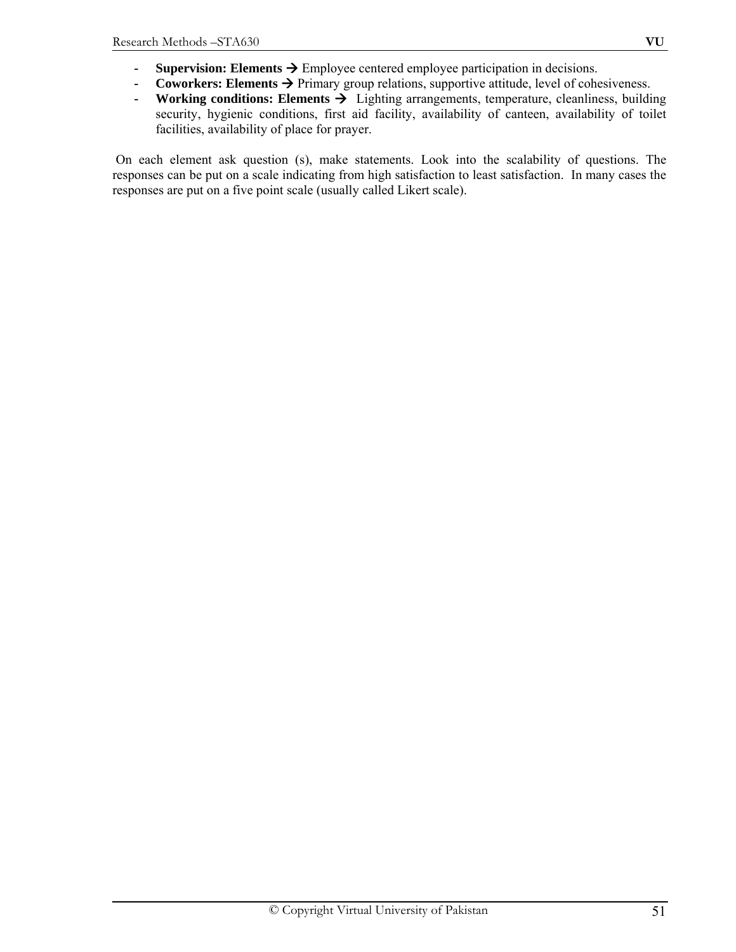- **- Supervision: Elements**  $\rightarrow$  Employee centered employee participation in decisions.
- **- Coworkers: Elements →** Primary group relations, supportive attitude, level of cohesiveness.
- **- Working conditions: Elements →** Lighting arrangements, temperature, cleanliness, building security, hygienic conditions, first aid facility, availability of canteen, availability of toilet facilities, availability of place for prayer.

On each element ask question (s), make statements. Look into the scalability of questions. The responses can be put on a scale indicating from high satisfaction to least satisfaction. In many cases the responses are put on a five point scale (usually called Likert scale).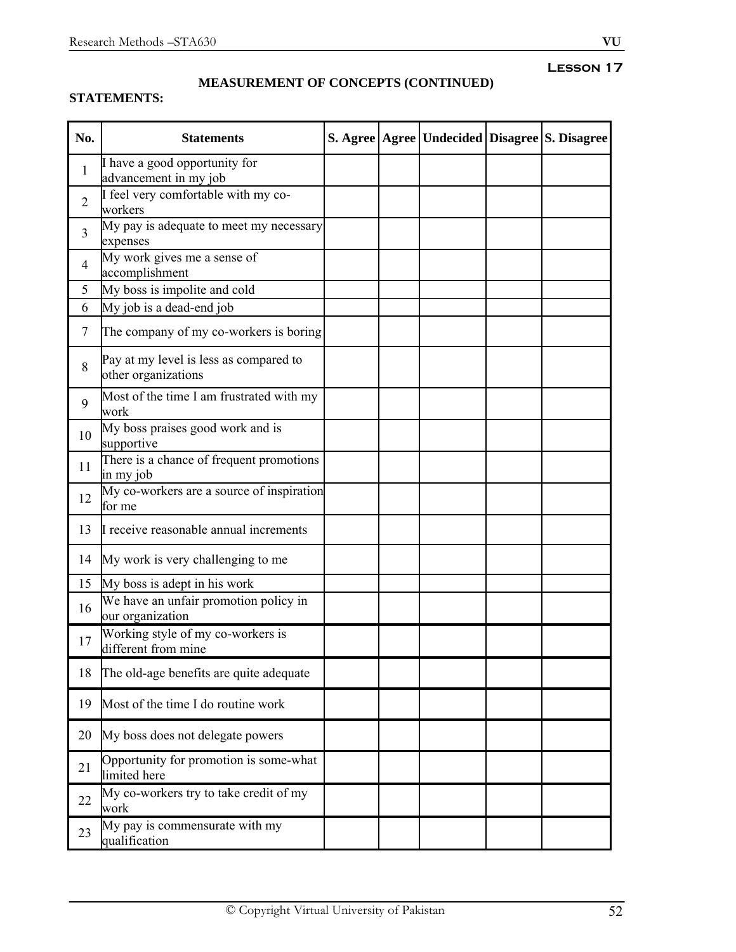**Lesson 17**

### **MEASUREMENT OF CONCEPTS (CONTINUED)**

### **STATEMENTS:**

| No.            | <b>Statements</b>                                             |  |  | S. Agree   Agree   Undecided   Disagree   S. Disagree |
|----------------|---------------------------------------------------------------|--|--|-------------------------------------------------------|
| $\mathbf{1}$   | I have a good opportunity for<br>advancement in my job        |  |  |                                                       |
| $\overline{2}$ | I feel very comfortable with my co-<br>workers                |  |  |                                                       |
| 3              | My pay is adequate to meet my necessary<br>expenses           |  |  |                                                       |
| 4              | My work gives me a sense of<br>accomplishment                 |  |  |                                                       |
| 5              | My boss is impolite and cold                                  |  |  |                                                       |
| 6              | My job is a dead-end job                                      |  |  |                                                       |
| 7              | The company of my co-workers is boring                        |  |  |                                                       |
| 8              | Pay at my level is less as compared to<br>other organizations |  |  |                                                       |
| 9              | Most of the time I am frustrated with my<br>work              |  |  |                                                       |
| 10             | My boss praises good work and is<br>supportive                |  |  |                                                       |
| 11             | There is a chance of frequent promotions<br>in my job         |  |  |                                                       |
| 12             | My co-workers are a source of inspiration<br>for me           |  |  |                                                       |
| 13             | I receive reasonable annual increments                        |  |  |                                                       |
| 14             | My work is very challenging to me                             |  |  |                                                       |
| 15             | My boss is adept in his work                                  |  |  |                                                       |
| 16             | We have an unfair promotion policy in<br>our organization     |  |  |                                                       |
| 17             | Working style of my co-workers is<br>different from mine      |  |  |                                                       |
| 18             | The old-age benefits are quite adequate                       |  |  |                                                       |
| 19             | Most of the time I do routine work                            |  |  |                                                       |
| 20             | My boss does not delegate powers                              |  |  |                                                       |
| 21             | Opportunity for promotion is some-what<br>limited here        |  |  |                                                       |
| 22             | My co-workers try to take credit of my<br>work                |  |  |                                                       |
| 23             | My pay is commensurate with my<br>qualification               |  |  |                                                       |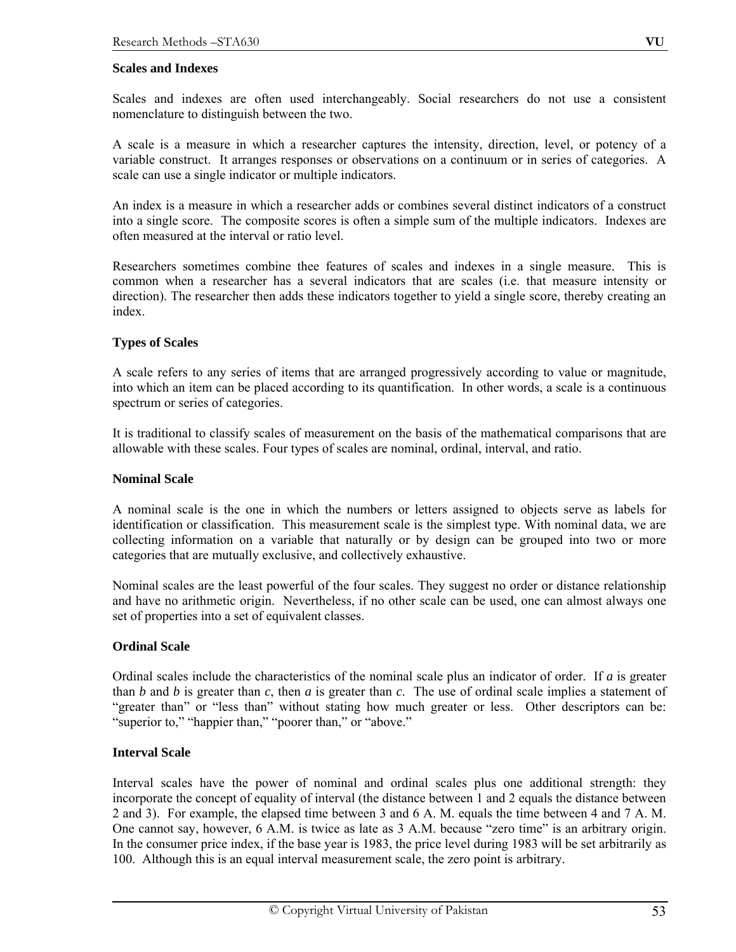#### **Scales and Indexes**

Scales and indexes are often used interchangeably. Social researchers do not use a consistent nomenclature to distinguish between the two.

A scale is a measure in which a researcher captures the intensity, direction, level, or potency of a variable construct. It arranges responses or observations on a continuum or in series of categories. A scale can use a single indicator or multiple indicators.

An index is a measure in which a researcher adds or combines several distinct indicators of a construct into a single score. The composite scores is often a simple sum of the multiple indicators. Indexes are often measured at the interval or ratio level.

Researchers sometimes combine thee features of scales and indexes in a single measure. This is common when a researcher has a several indicators that are scales (i.e. that measure intensity or direction). The researcher then adds these indicators together to yield a single score, thereby creating an index.

#### **Types of Scales**

A scale refers to any series of items that are arranged progressively according to value or magnitude, into which an item can be placed according to its quantification. In other words, a scale is a continuous spectrum or series of categories.

It is traditional to classify scales of measurement on the basis of the mathematical comparisons that are allowable with these scales. Four types of scales are nominal, ordinal, interval, and ratio.

#### **Nominal Scale**

A nominal scale is the one in which the numbers or letters assigned to objects serve as labels for identification or classification. This measurement scale is the simplest type. With nominal data, we are collecting information on a variable that naturally or by design can be grouped into two or more categories that are mutually exclusive, and collectively exhaustive.

Nominal scales are the least powerful of the four scales. They suggest no order or distance relationship and have no arithmetic origin. Nevertheless, if no other scale can be used, one can almost always one set of properties into a set of equivalent classes.

#### **Ordinal Scale**

Ordinal scales include the characteristics of the nominal scale plus an indicator of order. If *a* is greater than *b* and *b* is greater than *c*, then *a* is greater than *c*. The use of ordinal scale implies a statement of "greater than" or "less than" without stating how much greater or less. Other descriptors can be: "superior to," "happier than," "poorer than," or "above."

### **Interval Scale**

Interval scales have the power of nominal and ordinal scales plus one additional strength: they incorporate the concept of equality of interval (the distance between 1 and 2 equals the distance between 2 and 3). For example, the elapsed time between 3 and 6 A. M. equals the time between 4 and 7 A. M. One cannot say, however, 6 A.M. is twice as late as 3 A.M. because "zero time" is an arbitrary origin. In the consumer price index, if the base year is 1983, the price level during 1983 will be set arbitrarily as 100. Although this is an equal interval measurement scale, the zero point is arbitrary.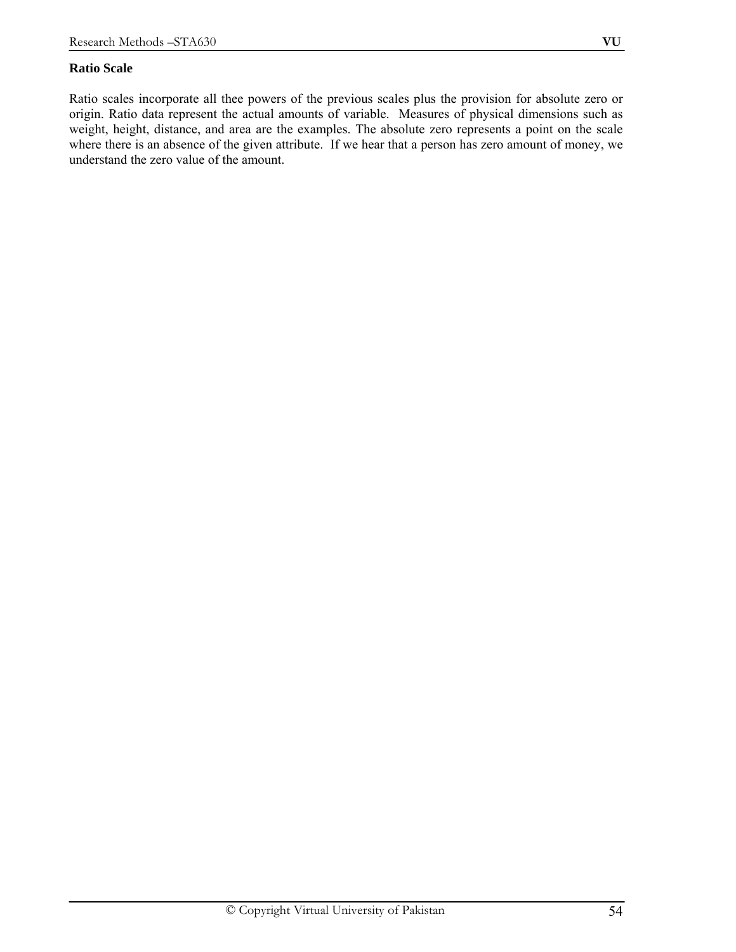### **Ratio Scale**

Ratio scales incorporate all thee powers of the previous scales plus the provision for absolute zero or origin. Ratio data represent the actual amounts of variable. Measures of physical dimensions such as weight, height, distance, and area are the examples. The absolute zero represents a point on the scale where there is an absence of the given attribute. If we hear that a person has zero amount of money, we understand the zero value of the amount.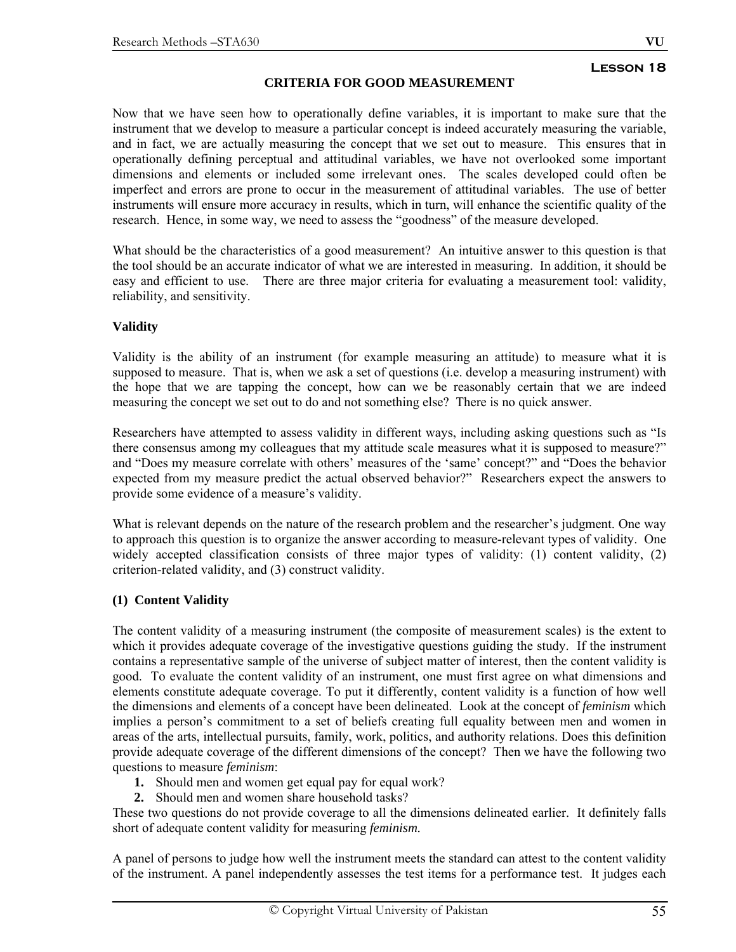### **Lesson 18**

### **CRITERIA FOR GOOD MEASUREMENT**

Now that we have seen how to operationally define variables, it is important to make sure that the instrument that we develop to measure a particular concept is indeed accurately measuring the variable, and in fact, we are actually measuring the concept that we set out to measure. This ensures that in operationally defining perceptual and attitudinal variables, we have not overlooked some important dimensions and elements or included some irrelevant ones. The scales developed could often be imperfect and errors are prone to occur in the measurement of attitudinal variables. The use of better instruments will ensure more accuracy in results, which in turn, will enhance the scientific quality of the research. Hence, in some way, we need to assess the "goodness" of the measure developed.

What should be the characteristics of a good measurement? An intuitive answer to this question is that the tool should be an accurate indicator of what we are interested in measuring. In addition, it should be easy and efficient to use. There are three major criteria for evaluating a measurement tool: validity, reliability, and sensitivity.

### **Validity**

Validity is the ability of an instrument (for example measuring an attitude) to measure what it is supposed to measure. That is, when we ask a set of questions (i.e. develop a measuring instrument) with the hope that we are tapping the concept, how can we be reasonably certain that we are indeed measuring the concept we set out to do and not something else? There is no quick answer.

Researchers have attempted to assess validity in different ways, including asking questions such as "Is there consensus among my colleagues that my attitude scale measures what it is supposed to measure?" and "Does my measure correlate with others' measures of the 'same' concept?" and "Does the behavior expected from my measure predict the actual observed behavior?" Researchers expect the answers to provide some evidence of a measure's validity.

What is relevant depends on the nature of the research problem and the researcher's judgment. One way to approach this question is to organize the answer according to measure-relevant types of validity. One widely accepted classification consists of three major types of validity: (1) content validity, (2) criterion-related validity, and (3) construct validity.

### **(1) Content Validity**

The content validity of a measuring instrument (the composite of measurement scales) is the extent to which it provides adequate coverage of the investigative questions guiding the study. If the instrument contains a representative sample of the universe of subject matter of interest, then the content validity is good. To evaluate the content validity of an instrument, one must first agree on what dimensions and elements constitute adequate coverage. To put it differently, content validity is a function of how well the dimensions and elements of a concept have been delineated. Look at the concept of *feminism* which implies a person's commitment to a set of beliefs creating full equality between men and women in areas of the arts, intellectual pursuits, family, work, politics, and authority relations. Does this definition provide adequate coverage of the different dimensions of the concept? Then we have the following two questions to measure *feminism*:

- **1.** Should men and women get equal pay for equal work?
- **2.** Should men and women share household tasks?

These two questions do not provide coverage to all the dimensions delineated earlier. It definitely falls short of adequate content validity for measuring *feminism.*

A panel of persons to judge how well the instrument meets the standard can attest to the content validity of the instrument. A panel independently assesses the test items for a performance test. It judges each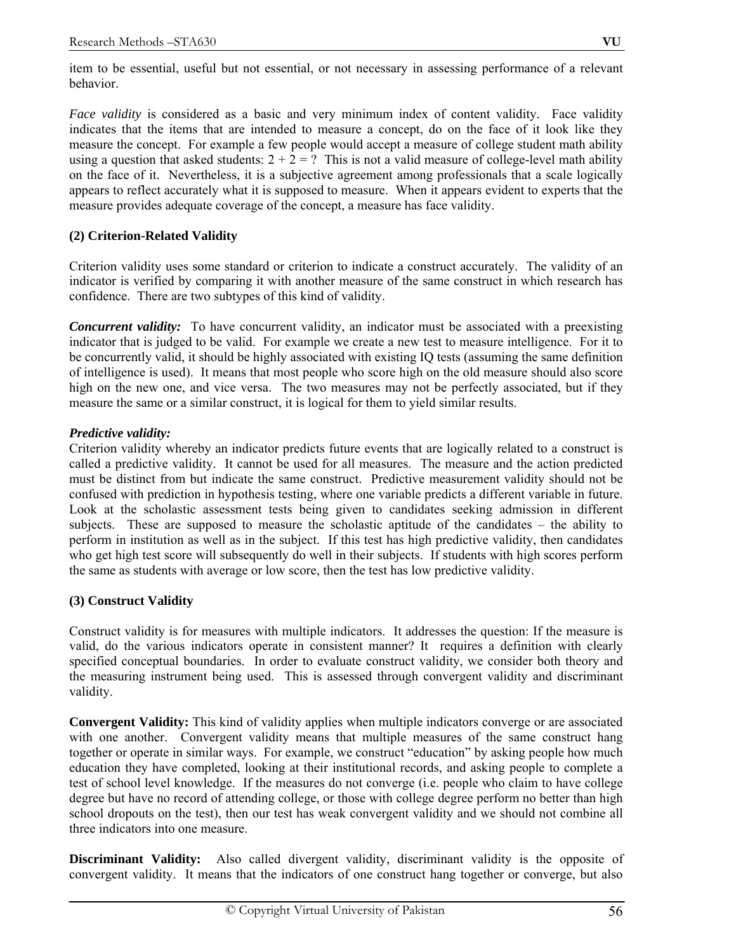item to be essential, useful but not essential, or not necessary in assessing performance of a relevant behavior.

*Face validity* is considered as a basic and very minimum index of content validity. Face validity indicates that the items that are intended to measure a concept, do on the face of it look like they measure the concept. For example a few people would accept a measure of college student math ability using a question that asked students:  $2 + 2 = ?$  This is not a valid measure of college-level math ability on the face of it. Nevertheless, it is a subjective agreement among professionals that a scale logically appears to reflect accurately what it is supposed to measure. When it appears evident to experts that the measure provides adequate coverage of the concept, a measure has face validity.

### **(2) Criterion-Related Validity**

Criterion validity uses some standard or criterion to indicate a construct accurately. The validity of an indicator is verified by comparing it with another measure of the same construct in which research has confidence. There are two subtypes of this kind of validity.

*Concurrent validity:* To have concurrent validity, an indicator must be associated with a preexisting indicator that is judged to be valid. For example we create a new test to measure intelligence. For it to be concurrently valid, it should be highly associated with existing IQ tests (assuming the same definition of intelligence is used). It means that most people who score high on the old measure should also score high on the new one, and vice versa. The two measures may not be perfectly associated, but if they measure the same or a similar construct, it is logical for them to yield similar results.

### *Predictive validity:*

Criterion validity whereby an indicator predicts future events that are logically related to a construct is called a predictive validity. It cannot be used for all measures. The measure and the action predicted must be distinct from but indicate the same construct. Predictive measurement validity should not be confused with prediction in hypothesis testing, where one variable predicts a different variable in future. Look at the scholastic assessment tests being given to candidates seeking admission in different subjects. These are supposed to measure the scholastic aptitude of the candidates – the ability to perform in institution as well as in the subject. If this test has high predictive validity, then candidates who get high test score will subsequently do well in their subjects. If students with high scores perform the same as students with average or low score, then the test has low predictive validity.

### **(3) Construct Validity**

Construct validity is for measures with multiple indicators. It addresses the question: If the measure is valid, do the various indicators operate in consistent manner? It requires a definition with clearly specified conceptual boundaries. In order to evaluate construct validity, we consider both theory and the measuring instrument being used. This is assessed through convergent validity and discriminant validity.

**Convergent Validity:** This kind of validity applies when multiple indicators converge or are associated with one another. Convergent validity means that multiple measures of the same construct hang together or operate in similar ways. For example, we construct "education" by asking people how much education they have completed, looking at their institutional records, and asking people to complete a test of school level knowledge. If the measures do not converge (i.e. people who claim to have college degree but have no record of attending college, or those with college degree perform no better than high school dropouts on the test), then our test has weak convergent validity and we should not combine all three indicators into one measure.

**Discriminant Validity:** Also called divergent validity, discriminant validity is the opposite of convergent validity. It means that the indicators of one construct hang together or converge, but also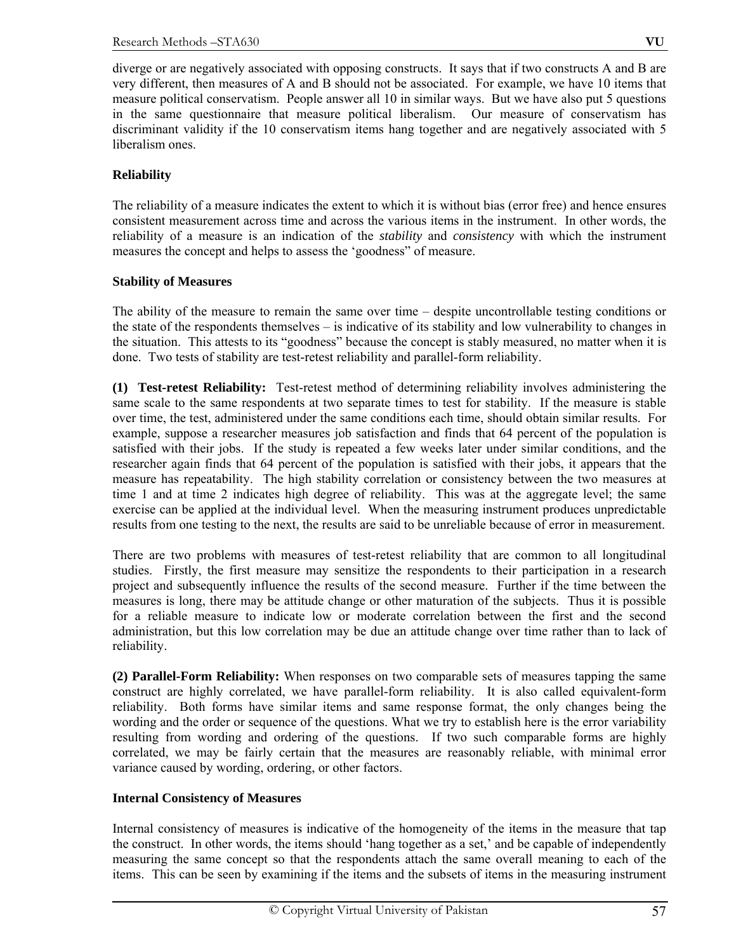diverge or are negatively associated with opposing constructs. It says that if two constructs A and B are very different, then measures of A and B should not be associated. For example, we have 10 items that measure political conservatism. People answer all 10 in similar ways. But we have also put 5 questions in the same questionnaire that measure political liberalism. Our measure of conservatism has discriminant validity if the 10 conservatism items hang together and are negatively associated with 5 liberalism ones.

### **Reliability**

The reliability of a measure indicates the extent to which it is without bias (error free) and hence ensures consistent measurement across time and across the various items in the instrument. In other words, the reliability of a measure is an indication of the *stability* and *consistency* with which the instrument measures the concept and helps to assess the 'goodness" of measure.

### **Stability of Measures**

The ability of the measure to remain the same over time – despite uncontrollable testing conditions or the state of the respondents themselves – is indicative of its stability and low vulnerability to changes in the situation. This attests to its "goodness" because the concept is stably measured, no matter when it is done. Two tests of stability are test-retest reliability and parallel-form reliability.

**(1) Test-retest Reliability:** Test-retest method of determining reliability involves administering the same scale to the same respondents at two separate times to test for stability. If the measure is stable over time, the test, administered under the same conditions each time, should obtain similar results. For example, suppose a researcher measures job satisfaction and finds that 64 percent of the population is satisfied with their jobs. If the study is repeated a few weeks later under similar conditions, and the researcher again finds that 64 percent of the population is satisfied with their jobs, it appears that the measure has repeatability. The high stability correlation or consistency between the two measures at time 1 and at time 2 indicates high degree of reliability. This was at the aggregate level; the same exercise can be applied at the individual level. When the measuring instrument produces unpredictable results from one testing to the next, the results are said to be unreliable because of error in measurement.

There are two problems with measures of test-retest reliability that are common to all longitudinal studies. Firstly, the first measure may sensitize the respondents to their participation in a research project and subsequently influence the results of the second measure. Further if the time between the measures is long, there may be attitude change or other maturation of the subjects. Thus it is possible for a reliable measure to indicate low or moderate correlation between the first and the second administration, but this low correlation may be due an attitude change over time rather than to lack of reliability.

**(2) Parallel-Form Reliability:** When responses on two comparable sets of measures tapping the same construct are highly correlated, we have parallel-form reliability. It is also called equivalent-form reliability. Both forms have similar items and same response format, the only changes being the wording and the order or sequence of the questions. What we try to establish here is the error variability resulting from wording and ordering of the questions. If two such comparable forms are highly correlated, we may be fairly certain that the measures are reasonably reliable, with minimal error variance caused by wording, ordering, or other factors.

### **Internal Consistency of Measures**

Internal consistency of measures is indicative of the homogeneity of the items in the measure that tap the construct. In other words, the items should 'hang together as a set,' and be capable of independently measuring the same concept so that the respondents attach the same overall meaning to each of the items. This can be seen by examining if the items and the subsets of items in the measuring instrument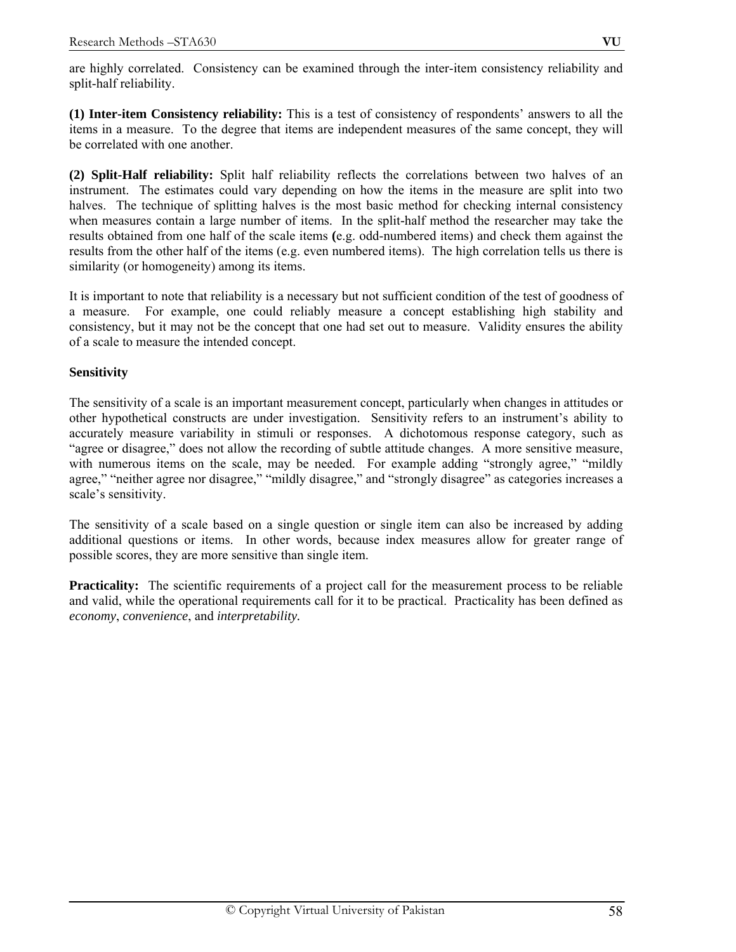**(1) Inter-item Consistency reliability:** This is a test of consistency of respondents' answers to all the items in a measure. To the degree that items are independent measures of the same concept, they will be correlated with one another.

**(2) Split-Half reliability:** Split half reliability reflects the correlations between two halves of an instrument. The estimates could vary depending on how the items in the measure are split into two halves. The technique of splitting halves is the most basic method for checking internal consistency when measures contain a large number of items. In the split-half method the researcher may take the results obtained from one half of the scale items **(**e.g. odd-numbered items) and check them against the results from the other half of the items (e.g. even numbered items). The high correlation tells us there is similarity (or homogeneity) among its items.

It is important to note that reliability is a necessary but not sufficient condition of the test of goodness of a measure. For example, one could reliably measure a concept establishing high stability and consistency, but it may not be the concept that one had set out to measure. Validity ensures the ability of a scale to measure the intended concept.

#### **Sensitivity**

The sensitivity of a scale is an important measurement concept, particularly when changes in attitudes or other hypothetical constructs are under investigation. Sensitivity refers to an instrument's ability to accurately measure variability in stimuli or responses. A dichotomous response category, such as "agree or disagree," does not allow the recording of subtle attitude changes. A more sensitive measure, with numerous items on the scale, may be needed. For example adding "strongly agree," "mildly agree," "neither agree nor disagree," "mildly disagree," and "strongly disagree" as categories increases a scale's sensitivity.

The sensitivity of a scale based on a single question or single item can also be increased by adding additional questions or items. In other words, because index measures allow for greater range of possible scores, they are more sensitive than single item.

**Practicality:** The scientific requirements of a project call for the measurement process to be reliable and valid, while the operational requirements call for it to be practical. Practicality has been defined as *economy*, *convenience*, and *interpretability.*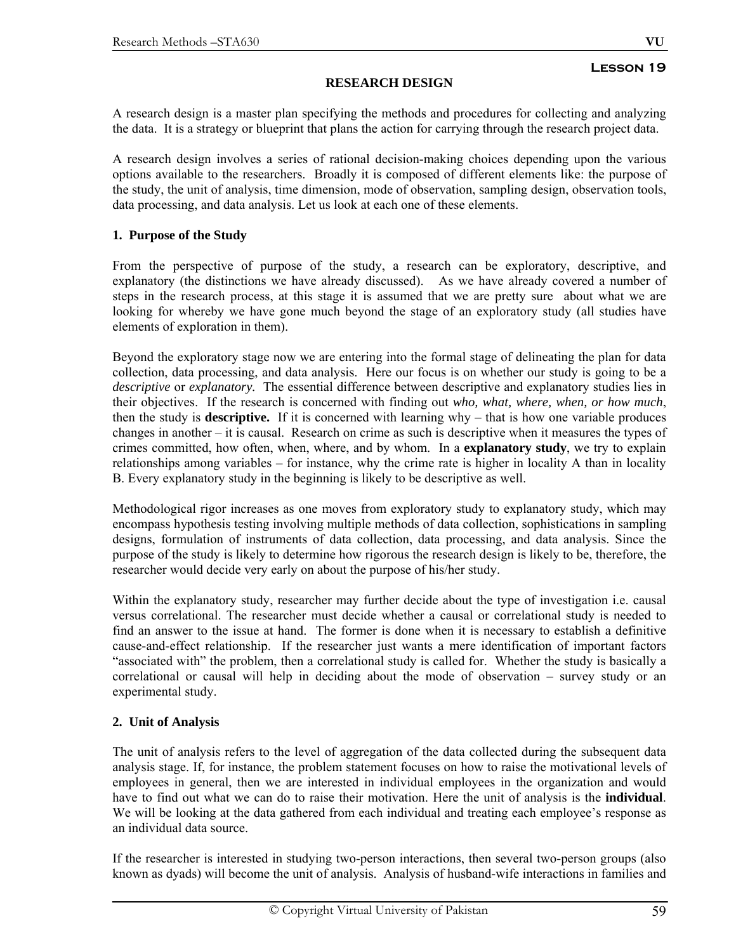### **RESEARCH DESIGN**

A research design is a master plan specifying the methods and procedures for collecting and analyzing the data. It is a strategy or blueprint that plans the action for carrying through the research project data.

A research design involves a series of rational decision-making choices depending upon the various options available to the researchers. Broadly it is composed of different elements like: the purpose of the study, the unit of analysis, time dimension, mode of observation, sampling design, observation tools, data processing, and data analysis. Let us look at each one of these elements.

### **1. Purpose of the Study**

From the perspective of purpose of the study, a research can be exploratory, descriptive, and explanatory (the distinctions we have already discussed). As we have already covered a number of steps in the research process, at this stage it is assumed that we are pretty sure about what we are looking for whereby we have gone much beyond the stage of an exploratory study (all studies have elements of exploration in them).

Beyond the exploratory stage now we are entering into the formal stage of delineating the plan for data collection, data processing, and data analysis. Here our focus is on whether our study is going to be a *descriptive* or *explanatory.* The essential difference between descriptive and explanatory studies lies in their objectives. If the research is concerned with finding out *who, what, where, when, or how much*, then the study is **descriptive.** If it is concerned with learning why – that is how one variable produces changes in another – it is causal. Research on crime as such is descriptive when it measures the types of crimes committed, how often, when, where, and by whom. In a **explanatory study**, we try to explain relationships among variables – for instance, why the crime rate is higher in locality A than in locality B. Every explanatory study in the beginning is likely to be descriptive as well.

Methodological rigor increases as one moves from exploratory study to explanatory study, which may encompass hypothesis testing involving multiple methods of data collection, sophistications in sampling designs, formulation of instruments of data collection, data processing, and data analysis. Since the purpose of the study is likely to determine how rigorous the research design is likely to be, therefore, the researcher would decide very early on about the purpose of his/her study.

Within the explanatory study, researcher may further decide about the type of investigation i.e. causal versus correlational. The researcher must decide whether a causal or correlational study is needed to find an answer to the issue at hand. The former is done when it is necessary to establish a definitive cause-and-effect relationship. If the researcher just wants a mere identification of important factors "associated with" the problem, then a correlational study is called for. Whether the study is basically a correlational or causal will help in deciding about the mode of observation – survey study or an experimental study.

### **2. Unit of Analysis**

The unit of analysis refers to the level of aggregation of the data collected during the subsequent data analysis stage. If, for instance, the problem statement focuses on how to raise the motivational levels of employees in general, then we are interested in individual employees in the organization and would have to find out what we can do to raise their motivation. Here the unit of analysis is the **individual**. We will be looking at the data gathered from each individual and treating each employee's response as an individual data source.

If the researcher is interested in studying two-person interactions, then several two-person groups (also known as dyads) will become the unit of analysis. Analysis of husband-wife interactions in families and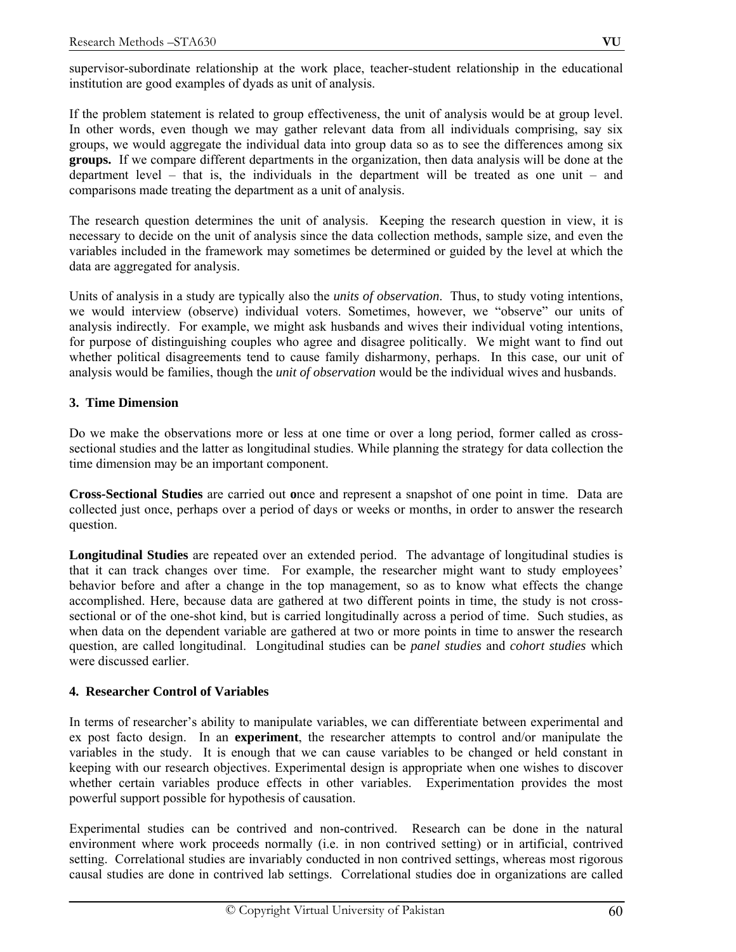supervisor-subordinate relationship at the work place, teacher-student relationship in the educational institution are good examples of dyads as unit of analysis.

If the problem statement is related to group effectiveness, the unit of analysis would be at group level. In other words, even though we may gather relevant data from all individuals comprising, say six groups, we would aggregate the individual data into group data so as to see the differences among six **groups.** If we compare different departments in the organization, then data analysis will be done at the department level – that is, the individuals in the department will be treated as one unit – and comparisons made treating the department as a unit of analysis.

The research question determines the unit of analysis. Keeping the research question in view, it is necessary to decide on the unit of analysis since the data collection methods, sample size, and even the variables included in the framework may sometimes be determined or guided by the level at which the data are aggregated for analysis.

Units of analysis in a study are typically also the *units of observation*. Thus, to study voting intentions, we would interview (observe) individual voters. Sometimes, however, we "observe" our units of analysis indirectly. For example, we might ask husbands and wives their individual voting intentions, for purpose of distinguishing couples who agree and disagree politically. We might want to find out whether political disagreements tend to cause family disharmony, perhaps. In this case, our unit of analysis would be families, though the *unit of observation* would be the individual wives and husbands.

### **3. Time Dimension**

Do we make the observations more or less at one time or over a long period, former called as crosssectional studies and the latter as longitudinal studies. While planning the strategy for data collection the time dimension may be an important component.

**Cross-Sectional Studies** are carried out **o**nce and represent a snapshot of one point in time. Data are collected just once, perhaps over a period of days or weeks or months, in order to answer the research question.

**Longitudinal Studies** are repeated over an extended period. The advantage of longitudinal studies is that it can track changes over time. For example, the researcher might want to study employees' behavior before and after a change in the top management, so as to know what effects the change accomplished. Here, because data are gathered at two different points in time, the study is not crosssectional or of the one-shot kind, but is carried longitudinally across a period of time. Such studies, as when data on the dependent variable are gathered at two or more points in time to answer the research question, are called longitudinal. Longitudinal studies can be *panel studies* and *cohort studies* which were discussed earlier.

### **4. Researcher Control of Variables**

In terms of researcher's ability to manipulate variables, we can differentiate between experimental and ex post facto design. In an **experiment**, the researcher attempts to control and/or manipulate the variables in the study. It is enough that we can cause variables to be changed or held constant in keeping with our research objectives. Experimental design is appropriate when one wishes to discover whether certain variables produce effects in other variables. Experimentation provides the most powerful support possible for hypothesis of causation.

Experimental studies can be contrived and non-contrived. Research can be done in the natural environment where work proceeds normally (i.e. in non contrived setting) or in artificial, contrived setting. Correlational studies are invariably conducted in non contrived settings, whereas most rigorous causal studies are done in contrived lab settings. Correlational studies doe in organizations are called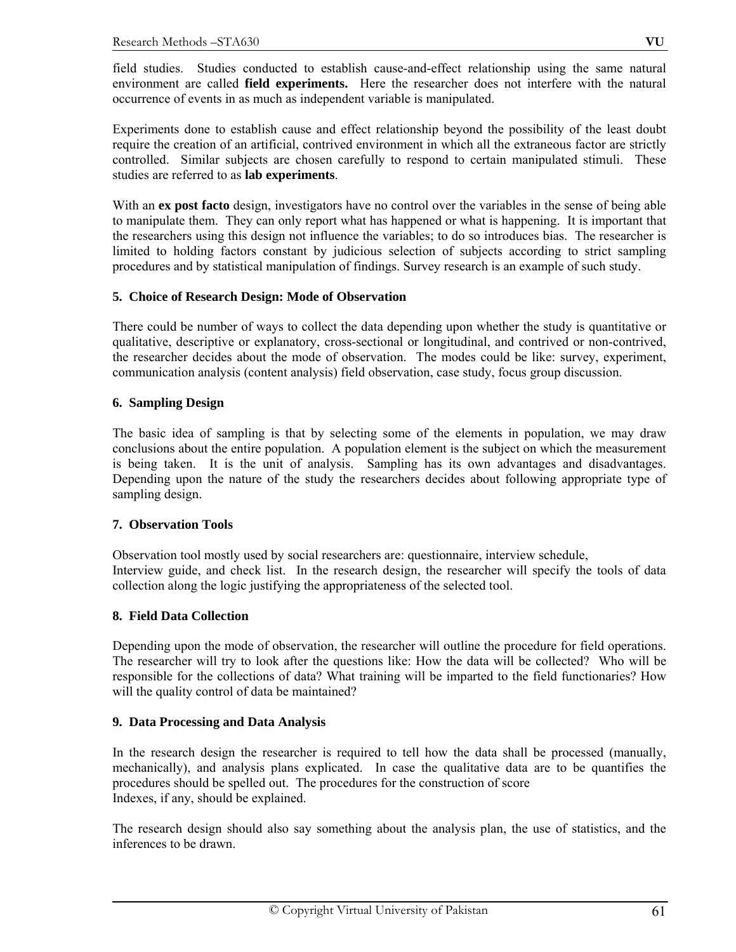field studies. Studies conducted to establish cause-and-effect relationship using the same natural environment are called **field experiments.** Here the researcher does not interfere with the natural occurrence of events in as much as independent variable is manipulated.

Experiments done to establish cause and effect relationship beyond the possibility of the least doubt require the creation of an artificial, contrived environment in which all the extraneous factor are strictly controlled. Similar subjects are chosen carefully to respond to certain manipulated stimuli. These studies are referred to as **lab experiments**.

With an **ex post facto** design, investigators have no control over the variables in the sense of being able to manipulate them. They can only report what has happened or what is happening. It is important that the researchers using this design not influence the variables; to do so introduces bias. The researcher is limited to holding factors constant by judicious selection of subjects according to strict sampling procedures and by statistical manipulation of findings. Survey research is an example of such study.

#### **5. Choice of Research Design: Mode of Observation**

There could be number of ways to collect the data depending upon whether the study is quantitative or qualitative, descriptive or explanatory, cross-sectional or longitudinal, and contrived or non-contrived, the researcher decides about the mode of observation. The modes could be like: survey, experiment, communication analysis (content analysis) field observation, case study, focus group discussion.

#### **6. Sampling Design**

The basic idea of sampling is that by selecting some of the elements in population, we may draw conclusions about the entire population. A population element is the subject on which the measurement is being taken. It is the unit of analysis. Sampling has its own advantages and disadvantages. Depending upon the nature of the study the researchers decides about following appropriate type of sampling design.

### **7. Observation Tools**

Observation tool mostly used by social researchers are: questionnaire, interview schedule, Interview guide, and check list. In the research design, the researcher will specify the tools of data collection along the logic justifying the appropriateness of the selected tool.

#### **8. Field Data Collection**

Depending upon the mode of observation, the researcher will outline the procedure for field operations. The researcher will try to look after the questions like: How the data will be collected? Who will be responsible for the collections of data? What training will be imparted to the field functionaries? How will the quality control of data be maintained?

#### **9. Data Processing and Data Analysis**

In the research design the researcher is required to tell how the data shall be processed (manually, mechanically), and analysis plans explicated. In case the qualitative data are to be quantifies the procedures should be spelled out. The procedures for the construction of score Indexes, if any, should be explained.

The research design should also say something about the analysis plan, the use of statistics, and the inferences to be drawn.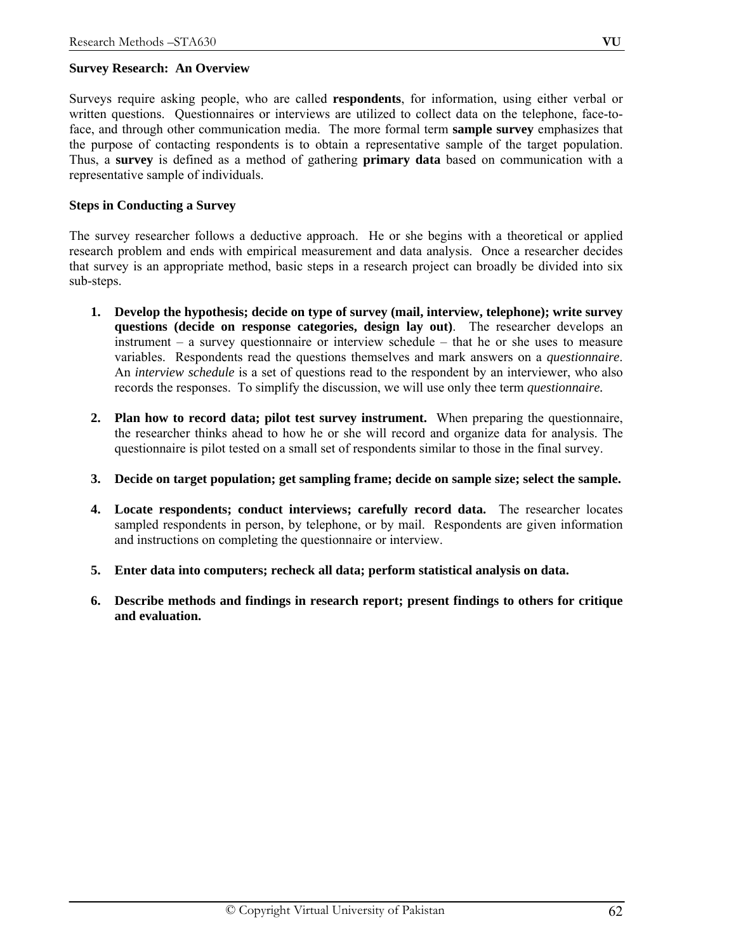#### **Survey Research: An Overview**

Surveys require asking people, who are called **respondents**, for information, using either verbal or written questions. Questionnaires or interviews are utilized to collect data on the telephone, face-toface, and through other communication media. The more formal term **sample survey** emphasizes that the purpose of contacting respondents is to obtain a representative sample of the target population. Thus, a **survey** is defined as a method of gathering **primary data** based on communication with a representative sample of individuals.

#### **Steps in Conducting a Survey**

The survey researcher follows a deductive approach. He or she begins with a theoretical or applied research problem and ends with empirical measurement and data analysis. Once a researcher decides that survey is an appropriate method, basic steps in a research project can broadly be divided into six sub-steps.

- **1. Develop the hypothesis; decide on type of survey (mail, interview, telephone); write survey questions (decide on response categories, design lay out)**. The researcher develops an instrument – a survey questionnaire or interview schedule – that he or she uses to measure variables. Respondents read the questions themselves and mark answers on a *questionnaire*. An *interview schedule* is a set of questions read to the respondent by an interviewer, who also records the responses. To simplify the discussion, we will use only thee term *questionnaire.*
- **2. Plan how to record data; pilot test survey instrument.** When preparing the questionnaire, the researcher thinks ahead to how he or she will record and organize data for analysis. The questionnaire is pilot tested on a small set of respondents similar to those in the final survey.
- **3. Decide on target population; get sampling frame; decide on sample size; select the sample.**
- **4. Locate respondents; conduct interviews; carefully record data.** The researcher locates sampled respondents in person, by telephone, or by mail. Respondents are given information and instructions on completing the questionnaire or interview.
- **5. Enter data into computers; recheck all data; perform statistical analysis on data.**
- **6. Describe methods and findings in research report; present findings to others for critique and evaluation.**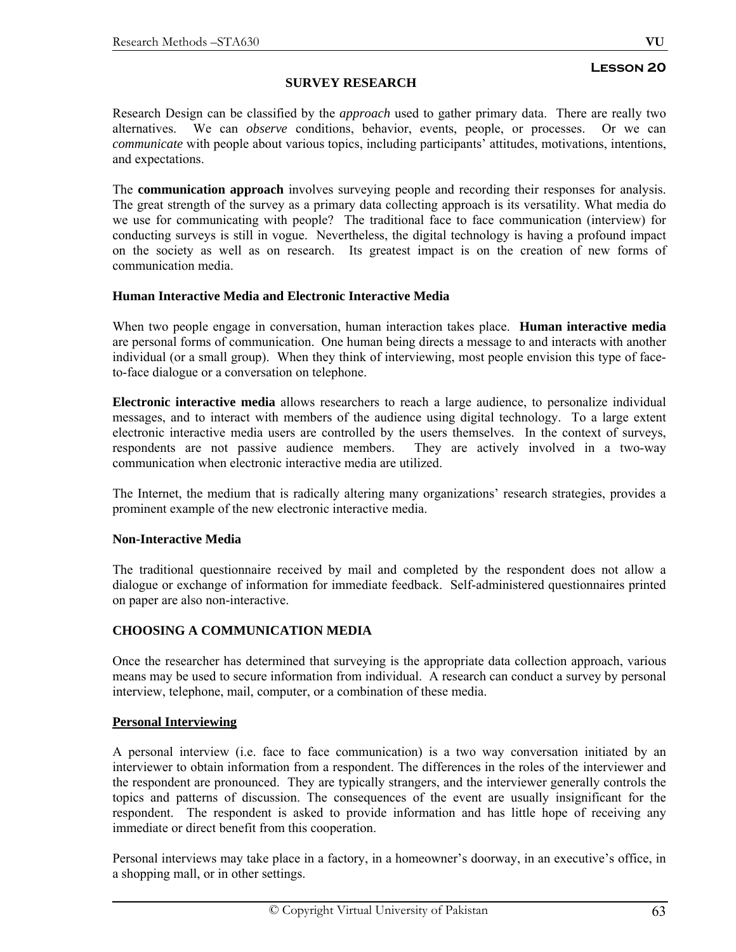### **SURVEY RESEARCH**

Research Design can be classified by the *approach* used to gather primary data. There are really two alternatives. We can *observe* conditions, behavior, events, people, or processes. Or we can *communicate* with people about various topics, including participants' attitudes, motivations, intentions, and expectations.

The **communication approach** involves surveying people and recording their responses for analysis. The great strength of the survey as a primary data collecting approach is its versatility. What media do we use for communicating with people? The traditional face to face communication (interview) for conducting surveys is still in vogue. Nevertheless, the digital technology is having a profound impact on the society as well as on research. Its greatest impact is on the creation of new forms of communication media.

### **Human Interactive Media and Electronic Interactive Media**

When two people engage in conversation, human interaction takes place. **Human interactive media**  are personal forms of communication. One human being directs a message to and interacts with another individual (or a small group). When they think of interviewing, most people envision this type of faceto-face dialogue or a conversation on telephone.

**Electronic interactive media** allows researchers to reach a large audience, to personalize individual messages, and to interact with members of the audience using digital technology. To a large extent electronic interactive media users are controlled by the users themselves. In the context of surveys, respondents are not passive audience members. They are actively involved in a two-way communication when electronic interactive media are utilized.

The Internet, the medium that is radically altering many organizations' research strategies, provides a prominent example of the new electronic interactive media.

### **Non-Interactive Media**

The traditional questionnaire received by mail and completed by the respondent does not allow a dialogue or exchange of information for immediate feedback. Self-administered questionnaires printed on paper are also non-interactive.

### **CHOOSING A COMMUNICATION MEDIA**

Once the researcher has determined that surveying is the appropriate data collection approach, various means may be used to secure information from individual. A research can conduct a survey by personal interview, telephone, mail, computer, or a combination of these media.

### **Personal Interviewing**

A personal interview (i.e. face to face communication) is a two way conversation initiated by an interviewer to obtain information from a respondent. The differences in the roles of the interviewer and the respondent are pronounced. They are typically strangers, and the interviewer generally controls the topics and patterns of discussion. The consequences of the event are usually insignificant for the respondent. The respondent is asked to provide information and has little hope of receiving any immediate or direct benefit from this cooperation.

Personal interviews may take place in a factory, in a homeowner's doorway, in an executive's office, in a shopping mall, or in other settings.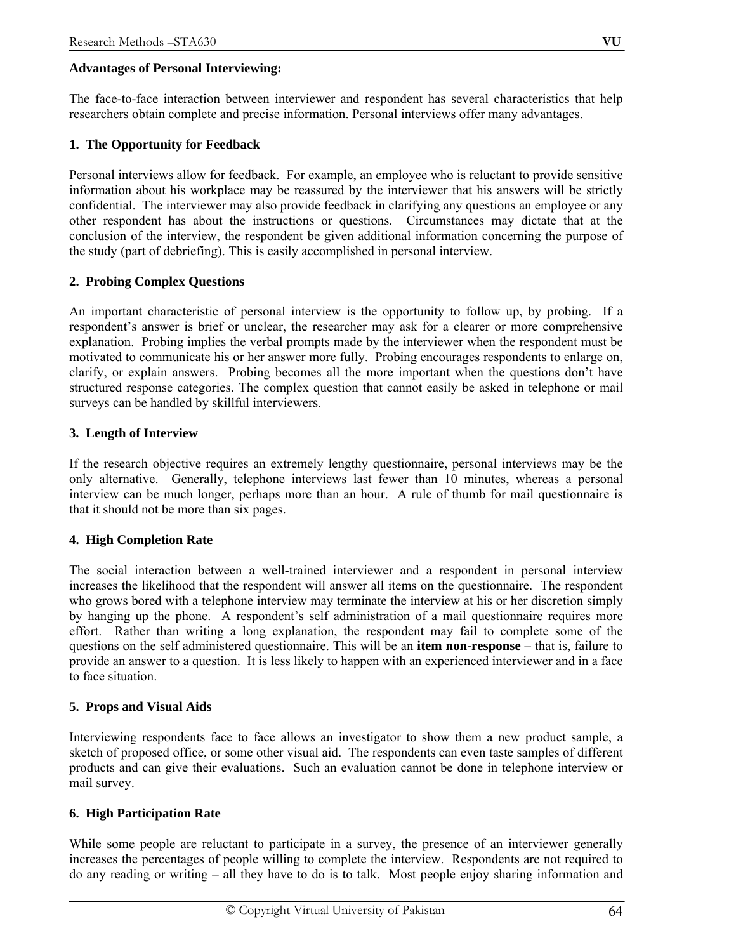The face-to-face interaction between interviewer and respondent has several characteristics that help researchers obtain complete and precise information. Personal interviews offer many advantages.

#### **1. The Opportunity for Feedback**

Personal interviews allow for feedback. For example, an employee who is reluctant to provide sensitive information about his workplace may be reassured by the interviewer that his answers will be strictly confidential. The interviewer may also provide feedback in clarifying any questions an employee or any other respondent has about the instructions or questions. Circumstances may dictate that at the conclusion of the interview, the respondent be given additional information concerning the purpose of the study (part of debriefing). This is easily accomplished in personal interview.

#### **2. Probing Complex Questions**

An important characteristic of personal interview is the opportunity to follow up, by probing. If a respondent's answer is brief or unclear, the researcher may ask for a clearer or more comprehensive explanation. Probing implies the verbal prompts made by the interviewer when the respondent must be motivated to communicate his or her answer more fully. Probing encourages respondents to enlarge on, clarify, or explain answers. Probing becomes all the more important when the questions don't have structured response categories. The complex question that cannot easily be asked in telephone or mail surveys can be handled by skillful interviewers.

#### **3. Length of Interview**

If the research objective requires an extremely lengthy questionnaire, personal interviews may be the only alternative. Generally, telephone interviews last fewer than 10 minutes, whereas a personal interview can be much longer, perhaps more than an hour. A rule of thumb for mail questionnaire is that it should not be more than six pages.

#### **4. High Completion Rate**

The social interaction between a well-trained interviewer and a respondent in personal interview increases the likelihood that the respondent will answer all items on the questionnaire. The respondent who grows bored with a telephone interview may terminate the interview at his or her discretion simply by hanging up the phone. A respondent's self administration of a mail questionnaire requires more effort. Rather than writing a long explanation, the respondent may fail to complete some of the questions on the self administered questionnaire. This will be an **item non-response** – that is, failure to provide an answer to a question. It is less likely to happen with an experienced interviewer and in a face to face situation.

#### **5. Props and Visual Aids**

Interviewing respondents face to face allows an investigator to show them a new product sample, a sketch of proposed office, or some other visual aid. The respondents can even taste samples of different products and can give their evaluations. Such an evaluation cannot be done in telephone interview or mail survey.

#### **6. High Participation Rate**

While some people are reluctant to participate in a survey, the presence of an interviewer generally increases the percentages of people willing to complete the interview. Respondents are not required to do any reading or writing – all they have to do is to talk. Most people enjoy sharing information and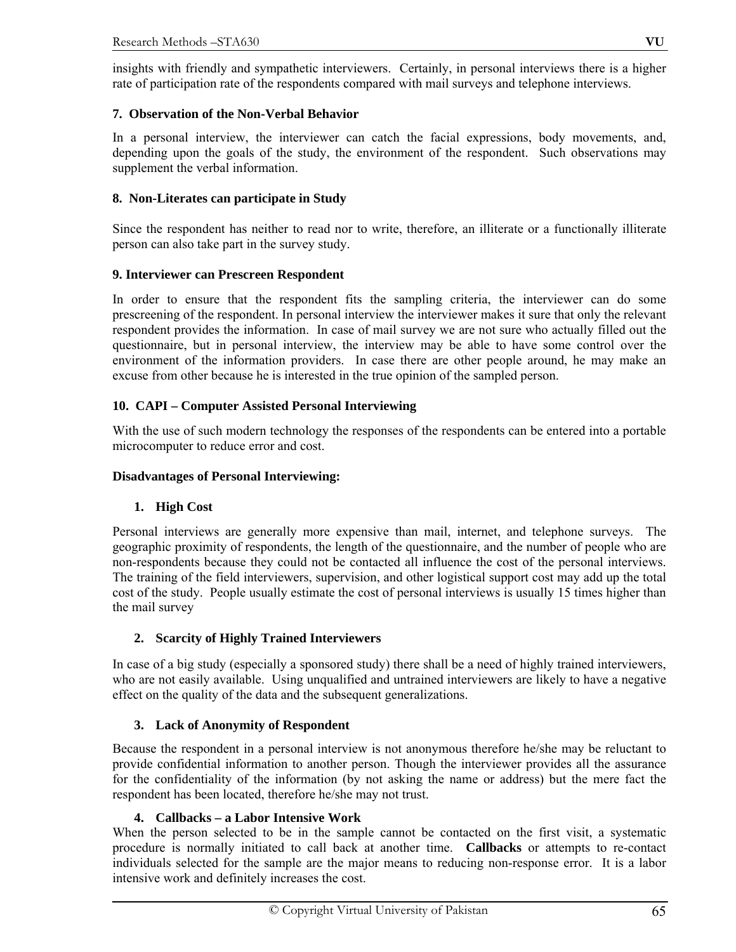insights with friendly and sympathetic interviewers. Certainly, in personal interviews there is a higher rate of participation rate of the respondents compared with mail surveys and telephone interviews.

### **7. Observation of the Non-Verbal Behavior**

In a personal interview, the interviewer can catch the facial expressions, body movements, and, depending upon the goals of the study, the environment of the respondent. Such observations may supplement the verbal information.

### **8. Non-Literates can participate in Study**

Since the respondent has neither to read nor to write, therefore, an illiterate or a functionally illiterate person can also take part in the survey study.

### **9. Interviewer can Prescreen Respondent**

In order to ensure that the respondent fits the sampling criteria, the interviewer can do some prescreening of the respondent. In personal interview the interviewer makes it sure that only the relevant respondent provides the information. In case of mail survey we are not sure who actually filled out the questionnaire, but in personal interview, the interview may be able to have some control over the environment of the information providers. In case there are other people around, he may make an excuse from other because he is interested in the true opinion of the sampled person.

### **10. CAPI – Computer Assisted Personal Interviewing**

With the use of such modern technology the responses of the respondents can be entered into a portable microcomputer to reduce error and cost.

### **Disadvantages of Personal Interviewing:**

### **1. High Cost**

Personal interviews are generally more expensive than mail, internet, and telephone surveys. The geographic proximity of respondents, the length of the questionnaire, and the number of people who are non-respondents because they could not be contacted all influence the cost of the personal interviews. The training of the field interviewers, supervision, and other logistical support cost may add up the total cost of the study. People usually estimate the cost of personal interviews is usually 15 times higher than the mail survey

### **2. Scarcity of Highly Trained Interviewers**

In case of a big study (especially a sponsored study) there shall be a need of highly trained interviewers, who are not easily available. Using unqualified and untrained interviewers are likely to have a negative effect on the quality of the data and the subsequent generalizations.

### **3. Lack of Anonymity of Respondent**

Because the respondent in a personal interview is not anonymous therefore he/she may be reluctant to provide confidential information to another person. Though the interviewer provides all the assurance for the confidentiality of the information (by not asking the name or address) but the mere fact the respondent has been located, therefore he/she may not trust.

### **4. Callbacks – a Labor Intensive Work**

When the person selected to be in the sample cannot be contacted on the first visit, a systematic procedure is normally initiated to call back at another time. **Callbacks** or attempts to re-contact individuals selected for the sample are the major means to reducing non-response error. It is a labor intensive work and definitely increases the cost.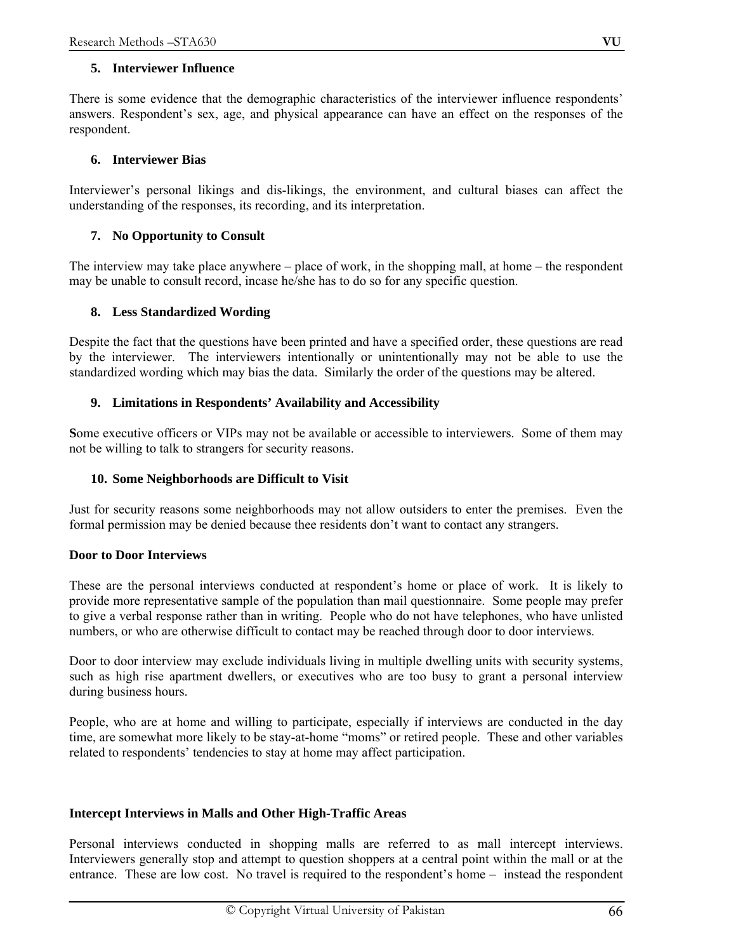#### **5. Interviewer Influence**

There is some evidence that the demographic characteristics of the interviewer influence respondents' answers. Respondent's sex, age, and physical appearance can have an effect on the responses of the respondent.

#### **6. Interviewer Bias**

Interviewer's personal likings and dis-likings, the environment, and cultural biases can affect the understanding of the responses, its recording, and its interpretation.

### **7. No Opportunity to Consult**

The interview may take place anywhere – place of work, in the shopping mall, at home – the respondent may be unable to consult record, incase he/she has to do so for any specific question.

#### **8. Less Standardized Wording**

Despite the fact that the questions have been printed and have a specified order, these questions are read by the interviewer. The interviewers intentionally or unintentionally may not be able to use the standardized wording which may bias the data. Similarly the order of the questions may be altered.

#### **9. Limitations in Respondents' Availability and Accessibility**

**S**ome executive officers or VIPs may not be available or accessible to interviewers. Some of them may not be willing to talk to strangers for security reasons.

#### **10. Some Neighborhoods are Difficult to Visit**

Just for security reasons some neighborhoods may not allow outsiders to enter the premises. Even the formal permission may be denied because thee residents don't want to contact any strangers.

#### **Door to Door Interviews**

These are the personal interviews conducted at respondent's home or place of work. It is likely to provide more representative sample of the population than mail questionnaire. Some people may prefer to give a verbal response rather than in writing. People who do not have telephones, who have unlisted numbers, or who are otherwise difficult to contact may be reached through door to door interviews.

Door to door interview may exclude individuals living in multiple dwelling units with security systems, such as high rise apartment dwellers, or executives who are too busy to grant a personal interview during business hours.

People, who are at home and willing to participate, especially if interviews are conducted in the day time, are somewhat more likely to be stay-at-home "moms" or retired people. These and other variables related to respondents' tendencies to stay at home may affect participation.

#### **Intercept Interviews in Malls and Other High-Traffic Areas**

Personal interviews conducted in shopping malls are referred to as mall intercept interviews. Interviewers generally stop and attempt to question shoppers at a central point within the mall or at the entrance. These are low cost. No travel is required to the respondent's home – instead the respondent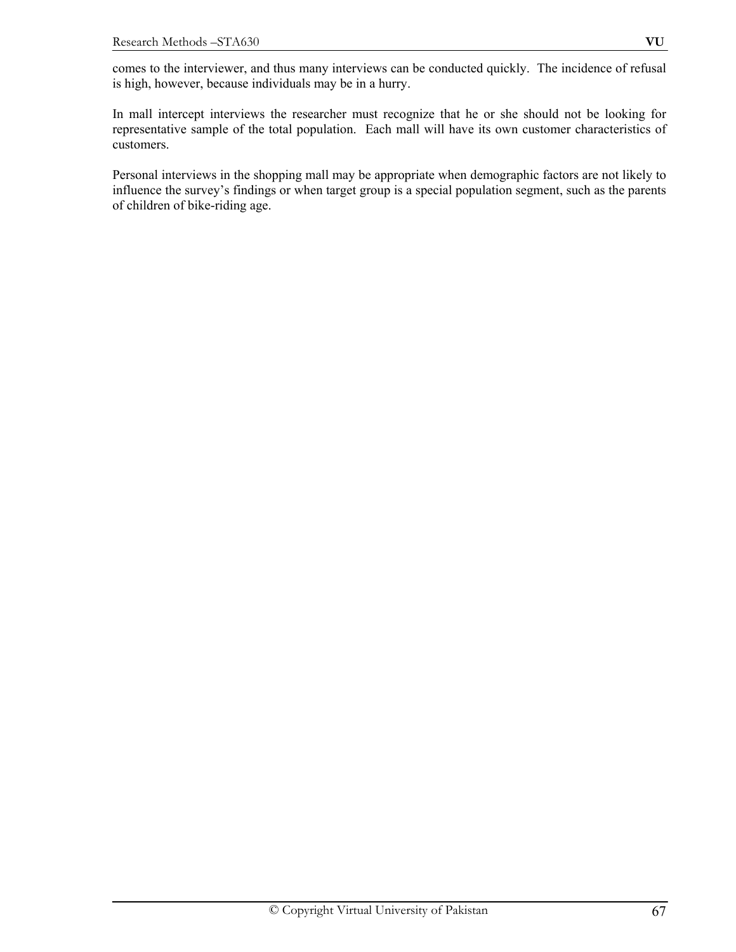In mall intercept interviews the researcher must recognize that he or she should not be looking for representative sample of the total population. Each mall will have its own customer characteristics of customers.

Personal interviews in the shopping mall may be appropriate when demographic factors are not likely to influence the survey's findings or when target group is a special population segment, such as the parents of children of bike-riding age.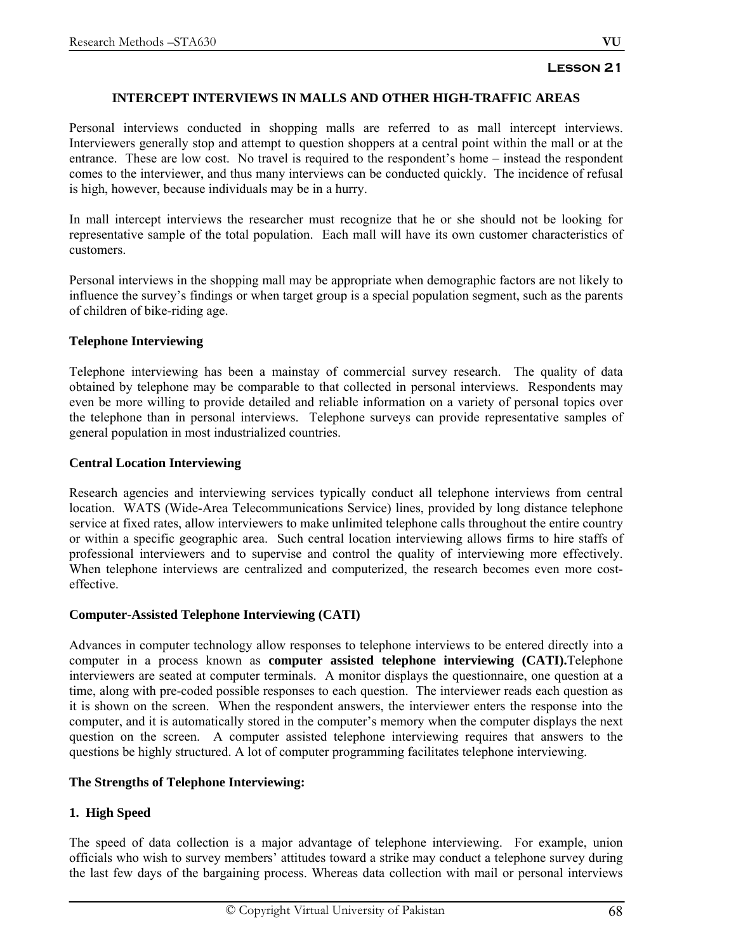#### **Lesson 21**

#### **INTERCEPT INTERVIEWS IN MALLS AND OTHER HIGH-TRAFFIC AREAS**

Personal interviews conducted in shopping malls are referred to as mall intercept interviews. Interviewers generally stop and attempt to question shoppers at a central point within the mall or at the entrance. These are low cost. No travel is required to the respondent's home – instead the respondent comes to the interviewer, and thus many interviews can be conducted quickly. The incidence of refusal is high, however, because individuals may be in a hurry.

In mall intercept interviews the researcher must recognize that he or she should not be looking for representative sample of the total population. Each mall will have its own customer characteristics of customers.

Personal interviews in the shopping mall may be appropriate when demographic factors are not likely to influence the survey's findings or when target group is a special population segment, such as the parents of children of bike-riding age.

#### **Telephone Interviewing**

Telephone interviewing has been a mainstay of commercial survey research. The quality of data obtained by telephone may be comparable to that collected in personal interviews. Respondents may even be more willing to provide detailed and reliable information on a variety of personal topics over the telephone than in personal interviews. Telephone surveys can provide representative samples of general population in most industrialized countries.

#### **Central Location Interviewing**

Research agencies and interviewing services typically conduct all telephone interviews from central location. WATS (Wide-Area Telecommunications Service) lines, provided by long distance telephone service at fixed rates, allow interviewers to make unlimited telephone calls throughout the entire country or within a specific geographic area. Such central location interviewing allows firms to hire staffs of professional interviewers and to supervise and control the quality of interviewing more effectively. When telephone interviews are centralized and computerized, the research becomes even more costeffective.

#### **Computer-Assisted Telephone Interviewing (CATI)**

Advances in computer technology allow responses to telephone interviews to be entered directly into a computer in a process known as **computer assisted telephone interviewing (CATI).**Telephone interviewers are seated at computer terminals. A monitor displays the questionnaire, one question at a time, along with pre-coded possible responses to each question. The interviewer reads each question as it is shown on the screen. When the respondent answers, the interviewer enters the response into the computer, and it is automatically stored in the computer's memory when the computer displays the next question on the screen. A computer assisted telephone interviewing requires that answers to the questions be highly structured. A lot of computer programming facilitates telephone interviewing.

#### **The Strengths of Telephone Interviewing:**

#### **1. High Speed**

The speed of data collection is a major advantage of telephone interviewing. For example, union officials who wish to survey members' attitudes toward a strike may conduct a telephone survey during the last few days of the bargaining process. Whereas data collection with mail or personal interviews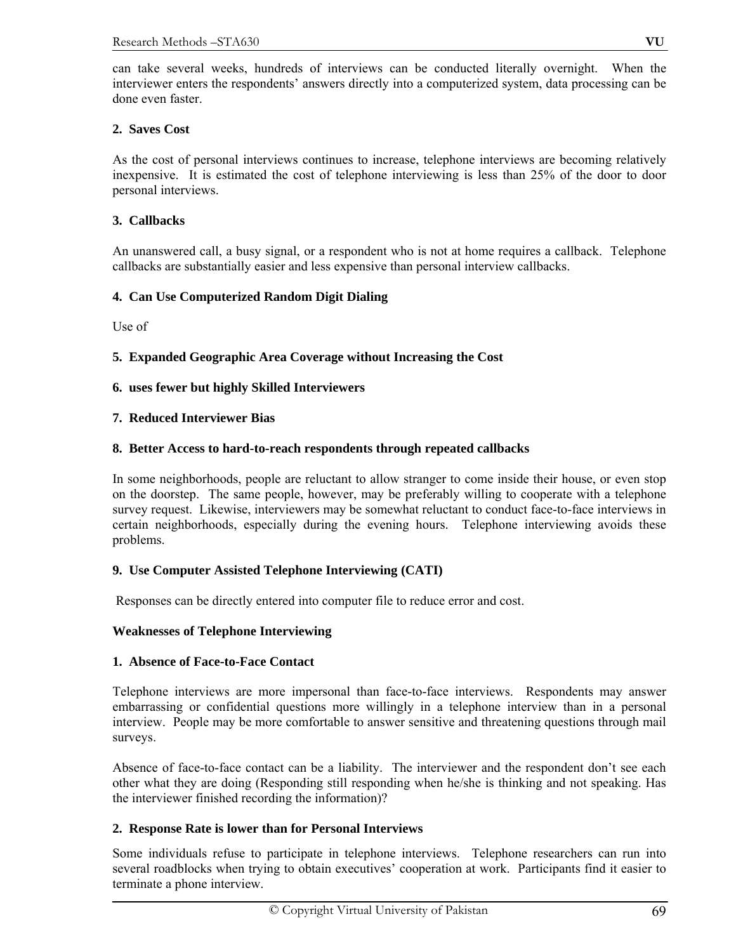can take several weeks, hundreds of interviews can be conducted literally overnight. When the interviewer enters the respondents' answers directly into a computerized system, data processing can be done even faster.

### **2. Saves Cost**

As the cost of personal interviews continues to increase, telephone interviews are becoming relatively inexpensive. It is estimated the cost of telephone interviewing is less than 25% of the door to door personal interviews.

### **3. Callbacks**

An unanswered call, a busy signal, or a respondent who is not at home requires a callback. Telephone callbacks are substantially easier and less expensive than personal interview callbacks.

### **4. Can Use Computerized Random Digit Dialing**

Use of

### **5. Expanded Geographic Area Coverage without Increasing the Cost**

### **6. uses fewer but highly Skilled Interviewers**

### **7. Reduced Interviewer Bias**

### **8. Better Access to hard-to-reach respondents through repeated callbacks**

In some neighborhoods, people are reluctant to allow stranger to come inside their house, or even stop on the doorstep. The same people, however, may be preferably willing to cooperate with a telephone survey request. Likewise, interviewers may be somewhat reluctant to conduct face-to-face interviews in certain neighborhoods, especially during the evening hours. Telephone interviewing avoids these problems.

### **9. Use Computer Assisted Telephone Interviewing (CATI)**

Responses can be directly entered into computer file to reduce error and cost.

### **Weaknesses of Telephone Interviewing**

### **1. Absence of Face-to-Face Contact**

Telephone interviews are more impersonal than face-to-face interviews. Respondents may answer embarrassing or confidential questions more willingly in a telephone interview than in a personal interview. People may be more comfortable to answer sensitive and threatening questions through mail surveys.

Absence of face-to-face contact can be a liability. The interviewer and the respondent don't see each other what they are doing (Responding still responding when he/she is thinking and not speaking. Has the interviewer finished recording the information)?

### **2. Response Rate is lower than for Personal Interviews**

Some individuals refuse to participate in telephone interviews. Telephone researchers can run into several roadblocks when trying to obtain executives' cooperation at work. Participants find it easier to terminate a phone interview.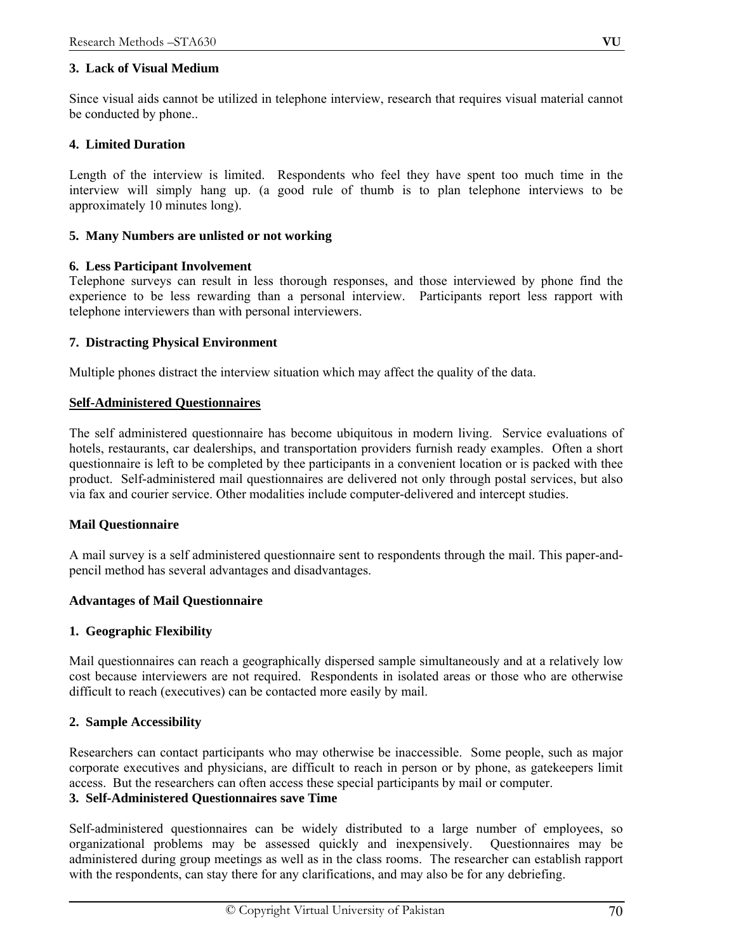#### **3. Lack of Visual Medium**

Since visual aids cannot be utilized in telephone interview, research that requires visual material cannot be conducted by phone..

#### **4. Limited Duration**

Length of the interview is limited. Respondents who feel they have spent too much time in the interview will simply hang up. (a good rule of thumb is to plan telephone interviews to be approximately 10 minutes long).

#### **5. Many Numbers are unlisted or not working**

#### **6. Less Participant Involvement**

Telephone surveys can result in less thorough responses, and those interviewed by phone find the experience to be less rewarding than a personal interview. Participants report less rapport with telephone interviewers than with personal interviewers.

#### **7. Distracting Physical Environment**

Multiple phones distract the interview situation which may affect the quality of the data.

#### **Self-Administered Questionnaires**

The self administered questionnaire has become ubiquitous in modern living. Service evaluations of hotels, restaurants, car dealerships, and transportation providers furnish ready examples. Often a short questionnaire is left to be completed by thee participants in a convenient location or is packed with thee product. Self-administered mail questionnaires are delivered not only through postal services, but also via fax and courier service. Other modalities include computer-delivered and intercept studies.

#### **Mail Questionnaire**

A mail survey is a self administered questionnaire sent to respondents through the mail. This paper-andpencil method has several advantages and disadvantages.

#### **Advantages of Mail Questionnaire**

#### **1. Geographic Flexibility**

Mail questionnaires can reach a geographically dispersed sample simultaneously and at a relatively low cost because interviewers are not required. Respondents in isolated areas or those who are otherwise difficult to reach (executives) can be contacted more easily by mail.

#### **2. Sample Accessibility**

Researchers can contact participants who may otherwise be inaccessible. Some people, such as major corporate executives and physicians, are difficult to reach in person or by phone, as gatekeepers limit access. But the researchers can often access these special participants by mail or computer.

### **3. Self-Administered Questionnaires save Time**

Self-administered questionnaires can be widely distributed to a large number of employees, so organizational problems may be assessed quickly and inexpensively. Questionnaires may be administered during group meetings as well as in the class rooms. The researcher can establish rapport with the respondents, can stay there for any clarifications, and may also be for any debriefing.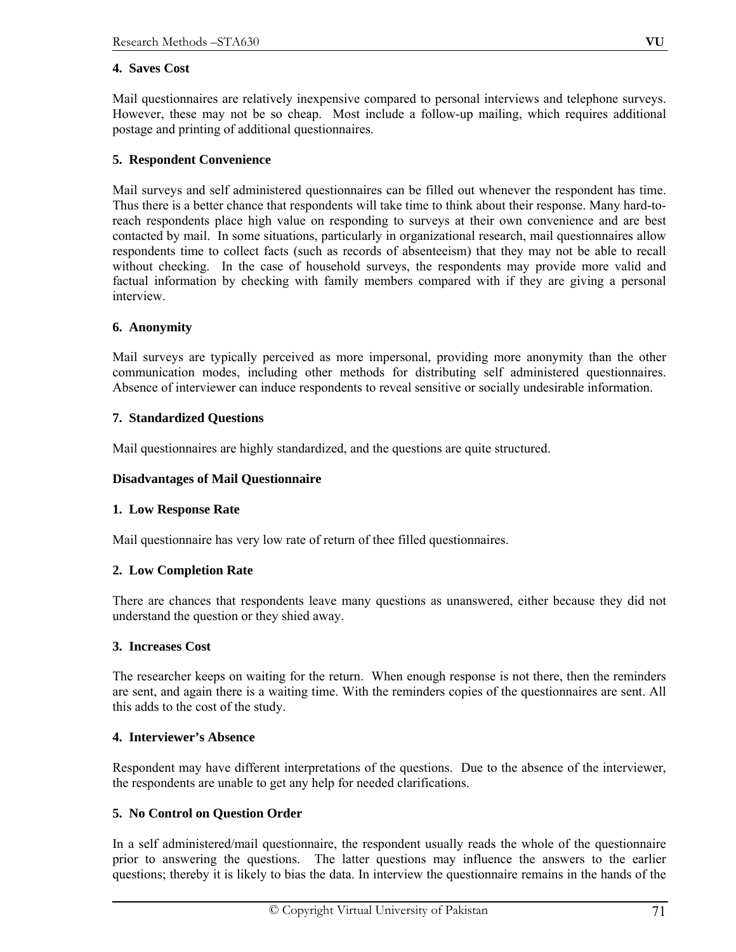### **4. Saves Cost**

Mail questionnaires are relatively inexpensive compared to personal interviews and telephone surveys. However, these may not be so cheap. Most include a follow-up mailing, which requires additional postage and printing of additional questionnaires.

### **5. Respondent Convenience**

Mail surveys and self administered questionnaires can be filled out whenever the respondent has time. Thus there is a better chance that respondents will take time to think about their response. Many hard-toreach respondents place high value on responding to surveys at their own convenience and are best contacted by mail. In some situations, particularly in organizational research, mail questionnaires allow respondents time to collect facts (such as records of absenteeism) that they may not be able to recall without checking. In the case of household surveys, the respondents may provide more valid and factual information by checking with family members compared with if they are giving a personal interview.

### **6. Anonymity**

Mail surveys are typically perceived as more impersonal, providing more anonymity than the other communication modes, including other methods for distributing self administered questionnaires. Absence of interviewer can induce respondents to reveal sensitive or socially undesirable information.

### **7. Standardized Questions**

Mail questionnaires are highly standardized, and the questions are quite structured.

### **Disadvantages of Mail Questionnaire**

### **1. Low Response Rate**

Mail questionnaire has very low rate of return of thee filled questionnaires.

### **2. Low Completion Rate**

There are chances that respondents leave many questions as unanswered, either because they did not understand the question or they shied away.

#### **3. Increases Cost**

The researcher keeps on waiting for the return. When enough response is not there, then the reminders are sent, and again there is a waiting time. With the reminders copies of the questionnaires are sent. All this adds to the cost of the study.

### **4. Interviewer's Absence**

Respondent may have different interpretations of the questions. Due to the absence of the interviewer, the respondents are unable to get any help for needed clarifications.

### **5. No Control on Question Order**

In a self administered/mail questionnaire, the respondent usually reads the whole of the questionnaire prior to answering the questions. The latter questions may influence the answers to the earlier questions; thereby it is likely to bias the data. In interview the questionnaire remains in the hands of the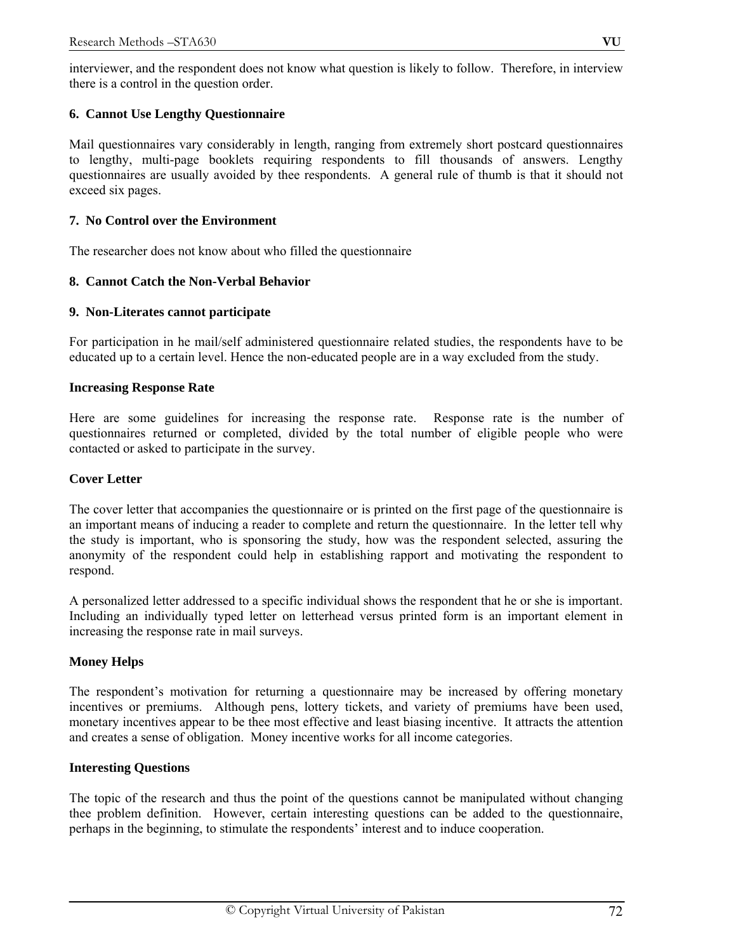#### **6. Cannot Use Lengthy Questionnaire**

Mail questionnaires vary considerably in length, ranging from extremely short postcard questionnaires to lengthy, multi-page booklets requiring respondents to fill thousands of answers. Lengthy questionnaires are usually avoided by thee respondents. A general rule of thumb is that it should not exceed six pages.

#### **7. No Control over the Environment**

The researcher does not know about who filled the questionnaire

#### **8. Cannot Catch the Non-Verbal Behavior**

#### **9. Non-Literates cannot participate**

For participation in he mail/self administered questionnaire related studies, the respondents have to be educated up to a certain level. Hence the non-educated people are in a way excluded from the study.

#### **Increasing Response Rate**

Here are some guidelines for increasing the response rate. Response rate is the number of questionnaires returned or completed, divided by the total number of eligible people who were contacted or asked to participate in the survey.

#### **Cover Letter**

The cover letter that accompanies the questionnaire or is printed on the first page of the questionnaire is an important means of inducing a reader to complete and return the questionnaire. In the letter tell why the study is important, who is sponsoring the study, how was the respondent selected, assuring the anonymity of the respondent could help in establishing rapport and motivating the respondent to respond.

A personalized letter addressed to a specific individual shows the respondent that he or she is important. Including an individually typed letter on letterhead versus printed form is an important element in increasing the response rate in mail surveys.

### **Money Helps**

The respondent's motivation for returning a questionnaire may be increased by offering monetary incentives or premiums. Although pens, lottery tickets, and variety of premiums have been used, monetary incentives appear to be thee most effective and least biasing incentive. It attracts the attention and creates a sense of obligation. Money incentive works for all income categories.

#### **Interesting Questions**

The topic of the research and thus the point of the questions cannot be manipulated without changing thee problem definition. However, certain interesting questions can be added to the questionnaire, perhaps in the beginning, to stimulate the respondents' interest and to induce cooperation.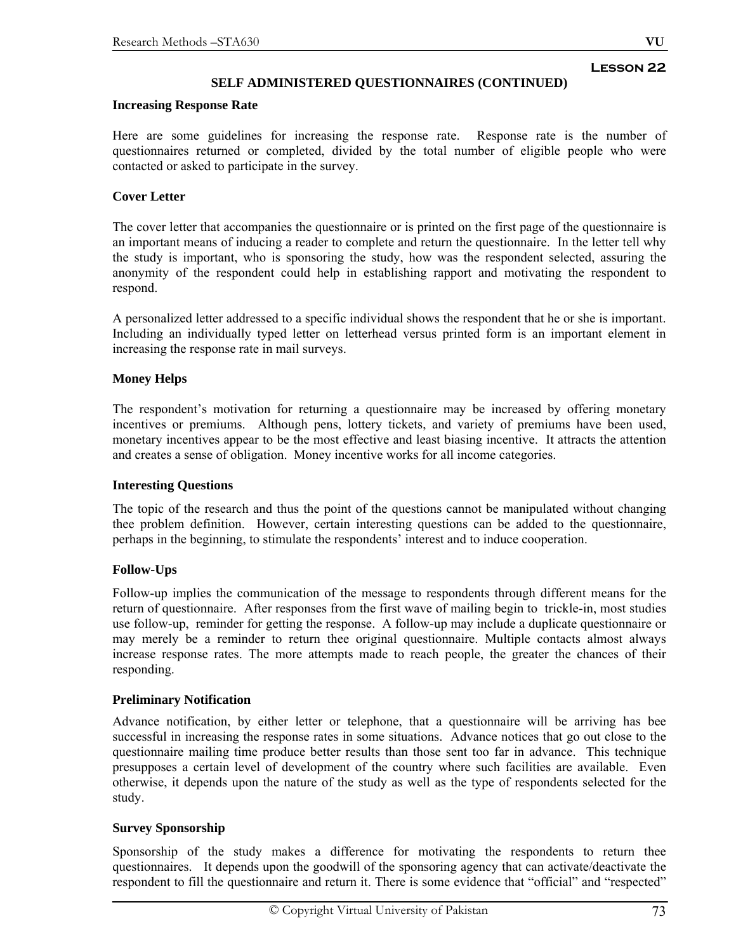## **Lesson 22**

## **SELF ADMINISTERED QUESTIONNAIRES (CONTINUED)**

#### **Increasing Response Rate**

Here are some guidelines for increasing the response rate. Response rate is the number of questionnaires returned or completed, divided by the total number of eligible people who were contacted or asked to participate in the survey.

#### **Cover Letter**

The cover letter that accompanies the questionnaire or is printed on the first page of the questionnaire is an important means of inducing a reader to complete and return the questionnaire. In the letter tell why the study is important, who is sponsoring the study, how was the respondent selected, assuring the anonymity of the respondent could help in establishing rapport and motivating the respondent to respond.

A personalized letter addressed to a specific individual shows the respondent that he or she is important. Including an individually typed letter on letterhead versus printed form is an important element in increasing the response rate in mail surveys.

#### **Money Helps**

The respondent's motivation for returning a questionnaire may be increased by offering monetary incentives or premiums. Although pens, lottery tickets, and variety of premiums have been used, monetary incentives appear to be the most effective and least biasing incentive. It attracts the attention and creates a sense of obligation. Money incentive works for all income categories.

#### **Interesting Questions**

The topic of the research and thus the point of the questions cannot be manipulated without changing thee problem definition. However, certain interesting questions can be added to the questionnaire, perhaps in the beginning, to stimulate the respondents' interest and to induce cooperation.

#### **Follow-Ups**

Follow-up implies the communication of the message to respondents through different means for the return of questionnaire. After responses from the first wave of mailing begin to trickle-in, most studies use follow-up, reminder for getting the response. A follow-up may include a duplicate questionnaire or may merely be a reminder to return thee original questionnaire. Multiple contacts almost always increase response rates. The more attempts made to reach people, the greater the chances of their responding.

#### **Preliminary Notification**

Advance notification, by either letter or telephone, that a questionnaire will be arriving has bee successful in increasing the response rates in some situations. Advance notices that go out close to the questionnaire mailing time produce better results than those sent too far in advance. This technique presupposes a certain level of development of the country where such facilities are available. Even otherwise, it depends upon the nature of the study as well as the type of respondents selected for the study.

#### **Survey Sponsorship**

Sponsorship of the study makes a difference for motivating the respondents to return thee questionnaires. It depends upon the goodwill of the sponsoring agency that can activate/deactivate the respondent to fill the questionnaire and return it. There is some evidence that "official" and "respected"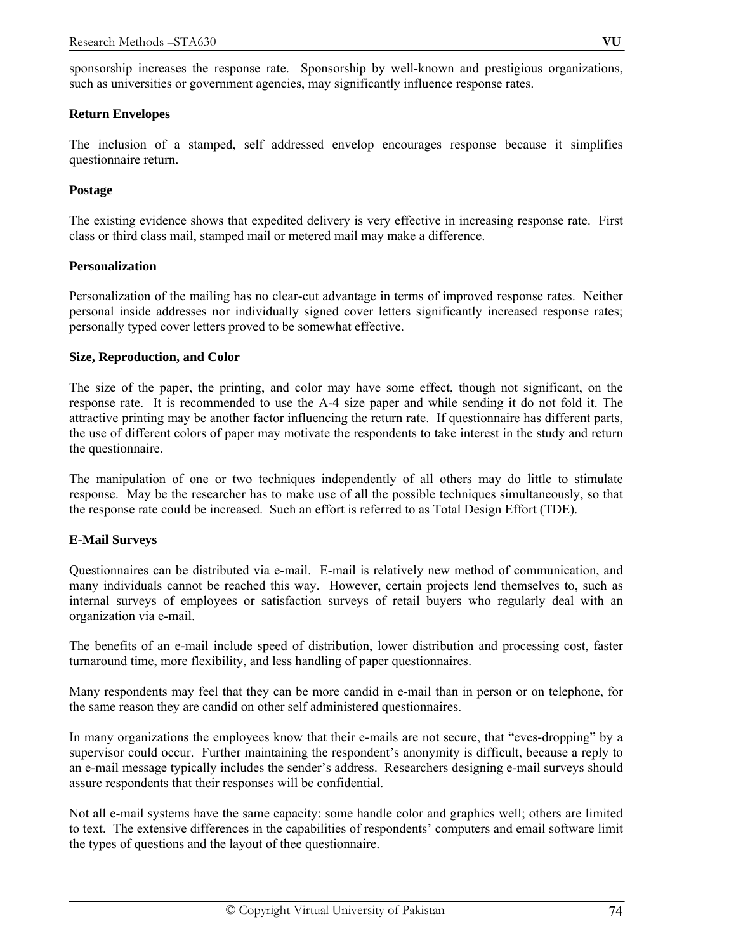sponsorship increases the response rate. Sponsorship by well-known and prestigious organizations, such as universities or government agencies, may significantly influence response rates.

#### **Return Envelopes**

The inclusion of a stamped, self addressed envelop encourages response because it simplifies questionnaire return.

#### **Postage**

The existing evidence shows that expedited delivery is very effective in increasing response rate. First class or third class mail, stamped mail or metered mail may make a difference.

#### **Personalization**

Personalization of the mailing has no clear-cut advantage in terms of improved response rates. Neither personal inside addresses nor individually signed cover letters significantly increased response rates; personally typed cover letters proved to be somewhat effective.

#### **Size, Reproduction, and Color**

The size of the paper, the printing, and color may have some effect, though not significant, on the response rate. It is recommended to use the A-4 size paper and while sending it do not fold it. The attractive printing may be another factor influencing the return rate. If questionnaire has different parts, the use of different colors of paper may motivate the respondents to take interest in the study and return the questionnaire.

The manipulation of one or two techniques independently of all others may do little to stimulate response. May be the researcher has to make use of all the possible techniques simultaneously, so that the response rate could be increased. Such an effort is referred to as Total Design Effort (TDE).

#### **E-Mail Surveys**

Questionnaires can be distributed via e-mail. E-mail is relatively new method of communication, and many individuals cannot be reached this way. However, certain projects lend themselves to, such as internal surveys of employees or satisfaction surveys of retail buyers who regularly deal with an organization via e-mail.

The benefits of an e-mail include speed of distribution, lower distribution and processing cost, faster turnaround time, more flexibility, and less handling of paper questionnaires.

Many respondents may feel that they can be more candid in e-mail than in person or on telephone, for the same reason they are candid on other self administered questionnaires.

In many organizations the employees know that their e-mails are not secure, that "eves-dropping" by a supervisor could occur. Further maintaining the respondent's anonymity is difficult, because a reply to an e-mail message typically includes the sender's address. Researchers designing e-mail surveys should assure respondents that their responses will be confidential.

Not all e-mail systems have the same capacity: some handle color and graphics well; others are limited to text. The extensive differences in the capabilities of respondents' computers and email software limit the types of questions and the layout of thee questionnaire.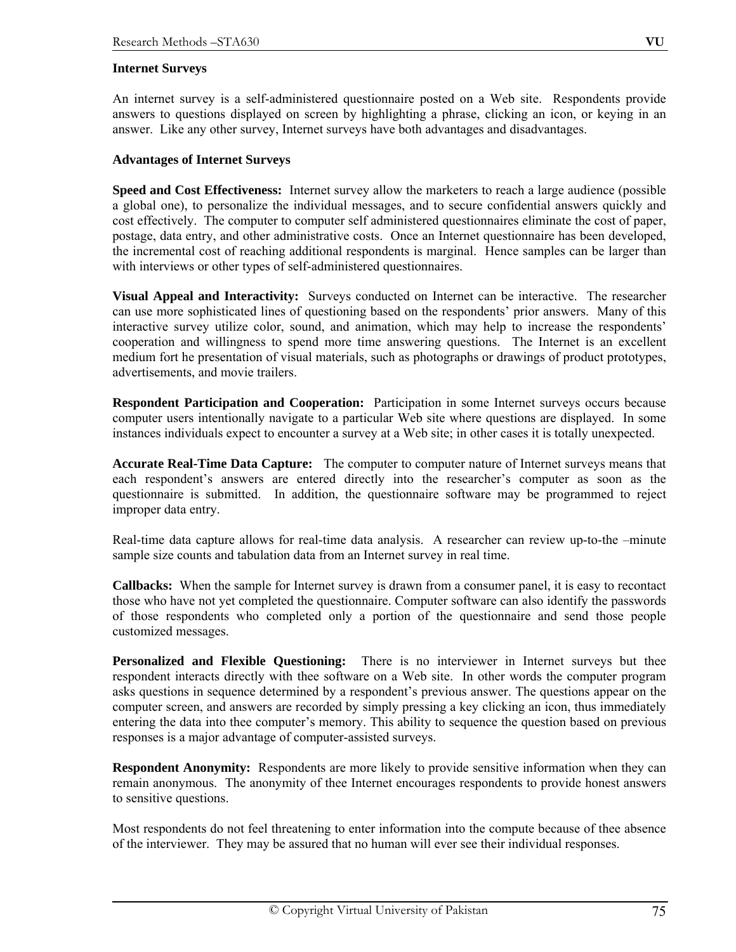#### **Internet Surveys**

An internet survey is a self-administered questionnaire posted on a Web site. Respondents provide answers to questions displayed on screen by highlighting a phrase, clicking an icon, or keying in an answer. Like any other survey, Internet surveys have both advantages and disadvantages.

#### **Advantages of Internet Surveys**

**Speed and Cost Effectiveness:** Internet survey allow the marketers to reach a large audience (possible) a global one), to personalize the individual messages, and to secure confidential answers quickly and cost effectively. The computer to computer self administered questionnaires eliminate the cost of paper, postage, data entry, and other administrative costs. Once an Internet questionnaire has been developed, the incremental cost of reaching additional respondents is marginal. Hence samples can be larger than with interviews or other types of self-administered questionnaires.

**Visual Appeal and Interactivity:** Surveys conducted on Internet can be interactive. The researcher can use more sophisticated lines of questioning based on the respondents' prior answers. Many of this interactive survey utilize color, sound, and animation, which may help to increase the respondents' cooperation and willingness to spend more time answering questions. The Internet is an excellent medium fort he presentation of visual materials, such as photographs or drawings of product prototypes, advertisements, and movie trailers.

**Respondent Participation and Cooperation:** Participation in some Internet surveys occurs because computer users intentionally navigate to a particular Web site where questions are displayed. In some instances individuals expect to encounter a survey at a Web site; in other cases it is totally unexpected.

**Accurate Real-Time Data Capture:** The computer to computer nature of Internet surveys means that each respondent's answers are entered directly into the researcher's computer as soon as the questionnaire is submitted. In addition, the questionnaire software may be programmed to reject improper data entry.

Real-time data capture allows for real-time data analysis. A researcher can review up-to-the –minute sample size counts and tabulation data from an Internet survey in real time.

**Callbacks:** When the sample for Internet survey is drawn from a consumer panel, it is easy to recontact those who have not yet completed the questionnaire. Computer software can also identify the passwords of those respondents who completed only a portion of the questionnaire and send those people customized messages.

**Personalized and Flexible Questioning:** There is no interviewer in Internet surveys but thee respondent interacts directly with thee software on a Web site. In other words the computer program asks questions in sequence determined by a respondent's previous answer. The questions appear on the computer screen, and answers are recorded by simply pressing a key clicking an icon, thus immediately entering the data into thee computer's memory. This ability to sequence the question based on previous responses is a major advantage of computer-assisted surveys.

**Respondent Anonymity:** Respondents are more likely to provide sensitive information when they can remain anonymous. The anonymity of thee Internet encourages respondents to provide honest answers to sensitive questions.

Most respondents do not feel threatening to enter information into the compute because of thee absence of the interviewer. They may be assured that no human will ever see their individual responses.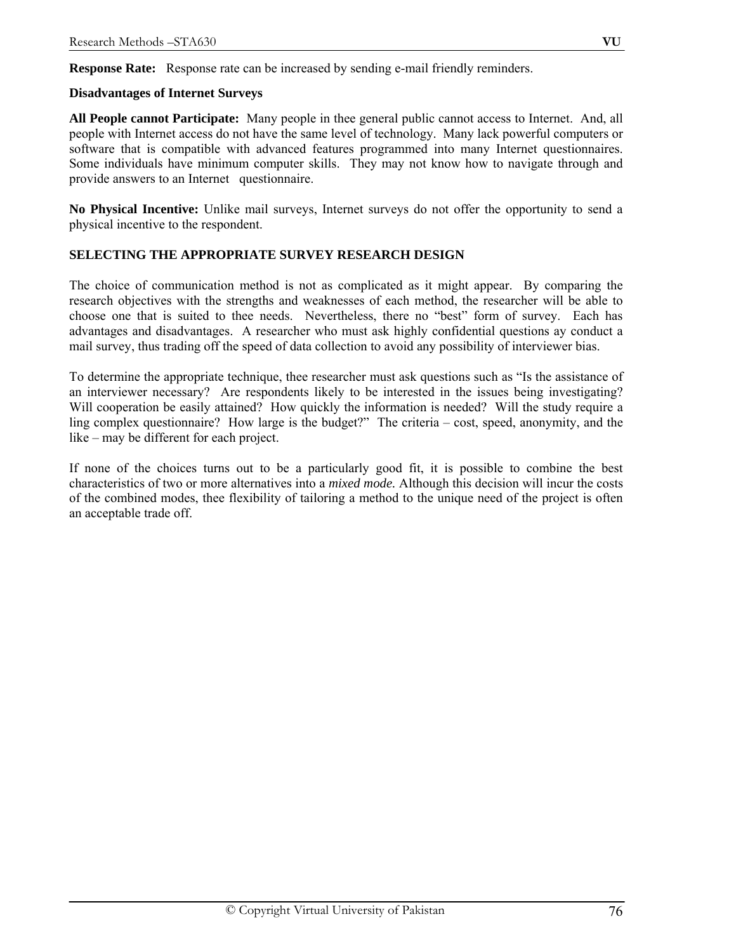## **Disadvantages of Internet Surveys**

**All People cannot Participate:** Many people in thee general public cannot access to Internet. And, all people with Internet access do not have the same level of technology. Many lack powerful computers or software that is compatible with advanced features programmed into many Internet questionnaires. Some individuals have minimum computer skills. They may not know how to navigate through and provide answers to an Internet questionnaire.

**No Physical Incentive:** Unlike mail surveys, Internet surveys do not offer the opportunity to send a physical incentive to the respondent.

# **SELECTING THE APPROPRIATE SURVEY RESEARCH DESIGN**

The choice of communication method is not as complicated as it might appear. By comparing the research objectives with the strengths and weaknesses of each method, the researcher will be able to choose one that is suited to thee needs. Nevertheless, there no "best" form of survey. Each has advantages and disadvantages. A researcher who must ask highly confidential questions ay conduct a mail survey, thus trading off the speed of data collection to avoid any possibility of interviewer bias.

To determine the appropriate technique, thee researcher must ask questions such as "Is the assistance of an interviewer necessary? Are respondents likely to be interested in the issues being investigating? Will cooperation be easily attained? How quickly the information is needed? Will the study require a ling complex questionnaire? How large is the budget?" The criteria – cost, speed, anonymity, and the like – may be different for each project.

If none of the choices turns out to be a particularly good fit, it is possible to combine the best characteristics of two or more alternatives into a *mixed mode.* Although this decision will incur the costs of the combined modes, thee flexibility of tailoring a method to the unique need of the project is often an acceptable trade off.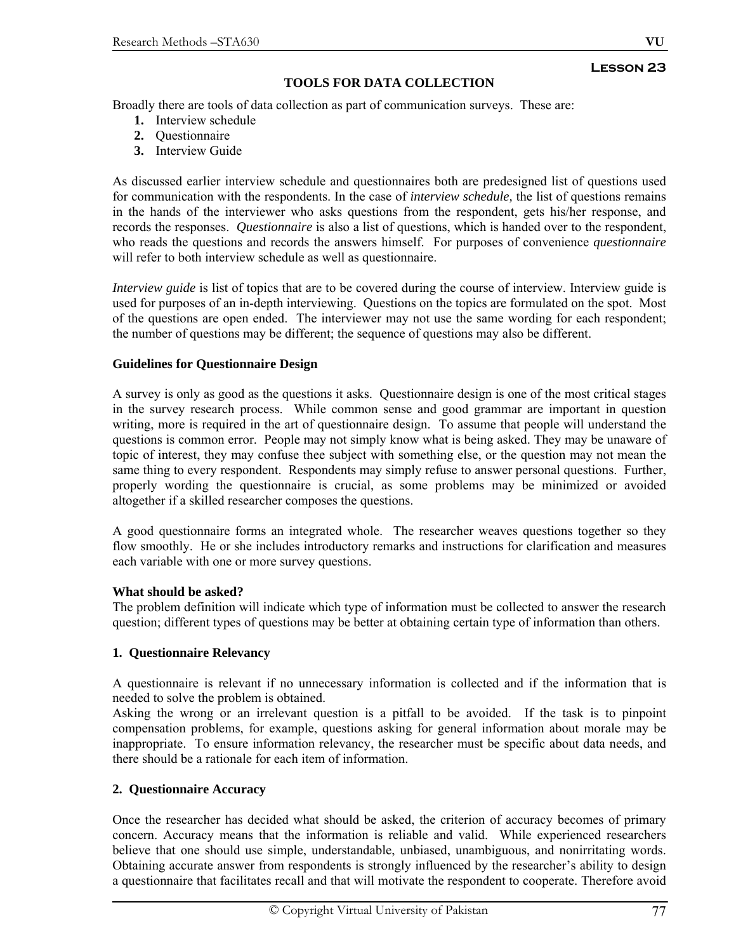# **TOOLS FOR DATA COLLECTION**

Broadly there are tools of data collection as part of communication surveys. These are:

- **1.** Interview schedule
- **2.** Questionnaire
- **3.** Interview Guide

As discussed earlier interview schedule and questionnaires both are predesigned list of questions used for communication with the respondents. In the case of *interview schedule,* the list of questions remains in the hands of the interviewer who asks questions from the respondent, gets his/her response, and records the responses. *Questionnaire* is also a list of questions, which is handed over to the respondent, who reads the questions and records the answers himself. For purposes of convenience *questionnaire*  will refer to both interview schedule as well as questionnaire.

*Interview guide* is list of topics that are to be covered during the course of interview. Interview guide is used for purposes of an in-depth interviewing. Questions on the topics are formulated on the spot. Most of the questions are open ended. The interviewer may not use the same wording for each respondent; the number of questions may be different; the sequence of questions may also be different.

## **Guidelines for Questionnaire Design**

A survey is only as good as the questions it asks. Questionnaire design is one of the most critical stages in the survey research process. While common sense and good grammar are important in question writing, more is required in the art of questionnaire design. To assume that people will understand the questions is common error. People may not simply know what is being asked. They may be unaware of topic of interest, they may confuse thee subject with something else, or the question may not mean the same thing to every respondent. Respondents may simply refuse to answer personal questions. Further, properly wording the questionnaire is crucial, as some problems may be minimized or avoided altogether if a skilled researcher composes the questions.

A good questionnaire forms an integrated whole. The researcher weaves questions together so they flow smoothly. He or she includes introductory remarks and instructions for clarification and measures each variable with one or more survey questions.

## **What should be asked?**

The problem definition will indicate which type of information must be collected to answer the research question; different types of questions may be better at obtaining certain type of information than others.

## **1. Questionnaire Relevancy**

A questionnaire is relevant if no unnecessary information is collected and if the information that is needed to solve the problem is obtained.

Asking the wrong or an irrelevant question is a pitfall to be avoided. If the task is to pinpoint compensation problems, for example, questions asking for general information about morale may be inappropriate. To ensure information relevancy, the researcher must be specific about data needs, and there should be a rationale for each item of information.

## **2. Questionnaire Accuracy**

Once the researcher has decided what should be asked, the criterion of accuracy becomes of primary concern. Accuracy means that the information is reliable and valid. While experienced researchers believe that one should use simple, understandable, unbiased, unambiguous, and nonirritating words. Obtaining accurate answer from respondents is strongly influenced by the researcher's ability to design a questionnaire that facilitates recall and that will motivate the respondent to cooperate. Therefore avoid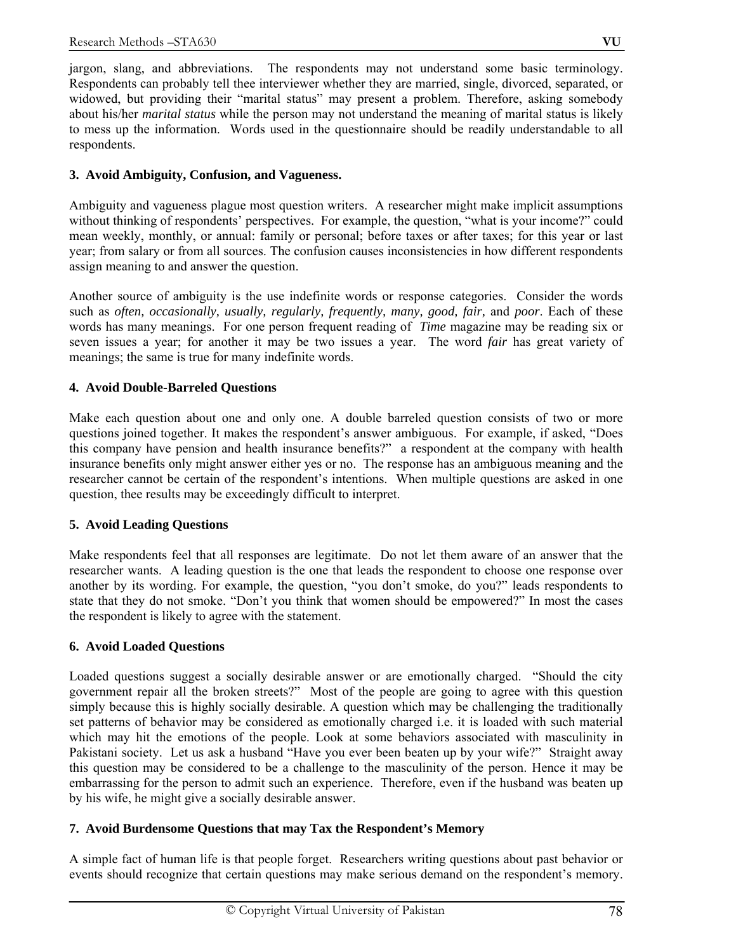jargon, slang, and abbreviations. The respondents may not understand some basic terminology. Respondents can probably tell thee interviewer whether they are married, single, divorced, separated, or widowed, but providing their "marital status" may present a problem. Therefore, asking somebody about his/her *marital status* while the person may not understand the meaning of marital status is likely to mess up the information. Words used in the questionnaire should be readily understandable to all respondents.

# **3. Avoid Ambiguity, Confusion, and Vagueness.**

Ambiguity and vagueness plague most question writers. A researcher might make implicit assumptions without thinking of respondents' perspectives. For example, the question, "what is your income?" could mean weekly, monthly, or annual: family or personal; before taxes or after taxes; for this year or last year; from salary or from all sources. The confusion causes inconsistencies in how different respondents assign meaning to and answer the question.

Another source of ambiguity is the use indefinite words or response categories. Consider the words such as *often, occasionally, usually, regularly, frequently, many, good, fair,* and *poor*. Each of these words has many meanings. For one person frequent reading of *Time* magazine may be reading six or seven issues a year; for another it may be two issues a year. The word *fair* has great variety of meanings; the same is true for many indefinite words.

## **4. Avoid Double-Barreled Questions**

Make each question about one and only one. A double barreled question consists of two or more questions joined together. It makes the respondent's answer ambiguous. For example, if asked, "Does this company have pension and health insurance benefits?" a respondent at the company with health insurance benefits only might answer either yes or no. The response has an ambiguous meaning and the researcher cannot be certain of the respondent's intentions. When multiple questions are asked in one question, thee results may be exceedingly difficult to interpret.

## **5. Avoid Leading Questions**

Make respondents feel that all responses are legitimate. Do not let them aware of an answer that the researcher wants. A leading question is the one that leads the respondent to choose one response over another by its wording. For example, the question, "you don't smoke, do you?" leads respondents to state that they do not smoke. "Don't you think that women should be empowered?" In most the cases the respondent is likely to agree with the statement.

## **6. Avoid Loaded Questions**

Loaded questions suggest a socially desirable answer or are emotionally charged. "Should the city government repair all the broken streets?" Most of the people are going to agree with this question simply because this is highly socially desirable. A question which may be challenging the traditionally set patterns of behavior may be considered as emotionally charged i.e. it is loaded with such material which may hit the emotions of the people. Look at some behaviors associated with masculinity in Pakistani society. Let us ask a husband "Have you ever been beaten up by your wife?" Straight away this question may be considered to be a challenge to the masculinity of the person. Hence it may be embarrassing for the person to admit such an experience. Therefore, even if the husband was beaten up by his wife, he might give a socially desirable answer.

## **7. Avoid Burdensome Questions that may Tax the Respondent's Memory**

A simple fact of human life is that people forget. Researchers writing questions about past behavior or events should recognize that certain questions may make serious demand on the respondent's memory.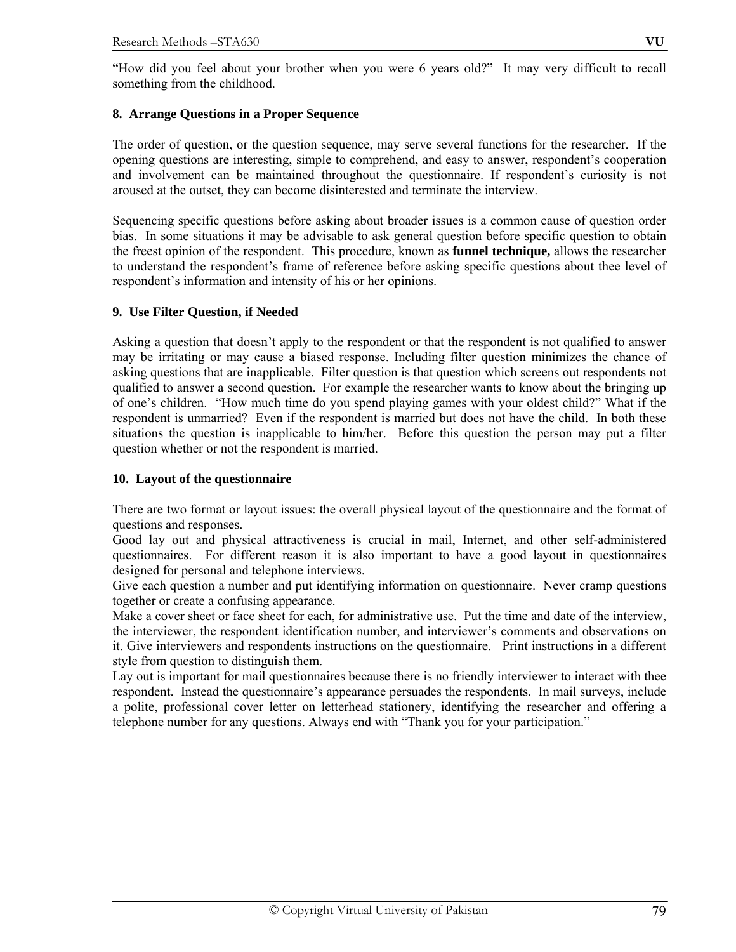"How did you feel about your brother when you were 6 years old?" It may very difficult to recall something from the childhood.

## **8. Arrange Questions in a Proper Sequence**

The order of question, or the question sequence, may serve several functions for the researcher. If the opening questions are interesting, simple to comprehend, and easy to answer, respondent's cooperation and involvement can be maintained throughout the questionnaire. If respondent's curiosity is not aroused at the outset, they can become disinterested and terminate the interview.

Sequencing specific questions before asking about broader issues is a common cause of question order bias. In some situations it may be advisable to ask general question before specific question to obtain the freest opinion of the respondent. This procedure, known as **funnel technique,** allows the researcher to understand the respondent's frame of reference before asking specific questions about thee level of respondent's information and intensity of his or her opinions.

#### **9. Use Filter Question, if Needed**

Asking a question that doesn't apply to the respondent or that the respondent is not qualified to answer may be irritating or may cause a biased response. Including filter question minimizes the chance of asking questions that are inapplicable. Filter question is that question which screens out respondents not qualified to answer a second question. For example the researcher wants to know about the bringing up of one's children. "How much time do you spend playing games with your oldest child?" What if the respondent is unmarried? Even if the respondent is married but does not have the child. In both these situations the question is inapplicable to him/her. Before this question the person may put a filter question whether or not the respondent is married.

#### **10. Layout of the questionnaire**

There are two format or layout issues: the overall physical layout of the questionnaire and the format of questions and responses.

Good lay out and physical attractiveness is crucial in mail, Internet, and other self-administered questionnaires. For different reason it is also important to have a good layout in questionnaires designed for personal and telephone interviews.

Give each question a number and put identifying information on questionnaire. Never cramp questions together or create a confusing appearance.

Make a cover sheet or face sheet for each, for administrative use. Put the time and date of the interview, the interviewer, the respondent identification number, and interviewer's comments and observations on it. Give interviewers and respondents instructions on the questionnaire. Print instructions in a different style from question to distinguish them.

Lay out is important for mail questionnaires because there is no friendly interviewer to interact with thee respondent. Instead the questionnaire's appearance persuades the respondents. In mail surveys, include a polite, professional cover letter on letterhead stationery, identifying the researcher and offering a telephone number for any questions. Always end with "Thank you for your participation."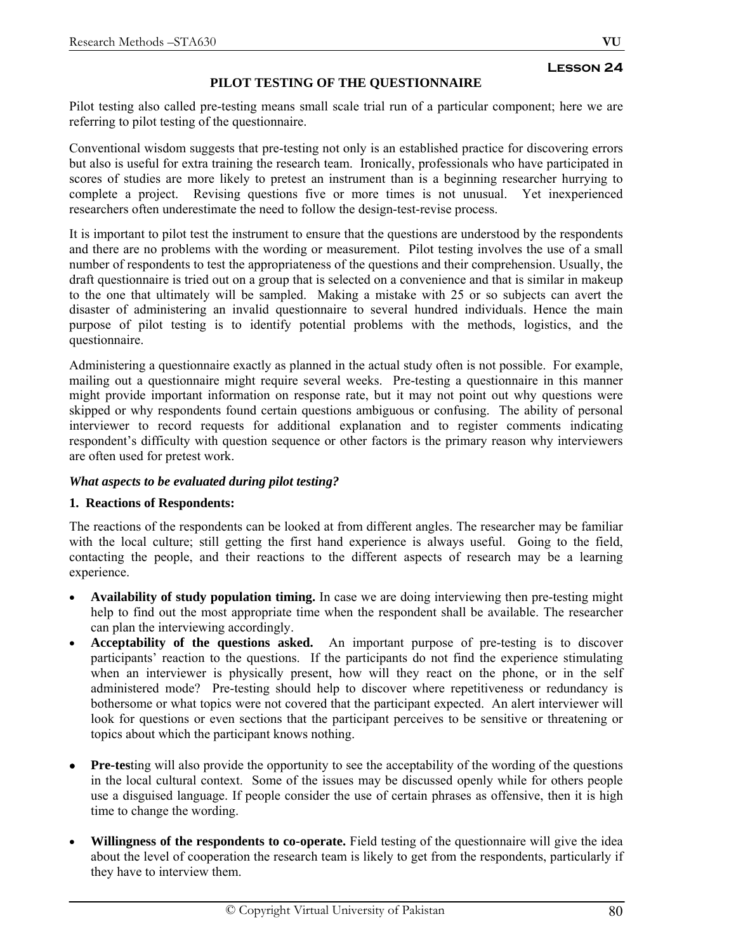## **Lesson 24**

# **PILOT TESTING OF THE QUESTIONNAIRE**

Pilot testing also called pre-testing means small scale trial run of a particular component; here we are referring to pilot testing of the questionnaire.

Conventional wisdom suggests that pre-testing not only is an established practice for discovering errors but also is useful for extra training the research team. Ironically, professionals who have participated in scores of studies are more likely to pretest an instrument than is a beginning researcher hurrying to complete a project. Revising questions five or more times is not unusual. Yet inexperienced researchers often underestimate the need to follow the design-test-revise process.

It is important to pilot test the instrument to ensure that the questions are understood by the respondents and there are no problems with the wording or measurement. Pilot testing involves the use of a small number of respondents to test the appropriateness of the questions and their comprehension. Usually, the draft questionnaire is tried out on a group that is selected on a convenience and that is similar in makeup to the one that ultimately will be sampled. Making a mistake with 25 or so subjects can avert the disaster of administering an invalid questionnaire to several hundred individuals. Hence the main purpose of pilot testing is to identify potential problems with the methods, logistics, and the questionnaire.

Administering a questionnaire exactly as planned in the actual study often is not possible. For example, mailing out a questionnaire might require several weeks. Pre-testing a questionnaire in this manner might provide important information on response rate, but it may not point out why questions were skipped or why respondents found certain questions ambiguous or confusing. The ability of personal interviewer to record requests for additional explanation and to register comments indicating respondent's difficulty with question sequence or other factors is the primary reason why interviewers are often used for pretest work.

## *What aspects to be evaluated during pilot testing?*

## **1. Reactions of Respondents:**

The reactions of the respondents can be looked at from different angles. The researcher may be familiar with the local culture; still getting the first hand experience is always useful. Going to the field, contacting the people, and their reactions to the different aspects of research may be a learning experience.

- **Availability of study population timing.** In case we are doing interviewing then pre-testing might help to find out the most appropriate time when the respondent shall be available. The researcher can plan the interviewing accordingly.
- **Acceptability of the questions asked.** An important purpose of pre-testing is to discover participants' reaction to the questions. If the participants do not find the experience stimulating when an interviewer is physically present, how will they react on the phone, or in the self administered mode? Pre-testing should help to discover where repetitiveness or redundancy is bothersome or what topics were not covered that the participant expected. An alert interviewer will look for questions or even sections that the participant perceives to be sensitive or threatening or topics about which the participant knows nothing.
- **Pre-testing will also provide the opportunity to see the acceptability of the wording of the questions** in the local cultural context. Some of the issues may be discussed openly while for others people use a disguised language. If people consider the use of certain phrases as offensive, then it is high time to change the wording.
- **Willingness of the respondents to co-operate.** Field testing of the questionnaire will give the idea about the level of cooperation the research team is likely to get from the respondents, particularly if they have to interview them.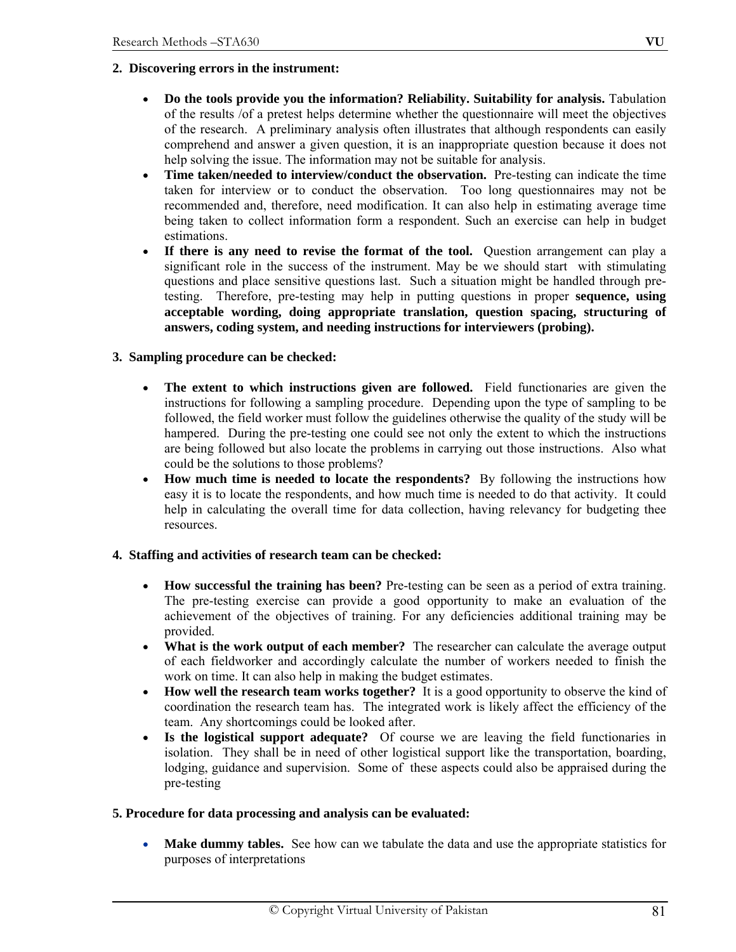## **2. Discovering errors in the instrument:**

- Do the tools provide you the information? Reliability. Suitability for analysis. Tabulation of the results /of a pretest helps determine whether the questionnaire will meet the objectives of the research. A preliminary analysis often illustrates that although respondents can easily comprehend and answer a given question, it is an inappropriate question because it does not help solving the issue. The information may not be suitable for analysis.
- **Time taken/needed to interview/conduct the observation.** Pre-testing can indicate the time taken for interview or to conduct the observation. Too long questionnaires may not be recommended and, therefore, need modification. It can also help in estimating average time being taken to collect information form a respondent. Such an exercise can help in budget estimations.
- If there is any need to revise the format of the tool. Question arrangement can play a significant role in the success of the instrument. May be we should start with stimulating questions and place sensitive questions last. Such a situation might be handled through pretesting. Therefore, pre-testing may help in putting questions in proper **sequence, using acceptable wording, doing appropriate translation, question spacing, structuring of answers, coding system, and needing instructions for interviewers (probing).**

## **3. Sampling procedure can be checked:**

- **The extent to which instructions given are followed.** Field functionaries are given the instructions for following a sampling procedure. Depending upon the type of sampling to be followed, the field worker must follow the guidelines otherwise the quality of the study will be hampered. During the pre-testing one could see not only the extent to which the instructions are being followed but also locate the problems in carrying out those instructions. Also what could be the solutions to those problems?
- **How much time is needed to locate the respondents?** By following the instructions how easy it is to locate the respondents, and how much time is needed to do that activity. It could help in calculating the overall time for data collection, having relevancy for budgeting thee resources.

#### **4. Staffing and activities of research team can be checked:**

- **How successful the training has been?** Pre-testing can be seen as a period of extra training. The pre-testing exercise can provide a good opportunity to make an evaluation of the achievement of the objectives of training. For any deficiencies additional training may be provided.
- **What is the work output of each member?** The researcher can calculate the average output of each fieldworker and accordingly calculate the number of workers needed to finish the work on time. It can also help in making the budget estimates.
- **How well the research team works together?** It is a good opportunity to observe the kind of coordination the research team has. The integrated work is likely affect the efficiency of the team. Any shortcomings could be looked after.
- **Is the logistical support adequate?** Of course we are leaving the field functionaries in isolation. They shall be in need of other logistical support like the transportation, boarding, lodging, guidance and supervision. Some of these aspects could also be appraised during the pre-testing

#### **5. Procedure for data processing and analysis can be evaluated:**

• **Make dummy tables.** See how can we tabulate the data and use the appropriate statistics for purposes of interpretations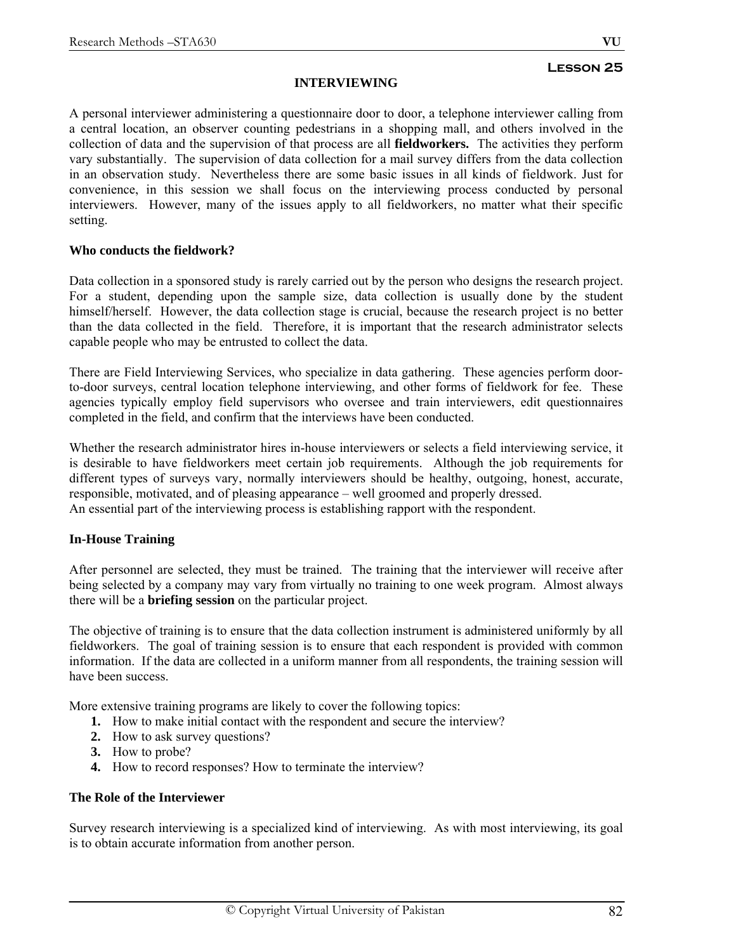#### **Lesson 25**

## **INTERVIEWING**

A personal interviewer administering a questionnaire door to door, a telephone interviewer calling from a central location, an observer counting pedestrians in a shopping mall, and others involved in the collection of data and the supervision of that process are all **fieldworkers.** The activities they perform vary substantially. The supervision of data collection for a mail survey differs from the data collection in an observation study. Nevertheless there are some basic issues in all kinds of fieldwork. Just for convenience, in this session we shall focus on the interviewing process conducted by personal interviewers. However, many of the issues apply to all fieldworkers, no matter what their specific setting.

#### **Who conducts the fieldwork?**

Data collection in a sponsored study is rarely carried out by the person who designs the research project. For a student, depending upon the sample size, data collection is usually done by the student himself/herself. However, the data collection stage is crucial, because the research project is no better than the data collected in the field. Therefore, it is important that the research administrator selects capable people who may be entrusted to collect the data.

There are Field Interviewing Services, who specialize in data gathering. These agencies perform doorto-door surveys, central location telephone interviewing, and other forms of fieldwork for fee. These agencies typically employ field supervisors who oversee and train interviewers, edit questionnaires completed in the field, and confirm that the interviews have been conducted.

Whether the research administrator hires in-house interviewers or selects a field interviewing service, it is desirable to have fieldworkers meet certain job requirements. Although the job requirements for different types of surveys vary, normally interviewers should be healthy, outgoing, honest, accurate, responsible, motivated, and of pleasing appearance – well groomed and properly dressed. An essential part of the interviewing process is establishing rapport with the respondent.

#### **In-House Training**

After personnel are selected, they must be trained. The training that the interviewer will receive after being selected by a company may vary from virtually no training to one week program. Almost always there will be a **briefing session** on the particular project.

The objective of training is to ensure that the data collection instrument is administered uniformly by all fieldworkers. The goal of training session is to ensure that each respondent is provided with common information. If the data are collected in a uniform manner from all respondents, the training session will have been success.

More extensive training programs are likely to cover the following topics:

- **1.** How to make initial contact with the respondent and secure the interview?
- **2.** How to ask survey questions?
- **3.** How to probe?
- **4.** How to record responses? How to terminate the interview?

#### **The Role of the Interviewer**

Survey research interviewing is a specialized kind of interviewing. As with most interviewing, its goal is to obtain accurate information from another person.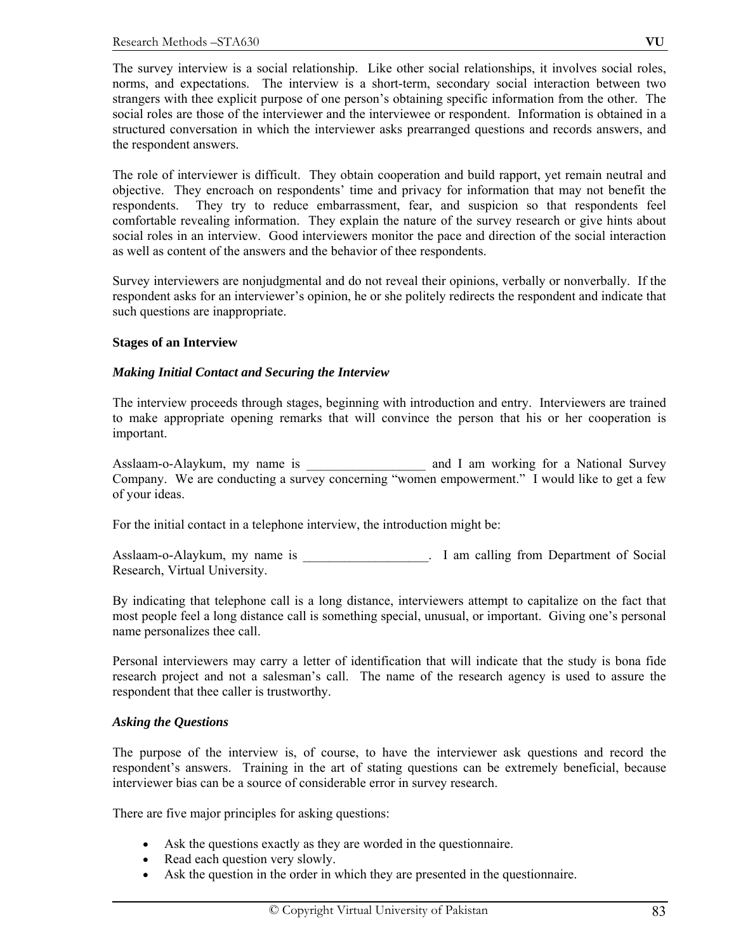The survey interview is a social relationship. Like other social relationships, it involves social roles, norms, and expectations. The interview is a short-term, secondary social interaction between two strangers with thee explicit purpose of one person's obtaining specific information from the other. The social roles are those of the interviewer and the interviewee or respondent. Information is obtained in a structured conversation in which the interviewer asks prearranged questions and records answers, and the respondent answers.

The role of interviewer is difficult. They obtain cooperation and build rapport, yet remain neutral and objective. They encroach on respondents' time and privacy for information that may not benefit the respondents. They try to reduce embarrassment, fear, and suspicion so that respondents feel comfortable revealing information. They explain the nature of the survey research or give hints about social roles in an interview. Good interviewers monitor the pace and direction of the social interaction as well as content of the answers and the behavior of thee respondents.

Survey interviewers are nonjudgmental and do not reveal their opinions, verbally or nonverbally. If the respondent asks for an interviewer's opinion, he or she politely redirects the respondent and indicate that such questions are inappropriate.

## **Stages of an Interview**

## *Making Initial Contact and Securing the Interview*

The interview proceeds through stages, beginning with introduction and entry. Interviewers are trained to make appropriate opening remarks that will convince the person that his or her cooperation is important.

Asslaam-o-Alaykum, my name is \_\_\_\_\_\_\_\_\_\_\_\_\_\_\_\_\_\_\_\_\_ and I am working for a National Survey Company. We are conducting a survey concerning "women empowerment." I would like to get a few of your ideas.

For the initial contact in a telephone interview, the introduction might be:

Asslaam-o-Alaykum, my name is example is a set of Social in the Department of Social Research, Virtual University.

By indicating that telephone call is a long distance, interviewers attempt to capitalize on the fact that most people feel a long distance call is something special, unusual, or important. Giving one's personal name personalizes thee call.

Personal interviewers may carry a letter of identification that will indicate that the study is bona fide research project and not a salesman's call. The name of the research agency is used to assure the respondent that thee caller is trustworthy.

#### *Asking the Questions*

The purpose of the interview is, of course, to have the interviewer ask questions and record the respondent's answers. Training in the art of stating questions can be extremely beneficial, because interviewer bias can be a source of considerable error in survey research.

There are five major principles for asking questions:

- Ask the questions exactly as they are worded in the questionnaire.
- Read each question very slowly.
- Ask the question in the order in which they are presented in the questionnaire.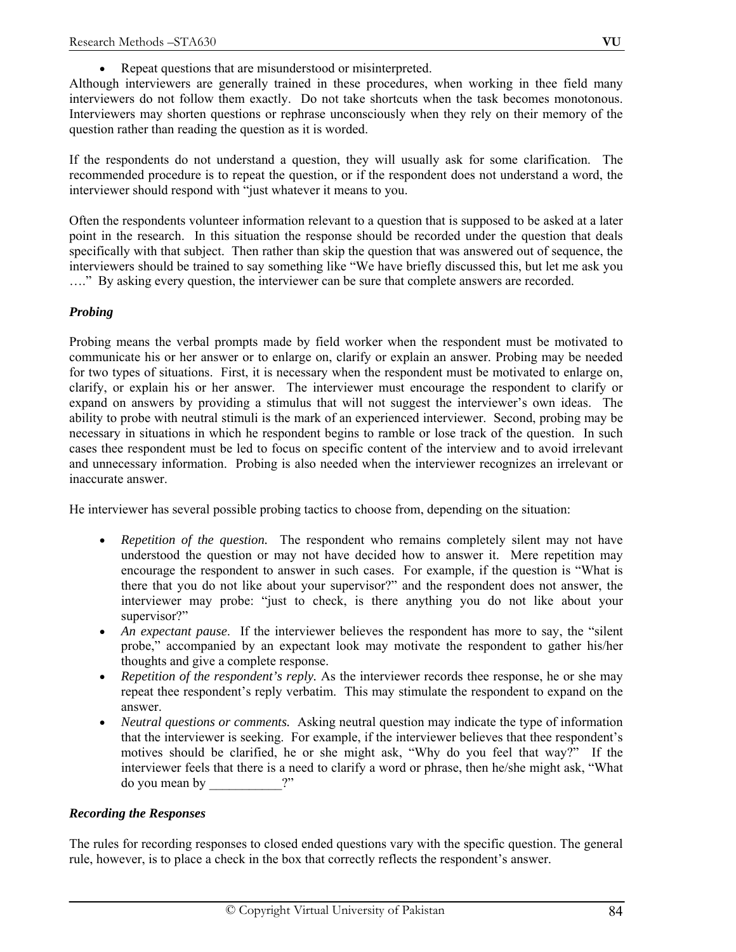Although interviewers are generally trained in these procedures, when working in thee field many interviewers do not follow them exactly. Do not take shortcuts when the task becomes monotonous. Interviewers may shorten questions or rephrase unconsciously when they rely on their memory of the question rather than reading the question as it is worded.

If the respondents do not understand a question, they will usually ask for some clarification. The recommended procedure is to repeat the question, or if the respondent does not understand a word, the interviewer should respond with "just whatever it means to you.

Often the respondents volunteer information relevant to a question that is supposed to be asked at a later point in the research. In this situation the response should be recorded under the question that deals specifically with that subject. Then rather than skip the question that was answered out of sequence, the interviewers should be trained to say something like "We have briefly discussed this, but let me ask you …." By asking every question, the interviewer can be sure that complete answers are recorded.

## *Probing*

Probing means the verbal prompts made by field worker when the respondent must be motivated to communicate his or her answer or to enlarge on, clarify or explain an answer. Probing may be needed for two types of situations. First, it is necessary when the respondent must be motivated to enlarge on, clarify, or explain his or her answer. The interviewer must encourage the respondent to clarify or expand on answers by providing a stimulus that will not suggest the interviewer's own ideas. The ability to probe with neutral stimuli is the mark of an experienced interviewer. Second, probing may be necessary in situations in which he respondent begins to ramble or lose track of the question. In such cases thee respondent must be led to focus on specific content of the interview and to avoid irrelevant and unnecessary information. Probing is also needed when the interviewer recognizes an irrelevant or inaccurate answer.

He interviewer has several possible probing tactics to choose from, depending on the situation:

- *Repetition of the question.* The respondent who remains completely silent may not have understood the question or may not have decided how to answer it. Mere repetition may encourage the respondent to answer in such cases. For example, if the question is "What is there that you do not like about your supervisor?" and the respondent does not answer, the interviewer may probe: "just to check, is there anything you do not like about your supervisor?"
- *An expectant pause*. If the interviewer believes the respondent has more to say, the "silent probe," accompanied by an expectant look may motivate the respondent to gather his/her thoughts and give a complete response.
- *Repetition of the respondent's reply.* As the interviewer records thee response, he or she may repeat thee respondent's reply verbatim. This may stimulate the respondent to expand on the answer.
- *Neutral questions or comments.* Asking neutral question may indicate the type of information that the interviewer is seeking. For example, if the interviewer believes that thee respondent's motives should be clarified, he or she might ask, "Why do you feel that way?" If the interviewer feels that there is a need to clarify a word or phrase, then he/she might ask, "What  $\frac{1}{2}$  do you mean by  $\frac{1}{2}$  ?"

## *Recording the Responses*

The rules for recording responses to closed ended questions vary with the specific question. The general rule, however, is to place a check in the box that correctly reflects the respondent's answer.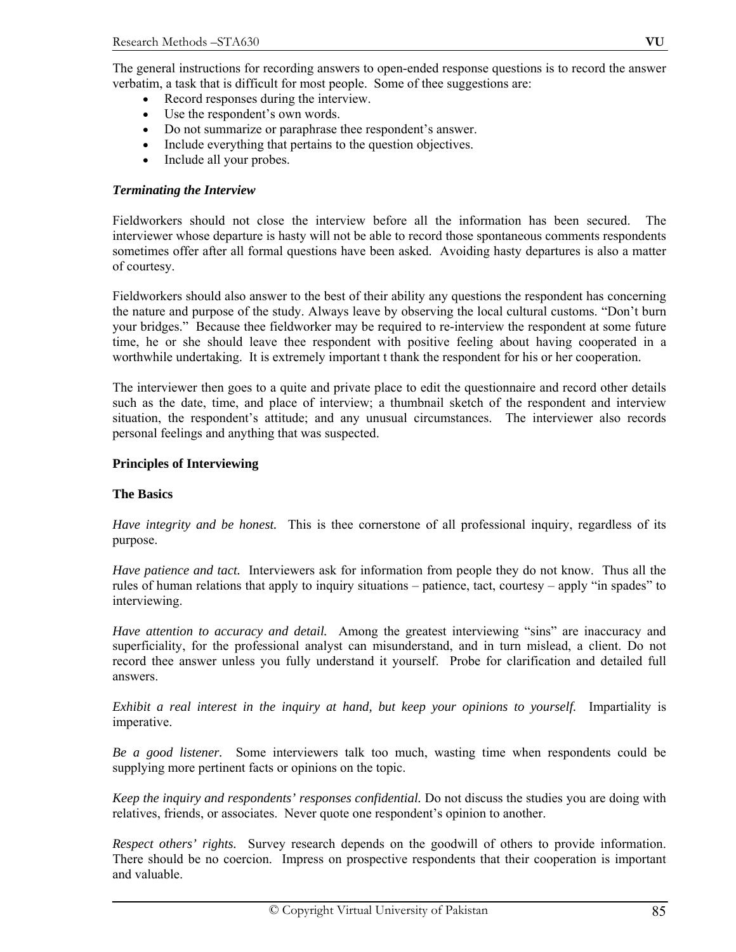The general instructions for recording answers to open-ended response questions is to record the answer verbatim, a task that is difficult for most people. Some of thee suggestions are:

- Record responses during the interview.
- Use the respondent's own words.
- Do not summarize or paraphrase thee respondent's answer.
- Include everything that pertains to the question objectives.
- Include all your probes.

#### *Terminating the Interview*

Fieldworkers should not close the interview before all the information has been secured. The interviewer whose departure is hasty will not be able to record those spontaneous comments respondents sometimes offer after all formal questions have been asked. Avoiding hasty departures is also a matter of courtesy.

Fieldworkers should also answer to the best of their ability any questions the respondent has concerning the nature and purpose of the study. Always leave by observing the local cultural customs. "Don't burn your bridges." Because thee fieldworker may be required to re-interview the respondent at some future time, he or she should leave thee respondent with positive feeling about having cooperated in a worthwhile undertaking. It is extremely important t thank the respondent for his or her cooperation.

The interviewer then goes to a quite and private place to edit the questionnaire and record other details such as the date, time, and place of interview; a thumbnail sketch of the respondent and interview situation, the respondent's attitude; and any unusual circumstances. The interviewer also records personal feelings and anything that was suspected.

#### **Principles of Interviewing**

#### **The Basics**

*Have integrity and be honest.* This is thee cornerstone of all professional inquiry, regardless of its purpose.

*Have patience and tact.* Interviewers ask for information from people they do not know. Thus all the rules of human relations that apply to inquiry situations – patience, tact, courtesy – apply "in spades" to interviewing.

*Have attention to accuracy and detail.* Among the greatest interviewing "sins" are inaccuracy and superficiality, for the professional analyst can misunderstand, and in turn mislead, a client. Do not record thee answer unless you fully understand it yourself. Probe for clarification and detailed full answers.

*Exhibit a real interest in the inquiry at hand, but keep your opinions to yourself.* Impartiality is imperative.

*Be a good listener.* Some interviewers talk too much, wasting time when respondents could be supplying more pertinent facts or opinions on the topic.

*Keep the inquiry and respondents' responses confidential.* Do not discuss the studies you are doing with relatives, friends, or associates. Never quote one respondent's opinion to another.

*Respect others' rights.* Survey research depends on the goodwill of others to provide information. There should be no coercion. Impress on prospective respondents that their cooperation is important and valuable.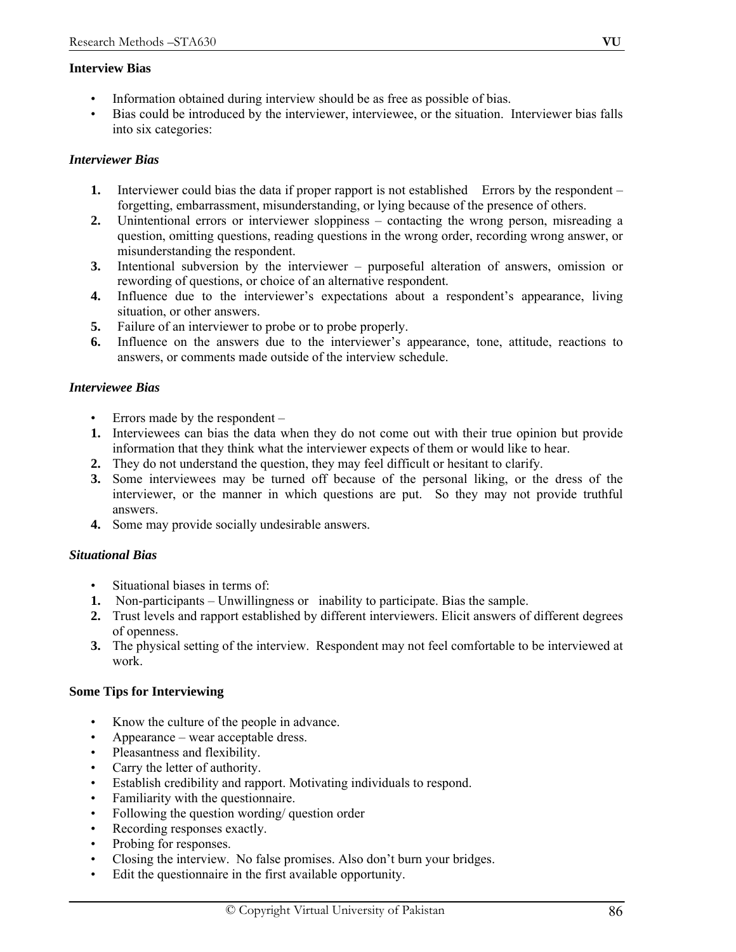#### **Interview Bias**

- Information obtained during interview should be as free as possible of bias.
- Bias could be introduced by the interviewer, interviewee, or the situation. Interviewer bias falls into six categories:

## *Interviewer Bias*

- **1.** Interviewer could bias the data if proper rapport is not established Errors by the respondent forgetting, embarrassment, misunderstanding, or lying because of the presence of others.
- **2.** Unintentional errors or interviewer sloppiness contacting the wrong person, misreading a question, omitting questions, reading questions in the wrong order, recording wrong answer, or misunderstanding the respondent.
- **3.** Intentional subversion by the interviewer purposeful alteration of answers, omission or rewording of questions, or choice of an alternative respondent.
- **4.** Influence due to the interviewer's expectations about a respondent's appearance, living situation, or other answers.
- **5.** Failure of an interviewer to probe or to probe properly.
- **6.** Influence on the answers due to the interviewer's appearance, tone, attitude, reactions to answers, or comments made outside of the interview schedule.

## *Interviewee Bias*

- Errors made by the respondent –
- **1.** Interviewees can bias the data when they do not come out with their true opinion but provide information that they think what the interviewer expects of them or would like to hear.
- **2.** They do not understand the question, they may feel difficult or hesitant to clarify.
- **3.** Some interviewees may be turned off because of the personal liking, or the dress of the interviewer, or the manner in which questions are put. So they may not provide truthful answers.
- **4.** Some may provide socially undesirable answers.

#### *Situational Bias*

- Situational biases in terms of:
- **1.** Non-participants Unwillingness or inability to participate. Bias the sample.
- **2.** Trust levels and rapport established by different interviewers. Elicit answers of different degrees of openness.
- **3.** The physical setting of the interview. Respondent may not feel comfortable to be interviewed at work.

## **Some Tips for Interviewing**

- Know the culture of the people in advance.
- Appearance wear acceptable dress.
- Pleasantness and flexibility.
- Carry the letter of authority.
- Establish credibility and rapport. Motivating individuals to respond.
- Familiarity with the questionnaire.
- Following the question wording/ question order
- Recording responses exactly.
- Probing for responses.
- Closing the interview. No false promises. Also don't burn your bridges.
- Edit the questionnaire in the first available opportunity.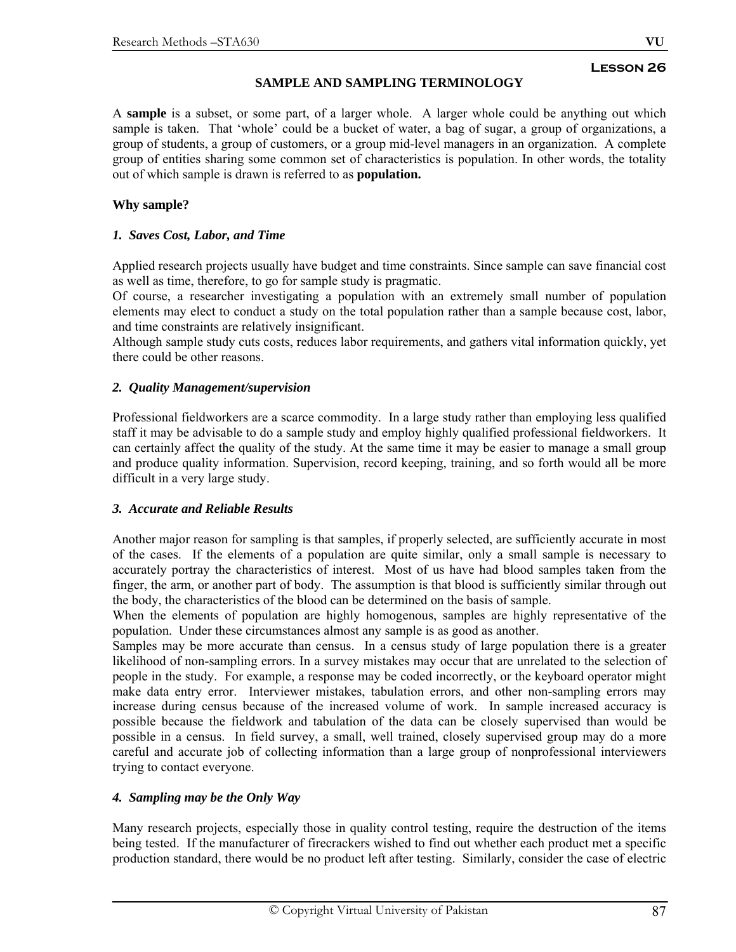**Lesson 26**

# **SAMPLE AND SAMPLING TERMINOLOGY**

A **sample** is a subset, or some part, of a larger whole. A larger whole could be anything out which sample is taken. That 'whole' could be a bucket of water, a bag of sugar, a group of organizations, a group of students, a group of customers, or a group mid-level managers in an organization. A complete group of entities sharing some common set of characteristics is population. In other words, the totality out of which sample is drawn is referred to as **population.** 

# **Why sample?**

# *1. Saves Cost, Labor, and Time*

Applied research projects usually have budget and time constraints. Since sample can save financial cost as well as time, therefore, to go for sample study is pragmatic.

Of course, a researcher investigating a population with an extremely small number of population elements may elect to conduct a study on the total population rather than a sample because cost, labor, and time constraints are relatively insignificant.

Although sample study cuts costs, reduces labor requirements, and gathers vital information quickly, yet there could be other reasons.

# *2. Quality Management/supervision*

Professional fieldworkers are a scarce commodity. In a large study rather than employing less qualified staff it may be advisable to do a sample study and employ highly qualified professional fieldworkers. It can certainly affect the quality of the study. At the same time it may be easier to manage a small group and produce quality information. Supervision, record keeping, training, and so forth would all be more difficult in a very large study.

# *3. Accurate and Reliable Results*

Another major reason for sampling is that samples, if properly selected, are sufficiently accurate in most of the cases. If the elements of a population are quite similar, only a small sample is necessary to accurately portray the characteristics of interest. Most of us have had blood samples taken from the finger, the arm, or another part of body. The assumption is that blood is sufficiently similar through out the body, the characteristics of the blood can be determined on the basis of sample.

When the elements of population are highly homogenous, samples are highly representative of the population. Under these circumstances almost any sample is as good as another.

Samples may be more accurate than census. In a census study of large population there is a greater likelihood of non-sampling errors. In a survey mistakes may occur that are unrelated to the selection of people in the study. For example, a response may be coded incorrectly, or the keyboard operator might make data entry error. Interviewer mistakes, tabulation errors, and other non-sampling errors may increase during census because of the increased volume of work. In sample increased accuracy is possible because the fieldwork and tabulation of the data can be closely supervised than would be possible in a census. In field survey, a small, well trained, closely supervised group may do a more careful and accurate job of collecting information than a large group of nonprofessional interviewers trying to contact everyone.

# *4. Sampling may be the Only Way*

Many research projects, especially those in quality control testing, require the destruction of the items being tested. If the manufacturer of firecrackers wished to find out whether each product met a specific production standard, there would be no product left after testing. Similarly, consider the case of electric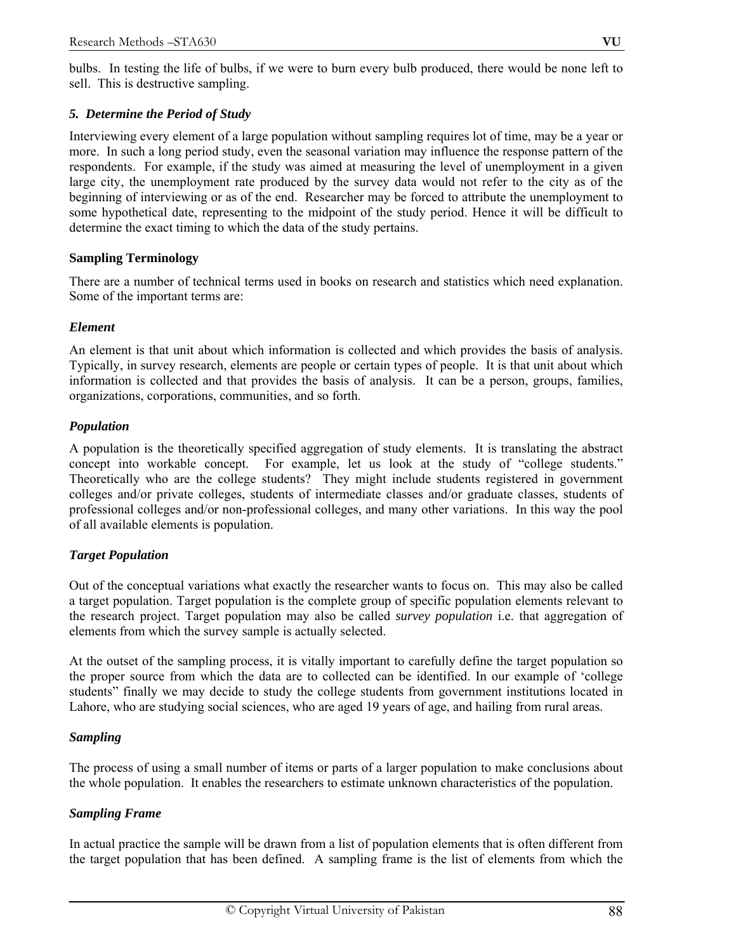bulbs. In testing the life of bulbs, if we were to burn every bulb produced, there would be none left to sell. This is destructive sampling.

# *5. Determine the Period of Study*

Interviewing every element of a large population without sampling requires lot of time, may be a year or more. In such a long period study, even the seasonal variation may influence the response pattern of the respondents. For example, if the study was aimed at measuring the level of unemployment in a given large city, the unemployment rate produced by the survey data would not refer to the city as of the beginning of interviewing or as of the end. Researcher may be forced to attribute the unemployment to some hypothetical date, representing to the midpoint of the study period. Hence it will be difficult to determine the exact timing to which the data of the study pertains.

# **Sampling Terminology**

There are a number of technical terms used in books on research and statistics which need explanation. Some of the important terms are:

# *Element*

An element is that unit about which information is collected and which provides the basis of analysis. Typically, in survey research, elements are people or certain types of people. It is that unit about which information is collected and that provides the basis of analysis. It can be a person, groups, families, organizations, corporations, communities, and so forth.

# *Population*

A population is the theoretically specified aggregation of study elements. It is translating the abstract concept into workable concept. For example, let us look at the study of "college students." Theoretically who are the college students? They might include students registered in government colleges and/or private colleges, students of intermediate classes and/or graduate classes, students of professional colleges and/or non-professional colleges, and many other variations. In this way the pool of all available elements is population.

# *Target Population*

Out of the conceptual variations what exactly the researcher wants to focus on. This may also be called a target population. Target population is the complete group of specific population elements relevant to the research project. Target population may also be called *survey population* i.e. that aggregation of elements from which the survey sample is actually selected.

At the outset of the sampling process, it is vitally important to carefully define the target population so the proper source from which the data are to collected can be identified. In our example of 'college students" finally we may decide to study the college students from government institutions located in Lahore, who are studying social sciences, who are aged 19 years of age, and hailing from rural areas.

## *Sampling*

The process of using a small number of items or parts of a larger population to make conclusions about the whole population. It enables the researchers to estimate unknown characteristics of the population.

## *Sampling Frame*

In actual practice the sample will be drawn from a list of population elements that is often different from the target population that has been defined. A sampling frame is the list of elements from which the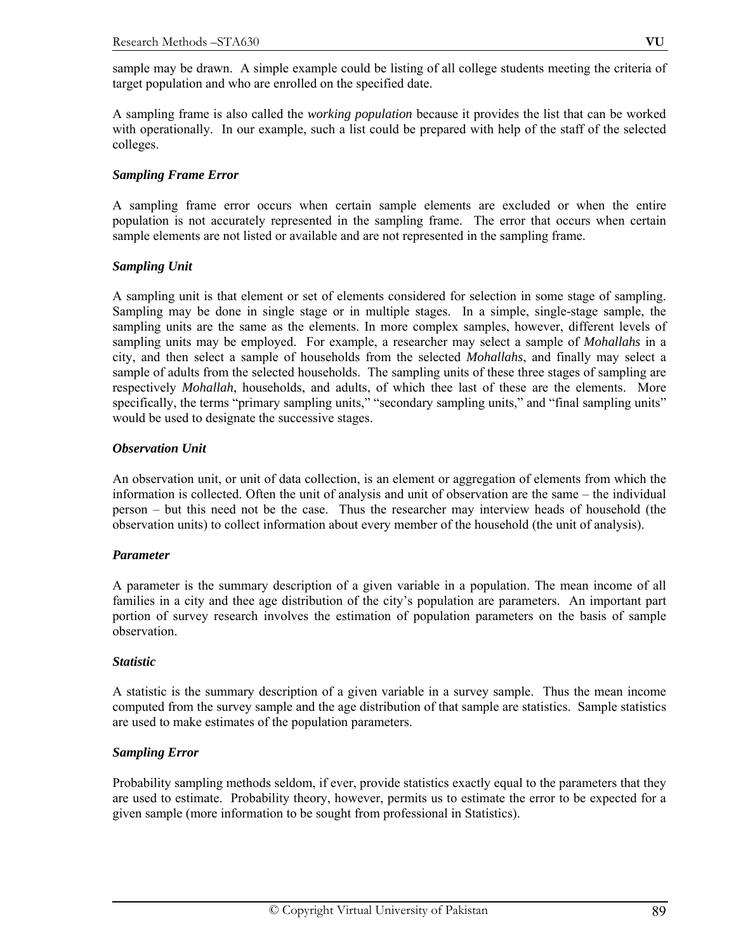sample may be drawn. A simple example could be listing of all college students meeting the criteria of target population and who are enrolled on the specified date.

A sampling frame is also called the *working population* because it provides the list that can be worked with operationally. In our example, such a list could be prepared with help of the staff of the selected colleges.

## *Sampling Frame Error*

A sampling frame error occurs when certain sample elements are excluded or when the entire population is not accurately represented in the sampling frame. The error that occurs when certain sample elements are not listed or available and are not represented in the sampling frame.

#### *Sampling Unit*

A sampling unit is that element or set of elements considered for selection in some stage of sampling. Sampling may be done in single stage or in multiple stages. In a simple, single-stage sample, the sampling units are the same as the elements. In more complex samples, however, different levels of sampling units may be employed. For example, a researcher may select a sample of *Mohallahs* in a city, and then select a sample of households from the selected *Mohallahs*, and finally may select a sample of adults from the selected households. The sampling units of these three stages of sampling are respectively *Mohallah*, households, and adults, of which thee last of these are the elements. More specifically, the terms "primary sampling units," "secondary sampling units," and "final sampling units" would be used to designate the successive stages.

## *Observation Unit*

An observation unit, or unit of data collection, is an element or aggregation of elements from which the information is collected. Often the unit of analysis and unit of observation are the same – the individual person – but this need not be the case. Thus the researcher may interview heads of household (the observation units) to collect information about every member of the household (the unit of analysis).

#### *Parameter*

A parameter is the summary description of a given variable in a population. The mean income of all families in a city and thee age distribution of the city's population are parameters. An important part portion of survey research involves the estimation of population parameters on the basis of sample observation.

#### *Statistic*

A statistic is the summary description of a given variable in a survey sample. Thus the mean income computed from the survey sample and the age distribution of that sample are statistics. Sample statistics are used to make estimates of the population parameters.

## *Sampling Error*

Probability sampling methods seldom, if ever, provide statistics exactly equal to the parameters that they are used to estimate. Probability theory, however, permits us to estimate the error to be expected for a given sample (more information to be sought from professional in Statistics).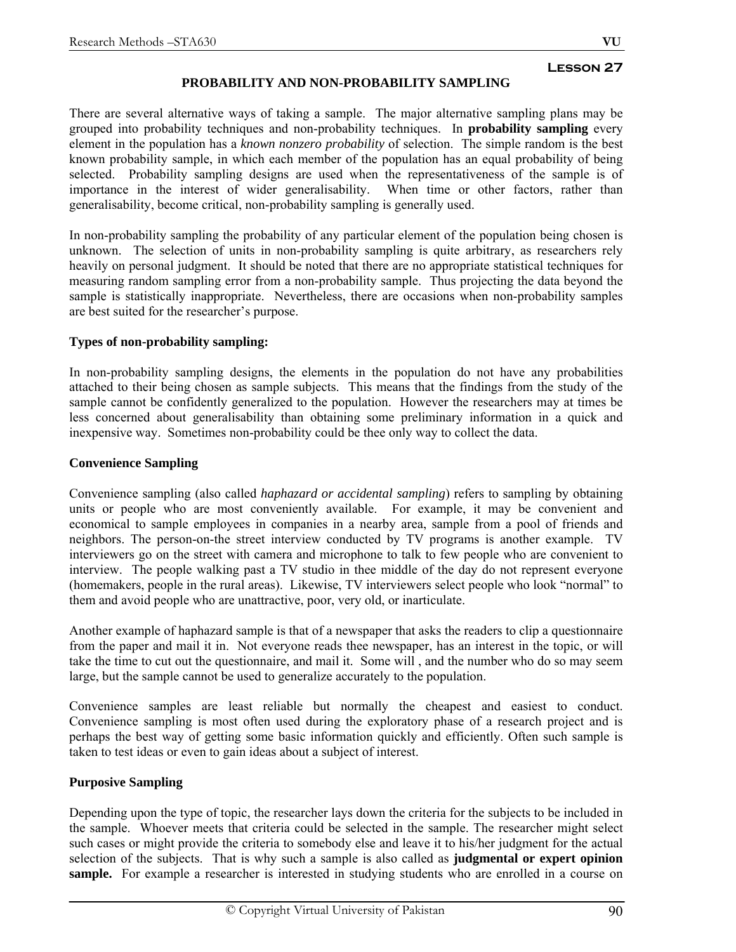#### **Lesson 27**

#### **PROBABILITY AND NON-PROBABILITY SAMPLING**

There are several alternative ways of taking a sample. The major alternative sampling plans may be grouped into probability techniques and non-probability techniques. In **probability sampling** every element in the population has a *known nonzero probability* of selection. The simple random is the best known probability sample, in which each member of the population has an equal probability of being selected. Probability sampling designs are used when the representativeness of the sample is of importance in the interest of wider generalisability. When time or other factors, rather than generalisability, become critical, non-probability sampling is generally used.

In non-probability sampling the probability of any particular element of the population being chosen is unknown. The selection of units in non-probability sampling is quite arbitrary, as researchers rely heavily on personal judgment. It should be noted that there are no appropriate statistical techniques for measuring random sampling error from a non-probability sample. Thus projecting the data beyond the sample is statistically inappropriate. Nevertheless, there are occasions when non-probability samples are best suited for the researcher's purpose.

#### **Types of non-probability sampling:**

In non-probability sampling designs, the elements in the population do not have any probabilities attached to their being chosen as sample subjects. This means that the findings from the study of the sample cannot be confidently generalized to the population. However the researchers may at times be less concerned about generalisability than obtaining some preliminary information in a quick and inexpensive way. Sometimes non-probability could be thee only way to collect the data.

#### **Convenience Sampling**

Convenience sampling (also called *haphazard or accidental sampling*) refers to sampling by obtaining units or people who are most conveniently available. For example, it may be convenient and economical to sample employees in companies in a nearby area, sample from a pool of friends and neighbors. The person-on-the street interview conducted by TV programs is another example. TV interviewers go on the street with camera and microphone to talk to few people who are convenient to interview. The people walking past a TV studio in thee middle of the day do not represent everyone (homemakers, people in the rural areas). Likewise, TV interviewers select people who look "normal" to them and avoid people who are unattractive, poor, very old, or inarticulate.

Another example of haphazard sample is that of a newspaper that asks the readers to clip a questionnaire from the paper and mail it in. Not everyone reads thee newspaper, has an interest in the topic, or will take the time to cut out the questionnaire, and mail it. Some will , and the number who do so may seem large, but the sample cannot be used to generalize accurately to the population.

Convenience samples are least reliable but normally the cheapest and easiest to conduct. Convenience sampling is most often used during the exploratory phase of a research project and is perhaps the best way of getting some basic information quickly and efficiently. Often such sample is taken to test ideas or even to gain ideas about a subject of interest.

#### **Purposive Sampling**

Depending upon the type of topic, the researcher lays down the criteria for the subjects to be included in the sample. Whoever meets that criteria could be selected in the sample. The researcher might select such cases or might provide the criteria to somebody else and leave it to his/her judgment for the actual selection of the subjects. That is why such a sample is also called as **judgmental or expert opinion sample.** For example a researcher is interested in studying students who are enrolled in a course on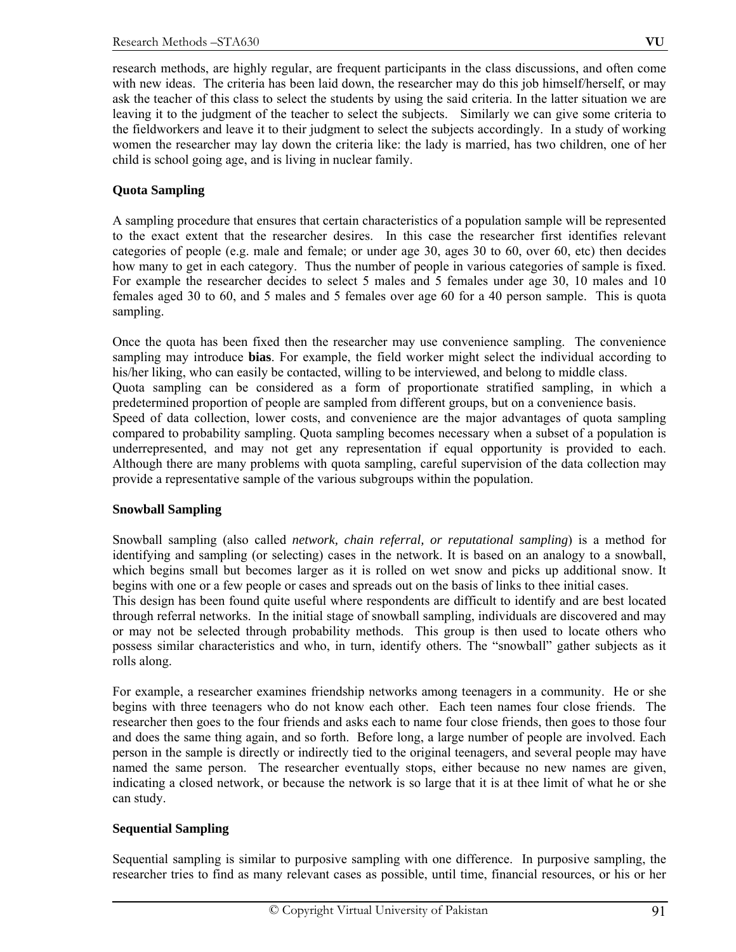research methods, are highly regular, are frequent participants in the class discussions, and often come with new ideas. The criteria has been laid down, the researcher may do this job himself/herself, or may ask the teacher of this class to select the students by using the said criteria. In the latter situation we are leaving it to the judgment of the teacher to select the subjects. Similarly we can give some criteria to the fieldworkers and leave it to their judgment to select the subjects accordingly. In a study of working women the researcher may lay down the criteria like: the lady is married, has two children, one of her child is school going age, and is living in nuclear family.

# **Quota Sampling**

A sampling procedure that ensures that certain characteristics of a population sample will be represented to the exact extent that the researcher desires. In this case the researcher first identifies relevant categories of people (e.g. male and female; or under age 30, ages 30 to 60, over 60, etc) then decides how many to get in each category. Thus the number of people in various categories of sample is fixed. For example the researcher decides to select 5 males and 5 females under age 30, 10 males and 10 females aged 30 to 60, and 5 males and 5 females over age 60 for a 40 person sample. This is quota sampling.

Once the quota has been fixed then the researcher may use convenience sampling. The convenience sampling may introduce **bias**. For example, the field worker might select the individual according to his/her liking, who can easily be contacted, willing to be interviewed, and belong to middle class. Quota sampling can be considered as a form of proportionate stratified sampling, in which a predetermined proportion of people are sampled from different groups, but on a convenience basis. Speed of data collection, lower costs, and convenience are the major advantages of quota sampling compared to probability sampling. Quota sampling becomes necessary when a subset of a population is underrepresented, and may not get any representation if equal opportunity is provided to each. Although there are many problems with quota sampling, careful supervision of the data collection may provide a representative sample of the various subgroups within the population.

## **Snowball Sampling**

Snowball sampling (also called *network, chain referral, or reputational sampling*) is a method for identifying and sampling (or selecting) cases in the network. It is based on an analogy to a snowball, which begins small but becomes larger as it is rolled on wet snow and picks up additional snow. It begins with one or a few people or cases and spreads out on the basis of links to thee initial cases.

This design has been found quite useful where respondents are difficult to identify and are best located through referral networks. In the initial stage of snowball sampling, individuals are discovered and may or may not be selected through probability methods. This group is then used to locate others who possess similar characteristics and who, in turn, identify others. The "snowball" gather subjects as it rolls along.

For example, a researcher examines friendship networks among teenagers in a community. He or she begins with three teenagers who do not know each other. Each teen names four close friends. The researcher then goes to the four friends and asks each to name four close friends, then goes to those four and does the same thing again, and so forth. Before long, a large number of people are involved. Each person in the sample is directly or indirectly tied to the original teenagers, and several people may have named the same person. The researcher eventually stops, either because no new names are given, indicating a closed network, or because the network is so large that it is at thee limit of what he or she can study.

## **Sequential Sampling**

Sequential sampling is similar to purposive sampling with one difference. In purposive sampling, the researcher tries to find as many relevant cases as possible, until time, financial resources, or his or her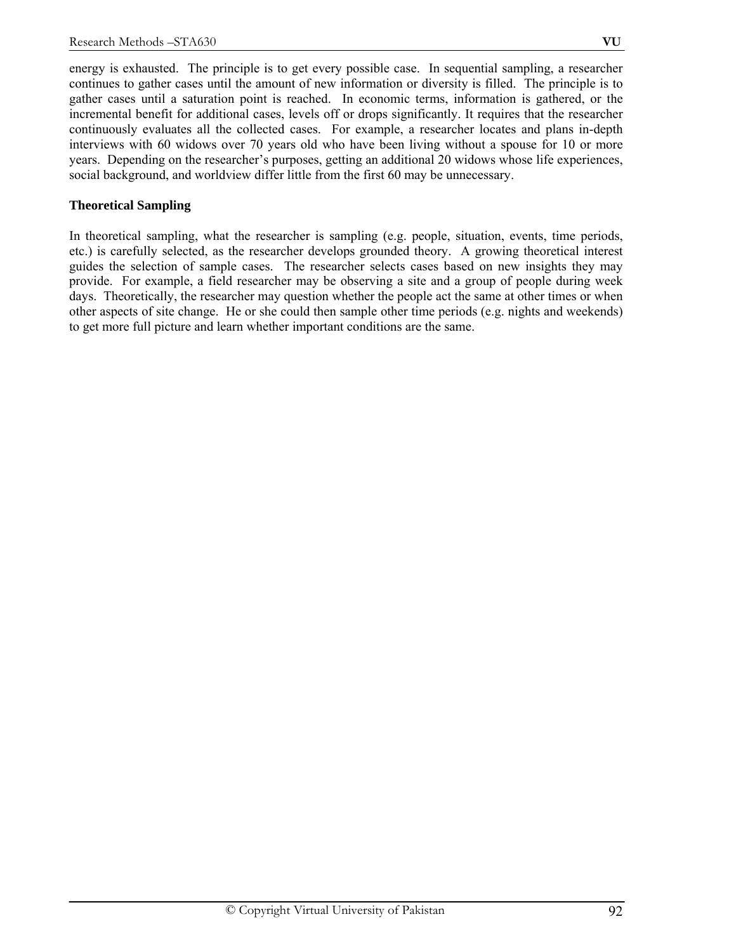energy is exhausted. The principle is to get every possible case. In sequential sampling, a researcher continues to gather cases until the amount of new information or diversity is filled. The principle is to gather cases until a saturation point is reached. In economic terms, information is gathered, or the incremental benefit for additional cases, levels off or drops significantly. It requires that the researcher continuously evaluates all the collected cases. For example, a researcher locates and plans in-depth interviews with 60 widows over 70 years old who have been living without a spouse for 10 or more years. Depending on the researcher's purposes, getting an additional 20 widows whose life experiences, social background, and worldview differ little from the first 60 may be unnecessary.

## **Theoretical Sampling**

In theoretical sampling, what the researcher is sampling (e.g. people, situation, events, time periods, etc.) is carefully selected, as the researcher develops grounded theory. A growing theoretical interest guides the selection of sample cases. The researcher selects cases based on new insights they may provide. For example, a field researcher may be observing a site and a group of people during week days. Theoretically, the researcher may question whether the people act the same at other times or when other aspects of site change. He or she could then sample other time periods (e.g. nights and weekends) to get more full picture and learn whether important conditions are the same.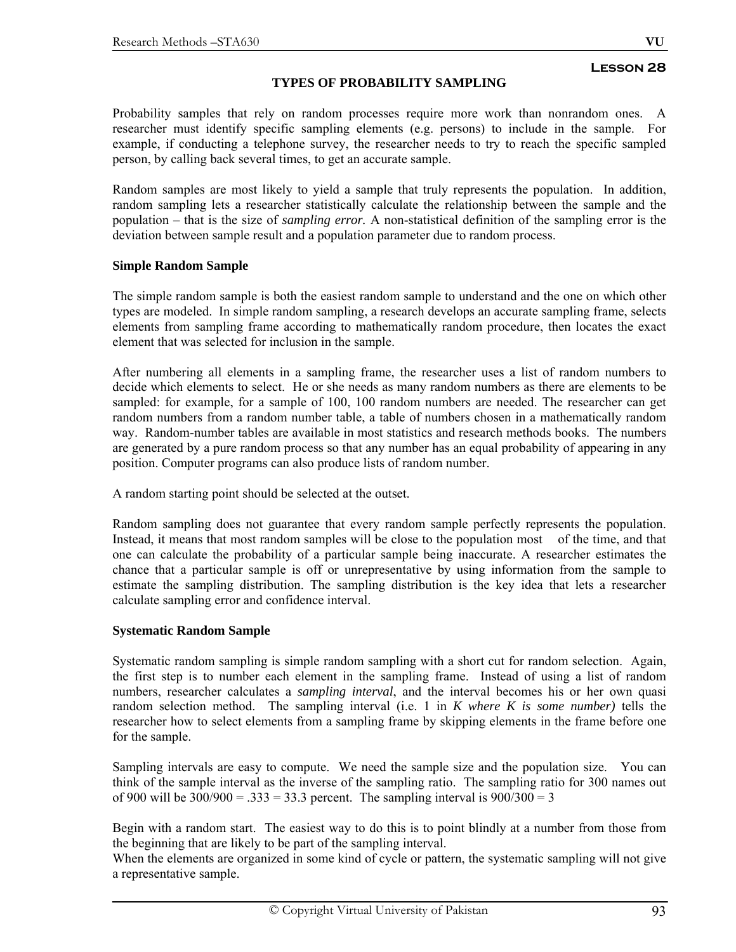# **TYPES OF PROBABILITY SAMPLING**

Probability samples that rely on random processes require more work than nonrandom ones. A researcher must identify specific sampling elements (e.g. persons) to include in the sample. For example, if conducting a telephone survey, the researcher needs to try to reach the specific sampled person, by calling back several times, to get an accurate sample.

Random samples are most likely to yield a sample that truly represents the population. In addition, random sampling lets a researcher statistically calculate the relationship between the sample and the population – that is the size of *sampling error.* A non-statistical definition of the sampling error is the deviation between sample result and a population parameter due to random process.

## **Simple Random Sample**

The simple random sample is both the easiest random sample to understand and the one on which other types are modeled. In simple random sampling, a research develops an accurate sampling frame, selects elements from sampling frame according to mathematically random procedure, then locates the exact element that was selected for inclusion in the sample.

After numbering all elements in a sampling frame, the researcher uses a list of random numbers to decide which elements to select. He or she needs as many random numbers as there are elements to be sampled: for example, for a sample of 100, 100 random numbers are needed. The researcher can get random numbers from a random number table, a table of numbers chosen in a mathematically random way. Random-number tables are available in most statistics and research methods books. The numbers are generated by a pure random process so that any number has an equal probability of appearing in any position. Computer programs can also produce lists of random number.

A random starting point should be selected at the outset.

Random sampling does not guarantee that every random sample perfectly represents the population. Instead, it means that most random samples will be close to the population most of the time, and that one can calculate the probability of a particular sample being inaccurate. A researcher estimates the chance that a particular sample is off or unrepresentative by using information from the sample to estimate the sampling distribution. The sampling distribution is the key idea that lets a researcher calculate sampling error and confidence interval.

# **Systematic Random Sample**

Systematic random sampling is simple random sampling with a short cut for random selection. Again, the first step is to number each element in the sampling frame. Instead of using a list of random numbers, researcher calculates a *sampling interval*, and the interval becomes his or her own quasi random selection method. The sampling interval (i.e. 1 in *K where K is some number)* tells the researcher how to select elements from a sampling frame by skipping elements in the frame before one for the sample.

Sampling intervals are easy to compute. We need the sample size and the population size. You can think of the sample interval as the inverse of the sampling ratio. The sampling ratio for 300 names out of 900 will be  $300/900 = 0.333 = 33.3$  percent. The sampling interval is  $900/300 = 3$ 

Begin with a random start. The easiest way to do this is to point blindly at a number from those from the beginning that are likely to be part of the sampling interval.

When the elements are organized in some kind of cycle or pattern, the systematic sampling will not give a representative sample.

**Lesson 28**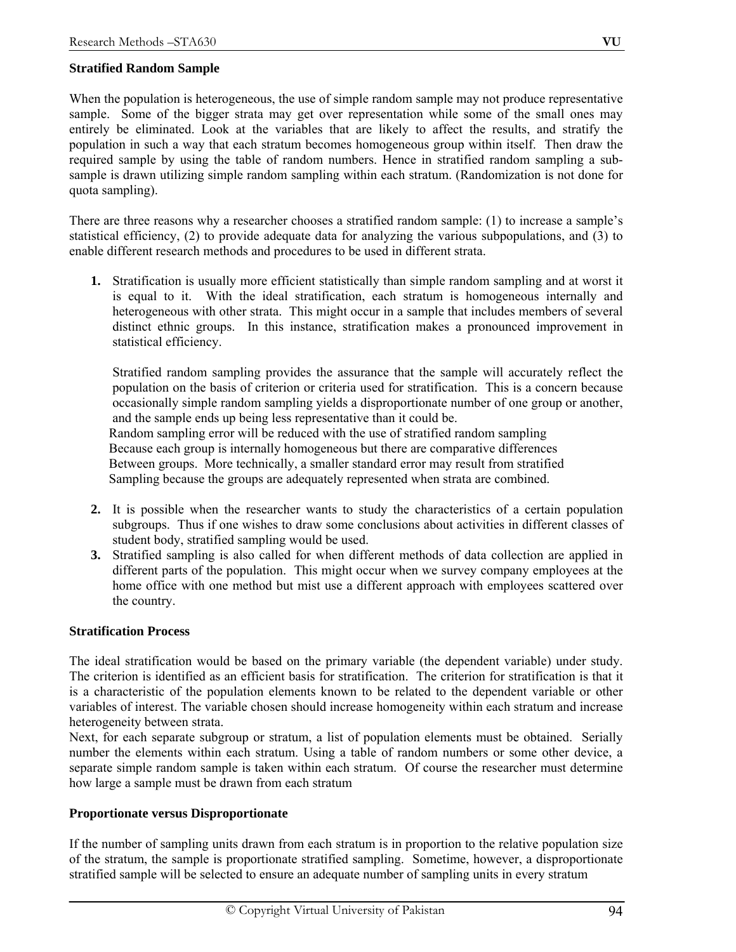#### **Stratified Random Sample**

When the population is heterogeneous, the use of simple random sample may not produce representative sample. Some of the bigger strata may get over representation while some of the small ones may entirely be eliminated. Look at the variables that are likely to affect the results, and stratify the population in such a way that each stratum becomes homogeneous group within itself. Then draw the required sample by using the table of random numbers. Hence in stratified random sampling a subsample is drawn utilizing simple random sampling within each stratum. (Randomization is not done for quota sampling).

There are three reasons why a researcher chooses a stratified random sample: (1) to increase a sample's statistical efficiency, (2) to provide adequate data for analyzing the various subpopulations, and (3) to enable different research methods and procedures to be used in different strata.

**1.** Stratification is usually more efficient statistically than simple random sampling and at worst it is equal to it. With the ideal stratification, each stratum is homogeneous internally and heterogeneous with other strata. This might occur in a sample that includes members of several distinct ethnic groups. In this instance, stratification makes a pronounced improvement in statistical efficiency.

Stratified random sampling provides the assurance that the sample will accurately reflect the population on the basis of criterion or criteria used for stratification. This is a concern because occasionally simple random sampling yields a disproportionate number of one group or another, and the sample ends up being less representative than it could be. Random sampling error will be reduced with the use of stratified random sampling Because each group is internally homogeneous but there are comparative differences Between groups. More technically, a smaller standard error may result from stratified Sampling because the groups are adequately represented when strata are combined.

- **2.** It is possible when the researcher wants to study the characteristics of a certain population subgroups. Thus if one wishes to draw some conclusions about activities in different classes of student body, stratified sampling would be used.
- **3.** Stratified sampling is also called for when different methods of data collection are applied in different parts of the population. This might occur when we survey company employees at the home office with one method but mist use a different approach with employees scattered over the country.

#### **Stratification Process**

The ideal stratification would be based on the primary variable (the dependent variable) under study. The criterion is identified as an efficient basis for stratification. The criterion for stratification is that it is a characteristic of the population elements known to be related to the dependent variable or other variables of interest. The variable chosen should increase homogeneity within each stratum and increase heterogeneity between strata.

Next, for each separate subgroup or stratum, a list of population elements must be obtained. Serially number the elements within each stratum. Using a table of random numbers or some other device, a separate simple random sample is taken within each stratum. Of course the researcher must determine how large a sample must be drawn from each stratum

#### **Proportionate versus Disproportionate**

If the number of sampling units drawn from each stratum is in proportion to the relative population size of the stratum, the sample is proportionate stratified sampling. Sometime, however, a disproportionate stratified sample will be selected to ensure an adequate number of sampling units in every stratum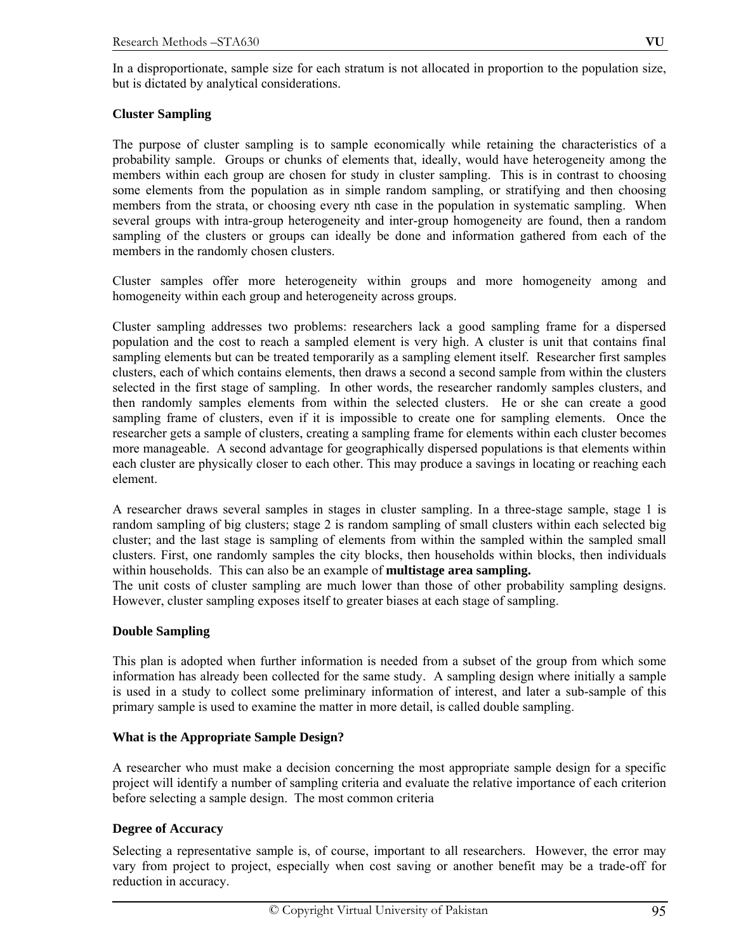## **Cluster Sampling**

The purpose of cluster sampling is to sample economically while retaining the characteristics of a probability sample. Groups or chunks of elements that, ideally, would have heterogeneity among the members within each group are chosen for study in cluster sampling. This is in contrast to choosing some elements from the population as in simple random sampling, or stratifying and then choosing members from the strata, or choosing every nth case in the population in systematic sampling. When several groups with intra-group heterogeneity and inter-group homogeneity are found, then a random sampling of the clusters or groups can ideally be done and information gathered from each of the members in the randomly chosen clusters.

Cluster samples offer more heterogeneity within groups and more homogeneity among and homogeneity within each group and heterogeneity across groups.

Cluster sampling addresses two problems: researchers lack a good sampling frame for a dispersed population and the cost to reach a sampled element is very high. A cluster is unit that contains final sampling elements but can be treated temporarily as a sampling element itself. Researcher first samples clusters, each of which contains elements, then draws a second a second sample from within the clusters selected in the first stage of sampling. In other words, the researcher randomly samples clusters, and then randomly samples elements from within the selected clusters. He or she can create a good sampling frame of clusters, even if it is impossible to create one for sampling elements. Once the researcher gets a sample of clusters, creating a sampling frame for elements within each cluster becomes more manageable. A second advantage for geographically dispersed populations is that elements within each cluster are physically closer to each other. This may produce a savings in locating or reaching each element.

A researcher draws several samples in stages in cluster sampling. In a three-stage sample, stage 1 is random sampling of big clusters; stage 2 is random sampling of small clusters within each selected big cluster; and the last stage is sampling of elements from within the sampled within the sampled small clusters. First, one randomly samples the city blocks, then households within blocks, then individuals within households. This can also be an example of **multistage area sampling.**

The unit costs of cluster sampling are much lower than those of other probability sampling designs. However, cluster sampling exposes itself to greater biases at each stage of sampling.

## **Double Sampling**

This plan is adopted when further information is needed from a subset of the group from which some information has already been collected for the same study. A sampling design where initially a sample is used in a study to collect some preliminary information of interest, and later a sub-sample of this primary sample is used to examine the matter in more detail, is called double sampling.

#### **What is the Appropriate Sample Design?**

A researcher who must make a decision concerning the most appropriate sample design for a specific project will identify a number of sampling criteria and evaluate the relative importance of each criterion before selecting a sample design. The most common criteria

## **Degree of Accuracy**

Selecting a representative sample is, of course, important to all researchers. However, the error may vary from project to project, especially when cost saving or another benefit may be a trade-off for reduction in accuracy.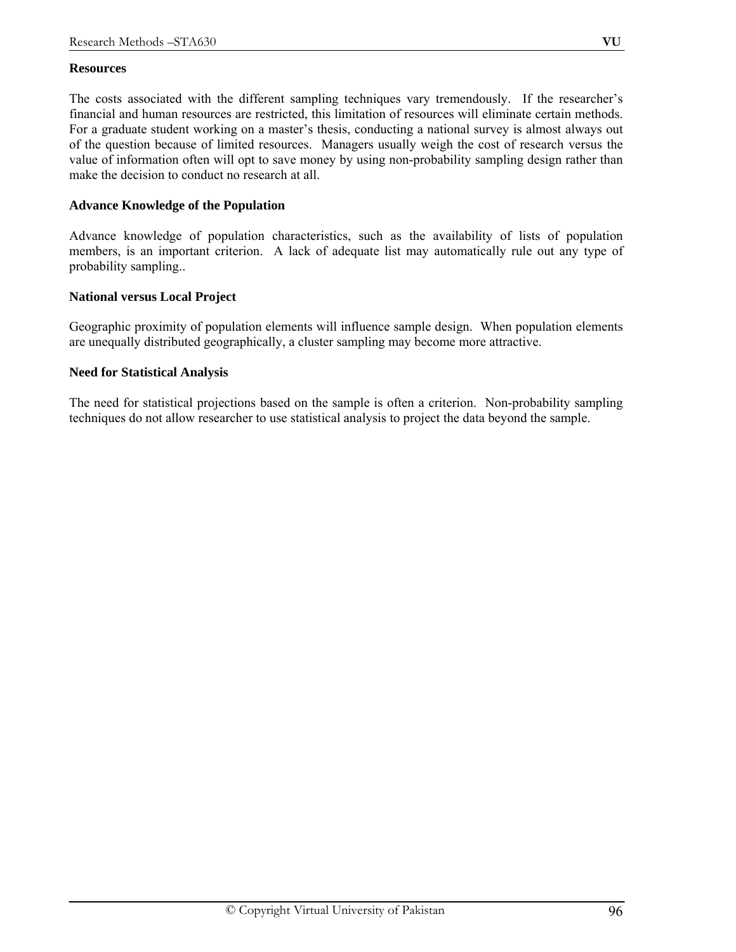#### **Resources**

The costs associated with the different sampling techniques vary tremendously. If the researcher's financial and human resources are restricted, this limitation of resources will eliminate certain methods. For a graduate student working on a master's thesis, conducting a national survey is almost always out of the question because of limited resources. Managers usually weigh the cost of research versus the value of information often will opt to save money by using non-probability sampling design rather than make the decision to conduct no research at all.

#### **Advance Knowledge of the Population**

Advance knowledge of population characteristics, such as the availability of lists of population members, is an important criterion. A lack of adequate list may automatically rule out any type of probability sampling..

## **National versus Local Project**

Geographic proximity of population elements will influence sample design. When population elements are unequally distributed geographically, a cluster sampling may become more attractive.

## **Need for Statistical Analysis**

The need for statistical projections based on the sample is often a criterion. Non-probability sampling techniques do not allow researcher to use statistical analysis to project the data beyond the sample.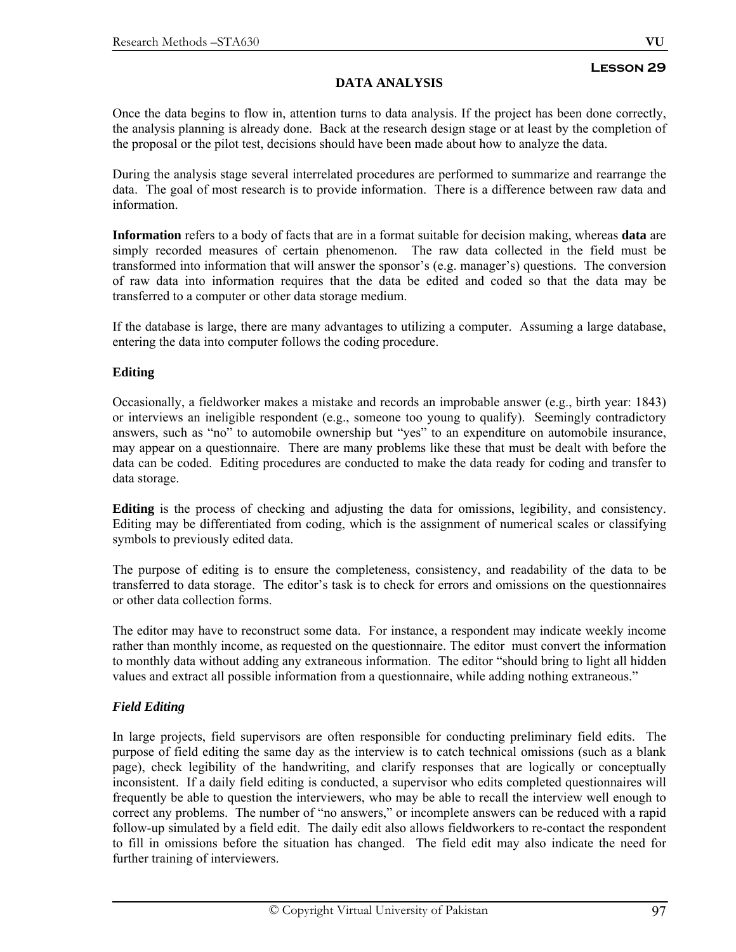## **DATA ANALYSIS**

Once the data begins to flow in, attention turns to data analysis. If the project has been done correctly, the analysis planning is already done. Back at the research design stage or at least by the completion of the proposal or the pilot test, decisions should have been made about how to analyze the data.

During the analysis stage several interrelated procedures are performed to summarize and rearrange the data. The goal of most research is to provide information. There is a difference between raw data and information.

**Information** refers to a body of facts that are in a format suitable for decision making, whereas **data** are simply recorded measures of certain phenomenon. The raw data collected in the field must be transformed into information that will answer the sponsor's (e.g. manager's) questions. The conversion of raw data into information requires that the data be edited and coded so that the data may be transferred to a computer or other data storage medium.

If the database is large, there are many advantages to utilizing a computer. Assuming a large database, entering the data into computer follows the coding procedure.

## **Editing**

Occasionally, a fieldworker makes a mistake and records an improbable answer (e.g., birth year: 1843) or interviews an ineligible respondent (e.g., someone too young to qualify). Seemingly contradictory answers, such as "no" to automobile ownership but "yes" to an expenditure on automobile insurance, may appear on a questionnaire. There are many problems like these that must be dealt with before the data can be coded. Editing procedures are conducted to make the data ready for coding and transfer to data storage.

**Editing** is the process of checking and adjusting the data for omissions, legibility, and consistency. Editing may be differentiated from coding, which is the assignment of numerical scales or classifying symbols to previously edited data.

The purpose of editing is to ensure the completeness, consistency, and readability of the data to be transferred to data storage. The editor's task is to check for errors and omissions on the questionnaires or other data collection forms.

The editor may have to reconstruct some data. For instance, a respondent may indicate weekly income rather than monthly income, as requested on the questionnaire. The editor must convert the information to monthly data without adding any extraneous information. The editor "should bring to light all hidden values and extract all possible information from a questionnaire, while adding nothing extraneous."

## *Field Editing*

In large projects, field supervisors are often responsible for conducting preliminary field edits. The purpose of field editing the same day as the interview is to catch technical omissions (such as a blank page), check legibility of the handwriting, and clarify responses that are logically or conceptually inconsistent. If a daily field editing is conducted, a supervisor who edits completed questionnaires will frequently be able to question the interviewers, who may be able to recall the interview well enough to correct any problems. The number of "no answers," or incomplete answers can be reduced with a rapid follow-up simulated by a field edit. The daily edit also allows fieldworkers to re-contact the respondent to fill in omissions before the situation has changed. The field edit may also indicate the need for further training of interviewers.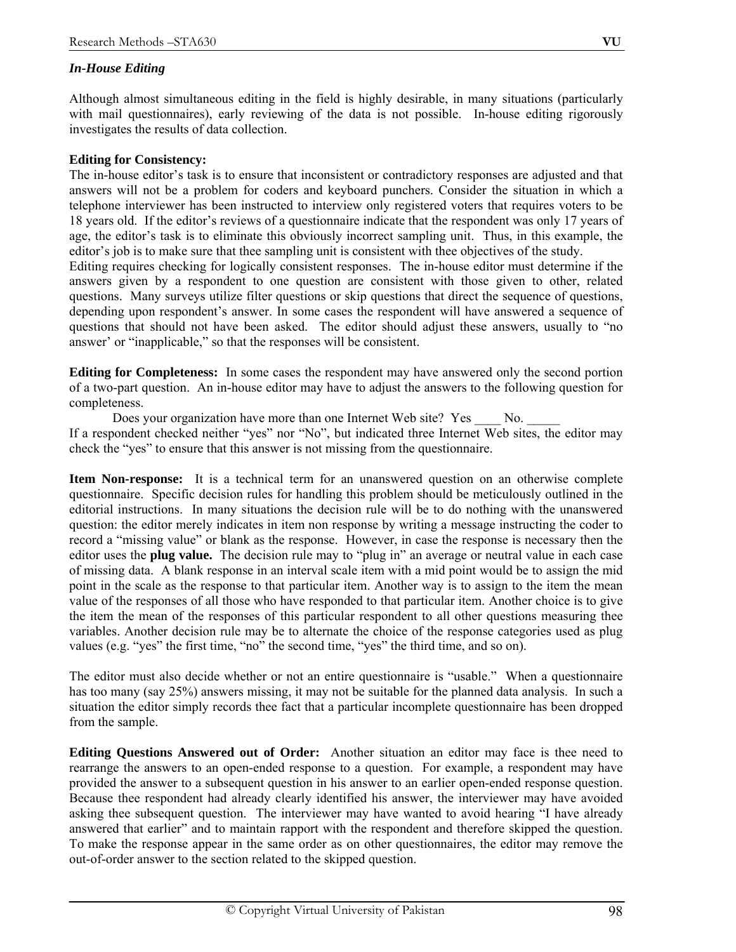## *In-House Editing*

Although almost simultaneous editing in the field is highly desirable, in many situations (particularly with mail questionnaires), early reviewing of the data is not possible. In-house editing rigorously investigates the results of data collection.

#### **Editing for Consistency:**

The in-house editor's task is to ensure that inconsistent or contradictory responses are adjusted and that answers will not be a problem for coders and keyboard punchers. Consider the situation in which a telephone interviewer has been instructed to interview only registered voters that requires voters to be 18 years old. If the editor's reviews of a questionnaire indicate that the respondent was only 17 years of age, the editor's task is to eliminate this obviously incorrect sampling unit. Thus, in this example, the editor's job is to make sure that thee sampling unit is consistent with thee objectives of the study.

Editing requires checking for logically consistent responses. The in-house editor must determine if the answers given by a respondent to one question are consistent with those given to other, related questions. Many surveys utilize filter questions or skip questions that direct the sequence of questions, depending upon respondent's answer. In some cases the respondent will have answered a sequence of questions that should not have been asked. The editor should adjust these answers, usually to "no answer' or "inapplicable," so that the responses will be consistent.

**Editing for Completeness:** In some cases the respondent may have answered only the second portion of a two-part question. An in-house editor may have to adjust the answers to the following question for completeness.

Does your organization have more than one Internet Web site? Yes No. If a respondent checked neither "yes" nor "No", but indicated three Internet Web sites, the editor may check the "yes" to ensure that this answer is not missing from the questionnaire.

**Item Non-response:** It is a technical term for an unanswered question on an otherwise complete questionnaire. Specific decision rules for handling this problem should be meticulously outlined in the editorial instructions. In many situations the decision rule will be to do nothing with the unanswered question: the editor merely indicates in item non response by writing a message instructing the coder to record a "missing value" or blank as the response. However, in case the response is necessary then the editor uses the **plug value.** The decision rule may to "plug in" an average or neutral value in each case of missing data. A blank response in an interval scale item with a mid point would be to assign the mid point in the scale as the response to that particular item. Another way is to assign to the item the mean value of the responses of all those who have responded to that particular item. Another choice is to give the item the mean of the responses of this particular respondent to all other questions measuring thee variables. Another decision rule may be to alternate the choice of the response categories used as plug values (e.g. "yes" the first time, "no" the second time, "yes" the third time, and so on).

The editor must also decide whether or not an entire questionnaire is "usable." When a questionnaire has too many (say 25%) answers missing, it may not be suitable for the planned data analysis. In such a situation the editor simply records thee fact that a particular incomplete questionnaire has been dropped from the sample.

**Editing Questions Answered out of Order:** Another situation an editor may face is thee need to rearrange the answers to an open-ended response to a question. For example, a respondent may have provided the answer to a subsequent question in his answer to an earlier open-ended response question. Because thee respondent had already clearly identified his answer, the interviewer may have avoided asking thee subsequent question. The interviewer may have wanted to avoid hearing "I have already answered that earlier" and to maintain rapport with the respondent and therefore skipped the question. To make the response appear in the same order as on other questionnaires, the editor may remove the out-of-order answer to the section related to the skipped question.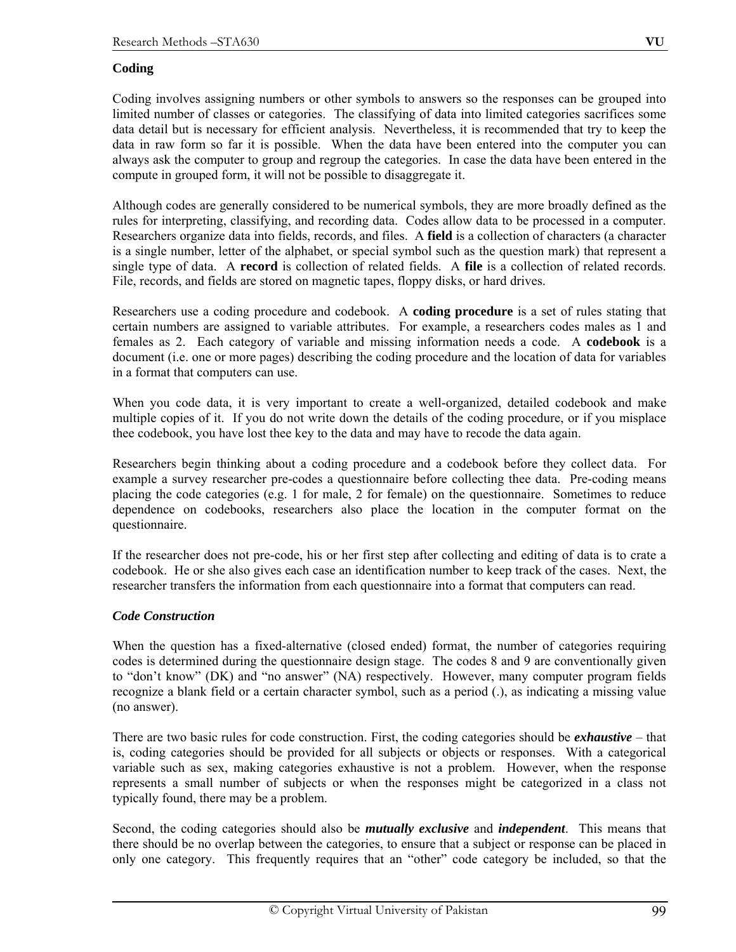## **Coding**

Coding involves assigning numbers or other symbols to answers so the responses can be grouped into limited number of classes or categories. The classifying of data into limited categories sacrifices some data detail but is necessary for efficient analysis. Nevertheless, it is recommended that try to keep the data in raw form so far it is possible. When the data have been entered into the computer you can always ask the computer to group and regroup the categories. In case the data have been entered in the compute in grouped form, it will not be possible to disaggregate it.

Although codes are generally considered to be numerical symbols, they are more broadly defined as the rules for interpreting, classifying, and recording data. Codes allow data to be processed in a computer. Researchers organize data into fields, records, and files. A **field** is a collection of characters (a character is a single number, letter of the alphabet, or special symbol such as the question mark) that represent a single type of data. A **record** is collection of related fields. A **file** is a collection of related records. File, records, and fields are stored on magnetic tapes, floppy disks, or hard drives.

Researchers use a coding procedure and codebook. A **coding procedure** is a set of rules stating that certain numbers are assigned to variable attributes. For example, a researchers codes males as 1 and females as 2. Each category of variable and missing information needs a code. A **codebook** is a document (i.e. one or more pages) describing the coding procedure and the location of data for variables in a format that computers can use.

When you code data, it is very important to create a well-organized, detailed codebook and make multiple copies of it. If you do not write down the details of the coding procedure, or if you misplace thee codebook, you have lost thee key to the data and may have to recode the data again.

Researchers begin thinking about a coding procedure and a codebook before they collect data. For example a survey researcher pre-codes a questionnaire before collecting thee data. Pre-coding means placing the code categories (e.g. 1 for male, 2 for female) on the questionnaire. Sometimes to reduce dependence on codebooks, researchers also place the location in the computer format on the questionnaire.

If the researcher does not pre-code, his or her first step after collecting and editing of data is to crate a codebook. He or she also gives each case an identification number to keep track of the cases. Next, the researcher transfers the information from each questionnaire into a format that computers can read.

## *Code Construction*

When the question has a fixed-alternative (closed ended) format, the number of categories requiring codes is determined during the questionnaire design stage. The codes 8 and 9 are conventionally given to "don't know" (DK) and "no answer" (NA) respectively. However, many computer program fields recognize a blank field or a certain character symbol, such as a period (.), as indicating a missing value (no answer).

There are two basic rules for code construction. First, the coding categories should be *exhaustive* – that is, coding categories should be provided for all subjects or objects or responses. With a categorical variable such as sex, making categories exhaustive is not a problem. However, when the response represents a small number of subjects or when the responses might be categorized in a class not typically found, there may be a problem.

Second, the coding categories should also be *mutually exclusive* and *independent*. This means that there should be no overlap between the categories, to ensure that a subject or response can be placed in only one category. This frequently requires that an "other" code category be included, so that the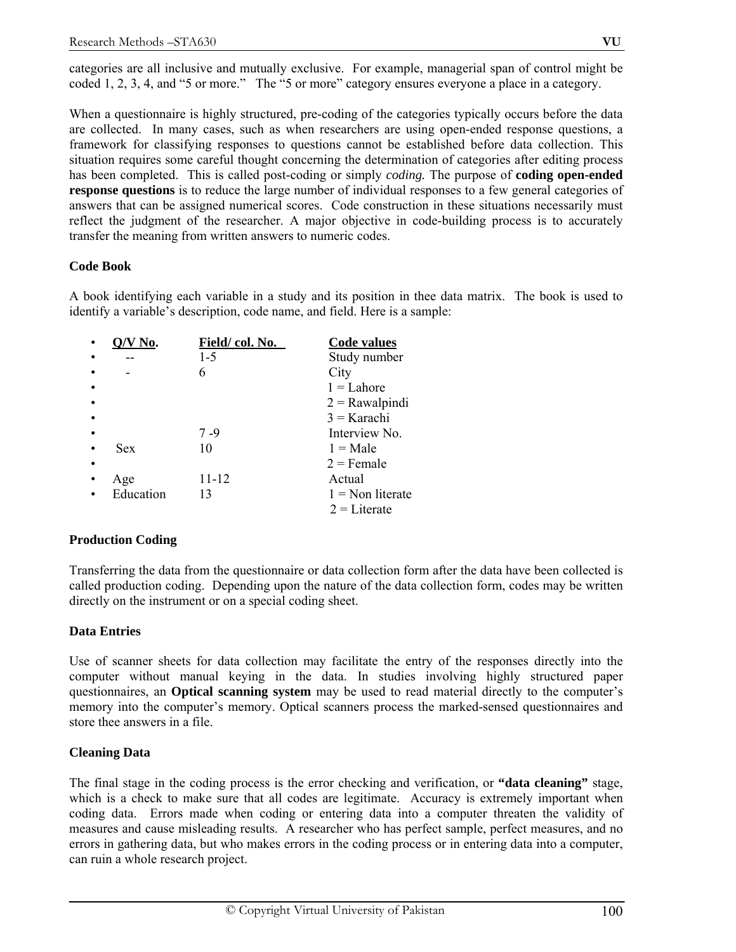When a questionnaire is highly structured, pre-coding of the categories typically occurs before the data are collected. In many cases, such as when researchers are using open-ended response questions, a framework for classifying responses to questions cannot be established before data collection. This situation requires some careful thought concerning the determination of categories after editing process has been completed. This is called post-coding or simply *coding.* The purpose of **coding open-ended response questions** is to reduce the large number of individual responses to a few general categories of answers that can be assigned numerical scores. Code construction in these situations necessarily must reflect the judgment of the researcher. A major objective in code-building process is to accurately transfer the meaning from written answers to numeric codes.

# **Code Book**

A book identifying each variable in a study and its position in thee data matrix. The book is used to identify a variable's description, code name, and field. Here is a sample:

| / No.<br>$\bullet$      | Field/col. No. | <b>Code values</b> |
|-------------------------|----------------|--------------------|
| $\bullet$               | $1-5$          | Study number       |
| $\bullet$               | 6              | City               |
|                         |                | $1 =$ Lahore       |
|                         |                | $2 =$ Rawalpindi   |
|                         |                | $3 =$ Karachi      |
| $\bullet$               | 7 - 9          | Interview No.      |
| <b>Sex</b><br>$\bullet$ | 10             | $1 = Male$         |
| $\bullet$               |                | $2$ = Female       |
| Age<br>$\bullet$        | $11 - 12$      | Actual             |
| Education<br>$\bullet$  | 13             | $1 =$ Non literate |
|                         |                | $2 =$ Literate     |

## **Production Coding**

Transferring the data from the questionnaire or data collection form after the data have been collected is called production coding. Depending upon the nature of the data collection form, codes may be written directly on the instrument or on a special coding sheet.

## **Data Entries**

Use of scanner sheets for data collection may facilitate the entry of the responses directly into the computer without manual keying in the data. In studies involving highly structured paper questionnaires, an **Optical scanning system** may be used to read material directly to the computer's memory into the computer's memory. Optical scanners process the marked-sensed questionnaires and store thee answers in a file.

## **Cleaning Data**

The final stage in the coding process is the error checking and verification, or **"data cleaning"** stage, which is a check to make sure that all codes are legitimate. Accuracy is extremely important when coding data. Errors made when coding or entering data into a computer threaten the validity of measures and cause misleading results. A researcher who has perfect sample, perfect measures, and no errors in gathering data, but who makes errors in the coding process or in entering data into a computer, can ruin a whole research project.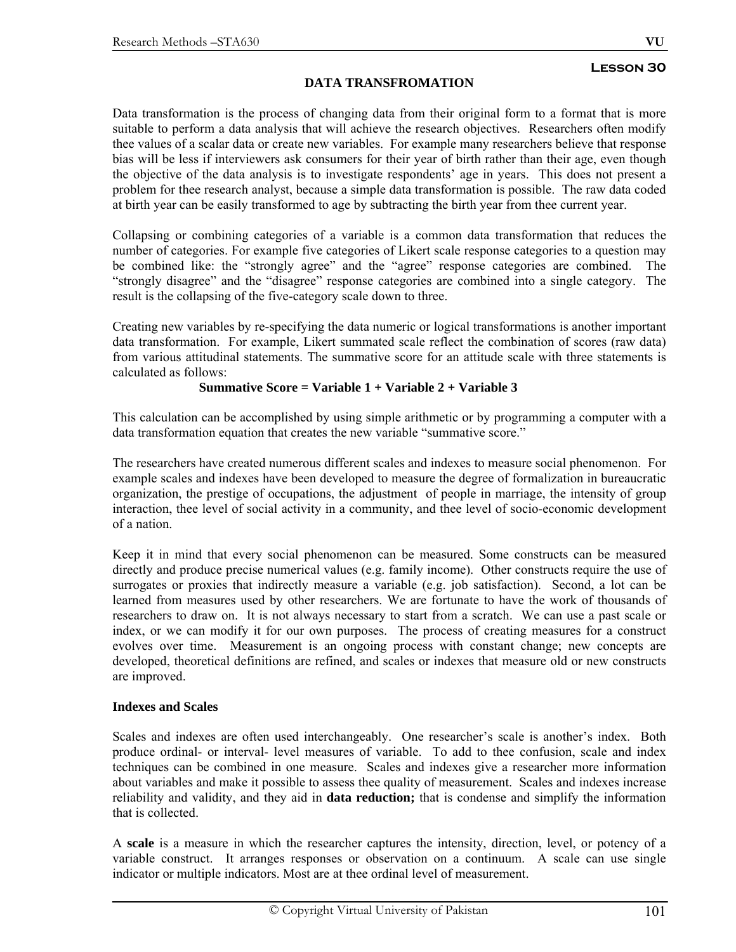# **DATA TRANSFROMATION**

Data transformation is the process of changing data from their original form to a format that is more suitable to perform a data analysis that will achieve the research objectives. Researchers often modify thee values of a scalar data or create new variables. For example many researchers believe that response bias will be less if interviewers ask consumers for their year of birth rather than their age, even though the objective of the data analysis is to investigate respondents' age in years. This does not present a problem for thee research analyst, because a simple data transformation is possible. The raw data coded at birth year can be easily transformed to age by subtracting the birth year from thee current year.

Collapsing or combining categories of a variable is a common data transformation that reduces the number of categories. For example five categories of Likert scale response categories to a question may be combined like: the "strongly agree" and the "agree" response categories are combined. The "strongly disagree" and the "disagree" response categories are combined into a single category. The result is the collapsing of the five-category scale down to three.

Creating new variables by re-specifying the data numeric or logical transformations is another important data transformation. For example, Likert summated scale reflect the combination of scores (raw data) from various attitudinal statements. The summative score for an attitude scale with three statements is calculated as follows:

 **Summative Score = Variable 1 + Variable 2 + Variable 3** 

This calculation can be accomplished by using simple arithmetic or by programming a computer with a data transformation equation that creates the new variable "summative score."

The researchers have created numerous different scales and indexes to measure social phenomenon. For example scales and indexes have been developed to measure the degree of formalization in bureaucratic organization, the prestige of occupations, the adjustment of people in marriage, the intensity of group interaction, thee level of social activity in a community, and thee level of socio-economic development of a nation.

Keep it in mind that every social phenomenon can be measured. Some constructs can be measured directly and produce precise numerical values (e.g. family income). Other constructs require the use of surrogates or proxies that indirectly measure a variable (e.g. job satisfaction). Second, a lot can be learned from measures used by other researchers. We are fortunate to have the work of thousands of researchers to draw on. It is not always necessary to start from a scratch. We can use a past scale or index, or we can modify it for our own purposes. The process of creating measures for a construct evolves over time. Measurement is an ongoing process with constant change; new concepts are developed, theoretical definitions are refined, and scales or indexes that measure old or new constructs are improved.

## **Indexes and Scales**

Scales and indexes are often used interchangeably. One researcher's scale is another's index. Both produce ordinal- or interval- level measures of variable. To add to thee confusion, scale and index techniques can be combined in one measure. Scales and indexes give a researcher more information about variables and make it possible to assess thee quality of measurement. Scales and indexes increase reliability and validity, and they aid in **data reduction;** that is condense and simplify the information that is collected.

A **scale** is a measure in which the researcher captures the intensity, direction, level, or potency of a variable construct. It arranges responses or observation on a continuum. A scale can use single indicator or multiple indicators. Most are at thee ordinal level of measurement.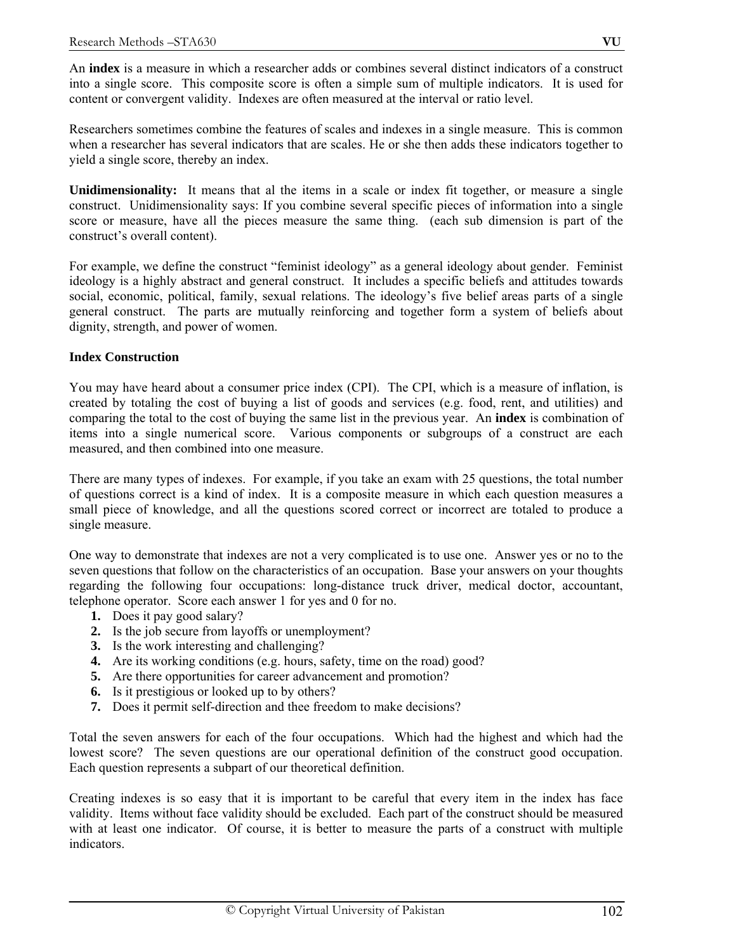Researchers sometimes combine the features of scales and indexes in a single measure. This is common when a researcher has several indicators that are scales. He or she then adds these indicators together to yield a single score, thereby an index.

**Unidimensionality:** It means that al the items in a scale or index fit together, or measure a single construct. Unidimensionality says: If you combine several specific pieces of information into a single score or measure, have all the pieces measure the same thing. (each sub dimension is part of the construct's overall content).

For example, we define the construct "feminist ideology" as a general ideology about gender. Feminist ideology is a highly abstract and general construct. It includes a specific beliefs and attitudes towards social, economic, political, family, sexual relations. The ideology's five belief areas parts of a single general construct. The parts are mutually reinforcing and together form a system of beliefs about dignity, strength, and power of women.

# **Index Construction**

You may have heard about a consumer price index (CPI). The CPI, which is a measure of inflation, is created by totaling the cost of buying a list of goods and services (e.g. food, rent, and utilities) and comparing the total to the cost of buying the same list in the previous year. An **index** is combination of items into a single numerical score. Various components or subgroups of a construct are each measured, and then combined into one measure.

There are many types of indexes. For example, if you take an exam with 25 questions, the total number of questions correct is a kind of index. It is a composite measure in which each question measures a small piece of knowledge, and all the questions scored correct or incorrect are totaled to produce a single measure.

One way to demonstrate that indexes are not a very complicated is to use one. Answer yes or no to the seven questions that follow on the characteristics of an occupation. Base your answers on your thoughts regarding the following four occupations: long-distance truck driver, medical doctor, accountant, telephone operator. Score each answer 1 for yes and 0 for no.

- **1.** Does it pay good salary?
- **2.** Is the job secure from layoffs or unemployment?
- **3.** Is the work interesting and challenging?
- **4.** Are its working conditions (e.g. hours, safety, time on the road) good?
- **5.** Are there opportunities for career advancement and promotion?
- **6.** Is it prestigious or looked up to by others?
- **7.** Does it permit self-direction and thee freedom to make decisions?

Total the seven answers for each of the four occupations. Which had the highest and which had the lowest score? The seven questions are our operational definition of the construct good occupation. Each question represents a subpart of our theoretical definition.

Creating indexes is so easy that it is important to be careful that every item in the index has face validity. Items without face validity should be excluded. Each part of the construct should be measured with at least one indicator. Of course, it is better to measure the parts of a construct with multiple indicators.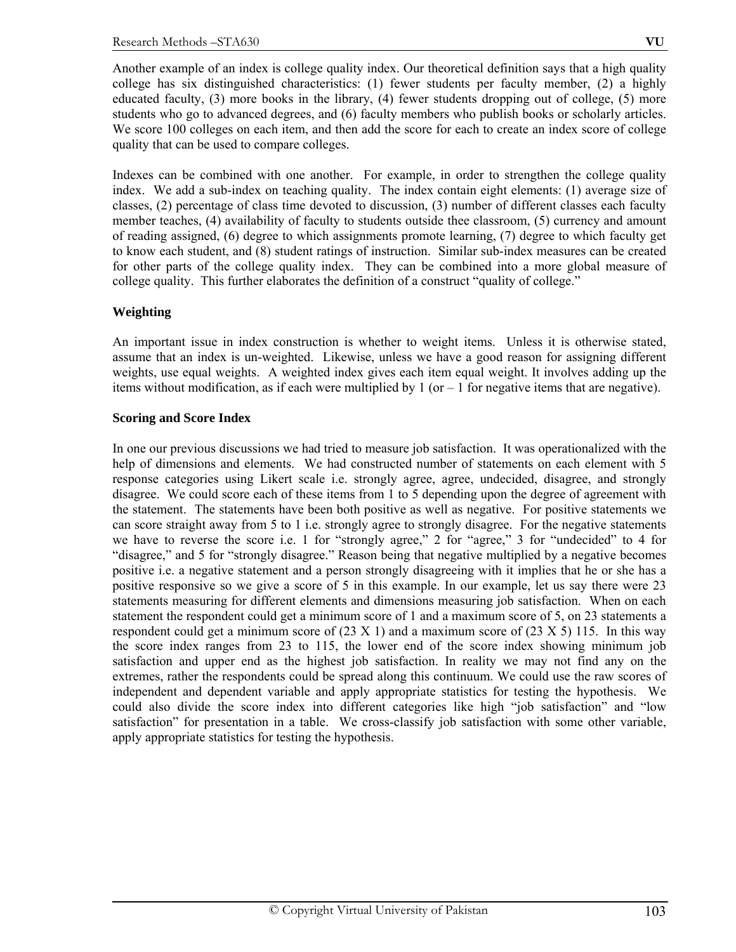Another example of an index is college quality index. Our theoretical definition says that a high quality college has six distinguished characteristics: (1) fewer students per faculty member, (2) a highly educated faculty, (3) more books in the library, (4) fewer students dropping out of college, (5) more students who go to advanced degrees, and (6) faculty members who publish books or scholarly articles. We score 100 colleges on each item, and then add the score for each to create an index score of college quality that can be used to compare colleges.

Indexes can be combined with one another. For example, in order to strengthen the college quality index. We add a sub-index on teaching quality. The index contain eight elements: (1) average size of classes, (2) percentage of class time devoted to discussion, (3) number of different classes each faculty member teaches, (4) availability of faculty to students outside thee classroom, (5) currency and amount of reading assigned, (6) degree to which assignments promote learning, (7) degree to which faculty get to know each student, and (8) student ratings of instruction. Similar sub-index measures can be created for other parts of the college quality index. They can be combined into a more global measure of college quality. This further elaborates the definition of a construct "quality of college."

# **Weighting**

An important issue in index construction is whether to weight items. Unless it is otherwise stated, assume that an index is un-weighted. Likewise, unless we have a good reason for assigning different weights, use equal weights. A weighted index gives each item equal weight. It involves adding up the items without modification, as if each were multiplied by  $1$  (or  $-1$  for negative items that are negative).

# **Scoring and Score Index**

In one our previous discussions we had tried to measure job satisfaction. It was operationalized with the help of dimensions and elements. We had constructed number of statements on each element with 5 response categories using Likert scale i.e. strongly agree, agree, undecided, disagree, and strongly disagree. We could score each of these items from 1 to 5 depending upon the degree of agreement with the statement. The statements have been both positive as well as negative. For positive statements we can score straight away from 5 to 1 i.e. strongly agree to strongly disagree. For the negative statements we have to reverse the score i.e. 1 for "strongly agree," 2 for "agree," 3 for "undecided" to 4 for "disagree," and 5 for "strongly disagree." Reason being that negative multiplied by a negative becomes positive i.e. a negative statement and a person strongly disagreeing with it implies that he or she has a positive responsive so we give a score of 5 in this example. In our example, let us say there were 23 statements measuring for different elements and dimensions measuring job satisfaction. When on each statement the respondent could get a minimum score of 1 and a maximum score of 5, on 23 statements a respondent could get a minimum score of  $(23 \text{ X } 1)$  and a maximum score of  $(23 \text{ X } 5)$  115. In this way the score index ranges from 23 to 115, the lower end of the score index showing minimum job satisfaction and upper end as the highest job satisfaction. In reality we may not find any on the extremes, rather the respondents could be spread along this continuum. We could use the raw scores of independent and dependent variable and apply appropriate statistics for testing the hypothesis. We could also divide the score index into different categories like high "job satisfaction" and "low satisfaction" for presentation in a table. We cross-classify job satisfaction with some other variable, apply appropriate statistics for testing the hypothesis.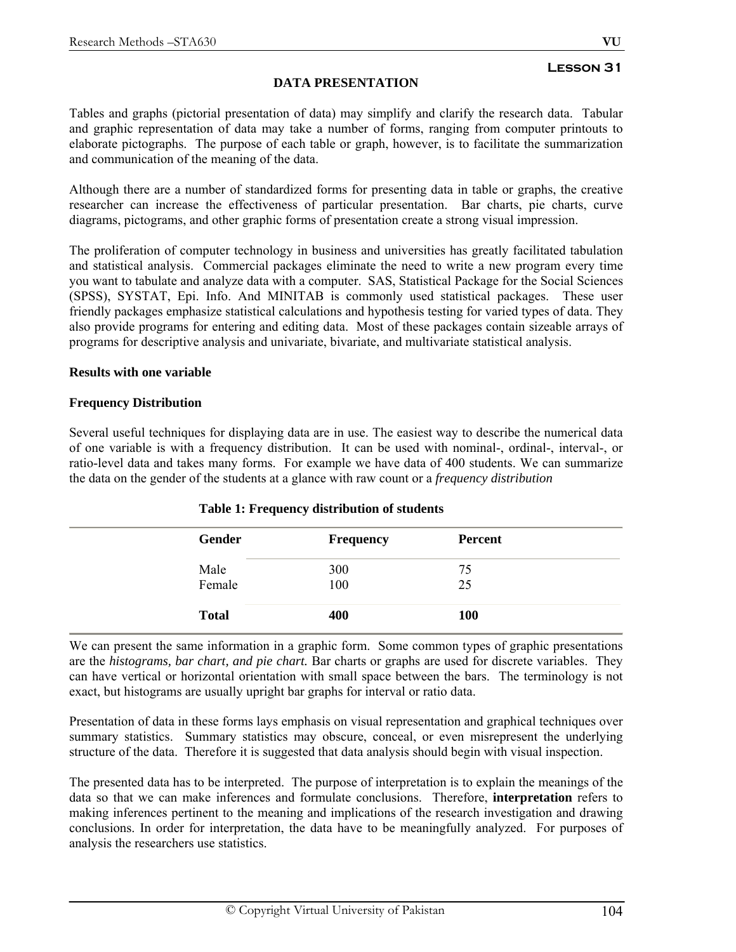## **Lesson 31**

# **DATA PRESENTATION**

Tables and graphs (pictorial presentation of data) may simplify and clarify the research data. Tabular and graphic representation of data may take a number of forms, ranging from computer printouts to elaborate pictographs. The purpose of each table or graph, however, is to facilitate the summarization and communication of the meaning of the data.

Although there are a number of standardized forms for presenting data in table or graphs, the creative researcher can increase the effectiveness of particular presentation. Bar charts, pie charts, curve diagrams, pictograms, and other graphic forms of presentation create a strong visual impression.

The proliferation of computer technology in business and universities has greatly facilitated tabulation and statistical analysis. Commercial packages eliminate the need to write a new program every time you want to tabulate and analyze data with a computer. SAS, Statistical Package for the Social Sciences (SPSS), SYSTAT, Epi. Info. And MINITAB is commonly used statistical packages. These user friendly packages emphasize statistical calculations and hypothesis testing for varied types of data. They also provide programs for entering and editing data. Most of these packages contain sizeable arrays of programs for descriptive analysis and univariate, bivariate, and multivariate statistical analysis.

## **Results with one variable**

## **Frequency Distribution**

Several useful techniques for displaying data are in use. The easiest way to describe the numerical data of one variable is with a frequency distribution. It can be used with nominal-, ordinal-, interval-, or ratio-level data and takes many forms. For example we have data of 400 students. We can summarize the data on the gender of the students at a glance with raw count or a *frequency distribution* 

| Gender       | <b>Frequency</b> | <b>Percent</b> |  |
|--------------|------------------|----------------|--|
| Male         | 300              | 75             |  |
| Female       | 100              | 25             |  |
| <b>Total</b> | 400              | 100            |  |

#### **Table 1: Frequency distribution of students**

We can present the same information in a graphic form. Some common types of graphic presentations are the *histograms, bar chart, and pie chart.* Bar charts or graphs are used for discrete variables. They can have vertical or horizontal orientation with small space between the bars. The terminology is not exact, but histograms are usually upright bar graphs for interval or ratio data.

Presentation of data in these forms lays emphasis on visual representation and graphical techniques over summary statistics. Summary statistics may obscure, conceal, or even misrepresent the underlying structure of the data. Therefore it is suggested that data analysis should begin with visual inspection.

The presented data has to be interpreted. The purpose of interpretation is to explain the meanings of the data so that we can make inferences and formulate conclusions. Therefore, **interpretation** refers to making inferences pertinent to the meaning and implications of the research investigation and drawing conclusions. In order for interpretation, the data have to be meaningfully analyzed. For purposes of analysis the researchers use statistics.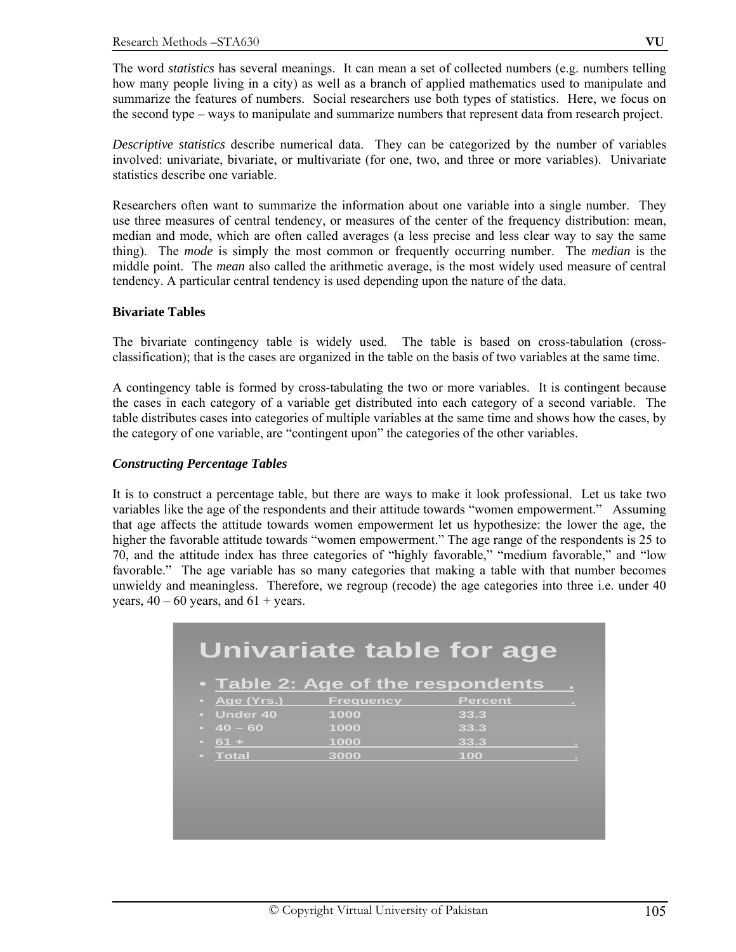The word *statistics* has several meanings. It can mean a set of collected numbers (e.g. numbers telling how many people living in a city) as well as a branch of applied mathematics used to manipulate and summarize the features of numbers. Social researchers use both types of statistics. Here, we focus on the second type – ways to manipulate and summarize numbers that represent data from research project.

*Descriptive statistics* describe numerical data. They can be categorized by the number of variables involved: univariate, bivariate, or multivariate (for one, two, and three or more variables). Univariate statistics describe one variable.

Researchers often want to summarize the information about one variable into a single number. They use three measures of central tendency, or measures of the center of the frequency distribution: mean, median and mode, which are often called averages (a less precise and less clear way to say the same thing). The *mode* is simply the most common or frequently occurring number. The *median* is the middle point. The *mean* also called the arithmetic average, is the most widely used measure of central tendency. A particular central tendency is used depending upon the nature of the data.

## **Bivariate Tables**

The bivariate contingency table is widely used. The table is based on cross-tabulation (crossclassification); that is the cases are organized in the table on the basis of two variables at the same time.

A contingency table is formed by cross-tabulating the two or more variables. It is contingent because the cases in each category of a variable get distributed into each category of a second variable. The table distributes cases into categories of multiple variables at the same time and shows how the cases, by the category of one variable, are "contingent upon" the categories of the other variables.

## *Constructing Percentage Tables*

It is to construct a percentage table, but there are ways to make it look professional. Let us take two variables like the age of the respondents and their attitude towards "women empowerment." Assuming that age affects the attitude towards women empowerment let us hypothesize: the lower the age, the higher the favorable attitude towards "women empowerment." The age range of the respondents is 25 to 70, and the attitude index has three categories of "highly favorable," "medium favorable," and "low favorable." The age variable has so many categories that making a table with that number becomes unwieldy and meaningless. Therefore, we regroup (recode) the age categories into three i.e. under 40 years,  $40 - 60$  years, and  $61 + \text{years}$ .

| Age (Yrs.)      | <b>Frequency</b> | <b>Percent</b> |
|-----------------|------------------|----------------|
| <b>Under 40</b> | 1000             | 33.3           |
| $-40 - 60$      | 1000             | 33.3           |
| $61 +$          | 1000             | 33.3           |
| <b>Total</b>    | 3000             | 100            |
|                 |                  |                |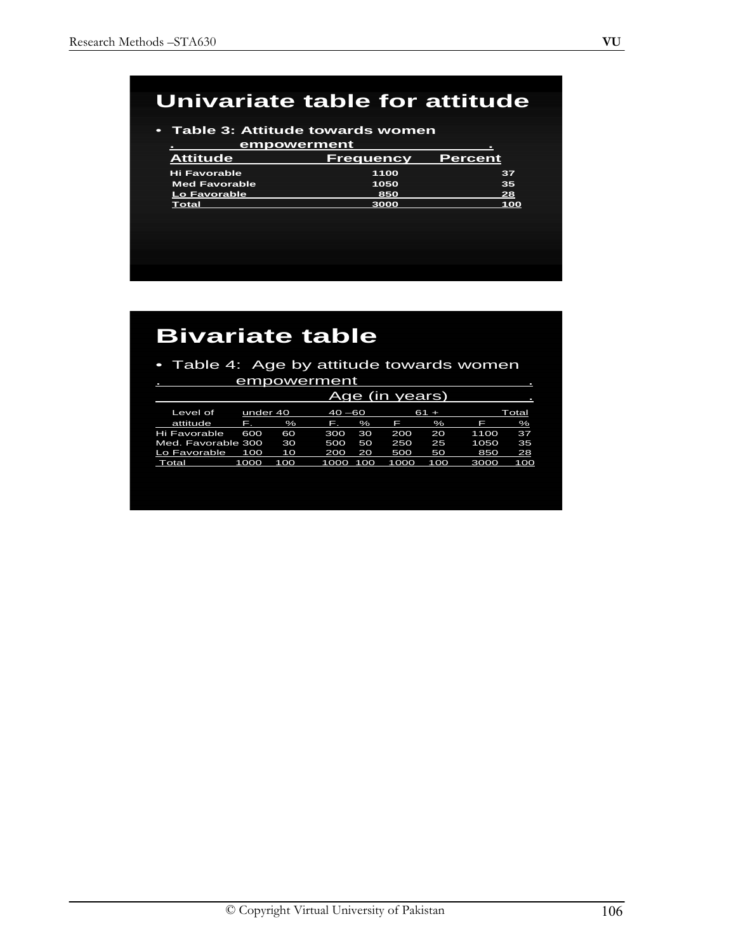# **Univariate table for attitude**

| • Table 3: Attitude towards women |  |
|-----------------------------------|--|
| empowerment                       |  |

| <b>Attitude</b>      | <b>Frequency</b> | Percent |
|----------------------|------------------|---------|
| Hi Favorable         | 1100             | 37      |
| <b>Med Favorable</b> | 1050             | 35      |
| Lo Favorable         | 850              | 28      |
| Total                | 3000             | 100     |

# **Bivariate table**

• Table 4: Age by attitude towards women . empowerment .

| Age (in years)<br>- 1 |      |          |      |           |      |        |       |  |
|-----------------------|------|----------|------|-----------|------|--------|-------|--|
|                       |      |          |      |           |      |        | Total |  |
| тa.                   | $\%$ | F.       | $\%$ |           | $\%$ | Π      | $\%$  |  |
| 600                   | 60   | 300      | 30   | 200       | 20   | 1100   | 37    |  |
| Med. Favorable 300    | 30   | 500      | 50   | 250       | 25   | 1050   | 35    |  |
| 100                   | 10   | 200      | 20   | 500       | 50   | 850    | 28    |  |
| 1000                  | 100  | 1000     | 100  | 1000      | 100  | 3000   | 100   |  |
|                       |      | under 40 |      | $40 - 60$ |      | $61 +$ |       |  |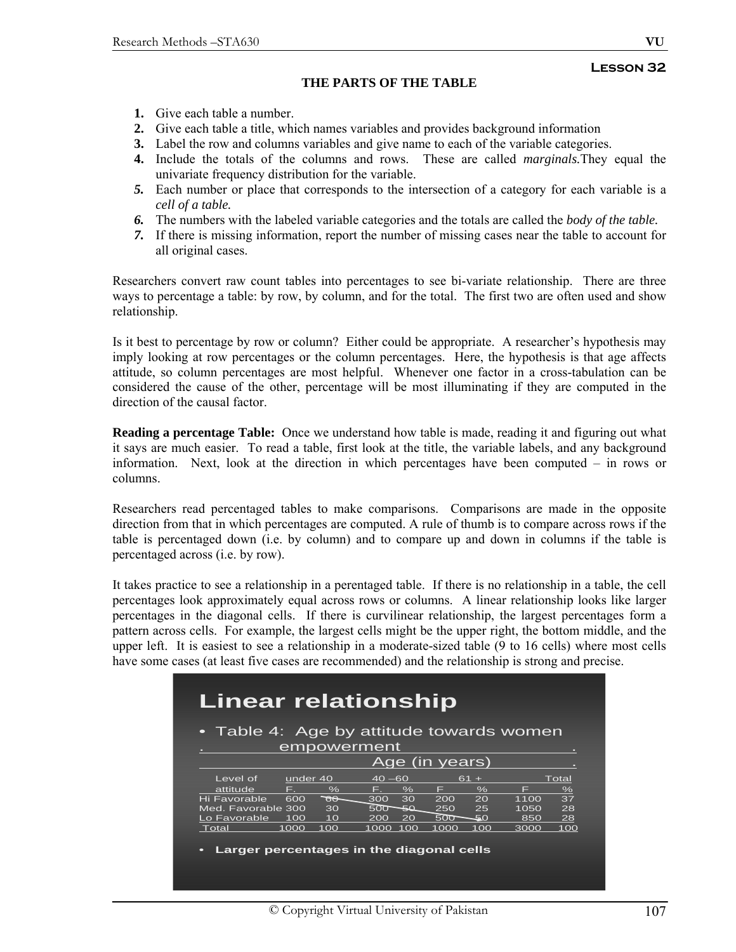## **THE PARTS OF THE TABLE**

- **1.** Give each table a number.
- **2.** Give each table a title, which names variables and provides background information
- **3.** Label the row and columns variables and give name to each of the variable categories.
- **4.** Include the totals of the columns and rows. These are called *marginals.*They equal the univariate frequency distribution for the variable.
- *5.* Each number or place that corresponds to the intersection of a category for each variable is a *cell of a table.*
- *6.* The numbers with the labeled variable categories and the totals are called the *body of the table.*
- *7.* If there is missing information, report the number of missing cases near the table to account for all original cases.

Researchers convert raw count tables into percentages to see bi-variate relationship. There are three ways to percentage a table: by row, by column, and for the total. The first two are often used and show relationship.

Is it best to percentage by row or column? Either could be appropriate. A researcher's hypothesis may imply looking at row percentages or the column percentages. Here, the hypothesis is that age affects attitude, so column percentages are most helpful. Whenever one factor in a cross-tabulation can be considered the cause of the other, percentage will be most illuminating if they are computed in the direction of the causal factor.

**Reading a percentage Table:** Once we understand how table is made, reading it and figuring out what it says are much easier. To read a table, first look at the title, the variable labels, and any background information. Next, look at the direction in which percentages have been computed – in rows or columns.

Researchers read percentaged tables to make comparisons. Comparisons are made in the opposite direction from that in which percentages are computed. A rule of thumb is to compare across rows if the table is percentaged down (i.e. by column) and to compare up and down in columns if the table is percentaged across (i.e. by row).

It takes practice to see a relationship in a perentaged table. If there is no relationship in a table, the cell percentages look approximately equal across rows or columns. A linear relationship looks like larger percentages in the diagonal cells. If there is curvilinear relationship, the largest percentages form a pattern across cells. For example, the largest cells might be the upper right, the bottom middle, and the upper left. It is easiest to see a relationship in a moderate-sized table (9 to 16 cells) where most cells have some cases (at least five cases are recommended) and the relationship is strong and precise.

| <b>Linear relationship</b>                            |          |      |             |      |                  |           |      |       |
|-------------------------------------------------------|----------|------|-------------|------|------------------|-----------|------|-------|
| • Table 4: Age by attitude towards women              |          |      |             |      |                  |           |      |       |
|                                                       |          |      | empowerment |      |                  |           |      |       |
|                                                       |          |      |             |      | Age (in years)   |           |      | п     |
| Level of                                              | under 40 |      | $40 - 60$   |      |                  | $61 +$    |      | Total |
| attitude                                              | F.       | $\%$ | F.          | $\%$ | F                | $\%$      | F    | $\%$  |
| Hi Favorable                                          | 600      | ాం   | 300         | 30   | 200 ·            | <b>20</b> | 1100 | 37    |
| Med. Favorable 300                                    |          | 30   | $500-$      | ډ⊶   | 250              | 25        | 1050 | 28    |
| Lo Favorable                                          | 100      | 10   | 200         | 20   | 500 <sup>-</sup> | -50       | 850  | 28    |
| Total                                                 | 1000     | 100  | 1000        | 100  | 1000             | 100       | 3000 | 100   |
| Larger percentages in the diagonal cells<br>$\bullet$ |          |      |             |      |                  |           |      |       |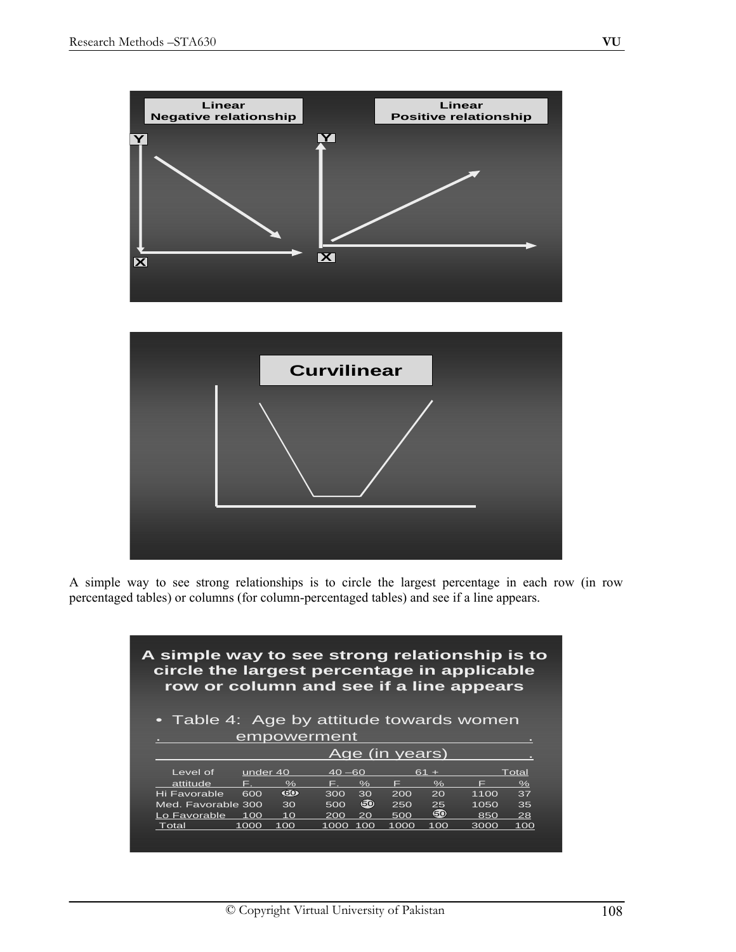



A simple way to see strong relationships is to circle the largest percentage in each row (in row percentaged tables) or columns (for column-percentaged tables) and see if a line appears.

| A simple way to see strong relationship is to<br>circle the largest percentage in applicable<br>row or column and see if a line appears |                     |                 |       |           |      |        |      |       |  |  |
|-----------------------------------------------------------------------------------------------------------------------------------------|---------------------|-----------------|-------|-----------|------|--------|------|-------|--|--|
| • Table 4: Age by attitude towards women                                                                                                |                     |                 |       |           |      |        |      |       |  |  |
|                                                                                                                                         | empowerment         |                 |       |           |      |        |      |       |  |  |
|                                                                                                                                         | Age (in years)<br>▫ |                 |       |           |      |        |      |       |  |  |
| Level of                                                                                                                                | under 40            |                 | $-60$ |           |      | $61 +$ |      | Total |  |  |
| attitude                                                                                                                                | F.                  | $\%$            | E.    | $\%$      | E    | $\%$   |      | $\%$  |  |  |
| Hi Favorable                                                                                                                            | 600                 | GO <sup>1</sup> | 300   | 30        | 200  | 20     | 1100 | 37    |  |  |
| Med. Favorable 300                                                                                                                      |                     | 30              | 500   | <b>60</b> | 250  | 25     | 1050 | 35    |  |  |
| Lo Favorable                                                                                                                            | 100                 | 10 <sup>1</sup> | 200   | 20        | 500  | 50)    | 850  | 28    |  |  |
| Total                                                                                                                                   | 1000                | 100             | 1000  | 100       | 1000 | 100    | 3000 | 100   |  |  |
|                                                                                                                                         |                     |                 |       |           |      |        |      |       |  |  |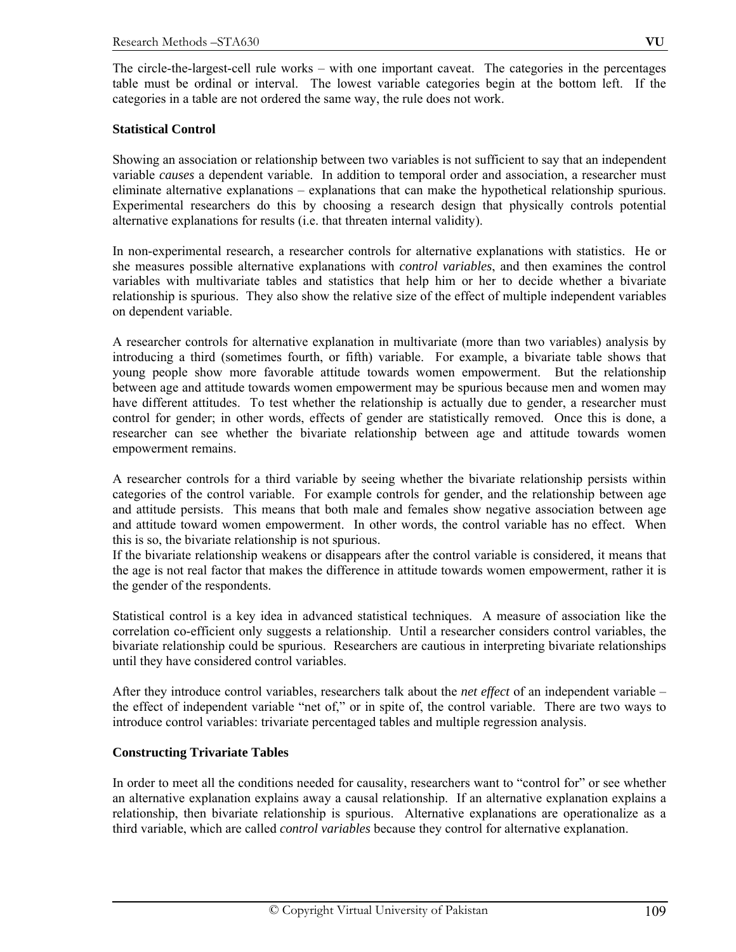The circle-the-largest-cell rule works – with one important caveat. The categories in the percentages table must be ordinal or interval. The lowest variable categories begin at the bottom left. If the categories in a table are not ordered the same way, the rule does not work.

## **Statistical Control**

Showing an association or relationship between two variables is not sufficient to say that an independent variable *causes* a dependent variable. In addition to temporal order and association, a researcher must eliminate alternative explanations – explanations that can make the hypothetical relationship spurious. Experimental researchers do this by choosing a research design that physically controls potential alternative explanations for results (i.e. that threaten internal validity).

In non-experimental research, a researcher controls for alternative explanations with statistics. He or she measures possible alternative explanations with *control variables*, and then examines the control variables with multivariate tables and statistics that help him or her to decide whether a bivariate relationship is spurious. They also show the relative size of the effect of multiple independent variables on dependent variable.

A researcher controls for alternative explanation in multivariate (more than two variables) analysis by introducing a third (sometimes fourth, or fifth) variable. For example, a bivariate table shows that young people show more favorable attitude towards women empowerment. But the relationship between age and attitude towards women empowerment may be spurious because men and women may have different attitudes. To test whether the relationship is actually due to gender, a researcher must control for gender; in other words, effects of gender are statistically removed. Once this is done, a researcher can see whether the bivariate relationship between age and attitude towards women empowerment remains.

A researcher controls for a third variable by seeing whether the bivariate relationship persists within categories of the control variable. For example controls for gender, and the relationship between age and attitude persists. This means that both male and females show negative association between age and attitude toward women empowerment. In other words, the control variable has no effect. When this is so, the bivariate relationship is not spurious.

If the bivariate relationship weakens or disappears after the control variable is considered, it means that the age is not real factor that makes the difference in attitude towards women empowerment, rather it is the gender of the respondents.

Statistical control is a key idea in advanced statistical techniques. A measure of association like the correlation co-efficient only suggests a relationship. Until a researcher considers control variables, the bivariate relationship could be spurious. Researchers are cautious in interpreting bivariate relationships until they have considered control variables.

After they introduce control variables, researchers talk about the *net effect* of an independent variable – the effect of independent variable "net of," or in spite of, the control variable. There are two ways to introduce control variables: trivariate percentaged tables and multiple regression analysis.

## **Constructing Trivariate Tables**

In order to meet all the conditions needed for causality, researchers want to "control for" or see whether an alternative explanation explains away a causal relationship. If an alternative explanation explains a relationship, then bivariate relationship is spurious. Alternative explanations are operationalize as a third variable, which are called *control variables* because they control for alternative explanation.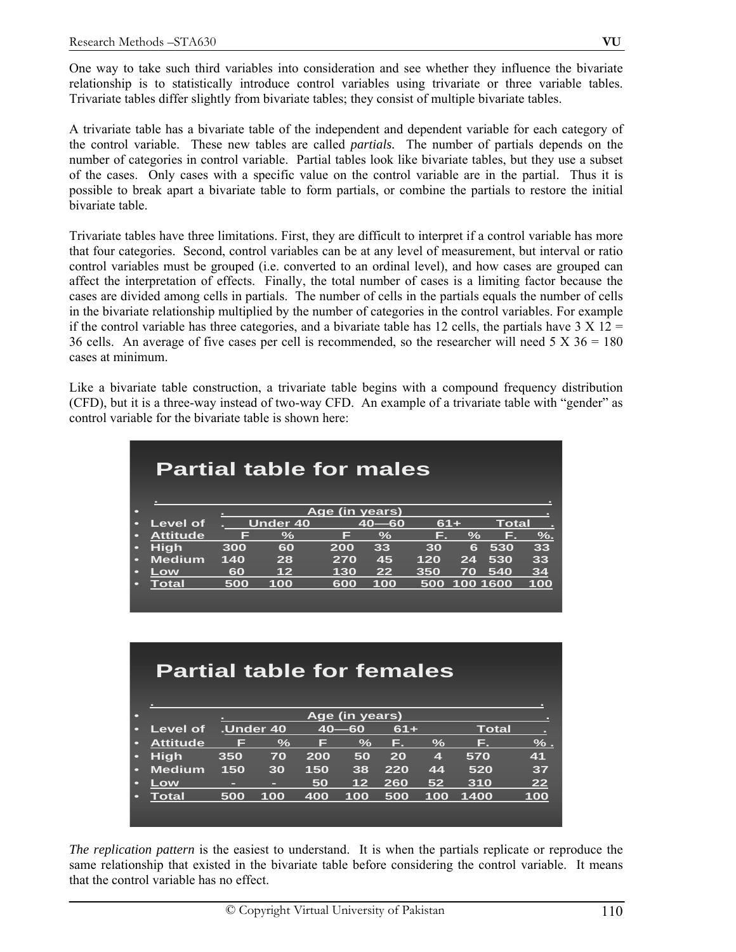One way to take such third variables into consideration and see whether they influence the bivariate relationship is to statistically introduce control variables using trivariate or three variable tables. Trivariate tables differ slightly from bivariate tables; they consist of multiple bivariate tables.

A trivariate table has a bivariate table of the independent and dependent variable for each category of the control variable. These new tables are called *partials.* The number of partials depends on the number of categories in control variable. Partial tables look like bivariate tables, but they use a subset of the cases. Only cases with a specific value on the control variable are in the partial. Thus it is possible to break apart a bivariate table to form partials, or combine the partials to restore the initial bivariate table.

Trivariate tables have three limitations. First, they are difficult to interpret if a control variable has more that four categories. Second, control variables can be at any level of measurement, but interval or ratio control variables must be grouped (i.e. converted to an ordinal level), and how cases are grouped can affect the interpretation of effects. Finally, the total number of cases is a limiting factor because the cases are divided among cells in partials. The number of cells in the partials equals the number of cells in the bivariate relationship multiplied by the number of categories in the control variables. For example if the control variable has three categories, and a bivariate table has 12 cells, the partials have  $3 \times 12 =$ 36 cells. An average of five cases per cell is recommended, so the researcher will need  $5 \times 36 = 180$ cases at minimum.

Like a bivariate table construction, a trivariate table begins with a compound frequency distribution (CFD), but it is a three-way instead of two-way CFD. An example of a trivariate table with "gender" as control variable for the bivariate table is shown here:

|   | <b>Partial table for males</b> |     |                 |                |               |       |               |       |        |
|---|--------------------------------|-----|-----------------|----------------|---------------|-------|---------------|-------|--------|
| ┍ |                                |     |                 | Age (in years) |               |       |               |       | п      |
|   | <b>Level of</b>                |     | <b>Under 40</b> |                | $40-$<br>-60  | $61+$ |               | Total |        |
|   | <b>Attitude</b>                | E   | $\frac{9}{6}$   | ь              | $\frac{6}{2}$ | F.    | $\frac{9}{6}$ | F.    | $\%$ . |
| o | High                           | 300 | 60              | 200            | 33            | 30    | 6             | 530   | 33     |
| o | Medium                         | 140 | 28              | 270            | 45            | 120   | 24            | 530   | 33     |
| o | <b>LOW</b>                     | 60  | 12              | 130            | 22            | 350   | 70            | 540   | 34     |
|   | Total                          | 500 | 100             | 600            | 100           | 500   | 100 1600      |       | 100    |
|   |                                |     |                 |                |               |       |               |       |        |

|           | <b>Partial table for females</b> |     |                     |     |               |     |                  |      |              |  |
|-----------|----------------------------------|-----|---------------------|-----|---------------|-----|------------------|------|--------------|--|
| o         |                                  |     | Age (in years)<br>п |     |               |     |                  |      |              |  |
|           | Level of                         |     | <b>.Under 40</b>    |     | 40<br>-60     |     | $61+$            |      | <b>Total</b> |  |
|           | <b>Attitude</b>                  | Е   | $\frac{9}{6}$       | E   | $\frac{9}{6}$ | F.  | $\frac{6}{2}$    | F.   | $%$ .        |  |
| $\bullet$ | <b>High</b>                      | 350 | 70                  | 200 | 50            | 20  | $\boldsymbol{4}$ | 570  | 41           |  |
| $\bullet$ | <b>Medium</b>                    | 150 | 30                  | 150 | 38            | 220 | 44               | 520  | 37           |  |
|           | Low                              | -   | -                   | 50  | $12$          | 260 | 52               | 310  | 22           |  |
|           | Total                            | 500 | 100                 | 400 | 100           | 500 | 100              | 1400 | 100          |  |
|           |                                  |     |                     |     |               |     |                  |      |              |  |

*The replication pattern* is the easiest to understand. It is when the partials replicate or reproduce the same relationship that existed in the bivariate table before considering the control variable. It means that the control variable has no effect.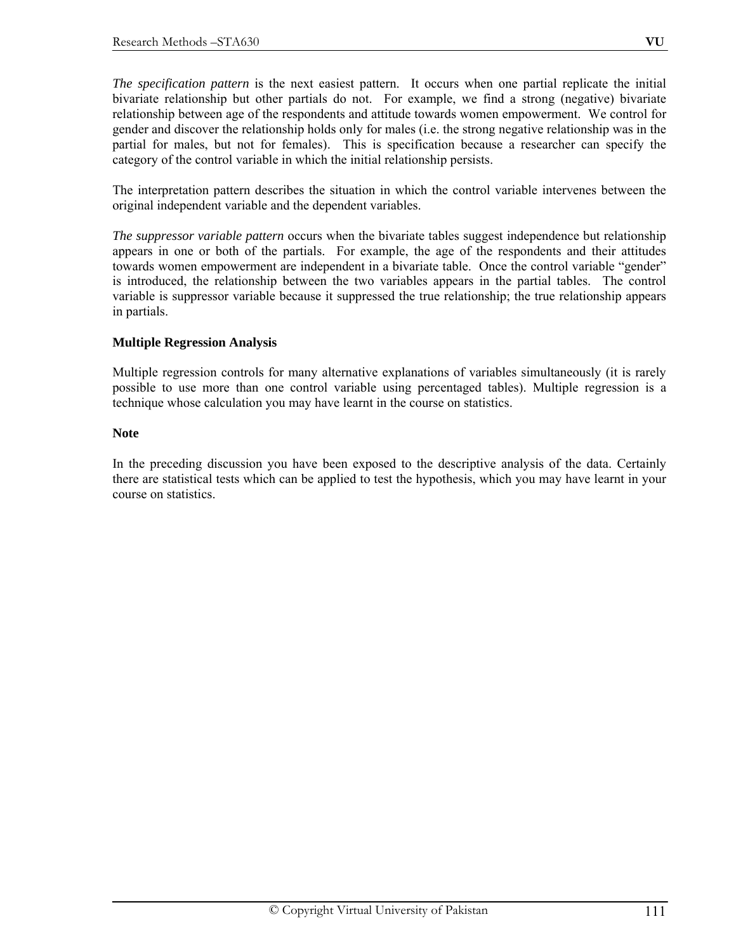*The specification pattern* is the next easiest pattern. It occurs when one partial replicate the initial bivariate relationship but other partials do not. For example, we find a strong (negative) bivariate relationship between age of the respondents and attitude towards women empowerment. We control for gender and discover the relationship holds only for males (i.e. the strong negative relationship was in the partial for males, but not for females). This is specification because a researcher can specify the category of the control variable in which the initial relationship persists.

The interpretation pattern describes the situation in which the control variable intervenes between the original independent variable and the dependent variables.

*The suppressor variable pattern* occurs when the bivariate tables suggest independence but relationship appears in one or both of the partials. For example, the age of the respondents and their attitudes towards women empowerment are independent in a bivariate table. Once the control variable "gender" is introduced, the relationship between the two variables appears in the partial tables. The control variable is suppressor variable because it suppressed the true relationship; the true relationship appears in partials.

#### **Multiple Regression Analysis**

Multiple regression controls for many alternative explanations of variables simultaneously (it is rarely possible to use more than one control variable using percentaged tables). Multiple regression is a technique whose calculation you may have learnt in the course on statistics.

#### **Note**

In the preceding discussion you have been exposed to the descriptive analysis of the data. Certainly there are statistical tests which can be applied to test the hypothesis, which you may have learnt in your course on statistics.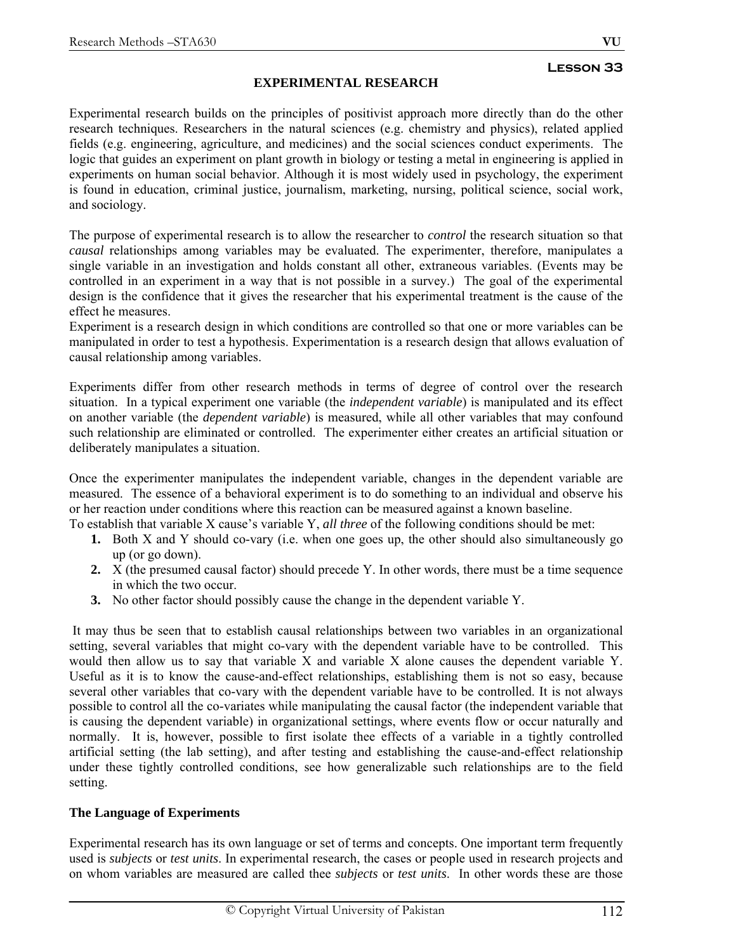### **Lesson 33**

## **EXPERIMENTAL RESEARCH**

Experimental research builds on the principles of positivist approach more directly than do the other research techniques. Researchers in the natural sciences (e.g. chemistry and physics), related applied fields (e.g. engineering, agriculture, and medicines) and the social sciences conduct experiments. The logic that guides an experiment on plant growth in biology or testing a metal in engineering is applied in experiments on human social behavior. Although it is most widely used in psychology, the experiment is found in education, criminal justice, journalism, marketing, nursing, political science, social work, and sociology.

The purpose of experimental research is to allow the researcher to *control* the research situation so that *causal* relationships among variables may be evaluated. The experimenter, therefore, manipulates a single variable in an investigation and holds constant all other, extraneous variables. (Events may be controlled in an experiment in a way that is not possible in a survey.) The goal of the experimental design is the confidence that it gives the researcher that his experimental treatment is the cause of the effect he measures.

Experiment is a research design in which conditions are controlled so that one or more variables can be manipulated in order to test a hypothesis. Experimentation is a research design that allows evaluation of causal relationship among variables.

Experiments differ from other research methods in terms of degree of control over the research situation. In a typical experiment one variable (the *independent variable*) is manipulated and its effect on another variable (the *dependent variable*) is measured, while all other variables that may confound such relationship are eliminated or controlled. The experimenter either creates an artificial situation or deliberately manipulates a situation.

Once the experimenter manipulates the independent variable, changes in the dependent variable are measured. The essence of a behavioral experiment is to do something to an individual and observe his or her reaction under conditions where this reaction can be measured against a known baseline.

To establish that variable X cause's variable Y, *all three* of the following conditions should be met:

- **1.** Both X and Y should co-vary (i.e. when one goes up, the other should also simultaneously go up (or go down).
- **2.** X (the presumed causal factor) should precede Y. In other words, there must be a time sequence in which the two occur.
- **3.** No other factor should possibly cause the change in the dependent variable Y.

 It may thus be seen that to establish causal relationships between two variables in an organizational setting, several variables that might co-vary with the dependent variable have to be controlled. This would then allow us to say that variable X and variable X alone causes the dependent variable Y. Useful as it is to know the cause-and-effect relationships, establishing them is not so easy, because several other variables that co-vary with the dependent variable have to be controlled. It is not always possible to control all the co-variates while manipulating the causal factor (the independent variable that is causing the dependent variable) in organizational settings, where events flow or occur naturally and normally. It is, however, possible to first isolate thee effects of a variable in a tightly controlled artificial setting (the lab setting), and after testing and establishing the cause-and-effect relationship under these tightly controlled conditions, see how generalizable such relationships are to the field setting.

## **The Language of Experiments**

Experimental research has its own language or set of terms and concepts. One important term frequently used is *subjects* or *test units*. In experimental research, the cases or people used in research projects and on whom variables are measured are called thee *subjects* or *test units*. In other words these are those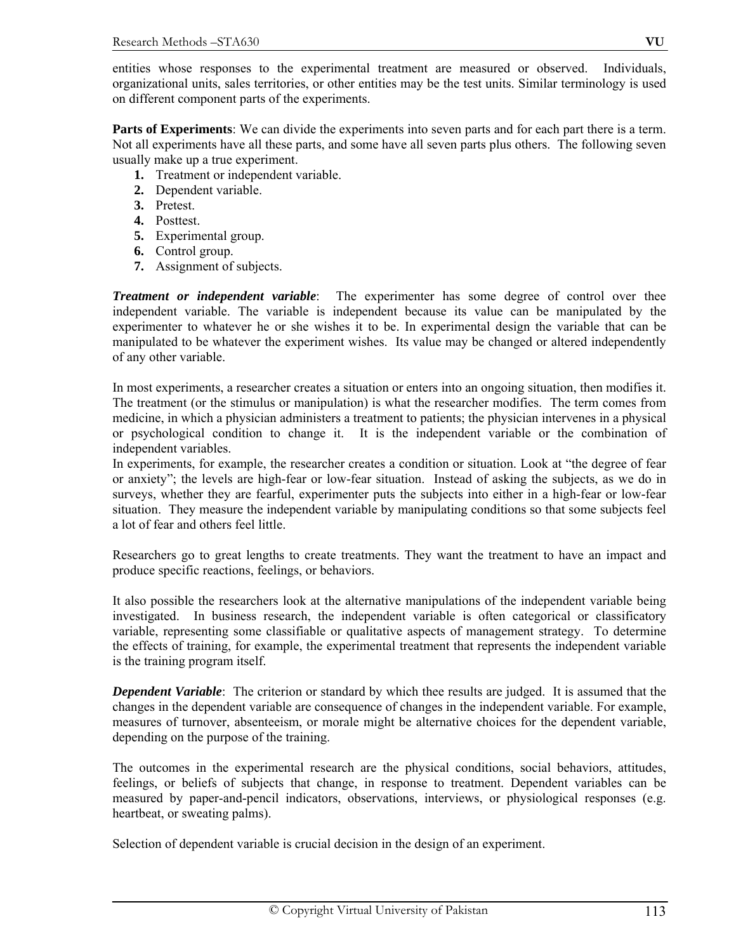entities whose responses to the experimental treatment are measured or observed. Individuals, organizational units, sales territories, or other entities may be the test units. Similar terminology is used on different component parts of the experiments.

**Parts of Experiments**: We can divide the experiments into seven parts and for each part there is a term. Not all experiments have all these parts, and some have all seven parts plus others. The following seven usually make up a true experiment.

- **1.** Treatment or independent variable.
- **2.** Dependent variable.
- **3.** Pretest.
- **4.** Posttest.
- **5.** Experimental group.
- **6.** Control group.
- **7.** Assignment of subjects.

*Treatment or independent variable*: The experimenter has some degree of control over thee independent variable. The variable is independent because its value can be manipulated by the experimenter to whatever he or she wishes it to be. In experimental design the variable that can be manipulated to be whatever the experiment wishes. Its value may be changed or altered independently of any other variable.

In most experiments, a researcher creates a situation or enters into an ongoing situation, then modifies it. The treatment (or the stimulus or manipulation) is what the researcher modifies. The term comes from medicine, in which a physician administers a treatment to patients; the physician intervenes in a physical or psychological condition to change it. It is the independent variable or the combination of independent variables.

In experiments, for example, the researcher creates a condition or situation. Look at "the degree of fear or anxiety"; the levels are high-fear or low-fear situation. Instead of asking the subjects, as we do in surveys, whether they are fearful, experimenter puts the subjects into either in a high-fear or low-fear situation. They measure the independent variable by manipulating conditions so that some subjects feel a lot of fear and others feel little.

Researchers go to great lengths to create treatments. They want the treatment to have an impact and produce specific reactions, feelings, or behaviors.

It also possible the researchers look at the alternative manipulations of the independent variable being investigated. In business research, the independent variable is often categorical or classificatory variable, representing some classifiable or qualitative aspects of management strategy. To determine the effects of training, for example, the experimental treatment that represents the independent variable is the training program itself.

*Dependent Variable*: The criterion or standard by which thee results are judged. It is assumed that the changes in the dependent variable are consequence of changes in the independent variable. For example, measures of turnover, absenteeism, or morale might be alternative choices for the dependent variable, depending on the purpose of the training.

The outcomes in the experimental research are the physical conditions, social behaviors, attitudes, feelings, or beliefs of subjects that change, in response to treatment. Dependent variables can be measured by paper-and-pencil indicators, observations, interviews, or physiological responses (e.g. heartbeat, or sweating palms).

Selection of dependent variable is crucial decision in the design of an experiment.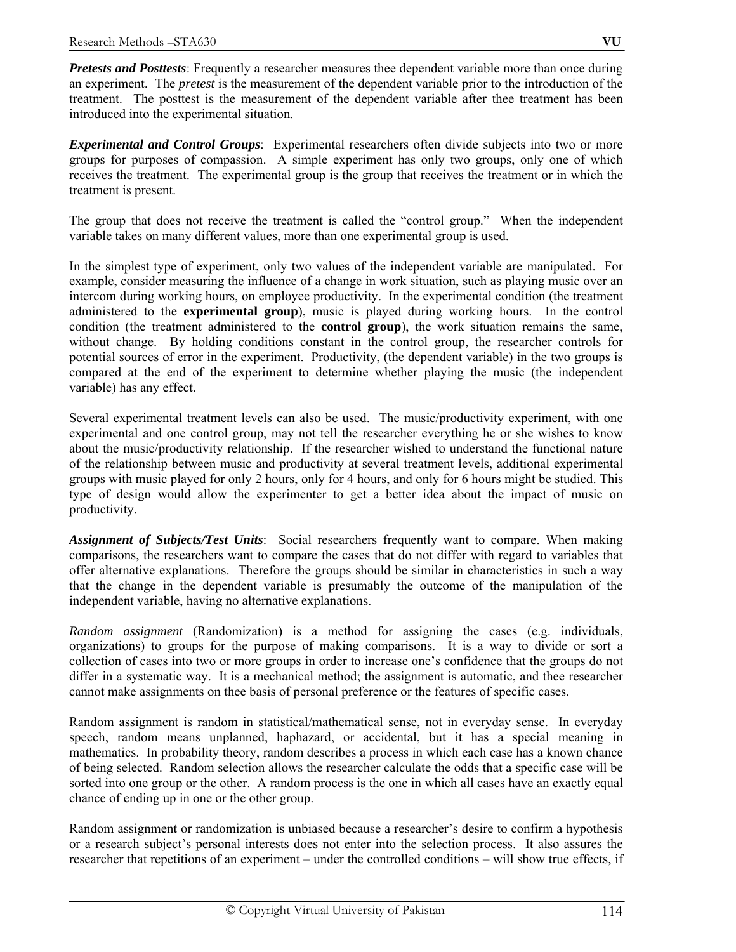*Pretests and Posttests*: Frequently a researcher measures thee dependent variable more than once during an experiment. The *pretest* is the measurement of the dependent variable prior to the introduction of the treatment. The posttest is the measurement of the dependent variable after thee treatment has been introduced into the experimental situation.

*Experimental and Control Groups*: Experimental researchers often divide subjects into two or more groups for purposes of compassion. A simple experiment has only two groups, only one of which receives the treatment. The experimental group is the group that receives the treatment or in which the treatment is present.

The group that does not receive the treatment is called the "control group." When the independent variable takes on many different values, more than one experimental group is used.

In the simplest type of experiment, only two values of the independent variable are manipulated. For example, consider measuring the influence of a change in work situation, such as playing music over an intercom during working hours, on employee productivity. In the experimental condition (the treatment administered to the **experimental group**), music is played during working hours. In the control condition (the treatment administered to the **control group**), the work situation remains the same, without change. By holding conditions constant in the control group, the researcher controls for potential sources of error in the experiment. Productivity, (the dependent variable) in the two groups is compared at the end of the experiment to determine whether playing the music (the independent variable) has any effect.

Several experimental treatment levels can also be used. The music/productivity experiment, with one experimental and one control group, may not tell the researcher everything he or she wishes to know about the music/productivity relationship. If the researcher wished to understand the functional nature of the relationship between music and productivity at several treatment levels, additional experimental groups with music played for only 2 hours, only for 4 hours, and only for 6 hours might be studied. This type of design would allow the experimenter to get a better idea about the impact of music on productivity.

*Assignment of Subjects/Test Units*: Social researchers frequently want to compare. When making comparisons, the researchers want to compare the cases that do not differ with regard to variables that offer alternative explanations. Therefore the groups should be similar in characteristics in such a way that the change in the dependent variable is presumably the outcome of the manipulation of the independent variable, having no alternative explanations.

*Random assignment* (Randomization) is a method for assigning the cases (e.g. individuals, organizations) to groups for the purpose of making comparisons. It is a way to divide or sort a collection of cases into two or more groups in order to increase one's confidence that the groups do not differ in a systematic way. It is a mechanical method; the assignment is automatic, and thee researcher cannot make assignments on thee basis of personal preference or the features of specific cases.

Random assignment is random in statistical/mathematical sense, not in everyday sense. In everyday speech, random means unplanned, haphazard, or accidental, but it has a special meaning in mathematics. In probability theory, random describes a process in which each case has a known chance of being selected. Random selection allows the researcher calculate the odds that a specific case will be sorted into one group or the other. A random process is the one in which all cases have an exactly equal chance of ending up in one or the other group.

Random assignment or randomization is unbiased because a researcher's desire to confirm a hypothesis or a research subject's personal interests does not enter into the selection process. It also assures the researcher that repetitions of an experiment – under the controlled conditions – will show true effects, if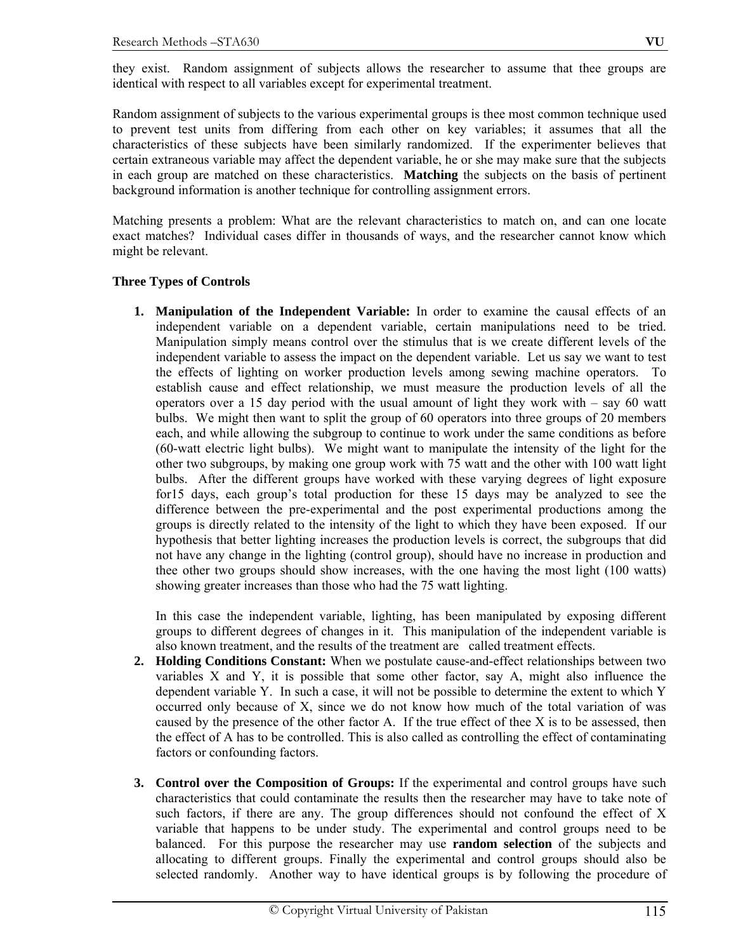they exist. Random assignment of subjects allows the researcher to assume that thee groups are identical with respect to all variables except for experimental treatment.

Random assignment of subjects to the various experimental groups is thee most common technique used to prevent test units from differing from each other on key variables; it assumes that all the characteristics of these subjects have been similarly randomized. If the experimenter believes that certain extraneous variable may affect the dependent variable, he or she may make sure that the subjects in each group are matched on these characteristics. **Matching** the subjects on the basis of pertinent background information is another technique for controlling assignment errors.

Matching presents a problem: What are the relevant characteristics to match on, and can one locate exact matches? Individual cases differ in thousands of ways, and the researcher cannot know which might be relevant.

#### **Three Types of Controls**

**1. Manipulation of the Independent Variable:** In order to examine the causal effects of an independent variable on a dependent variable, certain manipulations need to be tried. Manipulation simply means control over the stimulus that is we create different levels of the independent variable to assess the impact on the dependent variable. Let us say we want to test the effects of lighting on worker production levels among sewing machine operators. To establish cause and effect relationship, we must measure the production levels of all the operators over a 15 day period with the usual amount of light they work with – say 60 watt bulbs. We might then want to split the group of 60 operators into three groups of 20 members each, and while allowing the subgroup to continue to work under the same conditions as before (60-watt electric light bulbs). We might want to manipulate the intensity of the light for the other two subgroups, by making one group work with 75 watt and the other with 100 watt light bulbs. After the different groups have worked with these varying degrees of light exposure for15 days, each group's total production for these 15 days may be analyzed to see the difference between the pre-experimental and the post experimental productions among the groups is directly related to the intensity of the light to which they have been exposed. If our hypothesis that better lighting increases the production levels is correct, the subgroups that did not have any change in the lighting (control group), should have no increase in production and thee other two groups should show increases, with the one having the most light (100 watts) showing greater increases than those who had the 75 watt lighting.

In this case the independent variable, lighting, has been manipulated by exposing different groups to different degrees of changes in it. This manipulation of the independent variable is also known treatment, and the results of the treatment are called treatment effects.

- **2. Holding Conditions Constant:** When we postulate cause-and-effect relationships between two variables X and Y, it is possible that some other factor, say A, might also influence the dependent variable Y. In such a case, it will not be possible to determine the extent to which Y occurred only because of X, since we do not know how much of the total variation of was caused by the presence of the other factor A. If the true effect of thee X is to be assessed, then the effect of A has to be controlled. This is also called as controlling the effect of contaminating factors or confounding factors.
- **3. Control over the Composition of Groups:** If the experimental and control groups have such characteristics that could contaminate the results then the researcher may have to take note of such factors, if there are any. The group differences should not confound the effect of X variable that happens to be under study. The experimental and control groups need to be balanced. For this purpose the researcher may use **random selection** of the subjects and allocating to different groups. Finally the experimental and control groups should also be selected randomly. Another way to have identical groups is by following the procedure of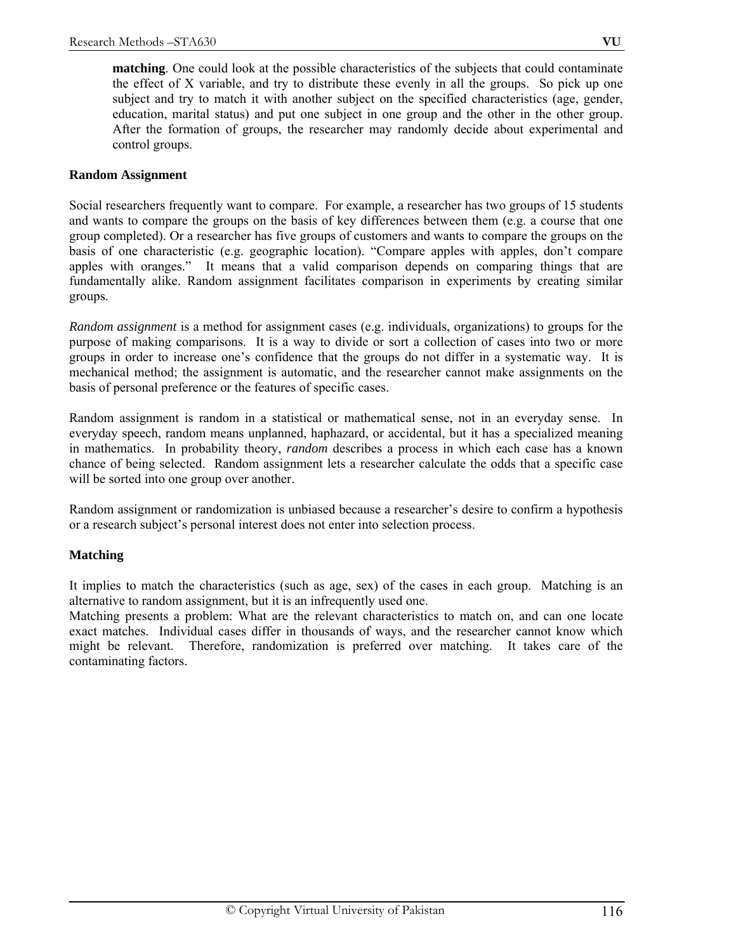**matching**. One could look at the possible characteristics of the subjects that could contaminate the effect of X variable, and try to distribute these evenly in all the groups. So pick up one subject and try to match it with another subject on the specified characteristics (age, gender, education, marital status) and put one subject in one group and the other in the other group. After the formation of groups, the researcher may randomly decide about experimental and control groups.

#### **Random Assignment**

Social researchers frequently want to compare. For example, a researcher has two groups of 15 students and wants to compare the groups on the basis of key differences between them (e.g. a course that one group completed). Or a researcher has five groups of customers and wants to compare the groups on the basis of one characteristic (e.g. geographic location). "Compare apples with apples, don't compare apples with oranges." It means that a valid comparison depends on comparing things that are fundamentally alike. Random assignment facilitates comparison in experiments by creating similar groups.

*Random assignment* is a method for assignment cases (e.g. individuals, organizations) to groups for the purpose of making comparisons. It is a way to divide or sort a collection of cases into two or more groups in order to increase one's confidence that the groups do not differ in a systematic way. It is mechanical method; the assignment is automatic, and the researcher cannot make assignments on the basis of personal preference or the features of specific cases.

Random assignment is random in a statistical or mathematical sense, not in an everyday sense. In everyday speech, random means unplanned, haphazard, or accidental, but it has a specialized meaning in mathematics. In probability theory, *random* describes a process in which each case has a known chance of being selected. Random assignment lets a researcher calculate the odds that a specific case will be sorted into one group over another.

Random assignment or randomization is unbiased because a researcher's desire to confirm a hypothesis or a research subject's personal interest does not enter into selection process.

#### **Matching**

It implies to match the characteristics (such as age, sex) of the cases in each group. Matching is an alternative to random assignment, but it is an infrequently used one.

Matching presents a problem: What are the relevant characteristics to match on, and can one locate exact matches. Individual cases differ in thousands of ways, and the researcher cannot know which might be relevant. Therefore, randomization is preferred over matching. It takes care of the contaminating factors.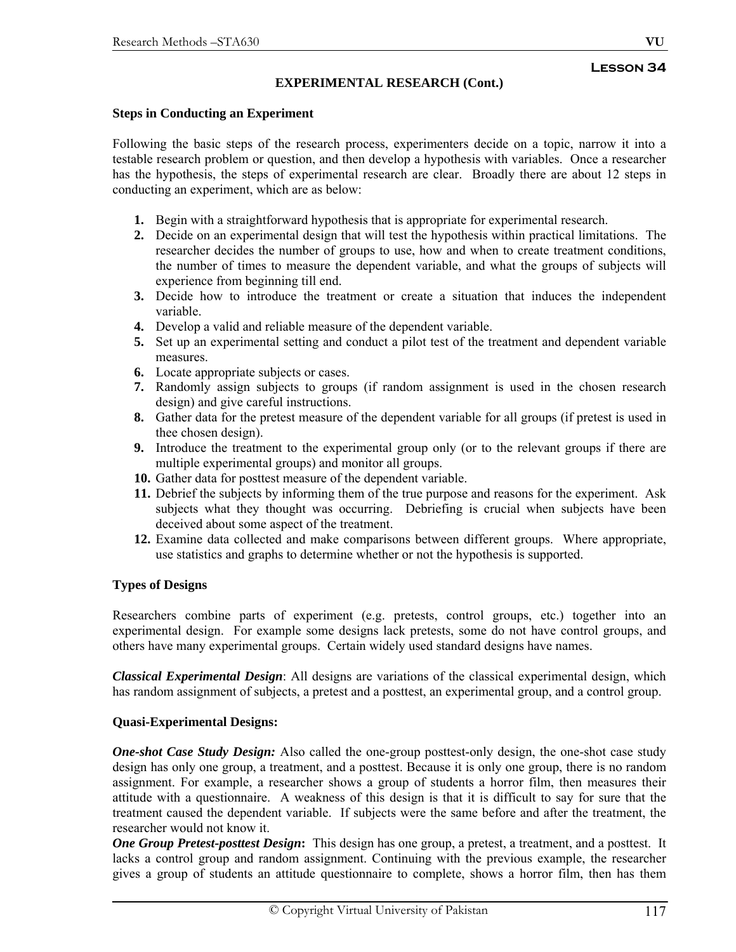## **EXPERIMENTAL RESEARCH (Cont.)**

#### **Steps in Conducting an Experiment**

Following the basic steps of the research process, experimenters decide on a topic, narrow it into a testable research problem or question, and then develop a hypothesis with variables. Once a researcher has the hypothesis, the steps of experimental research are clear. Broadly there are about 12 steps in conducting an experiment, which are as below:

- **1.** Begin with a straightforward hypothesis that is appropriate for experimental research.
- **2.** Decide on an experimental design that will test the hypothesis within practical limitations. The researcher decides the number of groups to use, how and when to create treatment conditions, the number of times to measure the dependent variable, and what the groups of subjects will experience from beginning till end.
- **3.** Decide how to introduce the treatment or create a situation that induces the independent variable.
- **4.** Develop a valid and reliable measure of the dependent variable.
- **5.** Set up an experimental setting and conduct a pilot test of the treatment and dependent variable measures.
- **6.** Locate appropriate subjects or cases.
- **7.** Randomly assign subjects to groups (if random assignment is used in the chosen research design) and give careful instructions.
- **8.** Gather data for the pretest measure of the dependent variable for all groups (if pretest is used in thee chosen design).
- **9.** Introduce the treatment to the experimental group only (or to the relevant groups if there are multiple experimental groups) and monitor all groups.
- **10.** Gather data for posttest measure of the dependent variable.
- **11.** Debrief the subjects by informing them of the true purpose and reasons for the experiment. Ask subjects what they thought was occurring. Debriefing is crucial when subjects have been deceived about some aspect of the treatment.
- **12.** Examine data collected and make comparisons between different groups. Where appropriate, use statistics and graphs to determine whether or not the hypothesis is supported.

# **Types of Designs**

Researchers combine parts of experiment (e.g. pretests, control groups, etc.) together into an experimental design. For example some designs lack pretests, some do not have control groups, and others have many experimental groups. Certain widely used standard designs have names.

*Classical Experimental Design*: All designs are variations of the classical experimental design, which has random assignment of subjects, a pretest and a posttest, an experimental group, and a control group.

# **Quasi-Experimental Designs:**

*One-shot Case Study Design:* Also called the one-group posttest-only design, the one-shot case study design has only one group, a treatment, and a posttest. Because it is only one group, there is no random assignment. For example, a researcher shows a group of students a horror film, then measures their attitude with a questionnaire. A weakness of this design is that it is difficult to say for sure that the treatment caused the dependent variable. If subjects were the same before and after the treatment, the researcher would not know it.

*One Group Pretest-posttest Design***:** This design has one group, a pretest, a treatment, and a posttest. It lacks a control group and random assignment. Continuing with the previous example, the researcher gives a group of students an attitude questionnaire to complete, shows a horror film, then has them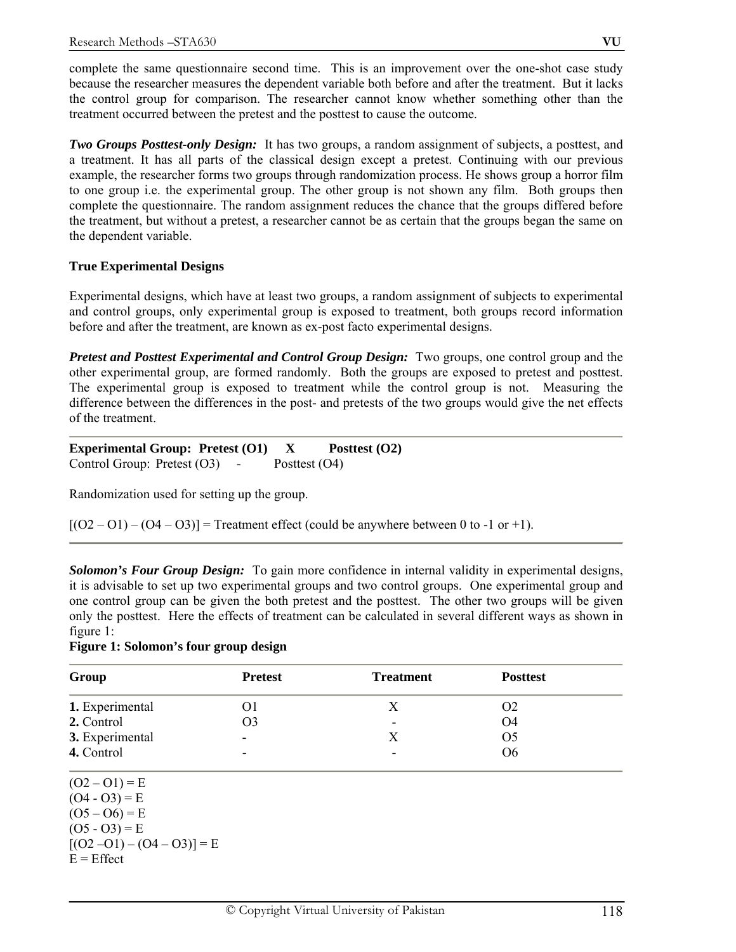complete the same questionnaire second time. This is an improvement over the one-shot case study because the researcher measures the dependent variable both before and after the treatment. But it lacks the control group for comparison. The researcher cannot know whether something other than the treatment occurred between the pretest and the posttest to cause the outcome.

*Two Groups Posttest-only Design:* It has two groups, a random assignment of subjects, a posttest, and a treatment. It has all parts of the classical design except a pretest. Continuing with our previous example, the researcher forms two groups through randomization process. He shows group a horror film to one group i.e. the experimental group. The other group is not shown any film. Both groups then complete the questionnaire. The random assignment reduces the chance that the groups differed before the treatment, but without a pretest, a researcher cannot be as certain that the groups began the same on the dependent variable.

#### **True Experimental Designs**

Experimental designs, which have at least two groups, a random assignment of subjects to experimental and control groups, only experimental group is exposed to treatment, both groups record information before and after the treatment, are known as ex-post facto experimental designs.

*Pretest and Posttest Experimental and Control Group Design:* Two groups, one control group and the other experimental group, are formed randomly. Both the groups are exposed to pretest and posttest. The experimental group is exposed to treatment while the control group is not. Measuring the difference between the differences in the post- and pretests of the two groups would give the net effects of the treatment.

| <b>Experimental Group: Pretest (O1)</b> |                          |               | Posttest $(02)$ |  |
|-----------------------------------------|--------------------------|---------------|-----------------|--|
| Control Group: Pretest (O3)             | $\overline{\phantom{0}}$ | Posttest (O4) |                 |  |

Randomization used for setting up the group.

 $[(02 - 01) - (04 - 03)]$  = Treatment effect (could be anywhere between 0 to -1 or +1).

*Solomon's Four Group Design:* To gain more confidence in internal validity in experimental designs, it is advisable to set up two experimental groups and two control groups. One experimental group and one control group can be given the both pretest and the posttest. The other two groups will be given only the posttest. Here the effects of treatment can be calculated in several different ways as shown in figure 1:

## **Figure 1: Solomon's four group design**

| Group           | <b>Pretest</b>           | <b>Treatment</b> | <b>Posttest</b> |  |
|-----------------|--------------------------|------------------|-----------------|--|
| 1. Experimental | O1                       | X                | O2              |  |
| 2. Control      | O <sub>3</sub>           |                  | <b>O4</b>       |  |
| 3. Experimental | $\overline{\phantom{0}}$ | X                | O <sub>5</sub>  |  |
| 4. Control      | ۰                        |                  | <b>O6</b>       |  |

 $(O4 - O3) = E$  $(O5 - O6) = E$  $(O5 - O3) = E$  $[(O2-O1)-(O4-O3)]$  = E  $E =$  Effect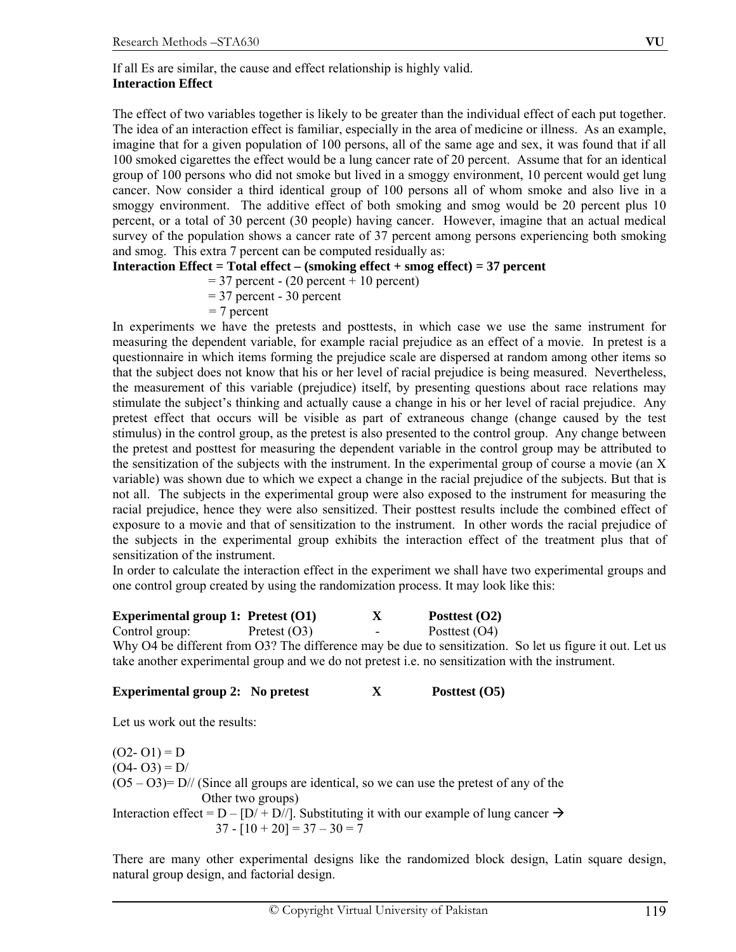#### If all Es are similar, the cause and effect relationship is highly valid. **Interaction Effect**

The effect of two variables together is likely to be greater than the individual effect of each put together. The idea of an interaction effect is familiar, especially in the area of medicine or illness. As an example, imagine that for a given population of 100 persons, all of the same age and sex, it was found that if all 100 smoked cigarettes the effect would be a lung cancer rate of 20 percent. Assume that for an identical group of 100 persons who did not smoke but lived in a smoggy environment, 10 percent would get lung cancer. Now consider a third identical group of 100 persons all of whom smoke and also live in a smoggy environment. The additive effect of both smoking and smog would be 20 percent plus 10 percent, or a total of 30 percent (30 people) having cancer. However, imagine that an actual medical survey of the population shows a cancer rate of 37 percent among persons experiencing both smoking and smog. This extra 7 percent can be computed residually as:

## **Interaction Effect = Total effect – (smoking effect + smog effect) = 37 percent**

- $= 37$  percent (20 percent + 10 percent)
- = 37 percent 30 percent
- $= 7$  percent

In experiments we have the pretests and posttests, in which case we use the same instrument for measuring the dependent variable, for example racial prejudice as an effect of a movie. In pretest is a questionnaire in which items forming the prejudice scale are dispersed at random among other items so that the subject does not know that his or her level of racial prejudice is being measured. Nevertheless, the measurement of this variable (prejudice) itself, by presenting questions about race relations may stimulate the subject's thinking and actually cause a change in his or her level of racial prejudice. Any pretest effect that occurs will be visible as part of extraneous change (change caused by the test stimulus) in the control group, as the pretest is also presented to the control group. Any change between the pretest and posttest for measuring the dependent variable in the control group may be attributed to the sensitization of the subjects with the instrument. In the experimental group of course a movie (an X variable) was shown due to which we expect a change in the racial prejudice of the subjects. But that is not all. The subjects in the experimental group were also exposed to the instrument for measuring the racial prejudice, hence they were also sensitized. Their posttest results include the combined effect of exposure to a movie and that of sensitization to the instrument. In other words the racial prejudice of the subjects in the experimental group exhibits the interaction effect of the treatment plus that of sensitization of the instrument.

In order to calculate the interaction effect in the experiment we shall have two experimental groups and one control group created by using the randomization process. It may look like this:

| Experimental group 1: Pretest $(01)$ |                | $\mathbf X$ | Posttest $(O2)$ |
|--------------------------------------|----------------|-------------|-----------------|
| Control group:                       | Pretest $(O3)$ | -           | Posttest $(O4)$ |

Why O4 be different from O3? The difference may be due to sensitization. So let us figure it out. Let us take another experimental group and we do not pretest i.e. no sensitization with the instrument.

#### **Experimental group 2: No pretest X Posttest (O5)**

Let us work out the results:

 $(O2 - O1) = D$  $(O4 - O3) = D/$  $(05 - 03) = D$ // (Since all groups are identical, so we can use the pretest of any of the Other two groups) Interaction effect =  $D - [D/H]$ . Substituting it with our example of lung cancer  $\rightarrow$  $37 - 10 + 20 = 37 - 30 = 7$ 

There are many other experimental designs like the randomized block design, Latin square design, natural group design, and factorial design.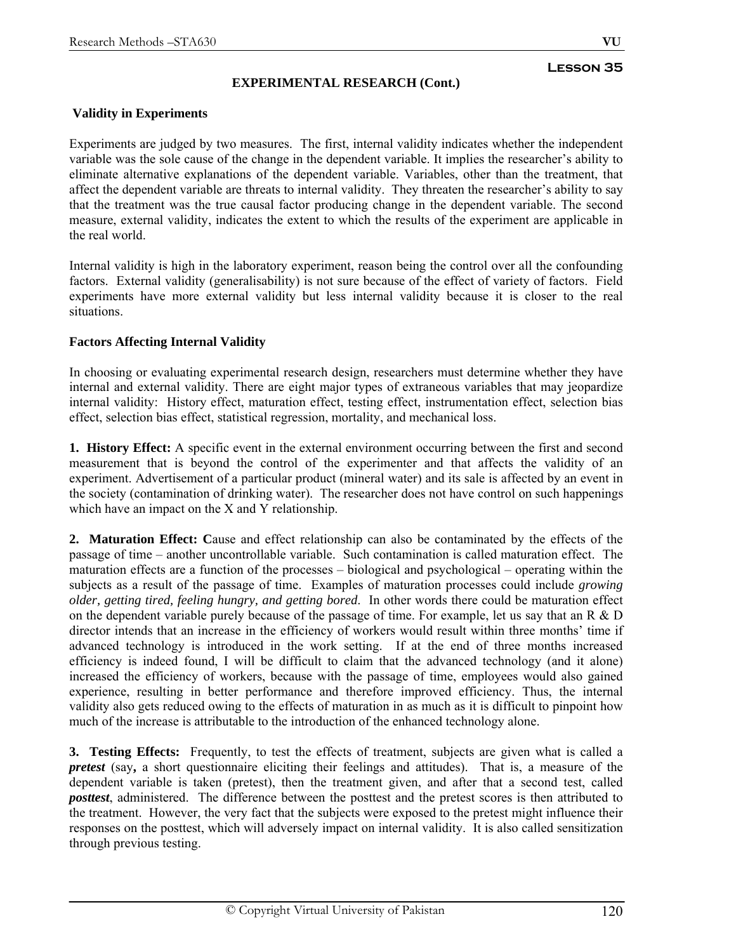## **EXPERIMENTAL RESEARCH (Cont.)**

#### **Validity in Experiments**

Experiments are judged by two measures. The first, internal validity indicates whether the independent variable was the sole cause of the change in the dependent variable. It implies the researcher's ability to eliminate alternative explanations of the dependent variable. Variables, other than the treatment, that affect the dependent variable are threats to internal validity. They threaten the researcher's ability to say that the treatment was the true causal factor producing change in the dependent variable. The second measure, external validity, indicates the extent to which the results of the experiment are applicable in the real world.

Internal validity is high in the laboratory experiment, reason being the control over all the confounding factors. External validity (generalisability) is not sure because of the effect of variety of factors. Field experiments have more external validity but less internal validity because it is closer to the real situations.

#### **Factors Affecting Internal Validity**

In choosing or evaluating experimental research design, researchers must determine whether they have internal and external validity. There are eight major types of extraneous variables that may jeopardize internal validity: History effect, maturation effect, testing effect, instrumentation effect, selection bias effect, selection bias effect, statistical regression, mortality, and mechanical loss.

**1. History Effect:** A specific event in the external environment occurring between the first and second measurement that is beyond the control of the experimenter and that affects the validity of an experiment. Advertisement of a particular product (mineral water) and its sale is affected by an event in the society (contamination of drinking water). The researcher does not have control on such happenings which have an impact on the X and Y relationship.

**2. Maturation Effect: C**ause and effect relationship can also be contaminated by the effects of the passage of time – another uncontrollable variable. Such contamination is called maturation effect. The maturation effects are a function of the processes – biological and psychological – operating within the subjects as a result of the passage of time. Examples of maturation processes could include *growing older, getting tired, feeling hungry, and getting bored*. In other words there could be maturation effect on the dependent variable purely because of the passage of time. For example, let us say that an R & D director intends that an increase in the efficiency of workers would result within three months' time if advanced technology is introduced in the work setting. If at the end of three months increased efficiency is indeed found, I will be difficult to claim that the advanced technology (and it alone) increased the efficiency of workers, because with the passage of time, employees would also gained experience, resulting in better performance and therefore improved efficiency. Thus, the internal validity also gets reduced owing to the effects of maturation in as much as it is difficult to pinpoint how much of the increase is attributable to the introduction of the enhanced technology alone.

**3. Testing Effects:** Frequently, to test the effects of treatment, subjects are given what is called a *pretest* (say, a short questionnaire eliciting their feelings and attitudes). That is, a measure of the dependent variable is taken (pretest), then the treatment given, and after that a second test, called *posttest*, administered. The difference between the posttest and the pretest scores is then attributed to the treatment. However, the very fact that the subjects were exposed to the pretest might influence their responses on the posttest, which will adversely impact on internal validity. It is also called sensitization through previous testing.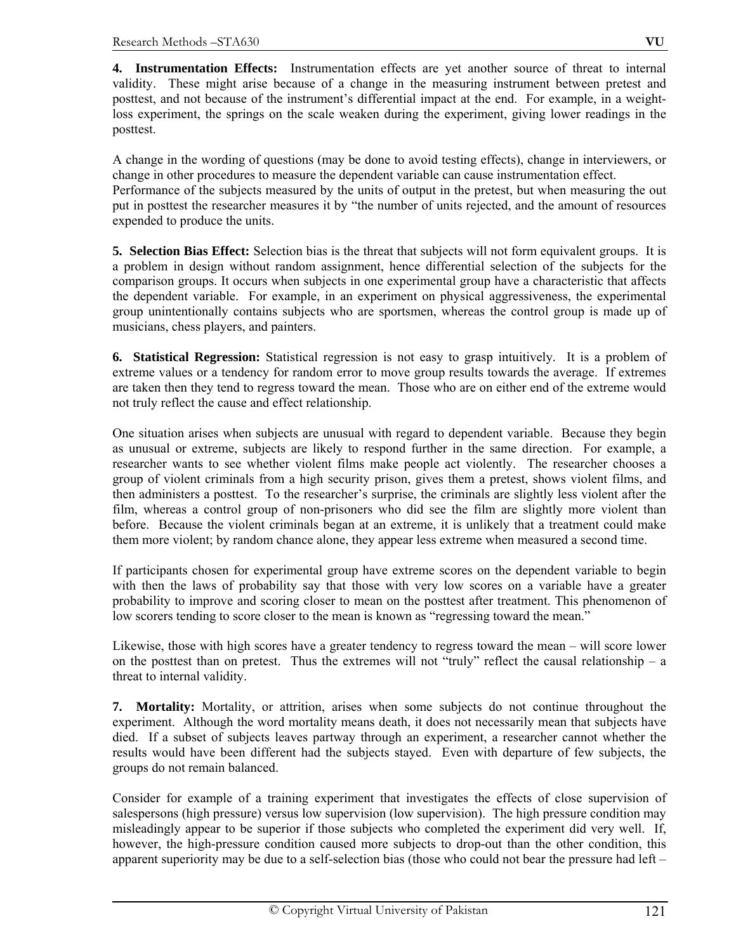validity. These might arise because of a change in the measuring instrument between pretest and posttest, and not because of the instrument's differential impact at the end. For example, in a weightloss experiment, the springs on the scale weaken during the experiment, giving lower readings in the posttest.

A change in the wording of questions (may be done to avoid testing effects), change in interviewers, or change in other procedures to measure the dependent variable can cause instrumentation effect. Performance of the subjects measured by the units of output in the pretest, but when measuring the out put in posttest the researcher measures it by "the number of units rejected, and the amount of resources expended to produce the units.

**5. Selection Bias Effect:** Selection bias is the threat that subjects will not form equivalent groups. It is a problem in design without random assignment, hence differential selection of the subjects for the comparison groups. It occurs when subjects in one experimental group have a characteristic that affects the dependent variable. For example, in an experiment on physical aggressiveness, the experimental group unintentionally contains subjects who are sportsmen, whereas the control group is made up of musicians, chess players, and painters.

**6. Statistical Regression:** Statistical regression is not easy to grasp intuitively. It is a problem of extreme values or a tendency for random error to move group results towards the average. If extremes are taken then they tend to regress toward the mean. Those who are on either end of the extreme would not truly reflect the cause and effect relationship.

One situation arises when subjects are unusual with regard to dependent variable. Because they begin as unusual or extreme, subjects are likely to respond further in the same direction. For example, a researcher wants to see whether violent films make people act violently. The researcher chooses a group of violent criminals from a high security prison, gives them a pretest, shows violent films, and then administers a posttest. To the researcher's surprise, the criminals are slightly less violent after the film, whereas a control group of non-prisoners who did see the film are slightly more violent than before. Because the violent criminals began at an extreme, it is unlikely that a treatment could make them more violent; by random chance alone, they appear less extreme when measured a second time.

If participants chosen for experimental group have extreme scores on the dependent variable to begin with then the laws of probability say that those with very low scores on a variable have a greater probability to improve and scoring closer to mean on the posttest after treatment. This phenomenon of low scorers tending to score closer to the mean is known as "regressing toward the mean."

Likewise, those with high scores have a greater tendency to regress toward the mean – will score lower on the posttest than on pretest. Thus the extremes will not "truly" reflect the causal relationship  $- a$ threat to internal validity.

**7. Mortality:** Mortality, or attrition, arises when some subjects do not continue throughout the experiment. Although the word mortality means death, it does not necessarily mean that subjects have died. If a subset of subjects leaves partway through an experiment, a researcher cannot whether the results would have been different had the subjects stayed. Even with departure of few subjects, the groups do not remain balanced.

Consider for example of a training experiment that investigates the effects of close supervision of salespersons (high pressure) versus low supervision (low supervision). The high pressure condition may misleadingly appear to be superior if those subjects who completed the experiment did very well. If, however, the high-pressure condition caused more subjects to drop-out than the other condition, this apparent superiority may be due to a self-selection bias (those who could not bear the pressure had left –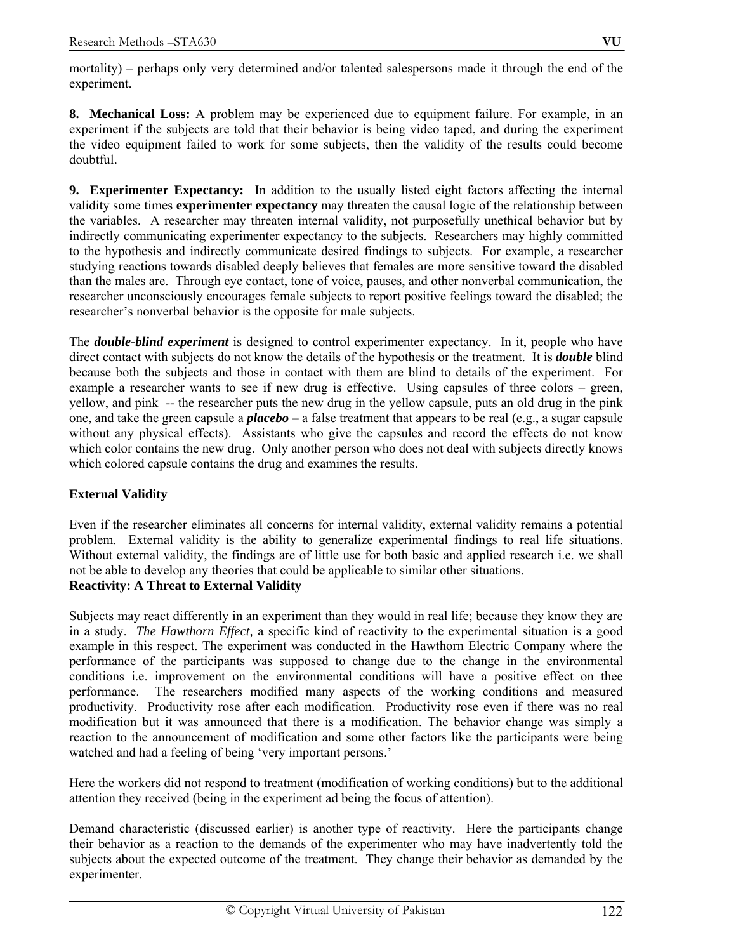**8. Mechanical Loss:** A problem may be experienced due to equipment failure. For example, in an experiment if the subjects are told that their behavior is being video taped, and during the experiment the video equipment failed to work for some subjects, then the validity of the results could become doubtful.

**9. Experimenter Expectancy:** In addition to the usually listed eight factors affecting the internal validity some times **experimenter expectancy** may threaten the causal logic of the relationship between the variables. A researcher may threaten internal validity, not purposefully unethical behavior but by indirectly communicating experimenter expectancy to the subjects. Researchers may highly committed to the hypothesis and indirectly communicate desired findings to subjects. For example, a researcher studying reactions towards disabled deeply believes that females are more sensitive toward the disabled than the males are. Through eye contact, tone of voice, pauses, and other nonverbal communication, the researcher unconsciously encourages female subjects to report positive feelings toward the disabled; the researcher's nonverbal behavior is the opposite for male subjects.

The *double-blind experiment* is designed to control experimenter expectancy. In it, people who have direct contact with subjects do not know the details of the hypothesis or the treatment. It is *double* blind because both the subjects and those in contact with them are blind to details of the experiment. For example a researcher wants to see if new drug is effective. Using capsules of three colors – green, yellow, and pink -- the researcher puts the new drug in the yellow capsule, puts an old drug in the pink one, and take the green capsule a *placebo* – a false treatment that appears to be real (e.g., a sugar capsule without any physical effects). Assistants who give the capsules and record the effects do not know which color contains the new drug. Only another person who does not deal with subjects directly knows which colored capsule contains the drug and examines the results.

# **External Validity**

Even if the researcher eliminates all concerns for internal validity, external validity remains a potential problem. External validity is the ability to generalize experimental findings to real life situations. Without external validity, the findings are of little use for both basic and applied research i.e. we shall not be able to develop any theories that could be applicable to similar other situations. **Reactivity: A Threat to External Validity** 

Subjects may react differently in an experiment than they would in real life; because they know they are in a study. *The Hawthorn Effect,* a specific kind of reactivity to the experimental situation is a good example in this respect. The experiment was conducted in the Hawthorn Electric Company where the performance of the participants was supposed to change due to the change in the environmental conditions i.e. improvement on the environmental conditions will have a positive effect on thee performance. The researchers modified many aspects of the working conditions and measured productivity. Productivity rose after each modification. Productivity rose even if there was no real modification but it was announced that there is a modification. The behavior change was simply a reaction to the announcement of modification and some other factors like the participants were being watched and had a feeling of being 'very important persons.'

Here the workers did not respond to treatment (modification of working conditions) but to the additional attention they received (being in the experiment ad being the focus of attention).

Demand characteristic (discussed earlier) is another type of reactivity. Here the participants change their behavior as a reaction to the demands of the experimenter who may have inadvertently told the subjects about the expected outcome of the treatment. They change their behavior as demanded by the experimenter.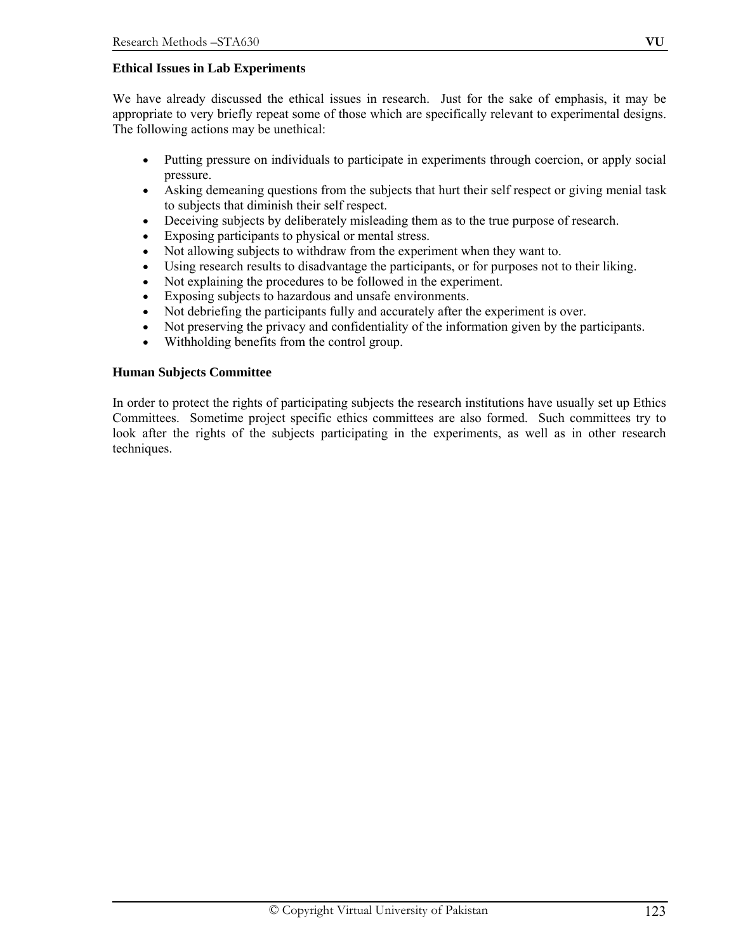#### **Ethical Issues in Lab Experiments**

We have already discussed the ethical issues in research. Just for the sake of emphasis, it may be appropriate to very briefly repeat some of those which are specifically relevant to experimental designs. The following actions may be unethical:

- Putting pressure on individuals to participate in experiments through coercion, or apply social pressure.
- Asking demeaning questions from the subjects that hurt their self respect or giving menial task to subjects that diminish their self respect.
- Deceiving subjects by deliberately misleading them as to the true purpose of research.
- Exposing participants to physical or mental stress.
- Not allowing subjects to withdraw from the experiment when they want to.
- Using research results to disadvantage the participants, or for purposes not to their liking.
- Not explaining the procedures to be followed in the experiment.
- Exposing subjects to hazardous and unsafe environments.
- Not debriefing the participants fully and accurately after the experiment is over.
- Not preserving the privacy and confidentiality of the information given by the participants.
- Withholding benefits from the control group.

#### **Human Subjects Committee**

In order to protect the rights of participating subjects the research institutions have usually set up Ethics Committees. Sometime project specific ethics committees are also formed. Such committees try to look after the rights of the subjects participating in the experiments, as well as in other research techniques.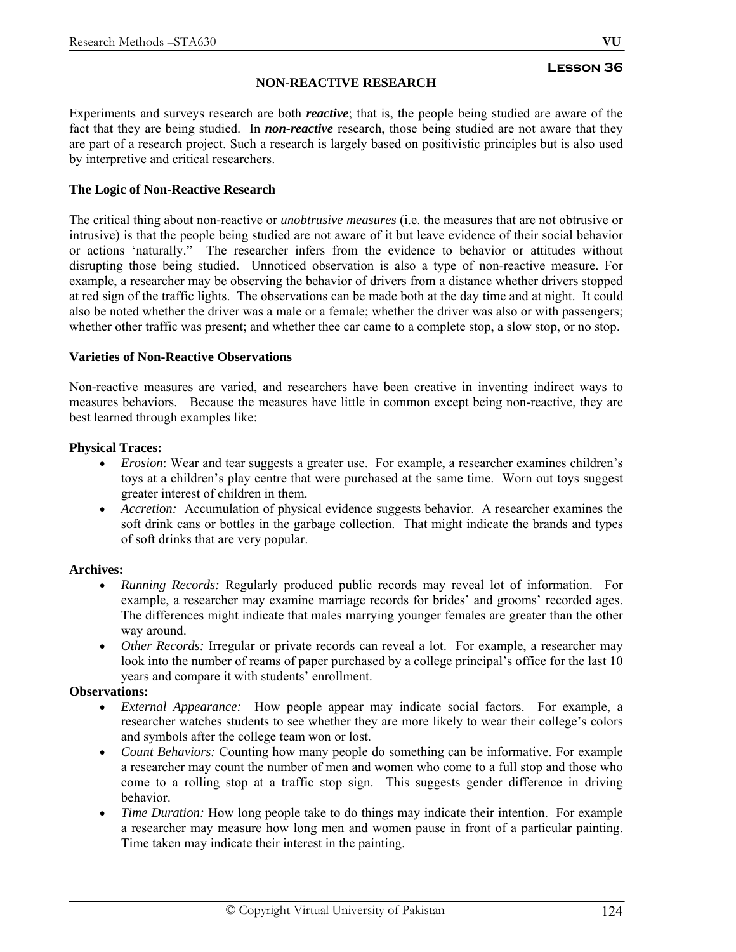# **NON-REACTIVE RESEARCH**

Experiments and surveys research are both *reactive*; that is, the people being studied are aware of the fact that they are being studied. In *non-reactive* research, those being studied are not aware that they are part of a research project. Such a research is largely based on positivistic principles but is also used by interpretive and critical researchers.

## **The Logic of Non-Reactive Research**

The critical thing about non-reactive or *unobtrusive measures* (i.e. the measures that are not obtrusive or intrusive) is that the people being studied are not aware of it but leave evidence of their social behavior or actions 'naturally." The researcher infers from the evidence to behavior or attitudes without disrupting those being studied. Unnoticed observation is also a type of non-reactive measure. For example, a researcher may be observing the behavior of drivers from a distance whether drivers stopped at red sign of the traffic lights. The observations can be made both at the day time and at night. It could also be noted whether the driver was a male or a female; whether the driver was also or with passengers; whether other traffic was present; and whether thee car came to a complete stop, a slow stop, or no stop.

## **Varieties of Non-Reactive Observations**

Non-reactive measures are varied, and researchers have been creative in inventing indirect ways to measures behaviors. Because the measures have little in common except being non-reactive, they are best learned through examples like:

## **Physical Traces:**

- *Erosion*: Wear and tear suggests a greater use. For example, a researcher examines children's toys at a children's play centre that were purchased at the same time. Worn out toys suggest greater interest of children in them.
- *Accretion:* Accumulation of physical evidence suggests behavior. A researcher examines the soft drink cans or bottles in the garbage collection. That might indicate the brands and types of soft drinks that are very popular.

## **Archives:**

- *Running Records:* Regularly produced public records may reveal lot of information. For example, a researcher may examine marriage records for brides' and grooms' recorded ages. The differences might indicate that males marrying younger females are greater than the other way around.
- *Other Records:* Irregular or private records can reveal a lot. For example, a researcher may look into the number of reams of paper purchased by a college principal's office for the last 10 years and compare it with students' enrollment.

## **Observations:**

- *External Appearance:* How people appear may indicate social factors. For example, a researcher watches students to see whether they are more likely to wear their college's colors and symbols after the college team won or lost.
- *Count Behaviors:* Counting how many people do something can be informative. For example a researcher may count the number of men and women who come to a full stop and those who come to a rolling stop at a traffic stop sign. This suggests gender difference in driving behavior.
- *Time Duration:* How long people take to do things may indicate their intention. For example a researcher may measure how long men and women pause in front of a particular painting. Time taken may indicate their interest in the painting.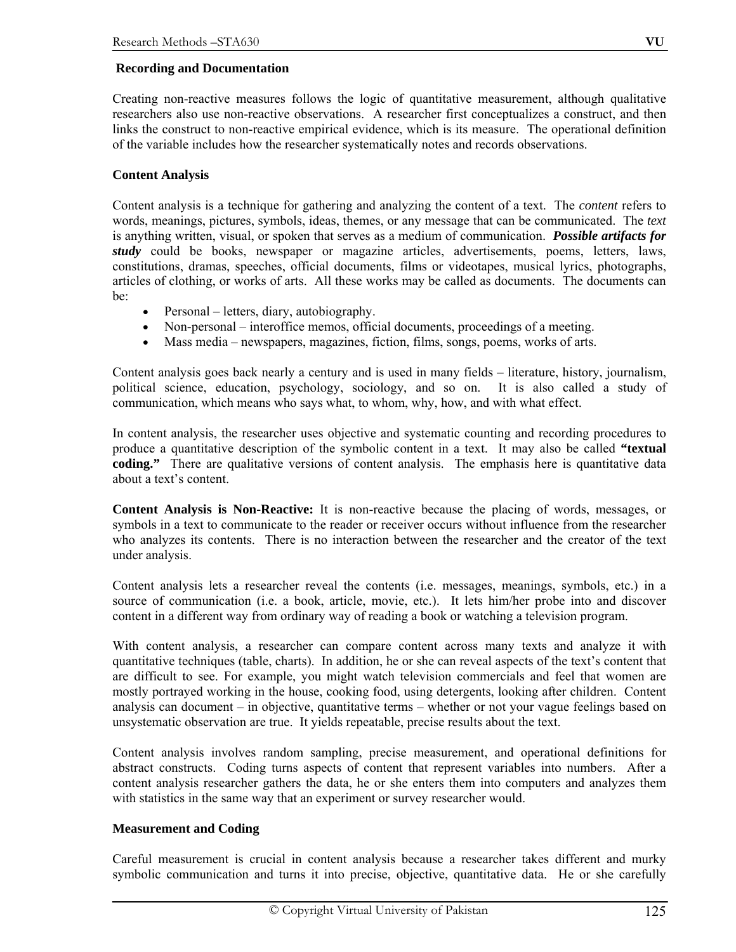#### **Recording and Documentation**

Creating non-reactive measures follows the logic of quantitative measurement, although qualitative researchers also use non-reactive observations. A researcher first conceptualizes a construct, and then links the construct to non-reactive empirical evidence, which is its measure. The operational definition of the variable includes how the researcher systematically notes and records observations.

#### **Content Analysis**

Content analysis is a technique for gathering and analyzing the content of a text. The *content* refers to words, meanings, pictures, symbols, ideas, themes, or any message that can be communicated. The *text* is anything written, visual, or spoken that serves as a medium of communication. *Possible artifacts for study* could be books, newspaper or magazine articles, advertisements, poems, letters, laws, constitutions, dramas, speeches, official documents, films or videotapes, musical lyrics, photographs, articles of clothing, or works of arts. All these works may be called as documents. The documents can be:

- Personal letters, diary, autobiography.
- Non-personal interoffice memos, official documents, proceedings of a meeting.
- Mass media newspapers, magazines, fiction, films, songs, poems, works of arts.

Content analysis goes back nearly a century and is used in many fields – literature, history, journalism, political science, education, psychology, sociology, and so on. It is also called a study of communication, which means who says what, to whom, why, how, and with what effect.

In content analysis, the researcher uses objective and systematic counting and recording procedures to produce a quantitative description of the symbolic content in a text. It may also be called **"textual coding."** There are qualitative versions of content analysis. The emphasis here is quantitative data about a text's content.

**Content Analysis is Non-Reactive:** It is non-reactive because the placing of words, messages, or symbols in a text to communicate to the reader or receiver occurs without influence from the researcher who analyzes its contents. There is no interaction between the researcher and the creator of the text under analysis.

Content analysis lets a researcher reveal the contents (i.e. messages, meanings, symbols, etc.) in a source of communication (i.e. a book, article, movie, etc.). It lets him/her probe into and discover content in a different way from ordinary way of reading a book or watching a television program.

With content analysis, a researcher can compare content across many texts and analyze it with quantitative techniques (table, charts). In addition, he or she can reveal aspects of the text's content that are difficult to see. For example, you might watch television commercials and feel that women are mostly portrayed working in the house, cooking food, using detergents, looking after children. Content analysis can document – in objective, quantitative terms – whether or not your vague feelings based on unsystematic observation are true. It yields repeatable, precise results about the text.

Content analysis involves random sampling, precise measurement, and operational definitions for abstract constructs. Coding turns aspects of content that represent variables into numbers. After a content analysis researcher gathers the data, he or she enters them into computers and analyzes them with statistics in the same way that an experiment or survey researcher would.

#### **Measurement and Coding**

Careful measurement is crucial in content analysis because a researcher takes different and murky symbolic communication and turns it into precise, objective, quantitative data. He or she carefully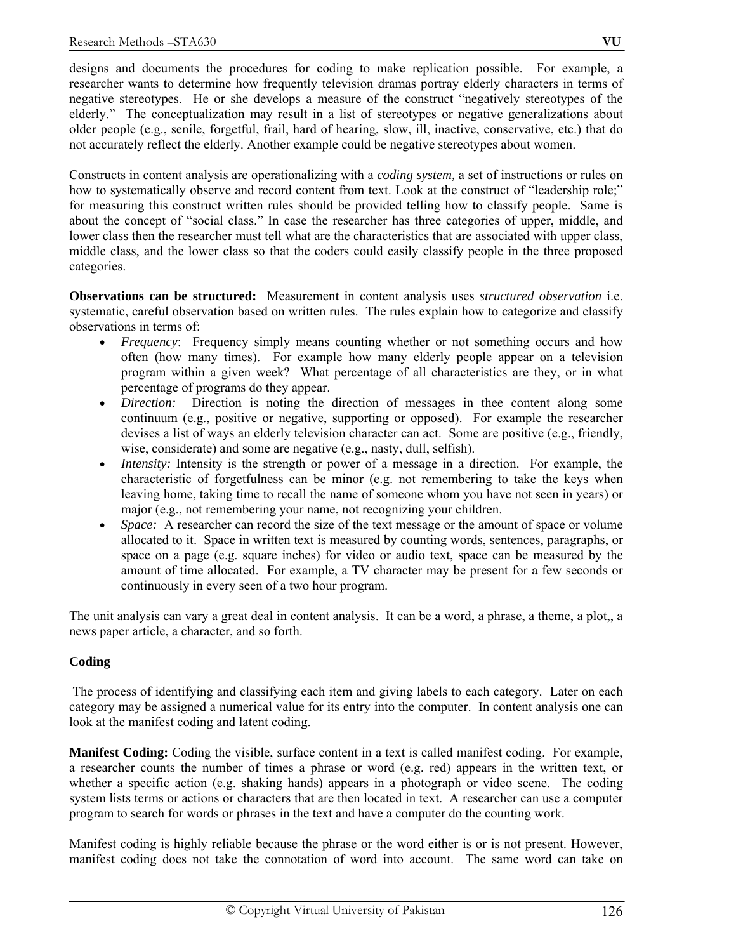designs and documents the procedures for coding to make replication possible. For example, a researcher wants to determine how frequently television dramas portray elderly characters in terms of negative stereotypes. He or she develops a measure of the construct "negatively stereotypes of the elderly." The conceptualization may result in a list of stereotypes or negative generalizations about older people (e.g., senile, forgetful, frail, hard of hearing, slow, ill, inactive, conservative, etc.) that do not accurately reflect the elderly. Another example could be negative stereotypes about women.

Constructs in content analysis are operationalizing with a *coding system,* a set of instructions or rules on how to systematically observe and record content from text. Look at the construct of "leadership role;" for measuring this construct written rules should be provided telling how to classify people. Same is about the concept of "social class." In case the researcher has three categories of upper, middle, and lower class then the researcher must tell what are the characteristics that are associated with upper class, middle class, and the lower class so that the coders could easily classify people in the three proposed categories.

**Observations can be structured:** Measurement in content analysis uses *structured observation* i.e. systematic, careful observation based on written rules. The rules explain how to categorize and classify observations in terms of:

- *Frequency*: Frequency simply means counting whether or not something occurs and how often (how many times). For example how many elderly people appear on a television program within a given week? What percentage of all characteristics are they, or in what percentage of programs do they appear.
- *Direction:* Direction is noting the direction of messages in thee content along some continuum (e.g., positive or negative, supporting or opposed). For example the researcher devises a list of ways an elderly television character can act. Some are positive (e.g., friendly, wise, considerate) and some are negative (e.g., nasty, dull, selfish).
- *Intensity:* Intensity is the strength or power of a message in a direction. For example, the characteristic of forgetfulness can be minor (e.g. not remembering to take the keys when leaving home, taking time to recall the name of someone whom you have not seen in years) or major (e.g., not remembering your name, not recognizing your children.
- *Space:* A researcher can record the size of the text message or the amount of space or volume allocated to it. Space in written text is measured by counting words, sentences, paragraphs, or space on a page (e.g. square inches) for video or audio text, space can be measured by the amount of time allocated. For example, a TV character may be present for a few seconds or continuously in every seen of a two hour program.

The unit analysis can vary a great deal in content analysis. It can be a word, a phrase, a theme, a plot,, a news paper article, a character, and so forth.

# **Coding**

 The process of identifying and classifying each item and giving labels to each category. Later on each category may be assigned a numerical value for its entry into the computer. In content analysis one can look at the manifest coding and latent coding.

**Manifest Coding:** Coding the visible, surface content in a text is called manifest coding. For example, a researcher counts the number of times a phrase or word (e.g. red) appears in the written text, or whether a specific action (e.g. shaking hands) appears in a photograph or video scene. The coding system lists terms or actions or characters that are then located in text. A researcher can use a computer program to search for words or phrases in the text and have a computer do the counting work.

Manifest coding is highly reliable because the phrase or the word either is or is not present. However, manifest coding does not take the connotation of word into account. The same word can take on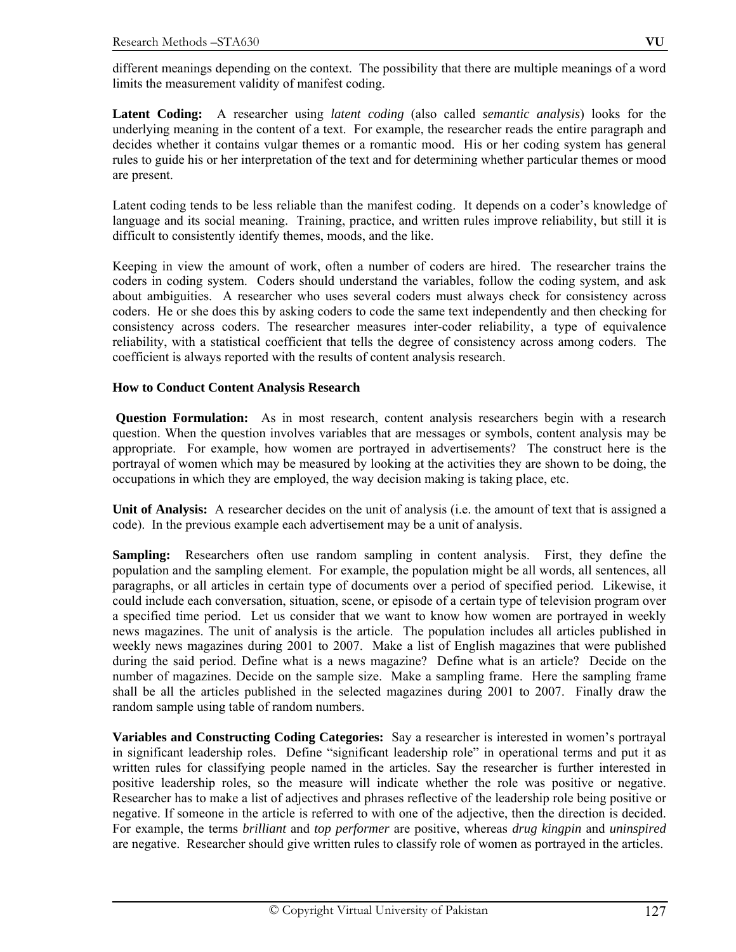different meanings depending on the context. The possibility that there are multiple meanings of a word limits the measurement validity of manifest coding.

**Latent Coding:** A researcher using *latent coding* (also called *semantic analysis*) looks for the underlying meaning in the content of a text. For example, the researcher reads the entire paragraph and decides whether it contains vulgar themes or a romantic mood. His or her coding system has general rules to guide his or her interpretation of the text and for determining whether particular themes or mood are present.

Latent coding tends to be less reliable than the manifest coding. It depends on a coder's knowledge of language and its social meaning. Training, practice, and written rules improve reliability, but still it is difficult to consistently identify themes, moods, and the like.

Keeping in view the amount of work, often a number of coders are hired. The researcher trains the coders in coding system. Coders should understand the variables, follow the coding system, and ask about ambiguities. A researcher who uses several coders must always check for consistency across coders. He or she does this by asking coders to code the same text independently and then checking for consistency across coders. The researcher measures inter-coder reliability, a type of equivalence reliability, with a statistical coefficient that tells the degree of consistency across among coders. The coefficient is always reported with the results of content analysis research.

#### **How to Conduct Content Analysis Research**

 **Question Formulation:** As in most research, content analysis researchers begin with a research question. When the question involves variables that are messages or symbols, content analysis may be appropriate.For example, how women are portrayed in advertisements? The construct here is the portrayal of women which may be measured by looking at the activities they are shown to be doing, the occupations in which they are employed, the way decision making is taking place, etc.

**Unit of Analysis:** A researcher decides on the unit of analysis (i.e. the amount of text that is assigned a code). In the previous example each advertisement may be a unit of analysis.

**Sampling:** Researchers often use random sampling in content analysis. First, they define the population and the sampling element. For example, the population might be all words, all sentences, all paragraphs, or all articles in certain type of documents over a period of specified period. Likewise, it could include each conversation, situation, scene, or episode of a certain type of television program over a specified time period. Let us consider that we want to know how women are portrayed in weekly news magazines. The unit of analysis is the article. The population includes all articles published in weekly news magazines during 2001 to 2007. Make a list of English magazines that were published during the said period. Define what is a news magazine? Define what is an article? Decide on the number of magazines. Decide on the sample size. Make a sampling frame. Here the sampling frame shall be all the articles published in the selected magazines during 2001 to 2007. Finally draw the random sample using table of random numbers.

**Variables and Constructing Coding Categories:** Say a researcher is interested in women's portrayal in significant leadership roles. Define "significant leadership role" in operational terms and put it as written rules for classifying people named in the articles. Say the researcher is further interested in positive leadership roles, so the measure will indicate whether the role was positive or negative. Researcher has to make a list of adjectives and phrases reflective of the leadership role being positive or negative. If someone in the article is referred to with one of the adjective, then the direction is decided. For example, the terms *brilliant* and *top performer* are positive, whereas *drug kingpin* and *uninspired* are negative. Researcher should give written rules to classify role of women as portrayed in the articles.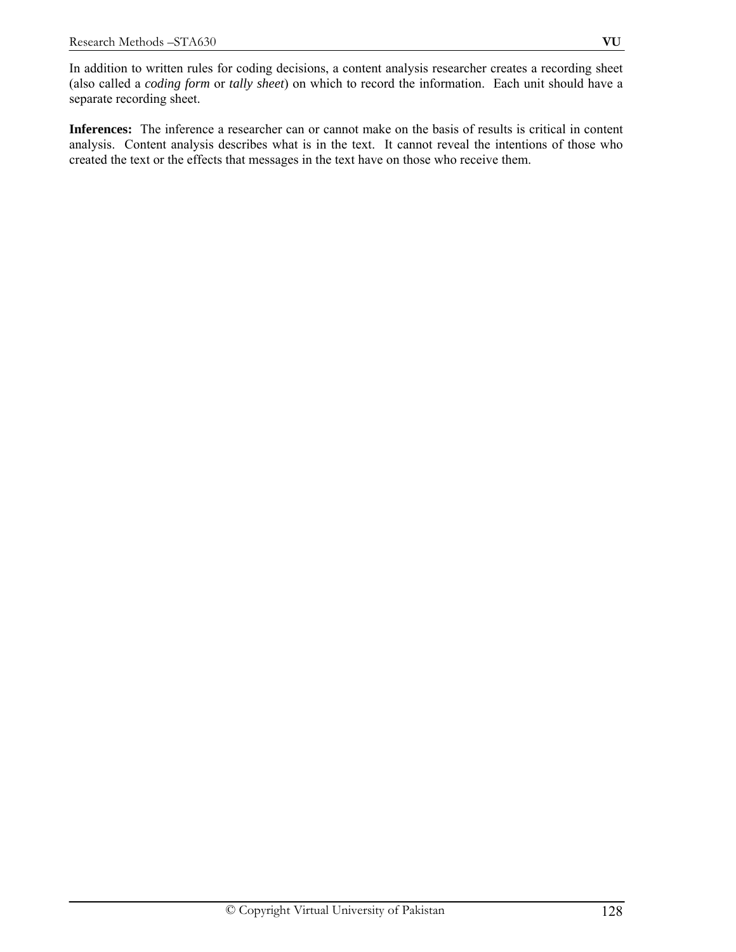In addition to written rules for coding decisions, a content analysis researcher creates a recording sheet (also called a *coding form* or *tally sheet*) on which to record the information. Each unit should have a separate recording sheet.

**Inferences:** The inference a researcher can or cannot make on the basis of results is critical in content analysis. Content analysis describes what is in the text. It cannot reveal the intentions of those who created the text or the effects that messages in the text have on those who receive them.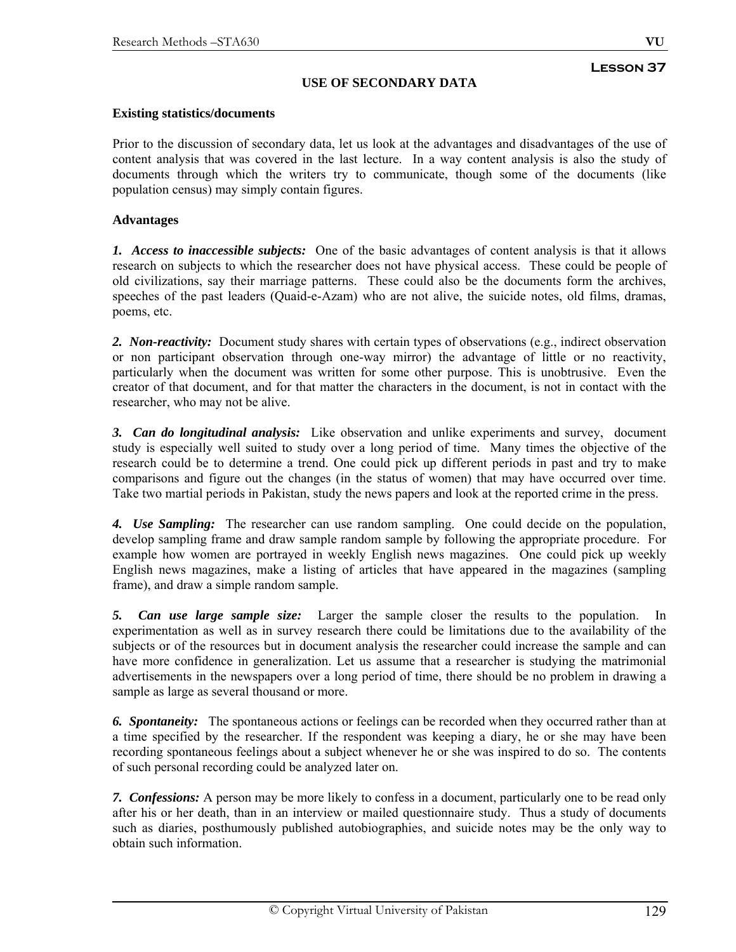# **Lesson 37**

## **USE OF SECONDARY DATA**

#### **Existing statistics/documents**

Prior to the discussion of secondary data, let us look at the advantages and disadvantages of the use of content analysis that was covered in the last lecture. In a way content analysis is also the study of documents through which the writers try to communicate, though some of the documents (like population census) may simply contain figures.

### **Advantages**

*1. Access to inaccessible subjects:* One of the basic advantages of content analysis is that it allows research on subjects to which the researcher does not have physical access. These could be people of old civilizations, say their marriage patterns. These could also be the documents form the archives, speeches of the past leaders (Quaid-e-Azam) who are not alive, the suicide notes, old films, dramas, poems, etc.

*2. Non-reactivity:* Document study shares with certain types of observations (e.g., indirect observation or non participant observation through one-way mirror) the advantage of little or no reactivity, particularly when the document was written for some other purpose. This is unobtrusive. Even the creator of that document, and for that matter the characters in the document, is not in contact with the researcher, who may not be alive.

*3. Can do longitudinal analysis:* Like observation and unlike experiments and survey, document study is especially well suited to study over a long period of time. Many times the objective of the research could be to determine a trend. One could pick up different periods in past and try to make comparisons and figure out the changes (in the status of women) that may have occurred over time. Take two martial periods in Pakistan, study the news papers and look at the reported crime in the press.

*4. Use Sampling:* The researcher can use random sampling. One could decide on the population, develop sampling frame and draw sample random sample by following the appropriate procedure. For example how women are portrayed in weekly English news magazines. One could pick up weekly English news magazines, make a listing of articles that have appeared in the magazines (sampling frame), and draw a simple random sample.

*5. Can use large sample size:* Larger the sample closer the results to the population. In experimentation as well as in survey research there could be limitations due to the availability of the subjects or of the resources but in document analysis the researcher could increase the sample and can have more confidence in generalization. Let us assume that a researcher is studying the matrimonial advertisements in the newspapers over a long period of time, there should be no problem in drawing a sample as large as several thousand or more.

*6. Spontaneity:* The spontaneous actions or feelings can be recorded when they occurred rather than at a time specified by the researcher. If the respondent was keeping a diary, he or she may have been recording spontaneous feelings about a subject whenever he or she was inspired to do so. The contents of such personal recording could be analyzed later on.

*7. Confessions:* A person may be more likely to confess in a document, particularly one to be read only after his or her death, than in an interview or mailed questionnaire study. Thus a study of documents such as diaries, posthumously published autobiographies, and suicide notes may be the only way to obtain such information.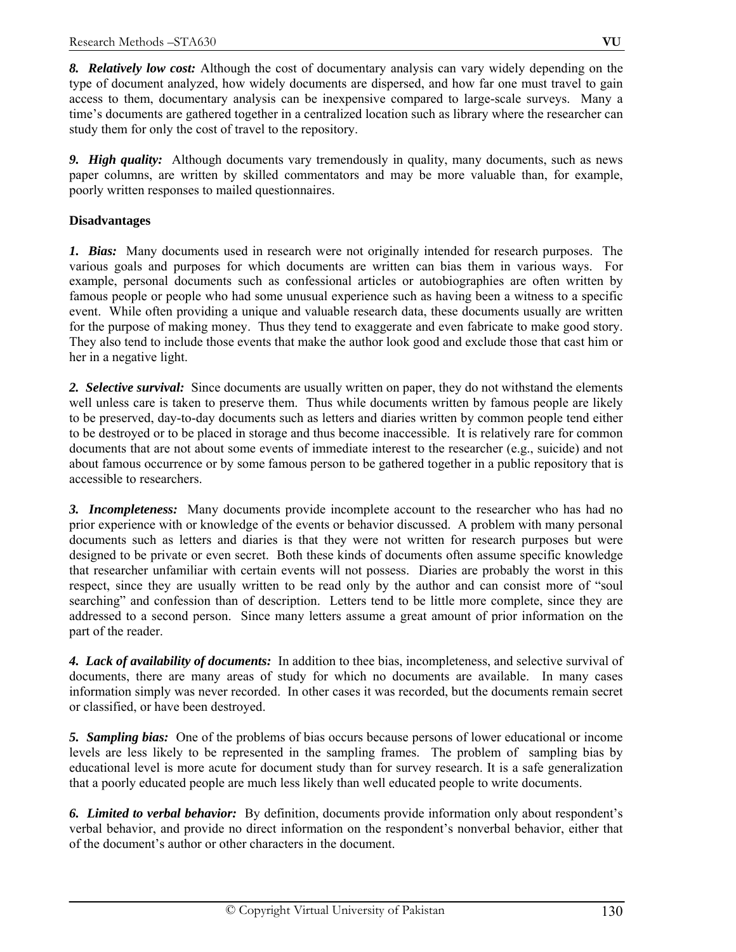*8. Relatively low cost:* Although the cost of documentary analysis can vary widely depending on the type of document analyzed, how widely documents are dispersed, and how far one must travel to gain access to them, documentary analysis can be inexpensive compared to large-scale surveys. Many a time's documents are gathered together in a centralized location such as library where the researcher can study them for only the cost of travel to the repository.

*9. High quality:* Although documents vary tremendously in quality, many documents, such as news paper columns, are written by skilled commentators and may be more valuable than, for example, poorly written responses to mailed questionnaires.

## **Disadvantages**

*1. Bias:* Many documents used in research were not originally intended for research purposes. The various goals and purposes for which documents are written can bias them in various ways. For example, personal documents such as confessional articles or autobiographies are often written by famous people or people who had some unusual experience such as having been a witness to a specific event. While often providing a unique and valuable research data, these documents usually are written for the purpose of making money. Thus they tend to exaggerate and even fabricate to make good story. They also tend to include those events that make the author look good and exclude those that cast him or her in a negative light.

*2. Selective survival:* Since documents are usually written on paper, they do not withstand the elements well unless care is taken to preserve them. Thus while documents written by famous people are likely to be preserved, day-to-day documents such as letters and diaries written by common people tend either to be destroyed or to be placed in storage and thus become inaccessible. It is relatively rare for common documents that are not about some events of immediate interest to the researcher (e.g., suicide) and not about famous occurrence or by some famous person to be gathered together in a public repository that is accessible to researchers.

*3. Incompleteness:* Many documents provide incomplete account to the researcher who has had no prior experience with or knowledge of the events or behavior discussed. A problem with many personal documents such as letters and diaries is that they were not written for research purposes but were designed to be private or even secret. Both these kinds of documents often assume specific knowledge that researcher unfamiliar with certain events will not possess. Diaries are probably the worst in this respect, since they are usually written to be read only by the author and can consist more of "soul searching" and confession than of description. Letters tend to be little more complete, since they are addressed to a second person. Since many letters assume a great amount of prior information on the part of the reader.

*4. Lack of availability of documents:* In addition to thee bias, incompleteness, and selective survival of documents, there are many areas of study for which no documents are available. In many cases information simply was never recorded. In other cases it was recorded, but the documents remain secret or classified, or have been destroyed.

*5. Sampling bias:* One of the problems of bias occurs because persons of lower educational or income levels are less likely to be represented in the sampling frames. The problem of sampling bias by educational level is more acute for document study than for survey research. It is a safe generalization that a poorly educated people are much less likely than well educated people to write documents.

*6. Limited to verbal behavior:* By definition, documents provide information only about respondent's verbal behavior, and provide no direct information on the respondent's nonverbal behavior, either that of the document's author or other characters in the document.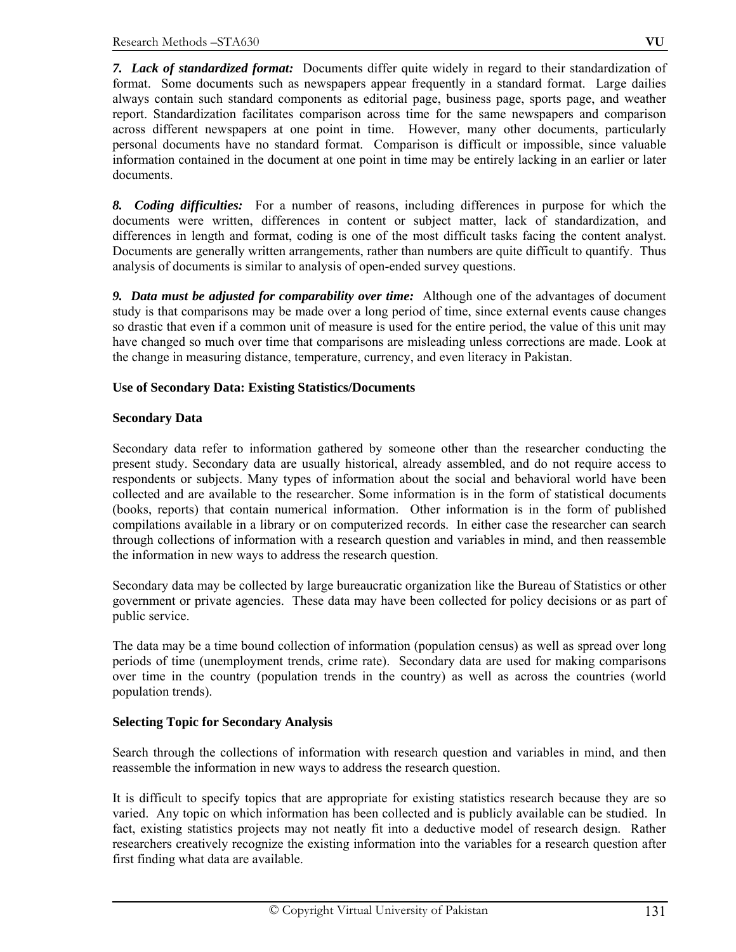*7. Lack of standardized format:* Documents differ quite widely in regard to their standardization of format. Some documents such as newspapers appear frequently in a standard format. Large dailies always contain such standard components as editorial page, business page, sports page, and weather report. Standardization facilitates comparison across time for the same newspapers and comparison across different newspapers at one point in time. However, many other documents, particularly personal documents have no standard format. Comparison is difficult or impossible, since valuable information contained in the document at one point in time may be entirely lacking in an earlier or later documents.

*8. Coding difficulties:* For a number of reasons, including differences in purpose for which the documents were written, differences in content or subject matter, lack of standardization, and differences in length and format, coding is one of the most difficult tasks facing the content analyst. Documents are generally written arrangements, rather than numbers are quite difficult to quantify. Thus analysis of documents is similar to analysis of open-ended survey questions.

*9. Data must be adjusted for comparability over time:* Although one of the advantages of document study is that comparisons may be made over a long period of time, since external events cause changes so drastic that even if a common unit of measure is used for the entire period, the value of this unit may have changed so much over time that comparisons are misleading unless corrections are made. Look at the change in measuring distance, temperature, currency, and even literacy in Pakistan.

## **Use of Secondary Data: Existing Statistics/Documents**

#### **Secondary Data**

Secondary data refer to information gathered by someone other than the researcher conducting the present study. Secondary data are usually historical, already assembled, and do not require access to respondents or subjects. Many types of information about the social and behavioral world have been collected and are available to the researcher. Some information is in the form of statistical documents (books, reports) that contain numerical information. Other information is in the form of published compilations available in a library or on computerized records. In either case the researcher can search through collections of information with a research question and variables in mind, and then reassemble the information in new ways to address the research question.

Secondary data may be collected by large bureaucratic organization like the Bureau of Statistics or other government or private agencies. These data may have been collected for policy decisions or as part of public service.

The data may be a time bound collection of information (population census) as well as spread over long periods of time (unemployment trends, crime rate). Secondary data are used for making comparisons over time in the country (population trends in the country) as well as across the countries (world population trends).

## **Selecting Topic for Secondary Analysis**

Search through the collections of information with research question and variables in mind, and then reassemble the information in new ways to address the research question.

It is difficult to specify topics that are appropriate for existing statistics research because they are so varied. Any topic on which information has been collected and is publicly available can be studied. In fact, existing statistics projects may not neatly fit into a deductive model of research design. Rather researchers creatively recognize the existing information into the variables for a research question after first finding what data are available.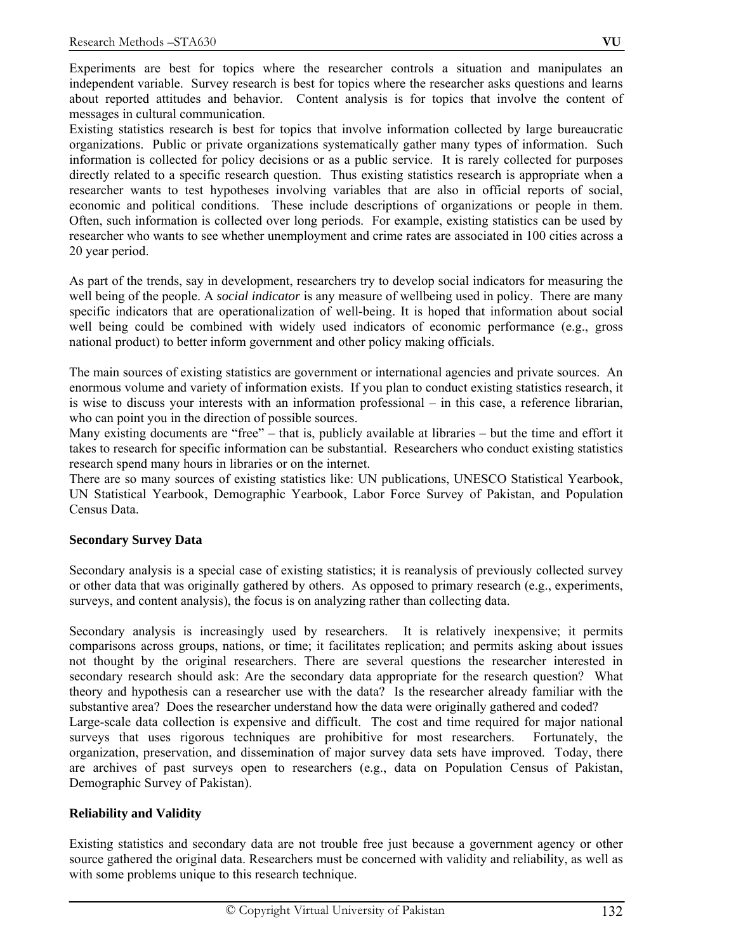Experiments are best for topics where the researcher controls a situation and manipulates an independent variable. Survey research is best for topics where the researcher asks questions and learns about reported attitudes and behavior. Content analysis is for topics that involve the content of messages in cultural communication.

Existing statistics research is best for topics that involve information collected by large bureaucratic organizations. Public or private organizations systematically gather many types of information. Such information is collected for policy decisions or as a public service. It is rarely collected for purposes directly related to a specific research question. Thus existing statistics research is appropriate when a researcher wants to test hypotheses involving variables that are also in official reports of social, economic and political conditions. These include descriptions of organizations or people in them. Often, such information is collected over long periods. For example, existing statistics can be used by researcher who wants to see whether unemployment and crime rates are associated in 100 cities across a 20 year period.

As part of the trends, say in development, researchers try to develop social indicators for measuring the well being of the people. A *social indicator* is any measure of wellbeing used in policy. There are many specific indicators that are operationalization of well-being. It is hoped that information about social well being could be combined with widely used indicators of economic performance (e.g., gross national product) to better inform government and other policy making officials.

The main sources of existing statistics are government or international agencies and private sources. An enormous volume and variety of information exists. If you plan to conduct existing statistics research, it is wise to discuss your interests with an information professional – in this case, a reference librarian, who can point you in the direction of possible sources.

Many existing documents are "free" – that is, publicly available at libraries – but the time and effort it takes to research for specific information can be substantial. Researchers who conduct existing statistics research spend many hours in libraries or on the internet.

There are so many sources of existing statistics like: UN publications, UNESCO Statistical Yearbook, UN Statistical Yearbook, Demographic Yearbook, Labor Force Survey of Pakistan, and Population Census Data.

#### **Secondary Survey Data**

Secondary analysis is a special case of existing statistics; it is reanalysis of previously collected survey or other data that was originally gathered by others. As opposed to primary research (e.g., experiments, surveys, and content analysis), the focus is on analyzing rather than collecting data.

Secondary analysis is increasingly used by researchers. It is relatively inexpensive; it permits comparisons across groups, nations, or time; it facilitates replication; and permits asking about issues not thought by the original researchers. There are several questions the researcher interested in secondary research should ask: Are the secondary data appropriate for the research question? What theory and hypothesis can a researcher use with the data? Is the researcher already familiar with the substantive area? Does the researcher understand how the data were originally gathered and coded? Large-scale data collection is expensive and difficult. The cost and time required for major national surveys that uses rigorous techniques are prohibitive for most researchers. Fortunately, the organization, preservation, and dissemination of major survey data sets have improved. Today, there are archives of past surveys open to researchers (e.g., data on Population Census of Pakistan, Demographic Survey of Pakistan).

## **Reliability and Validity**

Existing statistics and secondary data are not trouble free just because a government agency or other source gathered the original data. Researchers must be concerned with validity and reliability, as well as with some problems unique to this research technique.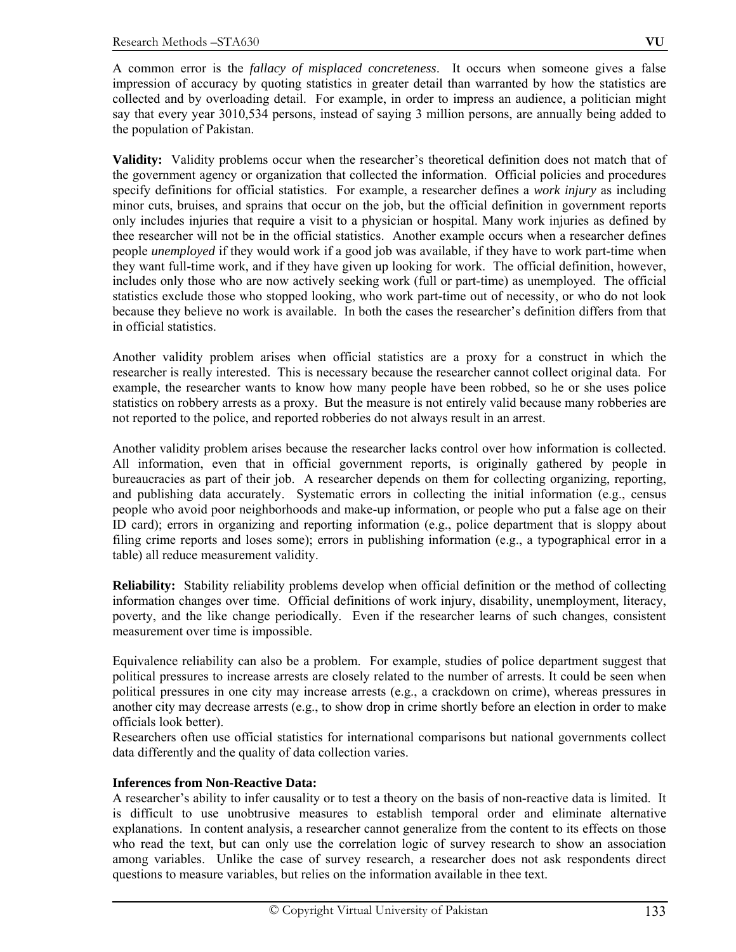A common error is the *fallacy of misplaced concreteness*. It occurs when someone gives a false impression of accuracy by quoting statistics in greater detail than warranted by how the statistics are collected and by overloading detail. For example, in order to impress an audience, a politician might say that every year 3010,534 persons, instead of saying 3 million persons, are annually being added to the population of Pakistan.

**Validity:** Validity problems occur when the researcher's theoretical definition does not match that of the government agency or organization that collected the information. Official policies and procedures specify definitions for official statistics. For example, a researcher defines a *work injury* as including minor cuts, bruises, and sprains that occur on the job, but the official definition in government reports only includes injuries that require a visit to a physician or hospital. Many work injuries as defined by thee researcher will not be in the official statistics. Another example occurs when a researcher defines people *unemployed* if they would work if a good job was available, if they have to work part-time when they want full-time work, and if they have given up looking for work. The official definition, however, includes only those who are now actively seeking work (full or part-time) as unemployed. The official statistics exclude those who stopped looking, who work part-time out of necessity, or who do not look because they believe no work is available. In both the cases the researcher's definition differs from that in official statistics.

Another validity problem arises when official statistics are a proxy for a construct in which the researcher is really interested. This is necessary because the researcher cannot collect original data. For example, the researcher wants to know how many people have been robbed, so he or she uses police statistics on robbery arrests as a proxy. But the measure is not entirely valid because many robberies are not reported to the police, and reported robberies do not always result in an arrest.

Another validity problem arises because the researcher lacks control over how information is collected. All information, even that in official government reports, is originally gathered by people in bureaucracies as part of their job. A researcher depends on them for collecting organizing, reporting, and publishing data accurately. Systematic errors in collecting the initial information (e.g., census people who avoid poor neighborhoods and make-up information, or people who put a false age on their ID card); errors in organizing and reporting information (e.g., police department that is sloppy about filing crime reports and loses some); errors in publishing information (e.g., a typographical error in a table) all reduce measurement validity.

**Reliability:** Stability reliability problems develop when official definition or the method of collecting information changes over time. Official definitions of work injury, disability, unemployment, literacy, poverty, and the like change periodically. Even if the researcher learns of such changes, consistent measurement over time is impossible.

Equivalence reliability can also be a problem. For example, studies of police department suggest that political pressures to increase arrests are closely related to the number of arrests. It could be seen when political pressures in one city may increase arrests (e.g., a crackdown on crime), whereas pressures in another city may decrease arrests (e.g., to show drop in crime shortly before an election in order to make officials look better).

Researchers often use official statistics for international comparisons but national governments collect data differently and the quality of data collection varies.

# **Inferences from Non-Reactive Data:**

A researcher's ability to infer causality or to test a theory on the basis of non-reactive data is limited. It is difficult to use unobtrusive measures to establish temporal order and eliminate alternative explanations. In content analysis, a researcher cannot generalize from the content to its effects on those who read the text, but can only use the correlation logic of survey research to show an association among variables. Unlike the case of survey research, a researcher does not ask respondents direct questions to measure variables, but relies on the information available in thee text.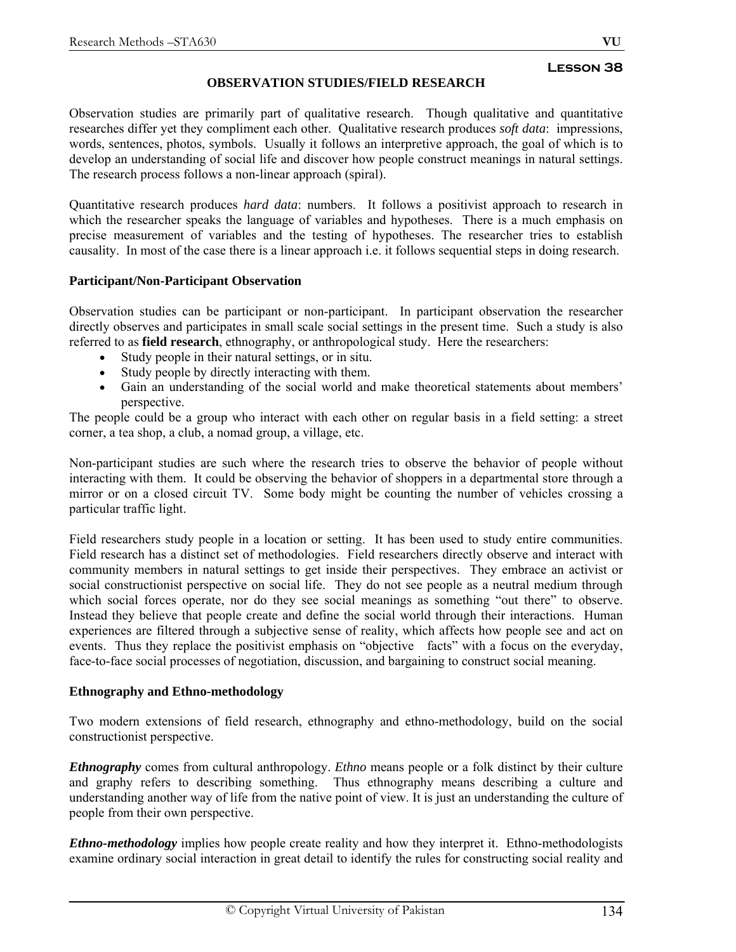Observation studies are primarily part of qualitative research. Though qualitative and quantitative researches differ yet they compliment each other. Qualitative research produces *soft data*: impressions, words, sentences, photos, symbols. Usually it follows an interpretive approach, the goal of which is to develop an understanding of social life and discover how people construct meanings in natural settings. The research process follows a non-linear approach (spiral).

Quantitative research produces *hard data*: numbers. It follows a positivist approach to research in which the researcher speaks the language of variables and hypotheses. There is a much emphasis on precise measurement of variables and the testing of hypotheses. The researcher tries to establish causality. In most of the case there is a linear approach i.e. it follows sequential steps in doing research.

#### **Participant/Non-Participant Observation**

Observation studies can be participant or non-participant. In participant observation the researcher directly observes and participates in small scale social settings in the present time. Such a study is also referred to as **field research**, ethnography, or anthropological study. Here the researchers:

- Study people in their natural settings, or in situ.
- Study people by directly interacting with them.
- Gain an understanding of the social world and make theoretical statements about members' perspective.

The people could be a group who interact with each other on regular basis in a field setting: a street corner, a tea shop, a club, a nomad group, a village, etc.

Non-participant studies are such where the research tries to observe the behavior of people without interacting with them. It could be observing the behavior of shoppers in a departmental store through a mirror or on a closed circuit TV. Some body might be counting the number of vehicles crossing a particular traffic light.

Field researchers study people in a location or setting. It has been used to study entire communities. Field research has a distinct set of methodologies. Field researchers directly observe and interact with community members in natural settings to get inside their perspectives. They embrace an activist or social constructionist perspective on social life. They do not see people as a neutral medium through which social forces operate, nor do they see social meanings as something "out there" to observe. Instead they believe that people create and define the social world through their interactions. Human experiences are filtered through a subjective sense of reality, which affects how people see and act on events. Thus they replace the positivist emphasis on "objective facts" with a focus on the everyday, face-to-face social processes of negotiation, discussion, and bargaining to construct social meaning.

#### **Ethnography and Ethno-methodology**

Two modern extensions of field research, ethnography and ethno-methodology, build on the social constructionist perspective.

*Ethnography* comes from cultural anthropology. *Ethno* means people or a folk distinct by their culture and graphy refers to describing something. Thus ethnography means describing a culture and understanding another way of life from the native point of view. It is just an understanding the culture of people from their own perspective.

*Ethno-methodology* implies how people create reality and how they interpret it. Ethno-methodologists examine ordinary social interaction in great detail to identify the rules for constructing social reality and

**Lesson 38**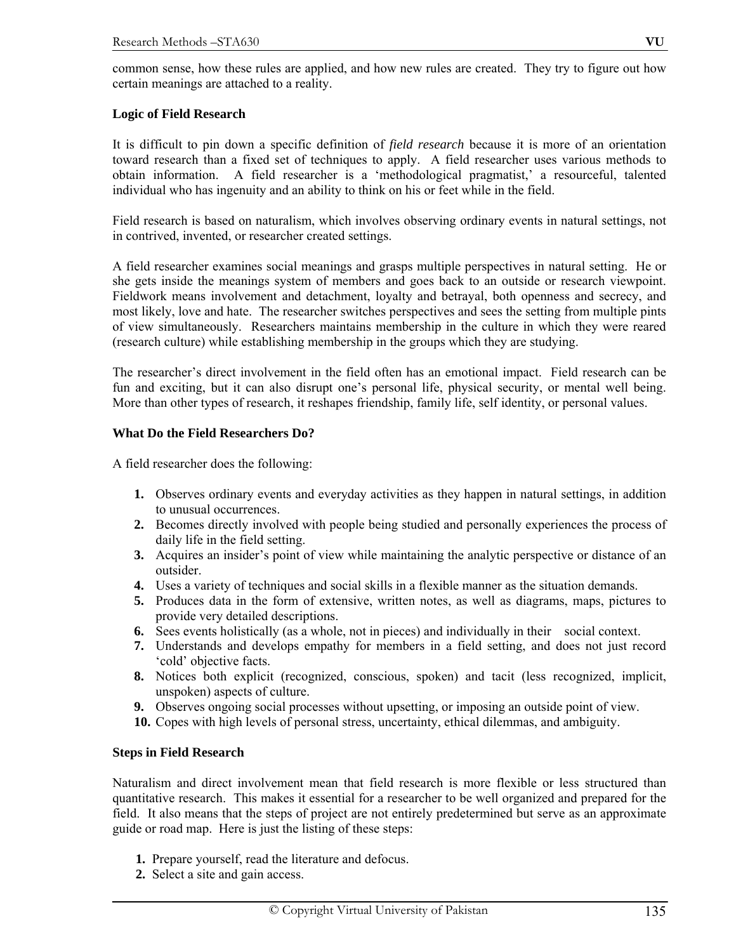## **Logic of Field Research**

It is difficult to pin down a specific definition of *field research* because it is more of an orientation toward research than a fixed set of techniques to apply. A field researcher uses various methods to obtain information. A field researcher is a 'methodological pragmatist,' a resourceful, talented individual who has ingenuity and an ability to think on his or feet while in the field.

Field research is based on naturalism, which involves observing ordinary events in natural settings, not in contrived, invented, or researcher created settings.

A field researcher examines social meanings and grasps multiple perspectives in natural setting. He or she gets inside the meanings system of members and goes back to an outside or research viewpoint. Fieldwork means involvement and detachment, loyalty and betrayal, both openness and secrecy, and most likely, love and hate. The researcher switches perspectives and sees the setting from multiple pints of view simultaneously. Researchers maintains membership in the culture in which they were reared (research culture) while establishing membership in the groups which they are studying.

The researcher's direct involvement in the field often has an emotional impact. Field research can be fun and exciting, but it can also disrupt one's personal life, physical security, or mental well being. More than other types of research, it reshapes friendship, family life, self identity, or personal values.

## **What Do the Field Researchers Do?**

A field researcher does the following:

- **1.** Observes ordinary events and everyday activities as they happen in natural settings, in addition to unusual occurrences.
- **2.** Becomes directly involved with people being studied and personally experiences the process of daily life in the field setting.
- **3.** Acquires an insider's point of view while maintaining the analytic perspective or distance of an outsider.
- **4.** Uses a variety of techniques and social skills in a flexible manner as the situation demands.
- **5.** Produces data in the form of extensive, written notes, as well as diagrams, maps, pictures to provide very detailed descriptions.
- **6.** Sees events holistically (as a whole, not in pieces) and individually in their social context.
- **7.** Understands and develops empathy for members in a field setting, and does not just record 'cold' objective facts.
- **8.** Notices both explicit (recognized, conscious, spoken) and tacit (less recognized, implicit, unspoken) aspects of culture.
- **9.** Observes ongoing social processes without upsetting, or imposing an outside point of view.
- **10.** Copes with high levels of personal stress, uncertainty, ethical dilemmas, and ambiguity.

## **Steps in Field Research**

Naturalism and direct involvement mean that field research is more flexible or less structured than quantitative research. This makes it essential for a researcher to be well organized and prepared for the field. It also means that the steps of project are not entirely predetermined but serve as an approximate guide or road map. Here is just the listing of these steps:

- **1.** Prepare yourself, read the literature and defocus.
- **2.** Select a site and gain access.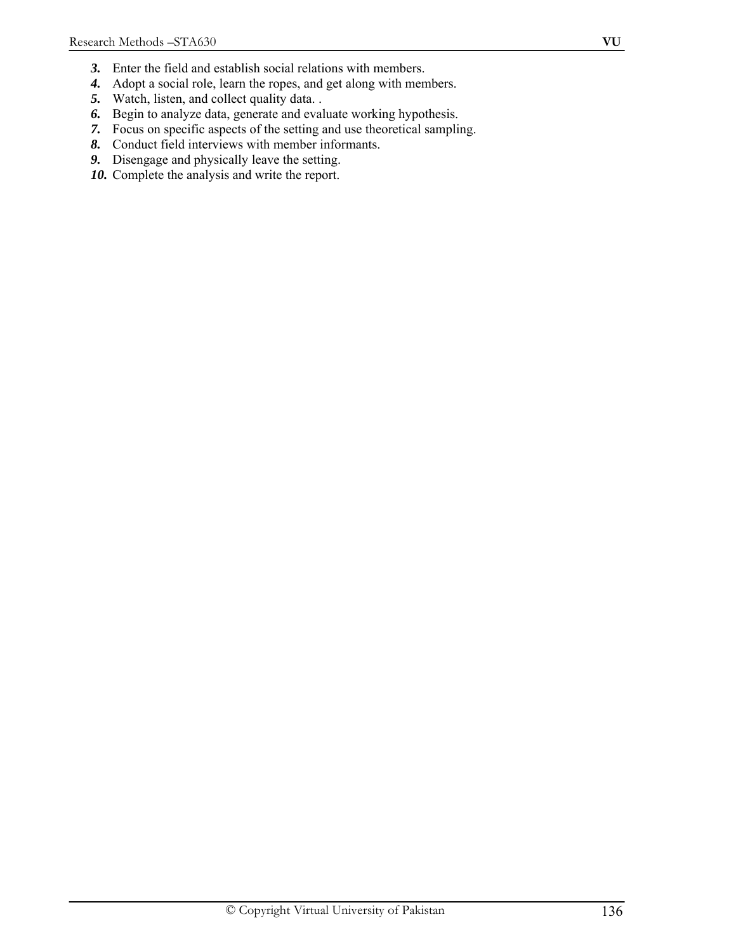- *3.* Enter the field and establish social relations with members.
- *4.* Adopt a social role, learn the ropes, and get along with members.
- *5.* Watch, listen, and collect quality data. .
- *6.* Begin to analyze data, generate and evaluate working hypothesis.
- *7.* Focus on specific aspects of the setting and use theoretical sampling.
- *8.* Conduct field interviews with member informants.
- *9.* Disengage and physically leave the setting.
- *10.* Complete the analysis and write the report.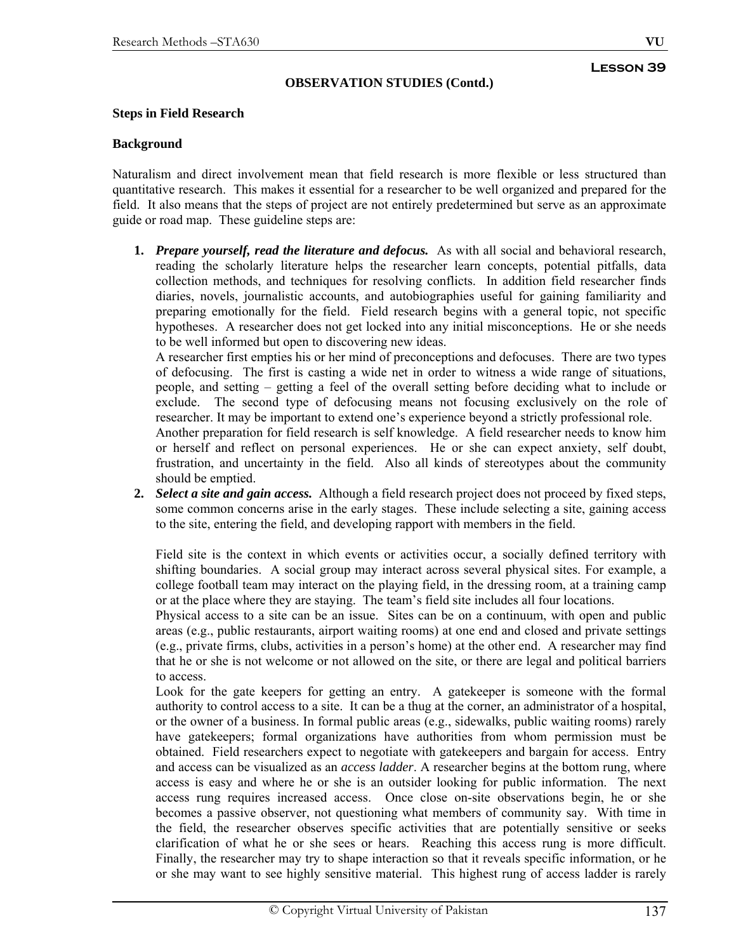**Lesson 39** 

## **OBSERVATION STUDIES (Contd.)**

#### **Steps in Field Research**

#### **Background**

Naturalism and direct involvement mean that field research is more flexible or less structured than quantitative research. This makes it essential for a researcher to be well organized and prepared for the field. It also means that the steps of project are not entirely predetermined but serve as an approximate guide or road map. These guideline steps are:

**1.** *Prepare yourself, read the literature and defocus.* As with all social and behavioral research, reading the scholarly literature helps the researcher learn concepts, potential pitfalls, data collection methods, and techniques for resolving conflicts. In addition field researcher finds diaries, novels, journalistic accounts, and autobiographies useful for gaining familiarity and preparing emotionally for the field. Field research begins with a general topic, not specific hypotheses. A researcher does not get locked into any initial misconceptions. He or she needs to be well informed but open to discovering new ideas.

A researcher first empties his or her mind of preconceptions and defocuses. There are two types of defocusing. The first is casting a wide net in order to witness a wide range of situations, people, and setting – getting a feel of the overall setting before deciding what to include or exclude. The second type of defocusing means not focusing exclusively on the role of researcher. It may be important to extend one's experience beyond a strictly professional role.

Another preparation for field research is self knowledge. A field researcher needs to know him or herself and reflect on personal experiences. He or she can expect anxiety, self doubt, frustration, and uncertainty in the field. Also all kinds of stereotypes about the community should be emptied.

**2.** *Select a site and gain access.* Although a field research project does not proceed by fixed steps, some common concerns arise in the early stages. These include selecting a site, gaining access to the site, entering the field, and developing rapport with members in the field.

Field site is the context in which events or activities occur, a socially defined territory with shifting boundaries. A social group may interact across several physical sites. For example, a college football team may interact on the playing field, in the dressing room, at a training camp or at the place where they are staying. The team's field site includes all four locations.

Physical access to a site can be an issue. Sites can be on a continuum, with open and public areas (e.g., public restaurants, airport waiting rooms) at one end and closed and private settings (e.g., private firms, clubs, activities in a person's home) at the other end. A researcher may find that he or she is not welcome or not allowed on the site, or there are legal and political barriers to access.

Look for the gate keepers for getting an entry. A gatekeeper is someone with the formal authority to control access to a site. It can be a thug at the corner, an administrator of a hospital, or the owner of a business. In formal public areas (e.g., sidewalks, public waiting rooms) rarely have gatekeepers; formal organizations have authorities from whom permission must be obtained. Field researchers expect to negotiate with gatekeepers and bargain for access. Entry and access can be visualized as an *access ladder*. A researcher begins at the bottom rung, where access is easy and where he or she is an outsider looking for public information. The next access rung requires increased access. Once close on-site observations begin, he or she becomes a passive observer, not questioning what members of community say. With time in the field, the researcher observes specific activities that are potentially sensitive or seeks clarification of what he or she sees or hears. Reaching this access rung is more difficult. Finally, the researcher may try to shape interaction so that it reveals specific information, or he or she may want to see highly sensitive material. This highest rung of access ladder is rarely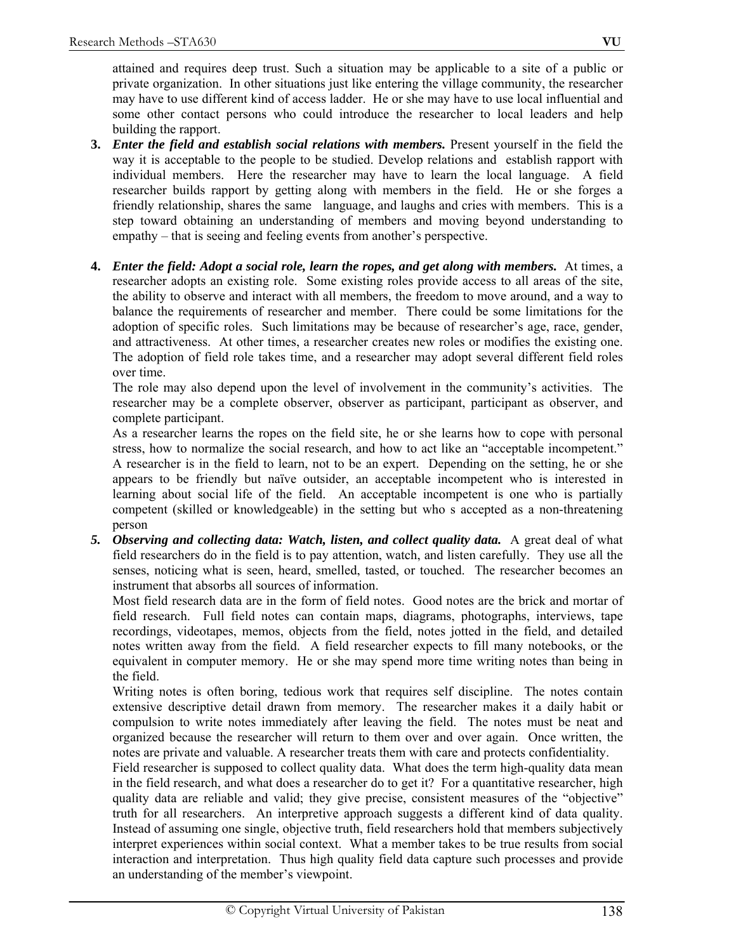attained and requires deep trust. Such a situation may be applicable to a site of a public or private organization. In other situations just like entering the village community, the researcher may have to use different kind of access ladder. He or she may have to use local influential and some other contact persons who could introduce the researcher to local leaders and help building the rapport.

- **3.** *Enter the field and establish social relations with members.* Present yourself in the field the way it is acceptable to the people to be studied. Develop relations and establish rapport with individual members. Here the researcher may have to learn the local language. A field researcher builds rapport by getting along with members in the field. He or she forges a friendly relationship, shares the same language, and laughs and cries with members. This is a step toward obtaining an understanding of members and moving beyond understanding to empathy – that is seeing and feeling events from another's perspective.
- **4.** *Enter the field: Adopt a social role, learn the ropes, and get along with members.* At times, a researcher adopts an existing role. Some existing roles provide access to all areas of the site, the ability to observe and interact with all members, the freedom to move around, and a way to balance the requirements of researcher and member. There could be some limitations for the adoption of specific roles. Such limitations may be because of researcher's age, race, gender, and attractiveness. At other times, a researcher creates new roles or modifies the existing one. The adoption of field role takes time, and a researcher may adopt several different field roles over time.

The role may also depend upon the level of involvement in the community's activities. The researcher may be a complete observer, observer as participant, participant as observer, and complete participant.

As a researcher learns the ropes on the field site, he or she learns how to cope with personal stress, how to normalize the social research, and how to act like an "acceptable incompetent." A researcher is in the field to learn, not to be an expert. Depending on the setting, he or she appears to be friendly but naïve outsider, an acceptable incompetent who is interested in learning about social life of the field. An acceptable incompetent is one who is partially competent (skilled or knowledgeable) in the setting but who s accepted as a non-threatening person

*5. Observing and collecting data: Watch, listen, and collect quality data.* A great deal of what field researchers do in the field is to pay attention, watch, and listen carefully. They use all the senses, noticing what is seen, heard, smelled, tasted, or touched. The researcher becomes an instrument that absorbs all sources of information.

Most field research data are in the form of field notes. Good notes are the brick and mortar of field research. Full field notes can contain maps, diagrams, photographs, interviews, tape recordings, videotapes, memos, objects from the field, notes jotted in the field, and detailed notes written away from the field. A field researcher expects to fill many notebooks, or the equivalent in computer memory. He or she may spend more time writing notes than being in the field.

Writing notes is often boring, tedious work that requires self discipline. The notes contain extensive descriptive detail drawn from memory. The researcher makes it a daily habit or compulsion to write notes immediately after leaving the field. The notes must be neat and organized because the researcher will return to them over and over again. Once written, the notes are private and valuable. A researcher treats them with care and protects confidentiality.

Field researcher is supposed to collect quality data. What does the term high-quality data mean in the field research, and what does a researcher do to get it? For a quantitative researcher, high quality data are reliable and valid; they give precise, consistent measures of the "objective" truth for all researchers. An interpretive approach suggests a different kind of data quality. Instead of assuming one single, objective truth, field researchers hold that members subjectively interpret experiences within social context. What a member takes to be true results from social interaction and interpretation. Thus high quality field data capture such processes and provide an understanding of the member's viewpoint.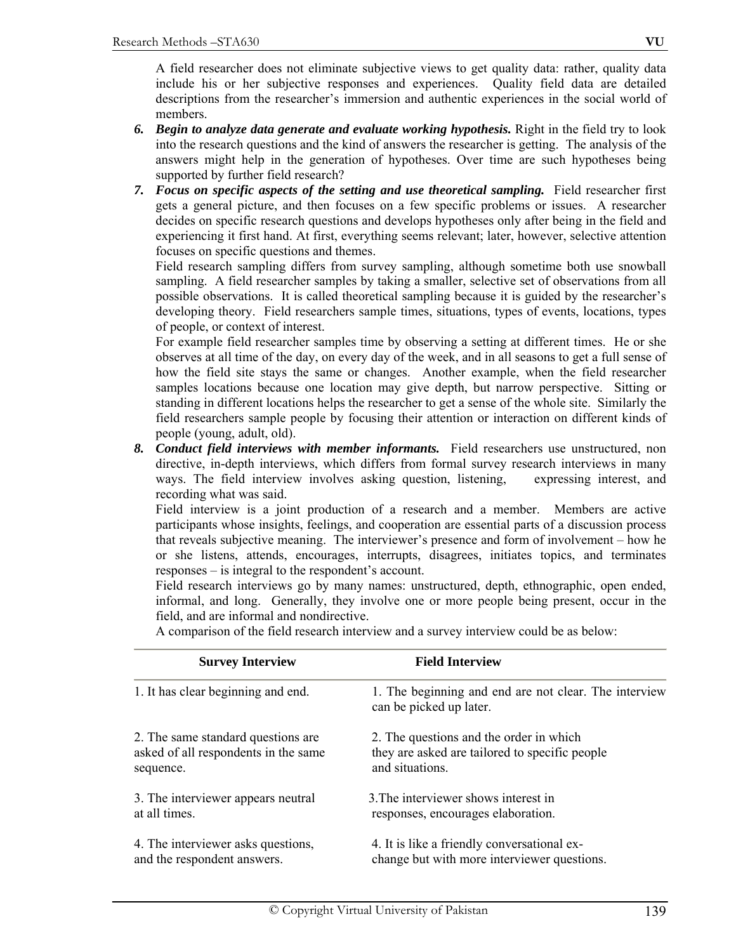A field researcher does not eliminate subjective views to get quality data: rather, quality data include his or her subjective responses and experiences. Quality field data are detailed descriptions from the researcher's immersion and authentic experiences in the social world of members.

- *6. Begin to analyze data generate and evaluate working hypothesis.* Right in the field try to look into the research questions and the kind of answers the researcher is getting. The analysis of the answers might help in the generation of hypotheses. Over time are such hypotheses being supported by further field research?
- *7. Focus on specific aspects of the setting and use theoretical sampling.* Field researcher first gets a general picture, and then focuses on a few specific problems or issues. A researcher decides on specific research questions and develops hypotheses only after being in the field and experiencing it first hand. At first, everything seems relevant; later, however, selective attention focuses on specific questions and themes.

Field research sampling differs from survey sampling, although sometime both use snowball sampling. A field researcher samples by taking a smaller, selective set of observations from all possible observations. It is called theoretical sampling because it is guided by the researcher's developing theory. Field researchers sample times, situations, types of events, locations, types of people, or context of interest.

For example field researcher samples time by observing a setting at different times. He or she observes at all time of the day, on every day of the week, and in all seasons to get a full sense of how the field site stays the same or changes. Another example, when the field researcher samples locations because one location may give depth, but narrow perspective. Sitting or standing in different locations helps the researcher to get a sense of the whole site. Similarly the field researchers sample people by focusing their attention or interaction on different kinds of people (young, adult, old).

*8. Conduct field interviews with member informants.* Field researchers use unstructured, non directive, in-depth interviews, which differs from formal survey research interviews in many ways. The field interview involves asking question, listening, expressing interest, and recording what was said.

Field interview is a joint production of a research and a member. Members are active participants whose insights, feelings, and cooperation are essential parts of a discussion process that reveals subjective meaning. The interviewer's presence and form of involvement – how he or she listens, attends, encourages, interrupts, disagrees, initiates topics, and terminates responses – is integral to the respondent's account.

Field research interviews go by many names: unstructured, depth, ethnographic, open ended, informal, and long. Generally, they involve one or more people being present, occur in the field, and are informal and nondirective.

| <b>Survey Interview</b>              | <b>Field Interview</b>                                                           |
|--------------------------------------|----------------------------------------------------------------------------------|
| 1. It has clear beginning and end.   | 1. The beginning and end are not clear. The interview<br>can be picked up later. |
| 2. The same standard questions are   | 2. The questions and the order in which                                          |
| asked of all respondents in the same | they are asked are tailored to specific people                                   |
| sequence.                            | and situations.                                                                  |
| 3. The interviewer appears neutral   | 3. The interviewer shows interest in                                             |
| at all times.                        | responses, encourages elaboration.                                               |
| 4. The interviewer asks questions,   | 4. It is like a friendly conversational ex-                                      |
| and the respondent answers.          | change but with more interviewer questions.                                      |

A comparison of the field research interview and a survey interview could be as below: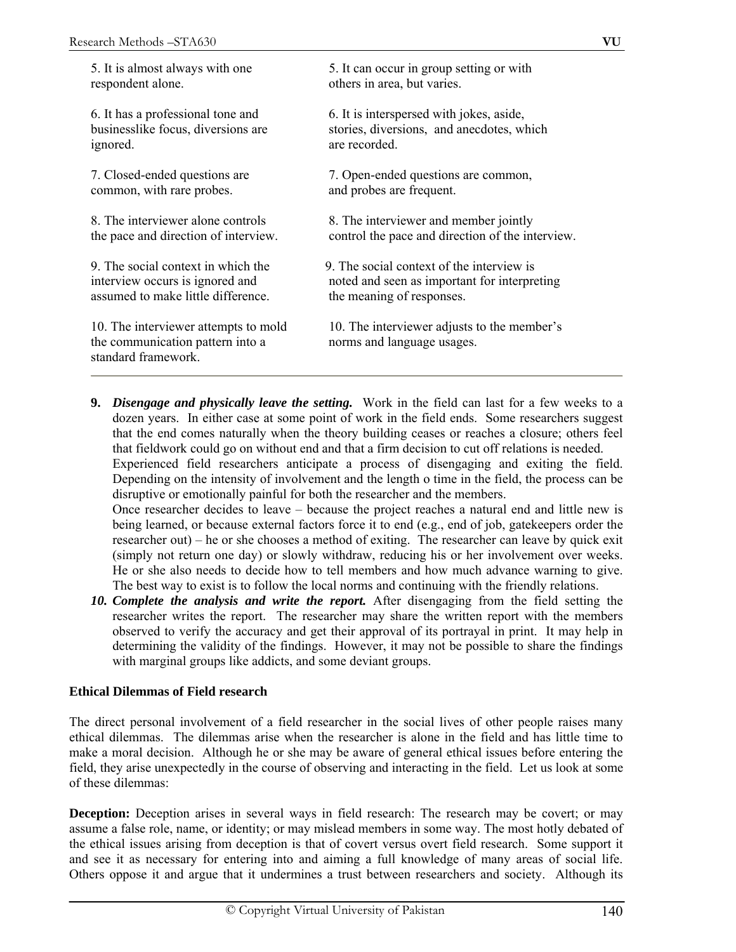| 5. It is almost always with one                                                                 | 5. It can occur in group setting or with                                  |
|-------------------------------------------------------------------------------------------------|---------------------------------------------------------------------------|
| respondent alone.                                                                               | others in area, but varies.                                               |
| 6. It has a professional tone and                                                               | 6. It is interspersed with jokes, aside,                                  |
| businesslike focus, diversions are                                                              | stories, diversions, and anecdotes, which                                 |
| ignored.                                                                                        | are recorded.                                                             |
| 7. Closed-ended questions are                                                                   | 7. Open-ended questions are common,                                       |
| common, with rare probes.                                                                       | and probes are frequent.                                                  |
| 8. The interviewer alone controls                                                               | 8. The interviewer and member jointly                                     |
| the pace and direction of interview.                                                            | control the pace and direction of the interview.                          |
| 9. The social context in which the                                                              | 9. The social context of the interview is                                 |
| interview occurs is ignored and                                                                 | noted and seen as important for interpreting                              |
| assumed to make little difference.                                                              | the meaning of responses.                                                 |
| 10. The interviewer attempts to mold<br>the communication pattern into a<br>standard framework. | 10. The interviewer adjusts to the member's<br>norms and language usages. |
|                                                                                                 |                                                                           |

- **9.** *Disengage and physically leave the setting.* Work in the field can last for a few weeks to a dozen years. In either case at some point of work in the field ends. Some researchers suggest that the end comes naturally when the theory building ceases or reaches a closure; others feel that fieldwork could go on without end and that a firm decision to cut off relations is needed. Experienced field researchers anticipate a process of disengaging and exiting the field. Depending on the intensity of involvement and the length o time in the field, the process can be disruptive or emotionally painful for both the researcher and the members. Once researcher decides to leave – because the project reaches a natural end and little new is being learned, or because external factors force it to end (e.g., end of job, gatekeepers order the researcher out) – he or she chooses a method of exiting. The researcher can leave by quick exit (simply not return one day) or slowly withdraw, reducing his or her involvement over weeks. He or she also needs to decide how to tell members and how much advance warning to give. The best way to exist is to follow the local norms and continuing with the friendly relations.
- *10. Complete the analysis and write the report.* After disengaging from the field setting the researcher writes the report. The researcher may share the written report with the members observed to verify the accuracy and get their approval of its portrayal in print. It may help in determining the validity of the findings. However, it may not be possible to share the findings with marginal groups like addicts, and some deviant groups.

## **Ethical Dilemmas of Field research**

The direct personal involvement of a field researcher in the social lives of other people raises many ethical dilemmas. The dilemmas arise when the researcher is alone in the field and has little time to make a moral decision. Although he or she may be aware of general ethical issues before entering the field, they arise unexpectedly in the course of observing and interacting in the field. Let us look at some of these dilemmas:

**Deception:** Deception arises in several ways in field research: The research may be covert; or may assume a false role, name, or identity; or may mislead members in some way. The most hotly debated of the ethical issues arising from deception is that of covert versus overt field research. Some support it and see it as necessary for entering into and aiming a full knowledge of many areas of social life. Others oppose it and argue that it undermines a trust between researchers and society. Although its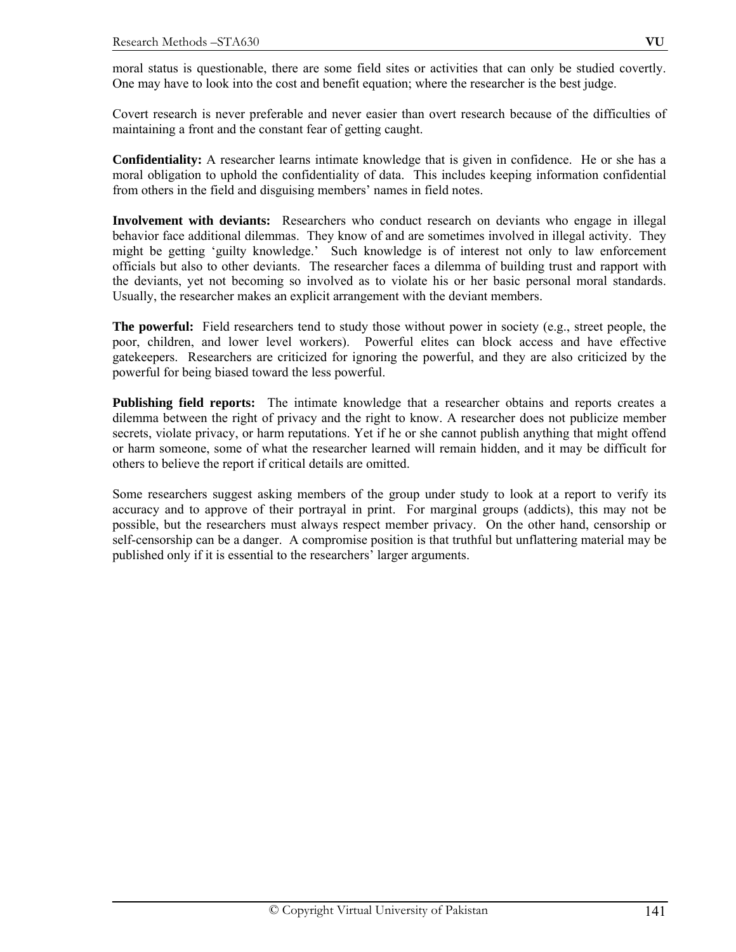Covert research is never preferable and never easier than overt research because of the difficulties of maintaining a front and the constant fear of getting caught.

**Confidentiality:** A researcher learns intimate knowledge that is given in confidence. He or she has a moral obligation to uphold the confidentiality of data. This includes keeping information confidential from others in the field and disguising members' names in field notes.

**Involvement with deviants:** Researchers who conduct research on deviants who engage in illegal behavior face additional dilemmas. They know of and are sometimes involved in illegal activity. They might be getting 'guilty knowledge.' Such knowledge is of interest not only to law enforcement officials but also to other deviants. The researcher faces a dilemma of building trust and rapport with the deviants, yet not becoming so involved as to violate his or her basic personal moral standards. Usually, the researcher makes an explicit arrangement with the deviant members.

**The powerful:** Field researchers tend to study those without power in society (e.g., street people, the poor, children, and lower level workers). Powerful elites can block access and have effective gatekeepers. Researchers are criticized for ignoring the powerful, and they are also criticized by the powerful for being biased toward the less powerful.

**Publishing field reports:** The intimate knowledge that a researcher obtains and reports creates a dilemma between the right of privacy and the right to know. A researcher does not publicize member secrets, violate privacy, or harm reputations. Yet if he or she cannot publish anything that might offend or harm someone, some of what the researcher learned will remain hidden, and it may be difficult for others to believe the report if critical details are omitted.

Some researchers suggest asking members of the group under study to look at a report to verify its accuracy and to approve of their portrayal in print. For marginal groups (addicts), this may not be possible, but the researchers must always respect member privacy. On the other hand, censorship or self-censorship can be a danger. A compromise position is that truthful but unflattering material may be published only if it is essential to the researchers' larger arguments.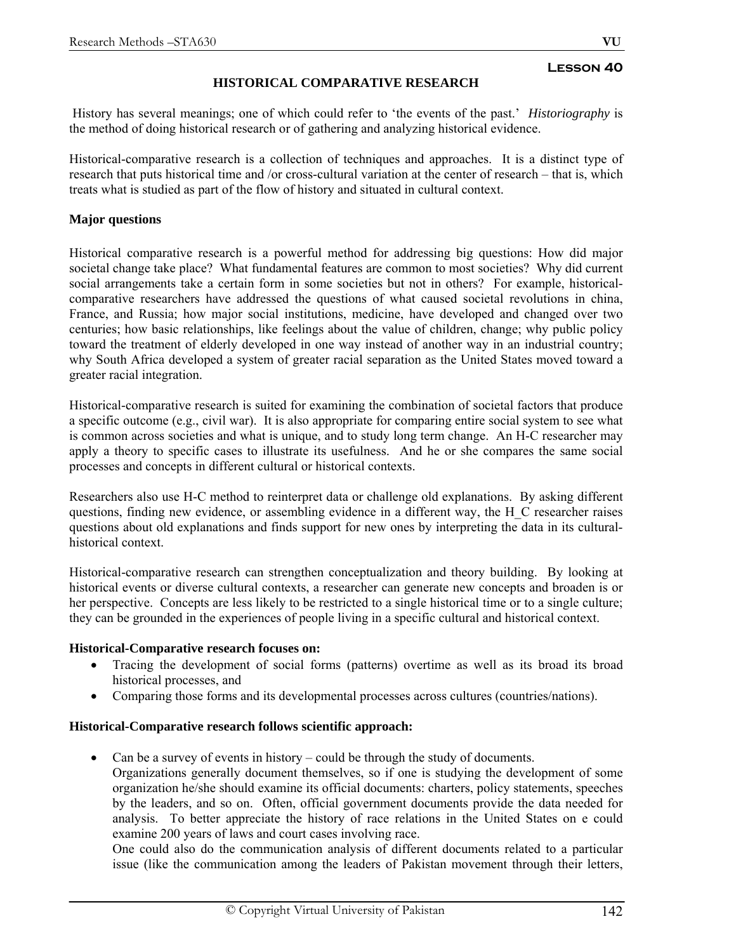#### **Lesson 40**

#### **HISTORICAL COMPARATIVE RESEARCH**

 History has several meanings; one of which could refer to 'the events of the past.' *Historiography* is the method of doing historical research or of gathering and analyzing historical evidence.

Historical-comparative research is a collection of techniques and approaches. It is a distinct type of research that puts historical time and /or cross-cultural variation at the center of research – that is, which treats what is studied as part of the flow of history and situated in cultural context.

#### **Major questions**

Historical comparative research is a powerful method for addressing big questions: How did major societal change take place? What fundamental features are common to most societies? Why did current social arrangements take a certain form in some societies but not in others? For example, historicalcomparative researchers have addressed the questions of what caused societal revolutions in china, France, and Russia; how major social institutions, medicine, have developed and changed over two centuries; how basic relationships, like feelings about the value of children, change; why public policy toward the treatment of elderly developed in one way instead of another way in an industrial country; why South Africa developed a system of greater racial separation as the United States moved toward a greater racial integration.

Historical-comparative research is suited for examining the combination of societal factors that produce a specific outcome (e.g., civil war). It is also appropriate for comparing entire social system to see what is common across societies and what is unique, and to study long term change. An H-C researcher may apply a theory to specific cases to illustrate its usefulness. And he or she compares the same social processes and concepts in different cultural or historical contexts.

Researchers also use H-C method to reinterpret data or challenge old explanations. By asking different questions, finding new evidence, or assembling evidence in a different way, the H\_C researcher raises questions about old explanations and finds support for new ones by interpreting the data in its culturalhistorical context.

Historical-comparative research can strengthen conceptualization and theory building. By looking at historical events or diverse cultural contexts, a researcher can generate new concepts and broaden is or her perspective. Concepts are less likely to be restricted to a single historical time or to a single culture; they can be grounded in the experiences of people living in a specific cultural and historical context.

#### **Historical-Comparative research focuses on:**

- Tracing the development of social forms (patterns) overtime as well as its broad its broad historical processes, and
- Comparing those forms and its developmental processes across cultures (countries/nations).

## **Historical-Comparative research follows scientific approach:**

• Can be a survey of events in history – could be through the study of documents. Organizations generally document themselves, so if one is studying the development of some organization he/she should examine its official documents: charters, policy statements, speeches by the leaders, and so on. Often, official government documents provide the data needed for analysis. To better appreciate the history of race relations in the United States on e could examine 200 years of laws and court cases involving race.

One could also do the communication analysis of different documents related to a particular issue (like the communication among the leaders of Pakistan movement through their letters,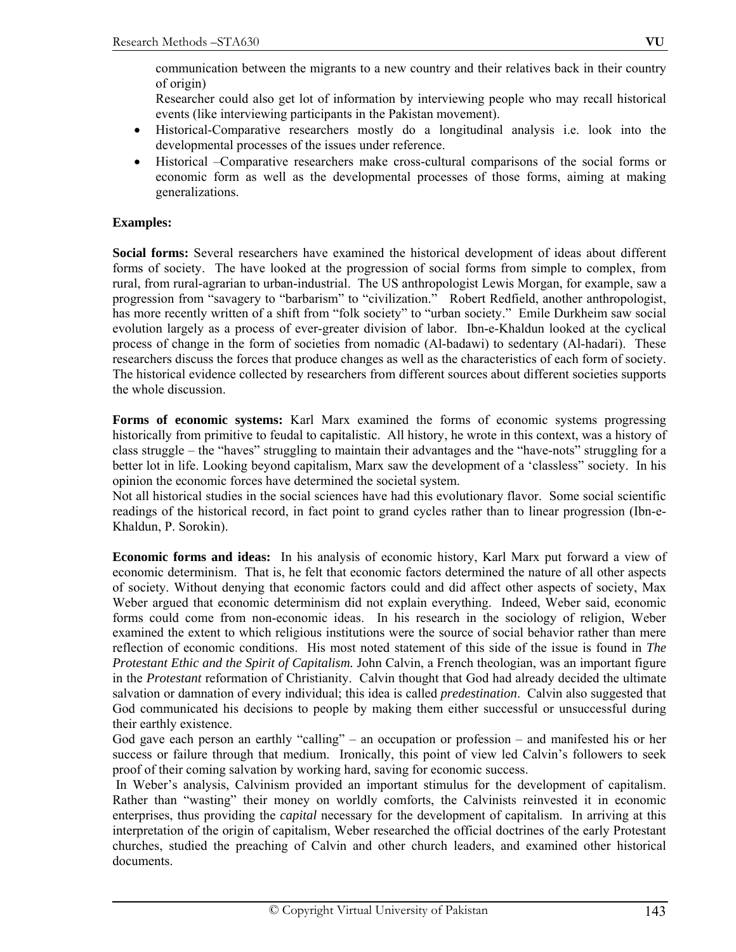communication between the migrants to a new country and their relatives back in their country of origin)

Researcher could also get lot of information by interviewing people who may recall historical events (like interviewing participants in the Pakistan movement).

- Historical-Comparative researchers mostly do a longitudinal analysis i.e. look into the developmental processes of the issues under reference.
- Historical –Comparative researchers make cross-cultural comparisons of the social forms or economic form as well as the developmental processes of those forms, aiming at making generalizations.

## **Examples:**

**Social forms:** Several researchers have examined the historical development of ideas about different forms of society. The have looked at the progression of social forms from simple to complex, from rural, from rural-agrarian to urban-industrial. The US anthropologist Lewis Morgan, for example, saw a progression from "savagery to "barbarism" to "civilization." Robert Redfield, another anthropologist, has more recently written of a shift from "folk society" to "urban society." Emile Durkheim saw social evolution largely as a process of ever-greater division of labor. Ibn-e-Khaldun looked at the cyclical process of change in the form of societies from nomadic (Al-badawi) to sedentary (Al-hadari). These researchers discuss the forces that produce changes as well as the characteristics of each form of society. The historical evidence collected by researchers from different sources about different societies supports the whole discussion.

**Forms of economic systems:** Karl Marx examined the forms of economic systems progressing historically from primitive to feudal to capitalistic. All history, he wrote in this context, was a history of class struggle – the "haves" struggling to maintain their advantages and the "have-nots" struggling for a better lot in life. Looking beyond capitalism, Marx saw the development of a 'classless" society. In his opinion the economic forces have determined the societal system.

Not all historical studies in the social sciences have had this evolutionary flavor. Some social scientific readings of the historical record, in fact point to grand cycles rather than to linear progression (Ibn-e-Khaldun, P. Sorokin).

**Economic forms and ideas:** In his analysis of economic history, Karl Marx put forward a view of economic determinism. That is, he felt that economic factors determined the nature of all other aspects of society. Without denying that economic factors could and did affect other aspects of society, Max Weber argued that economic determinism did not explain everything. Indeed, Weber said, economic forms could come from non-economic ideas. In his research in the sociology of religion, Weber examined the extent to which religious institutions were the source of social behavior rather than mere reflection of economic conditions. His most noted statement of this side of the issue is found in *The Protestant Ethic and the Spirit of Capitalism.* John Calvin, a French theologian, was an important figure in the *Protestant* reformation of Christianity. Calvin thought that God had already decided the ultimate salvation or damnation of every individual; this idea is called *predestination*. Calvin also suggested that God communicated his decisions to people by making them either successful or unsuccessful during their earthly existence.

God gave each person an earthly "calling" – an occupation or profession – and manifested his or her success or failure through that medium. Ironically, this point of view led Calvin's followers to seek proof of their coming salvation by working hard, saving for economic success.

 In Weber's analysis, Calvinism provided an important stimulus for the development of capitalism. Rather than "wasting" their money on worldly comforts, the Calvinists reinvested it in economic enterprises, thus providing the *capital* necessary for the development of capitalism. In arriving at this interpretation of the origin of capitalism, Weber researched the official doctrines of the early Protestant churches, studied the preaching of Calvin and other church leaders, and examined other historical documents.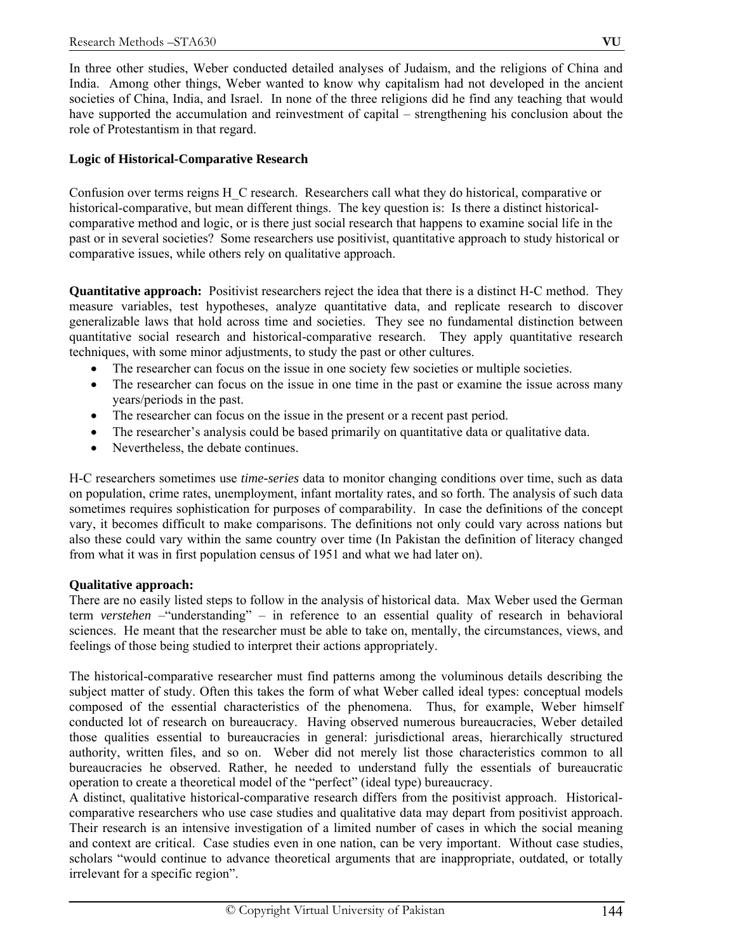In three other studies, Weber conducted detailed analyses of Judaism, and the religions of China and India. Among other things, Weber wanted to know why capitalism had not developed in the ancient societies of China, India, and Israel. In none of the three religions did he find any teaching that would have supported the accumulation and reinvestment of capital – strengthening his conclusion about the role of Protestantism in that regard.

# **Logic of Historical-Comparative Research**

Confusion over terms reigns H\_C research. Researchers call what they do historical, comparative or historical-comparative, but mean different things. The key question is: Is there a distinct historicalcomparative method and logic, or is there just social research that happens to examine social life in the past or in several societies? Some researchers use positivist, quantitative approach to study historical or comparative issues, while others rely on qualitative approach.

**Quantitative approach:** Positivist researchers reject the idea that there is a distinct H-C method. They measure variables, test hypotheses, analyze quantitative data, and replicate research to discover generalizable laws that hold across time and societies. They see no fundamental distinction between quantitative social research and historical-comparative research. They apply quantitative research techniques, with some minor adjustments, to study the past or other cultures.

- The researcher can focus on the issue in one society few societies or multiple societies.
- The researcher can focus on the issue in one time in the past or examine the issue across many years/periods in the past.
- The researcher can focus on the issue in the present or a recent past period.
- The researcher's analysis could be based primarily on quantitative data or qualitative data.
- Nevertheless, the debate continues.

H-C researchers sometimes use *time-series* data to monitor changing conditions over time, such as data on population, crime rates, unemployment, infant mortality rates, and so forth. The analysis of such data sometimes requires sophistication for purposes of comparability. In case the definitions of the concept vary, it becomes difficult to make comparisons. The definitions not only could vary across nations but also these could vary within the same country over time (In Pakistan the definition of literacy changed from what it was in first population census of 1951 and what we had later on).

# **Qualitative approach:**

There are no easily listed steps to follow in the analysis of historical data. Max Weber used the German term *verstehen* – "understanding" – in reference to an essential quality of research in behavioral sciences. He meant that the researcher must be able to take on, mentally, the circumstances, views, and feelings of those being studied to interpret their actions appropriately.

The historical-comparative researcher must find patterns among the voluminous details describing the subject matter of study. Often this takes the form of what Weber called ideal types: conceptual models composed of the essential characteristics of the phenomena. Thus, for example, Weber himself conducted lot of research on bureaucracy. Having observed numerous bureaucracies, Weber detailed those qualities essential to bureaucracies in general: jurisdictional areas, hierarchically structured authority, written files, and so on. Weber did not merely list those characteristics common to all bureaucracies he observed. Rather, he needed to understand fully the essentials of bureaucratic operation to create a theoretical model of the "perfect" (ideal type) bureaucracy.

A distinct, qualitative historical-comparative research differs from the positivist approach. Historicalcomparative researchers who use case studies and qualitative data may depart from positivist approach. Their research is an intensive investigation of a limited number of cases in which the social meaning and context are critical. Case studies even in one nation, can be very important. Without case studies, scholars "would continue to advance theoretical arguments that are inappropriate, outdated, or totally irrelevant for a specific region".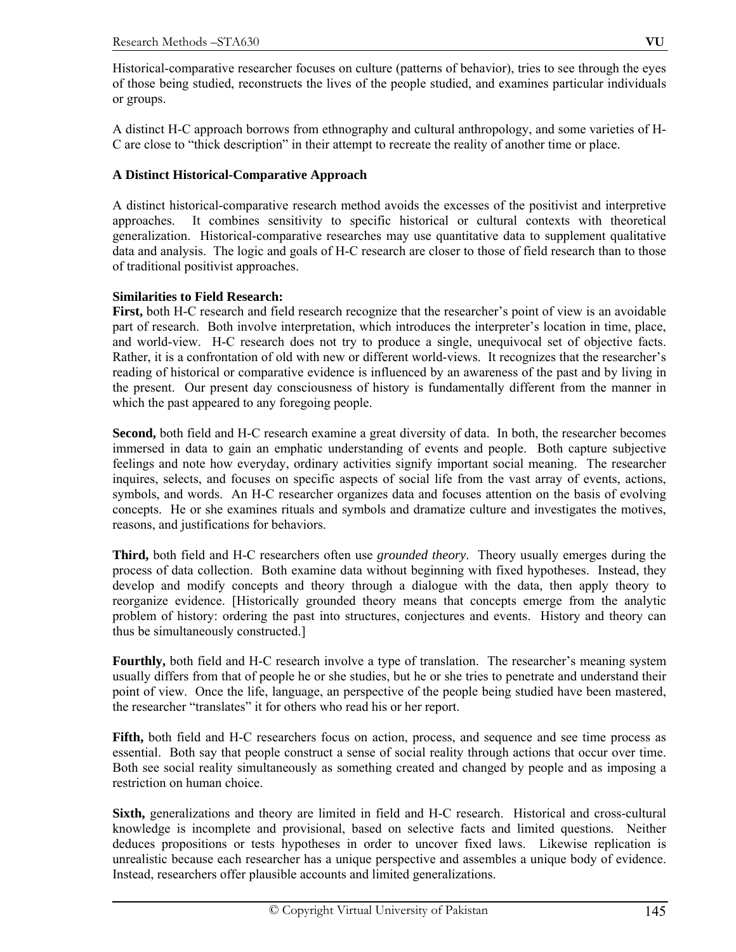Historical-comparative researcher focuses on culture (patterns of behavior), tries to see through the eyes of those being studied, reconstructs the lives of the people studied, and examines particular individuals or groups.

A distinct H-C approach borrows from ethnography and cultural anthropology, and some varieties of H-C are close to "thick description" in their attempt to recreate the reality of another time or place.

# **A Distinct Historical-Comparative Approach**

A distinct historical-comparative research method avoids the excesses of the positivist and interpretive approaches. It combines sensitivity to specific historical or cultural contexts with theoretical generalization. Historical-comparative researches may use quantitative data to supplement qualitative data and analysis. The logic and goals of H-C research are closer to those of field research than to those of traditional positivist approaches.

# **Similarities to Field Research:**

**First,** both H-C research and field research recognize that the researcher's point of view is an avoidable part of research. Both involve interpretation, which introduces the interpreter's location in time, place, and world-view. H-C research does not try to produce a single, unequivocal set of objective facts. Rather, it is a confrontation of old with new or different world-views. It recognizes that the researcher's reading of historical or comparative evidence is influenced by an awareness of the past and by living in the present. Our present day consciousness of history is fundamentally different from the manner in which the past appeared to any foregoing people.

**Second,** both field and H-C research examine a great diversity of data. In both, the researcher becomes immersed in data to gain an emphatic understanding of events and people. Both capture subjective feelings and note how everyday, ordinary activities signify important social meaning. The researcher inquires, selects, and focuses on specific aspects of social life from the vast array of events, actions, symbols, and words. An H-C researcher organizes data and focuses attention on the basis of evolving concepts. He or she examines rituals and symbols and dramatize culture and investigates the motives, reasons, and justifications for behaviors.

**Third,** both field and H-C researchers often use *grounded theory*. Theory usually emerges during the process of data collection. Both examine data without beginning with fixed hypotheses. Instead, they develop and modify concepts and theory through a dialogue with the data, then apply theory to reorganize evidence. [Historically grounded theory means that concepts emerge from the analytic problem of history: ordering the past into structures, conjectures and events. History and theory can thus be simultaneously constructed.]

**Fourthly,** both field and H-C research involve a type of translation. The researcher's meaning system usually differs from that of people he or she studies, but he or she tries to penetrate and understand their point of view. Once the life, language, an perspective of the people being studied have been mastered, the researcher "translates" it for others who read his or her report.

**Fifth,** both field and H-C researchers focus on action, process, and sequence and see time process as essential. Both say that people construct a sense of social reality through actions that occur over time. Both see social reality simultaneously as something created and changed by people and as imposing a restriction on human choice.

**Sixth,** generalizations and theory are limited in field and H-C research. Historical and cross-cultural knowledge is incomplete and provisional, based on selective facts and limited questions. Neither deduces propositions or tests hypotheses in order to uncover fixed laws. Likewise replication is unrealistic because each researcher has a unique perspective and assembles a unique body of evidence. Instead, researchers offer plausible accounts and limited generalizations.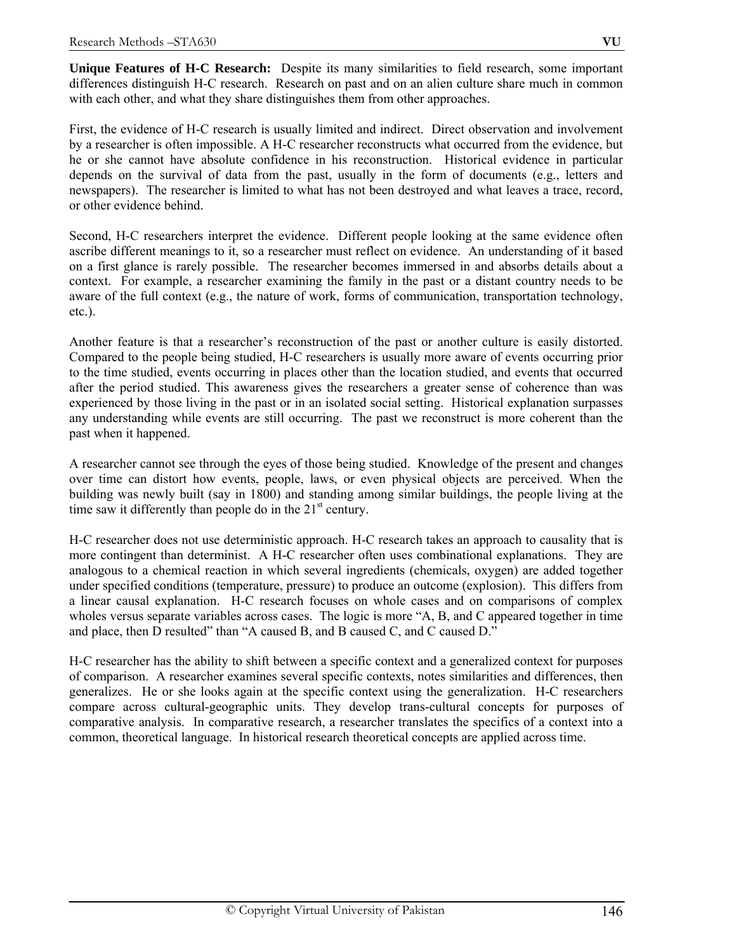**Unique Features of H-C Research:** Despite its many similarities to field research, some important differences distinguish H-C research. Research on past and on an alien culture share much in common with each other, and what they share distinguishes them from other approaches.

First, the evidence of H-C research is usually limited and indirect. Direct observation and involvement by a researcher is often impossible. A H-C researcher reconstructs what occurred from the evidence, but he or she cannot have absolute confidence in his reconstruction. Historical evidence in particular depends on the survival of data from the past, usually in the form of documents (e.g., letters and newspapers). The researcher is limited to what has not been destroyed and what leaves a trace, record, or other evidence behind.

Second, H-C researchers interpret the evidence. Different people looking at the same evidence often ascribe different meanings to it, so a researcher must reflect on evidence. An understanding of it based on a first glance is rarely possible. The researcher becomes immersed in and absorbs details about a context. For example, a researcher examining the family in the past or a distant country needs to be aware of the full context (e.g., the nature of work, forms of communication, transportation technology, etc.).

Another feature is that a researcher's reconstruction of the past or another culture is easily distorted. Compared to the people being studied, H-C researchers is usually more aware of events occurring prior to the time studied, events occurring in places other than the location studied, and events that occurred after the period studied. This awareness gives the researchers a greater sense of coherence than was experienced by those living in the past or in an isolated social setting. Historical explanation surpasses any understanding while events are still occurring. The past we reconstruct is more coherent than the past when it happened.

A researcher cannot see through the eyes of those being studied. Knowledge of the present and changes over time can distort how events, people, laws, or even physical objects are perceived. When the building was newly built (say in 1800) and standing among similar buildings, the people living at the time saw it differently than people do in the  $21<sup>st</sup>$  century.

H-C researcher does not use deterministic approach. H-C research takes an approach to causality that is more contingent than determinist. A H-C researcher often uses combinational explanations. They are analogous to a chemical reaction in which several ingredients (chemicals, oxygen) are added together under specified conditions (temperature, pressure) to produce an outcome (explosion). This differs from a linear causal explanation. H-C research focuses on whole cases and on comparisons of complex wholes versus separate variables across cases. The logic is more "A, B, and C appeared together in time and place, then D resulted" than "A caused B, and B caused C, and C caused D."

H-C researcher has the ability to shift between a specific context and a generalized context for purposes of comparison. A researcher examines several specific contexts, notes similarities and differences, then generalizes. He or she looks again at the specific context using the generalization. H-C researchers compare across cultural-geographic units. They develop trans-cultural concepts for purposes of comparative analysis. In comparative research, a researcher translates the specifics of a context into a common, theoretical language. In historical research theoretical concepts are applied across time.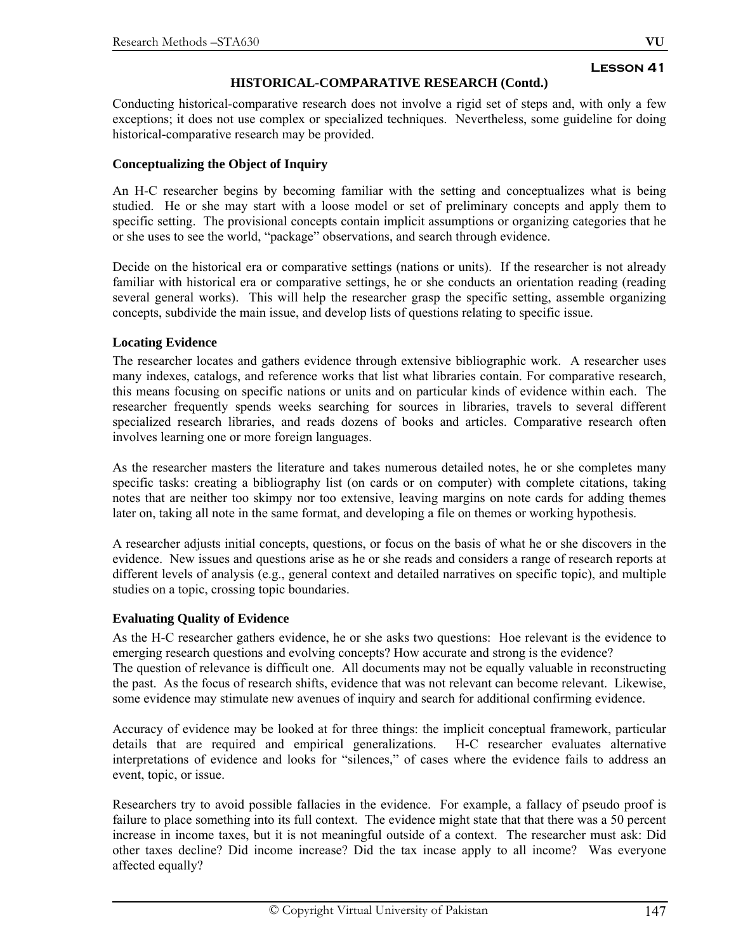# **Lesson 41**

### **HISTORICAL-COMPARATIVE RESEARCH (Contd.)**

Conducting historical-comparative research does not involve a rigid set of steps and, with only a few exceptions; it does not use complex or specialized techniques. Nevertheless, some guideline for doing historical-comparative research may be provided.

### **Conceptualizing the Object of Inquiry**

An H-C researcher begins by becoming familiar with the setting and conceptualizes what is being studied. He or she may start with a loose model or set of preliminary concepts and apply them to specific setting. The provisional concepts contain implicit assumptions or organizing categories that he or she uses to see the world, "package" observations, and search through evidence.

Decide on the historical era or comparative settings (nations or units). If the researcher is not already familiar with historical era or comparative settings, he or she conducts an orientation reading (reading several general works). This will help the researcher grasp the specific setting, assemble organizing concepts, subdivide the main issue, and develop lists of questions relating to specific issue.

### **Locating Evidence**

The researcher locates and gathers evidence through extensive bibliographic work. A researcher uses many indexes, catalogs, and reference works that list what libraries contain. For comparative research, this means focusing on specific nations or units and on particular kinds of evidence within each. The researcher frequently spends weeks searching for sources in libraries, travels to several different specialized research libraries, and reads dozens of books and articles. Comparative research often involves learning one or more foreign languages.

As the researcher masters the literature and takes numerous detailed notes, he or she completes many specific tasks: creating a bibliography list (on cards or on computer) with complete citations, taking notes that are neither too skimpy nor too extensive, leaving margins on note cards for adding themes later on, taking all note in the same format, and developing a file on themes or working hypothesis.

A researcher adjusts initial concepts, questions, or focus on the basis of what he or she discovers in the evidence. New issues and questions arise as he or she reads and considers a range of research reports at different levels of analysis (e.g., general context and detailed narratives on specific topic), and multiple studies on a topic, crossing topic boundaries.

### **Evaluating Quality of Evidence**

As the H-C researcher gathers evidence, he or she asks two questions: Hoe relevant is the evidence to emerging research questions and evolving concepts? How accurate and strong is the evidence? The question of relevance is difficult one. All documents may not be equally valuable in reconstructing the past. As the focus of research shifts, evidence that was not relevant can become relevant. Likewise, some evidence may stimulate new avenues of inquiry and search for additional confirming evidence.

Accuracy of evidence may be looked at for three things: the implicit conceptual framework, particular details that are required and empirical generalizations. H-C researcher evaluates alternative interpretations of evidence and looks for "silences," of cases where the evidence fails to address an event, topic, or issue.

Researchers try to avoid possible fallacies in the evidence. For example, a fallacy of pseudo proof is failure to place something into its full context. The evidence might state that that there was a 50 percent increase in income taxes, but it is not meaningful outside of a context. The researcher must ask: Did other taxes decline? Did income increase? Did the tax incase apply to all income? Was everyone affected equally?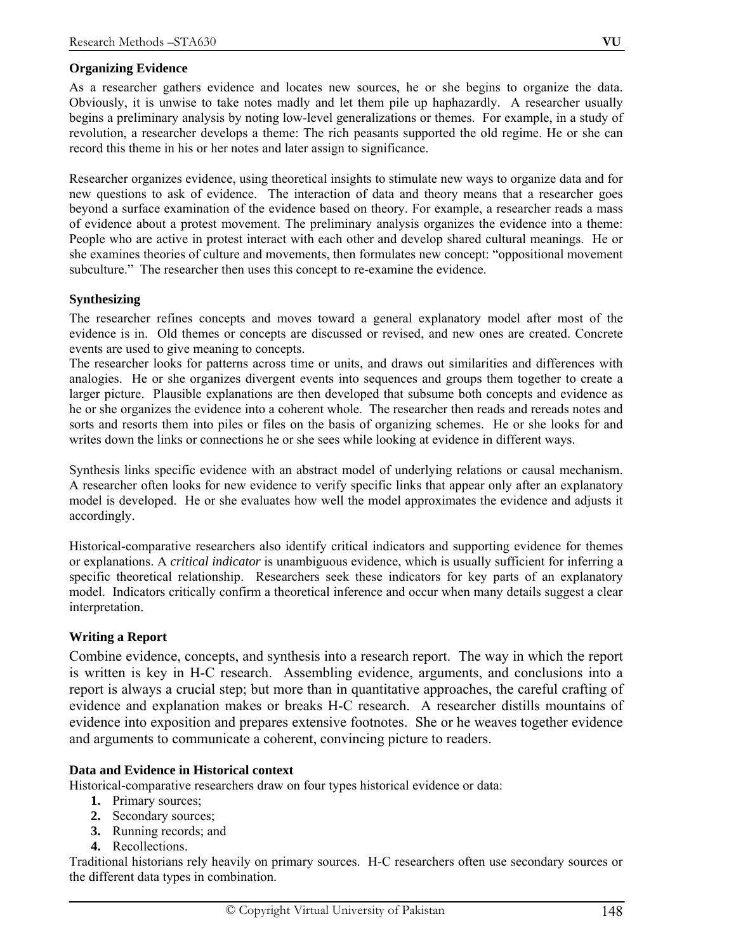#### **Organizing Evidence**

As a researcher gathers evidence and locates new sources, he or she begins to organize the data. Obviously, it is unwise to take notes madly and let them pile up haphazardly. A researcher usually begins a preliminary analysis by noting low-level generalizations or themes. For example, in a study of revolution, a researcher develops a theme: The rich peasants supported the old regime. He or she can record this theme in his or her notes and later assign to significance.

Researcher organizes evidence, using theoretical insights to stimulate new ways to organize data and for new questions to ask of evidence. The interaction of data and theory means that a researcher goes beyond a surface examination of the evidence based on theory. For example, a researcher reads a mass of evidence about a protest movement. The preliminary analysis organizes the evidence into a theme: People who are active in protest interact with each other and develop shared cultural meanings. He or she examines theories of culture and movements, then formulates new concept: "oppositional movement subculture." The researcher then uses this concept to re-examine the evidence.

#### **Synthesizing**

The researcher refines concepts and moves toward a general explanatory model after most of the evidence is in. Old themes or concepts are discussed or revised, and new ones are created. Concrete events are used to give meaning to concepts.

The researcher looks for patterns across time or units, and draws out similarities and differences with analogies. He or she organizes divergent events into sequences and groups them together to create a larger picture. Plausible explanations are then developed that subsume both concepts and evidence as he or she organizes the evidence into a coherent whole. The researcher then reads and rereads notes and sorts and resorts them into piles or files on the basis of organizing schemes. He or she looks for and writes down the links or connections he or she sees while looking at evidence in different ways.

Synthesis links specific evidence with an abstract model of underlying relations or causal mechanism. A researcher often looks for new evidence to verify specific links that appear only after an explanatory model is developed. He or she evaluates how well the model approximates the evidence and adjusts it accordingly.

Historical-comparative researchers also identify critical indicators and supporting evidence for themes or explanations. A *critical indicator* is unambiguous evidence, which is usually sufficient for inferring a specific theoretical relationship. Researchers seek these indicators for key parts of an explanatory model. Indicators critically confirm a theoretical inference and occur when many details suggest a clear interpretation.

### **Writing a Report**

Combine evidence, concepts, and synthesis into a research report. The way in which the report is written is key in H-C research. Assembling evidence, arguments, and conclusions into a report is always a crucial step; but more than in quantitative approaches, the careful crafting of evidence and explanation makes or breaks H-C research. A researcher distills mountains of evidence into exposition and prepares extensive footnotes. She or he weaves together evidence and arguments to communicate a coherent, convincing picture to readers.

#### **Data and Evidence in Historical context**

Historical-comparative researchers draw on four types historical evidence or data:

- **1.** Primary sources;
- **2.** Secondary sources;
- **3.** Running records; and
- **4.** Recollections.

Traditional historians rely heavily on primary sources. H-C researchers often use secondary sources or the different data types in combination.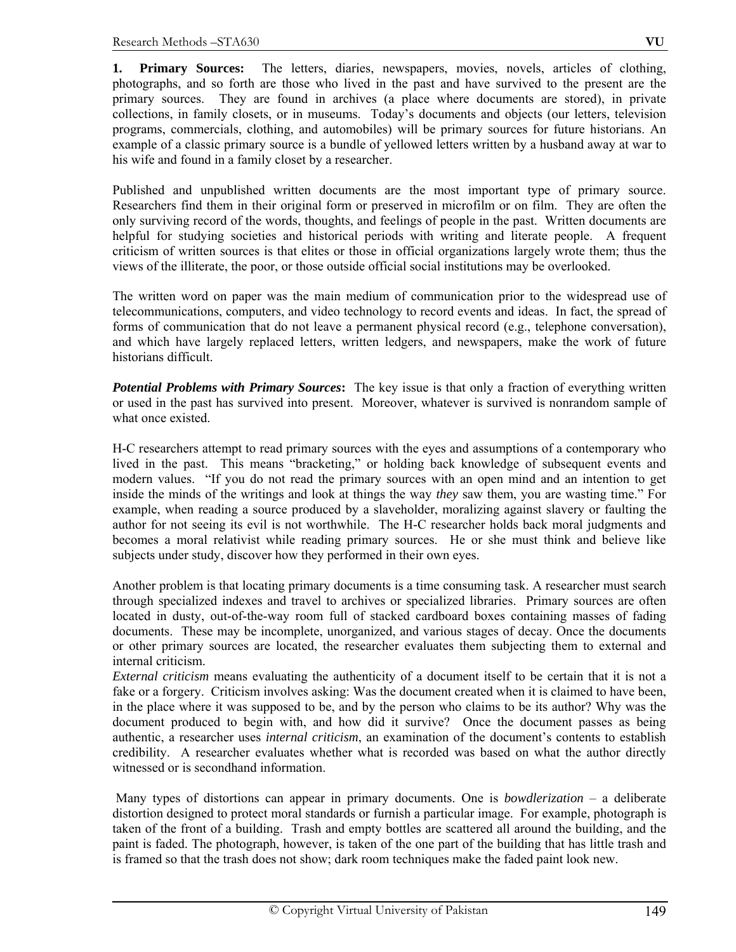**1. Primary Sources:** The letters, diaries, newspapers, movies, novels, articles of clothing, photographs, and so forth are those who lived in the past and have survived to the present are the primary sources. They are found in archives (a place where documents are stored), in private collections, in family closets, or in museums. Today's documents and objects (our letters, television programs, commercials, clothing, and automobiles) will be primary sources for future historians. An example of a classic primary source is a bundle of yellowed letters written by a husband away at war to his wife and found in a family closet by a researcher.

Published and unpublished written documents are the most important type of primary source. Researchers find them in their original form or preserved in microfilm or on film. They are often the only surviving record of the words, thoughts, and feelings of people in the past. Written documents are helpful for studying societies and historical periods with writing and literate people. A frequent criticism of written sources is that elites or those in official organizations largely wrote them; thus the views of the illiterate, the poor, or those outside official social institutions may be overlooked.

The written word on paper was the main medium of communication prior to the widespread use of telecommunications, computers, and video technology to record events and ideas. In fact, the spread of forms of communication that do not leave a permanent physical record (e.g., telephone conversation), and which have largely replaced letters, written ledgers, and newspapers, make the work of future historians difficult.

*Potential Problems with Primary Sources***:** The key issue is that only a fraction of everything written or used in the past has survived into present. Moreover, whatever is survived is nonrandom sample of what once existed.

H-C researchers attempt to read primary sources with the eyes and assumptions of a contemporary who lived in the past. This means "bracketing," or holding back knowledge of subsequent events and modern values. "If you do not read the primary sources with an open mind and an intention to get inside the minds of the writings and look at things the way *they* saw them, you are wasting time." For example, when reading a source produced by a slaveholder, moralizing against slavery or faulting the author for not seeing its evil is not worthwhile. The H-C researcher holds back moral judgments and becomes a moral relativist while reading primary sources. He or she must think and believe like subjects under study, discover how they performed in their own eyes.

Another problem is that locating primary documents is a time consuming task. A researcher must search through specialized indexes and travel to archives or specialized libraries. Primary sources are often located in dusty, out-of-the-way room full of stacked cardboard boxes containing masses of fading documents. These may be incomplete, unorganized, and various stages of decay. Once the documents or other primary sources are located, the researcher evaluates them subjecting them to external and internal criticism.

*External criticism* means evaluating the authenticity of a document itself to be certain that it is not a fake or a forgery. Criticism involves asking: Was the document created when it is claimed to have been, in the place where it was supposed to be, and by the person who claims to be its author? Why was the document produced to begin with, and how did it survive? Once the document passes as being authentic, a researcher uses *internal criticism*, an examination of the document's contents to establish credibility. A researcher evaluates whether what is recorded was based on what the author directly witnessed or is secondhand information.

 Many types of distortions can appear in primary documents. One is *bowdlerization* – a deliberate distortion designed to protect moral standards or furnish a particular image. For example, photograph is taken of the front of a building. Trash and empty bottles are scattered all around the building, and the paint is faded. The photograph, however, is taken of the one part of the building that has little trash and is framed so that the trash does not show; dark room techniques make the faded paint look new.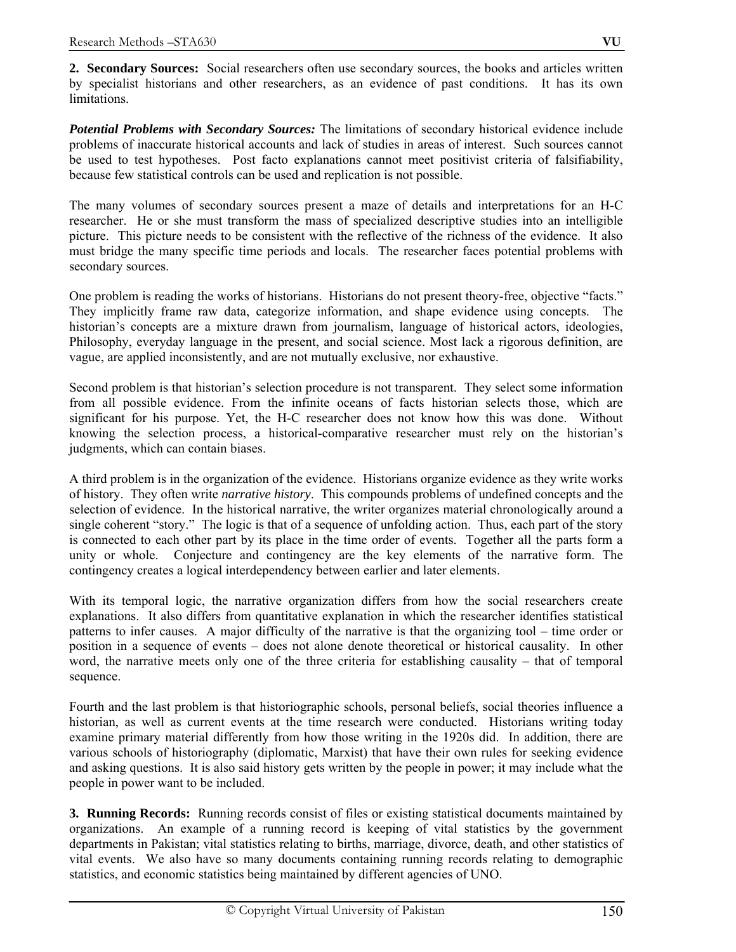**2. Secondary Sources:** Social researchers often use secondary sources, the books and articles written by specialist historians and other researchers, as an evidence of past conditions. It has its own limitations.

*Potential Problems with Secondary Sources:* The limitations of secondary historical evidence include problems of inaccurate historical accounts and lack of studies in areas of interest. Such sources cannot be used to test hypotheses. Post facto explanations cannot meet positivist criteria of falsifiability, because few statistical controls can be used and replication is not possible.

The many volumes of secondary sources present a maze of details and interpretations for an H-C researcher. He or she must transform the mass of specialized descriptive studies into an intelligible picture. This picture needs to be consistent with the reflective of the richness of the evidence. It also must bridge the many specific time periods and locals. The researcher faces potential problems with secondary sources.

One problem is reading the works of historians. Historians do not present theory-free, objective "facts." They implicitly frame raw data, categorize information, and shape evidence using concepts. The historian's concepts are a mixture drawn from journalism, language of historical actors, ideologies, Philosophy, everyday language in the present, and social science. Most lack a rigorous definition, are vague, are applied inconsistently, and are not mutually exclusive, nor exhaustive.

Second problem is that historian's selection procedure is not transparent. They select some information from all possible evidence. From the infinite oceans of facts historian selects those, which are significant for his purpose. Yet, the H-C researcher does not know how this was done. Without knowing the selection process, a historical-comparative researcher must rely on the historian's judgments, which can contain biases.

A third problem is in the organization of the evidence. Historians organize evidence as they write works of history. They often write *narrative history*. This compounds problems of undefined concepts and the selection of evidence. In the historical narrative, the writer organizes material chronologically around a single coherent "story." The logic is that of a sequence of unfolding action. Thus, each part of the story is connected to each other part by its place in the time order of events. Together all the parts form a unity or whole. Conjecture and contingency are the key elements of the narrative form. The contingency creates a logical interdependency between earlier and later elements.

With its temporal logic, the narrative organization differs from how the social researchers create explanations. It also differs from quantitative explanation in which the researcher identifies statistical patterns to infer causes. A major difficulty of the narrative is that the organizing tool – time order or position in a sequence of events – does not alone denote theoretical or historical causality. In other word, the narrative meets only one of the three criteria for establishing causality – that of temporal sequence.

Fourth and the last problem is that historiographic schools, personal beliefs, social theories influence a historian, as well as current events at the time research were conducted. Historians writing today examine primary material differently from how those writing in the 1920s did. In addition, there are various schools of historiography (diplomatic, Marxist) that have their own rules for seeking evidence and asking questions. It is also said history gets written by the people in power; it may include what the people in power want to be included.

**3. Running Records:** Running records consist of files or existing statistical documents maintained by organizations. An example of a running record is keeping of vital statistics by the government departments in Pakistan; vital statistics relating to births, marriage, divorce, death, and other statistics of vital events. We also have so many documents containing running records relating to demographic statistics, and economic statistics being maintained by different agencies of UNO.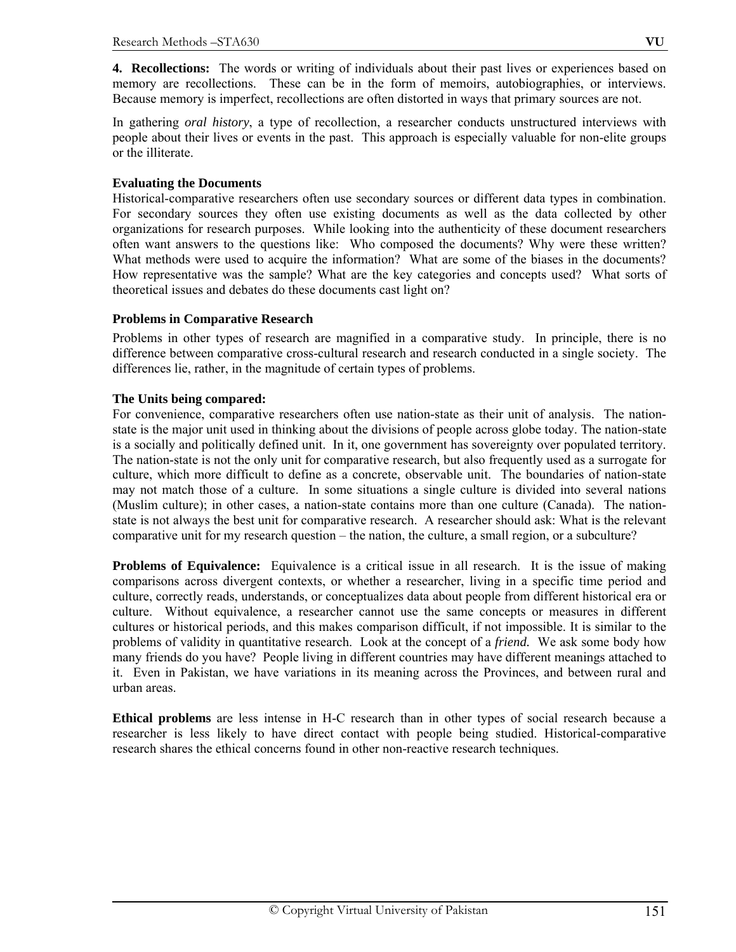**4. Recollections:** The words or writing of individuals about their past lives or experiences based on memory are recollections. These can be in the form of memoirs, autobiographies, or interviews. Because memory is imperfect, recollections are often distorted in ways that primary sources are not.

In gathering *oral history*, a type of recollection, a researcher conducts unstructured interviews with people about their lives or events in the past. This approach is especially valuable for non-elite groups or the illiterate.

#### **Evaluating the Documents**

Historical-comparative researchers often use secondary sources or different data types in combination. For secondary sources they often use existing documents as well as the data collected by other organizations for research purposes. While looking into the authenticity of these document researchers often want answers to the questions like: Who composed the documents? Why were these written? What methods were used to acquire the information? What are some of the biases in the documents? How representative was the sample? What are the key categories and concepts used? What sorts of theoretical issues and debates do these documents cast light on?

#### **Problems in Comparative Research**

Problems in other types of research are magnified in a comparative study. In principle, there is no difference between comparative cross-cultural research and research conducted in a single society. The differences lie, rather, in the magnitude of certain types of problems.

#### **The Units being compared:**

For convenience, comparative researchers often use nation-state as their unit of analysis. The nationstate is the major unit used in thinking about the divisions of people across globe today. The nation-state is a socially and politically defined unit. In it, one government has sovereignty over populated territory. The nation-state is not the only unit for comparative research, but also frequently used as a surrogate for culture, which more difficult to define as a concrete, observable unit. The boundaries of nation-state may not match those of a culture. In some situations a single culture is divided into several nations (Muslim culture); in other cases, a nation-state contains more than one culture (Canada). The nationstate is not always the best unit for comparative research. A researcher should ask: What is the relevant comparative unit for my research question – the nation, the culture, a small region, or a subculture?

**Problems of Equivalence:** Equivalence is a critical issue in all research. It is the issue of making comparisons across divergent contexts, or whether a researcher, living in a specific time period and culture, correctly reads, understands, or conceptualizes data about people from different historical era or culture. Without equivalence, a researcher cannot use the same concepts or measures in different cultures or historical periods, and this makes comparison difficult, if not impossible. It is similar to the problems of validity in quantitative research. Look at the concept of a *friend.* We ask some body how many friends do you have? People living in different countries may have different meanings attached to it. Even in Pakistan, we have variations in its meaning across the Provinces, and between rural and urban areas.

**Ethical problems** are less intense in H-C research than in other types of social research because a researcher is less likely to have direct contact with people being studied. Historical-comparative research shares the ethical concerns found in other non-reactive research techniques.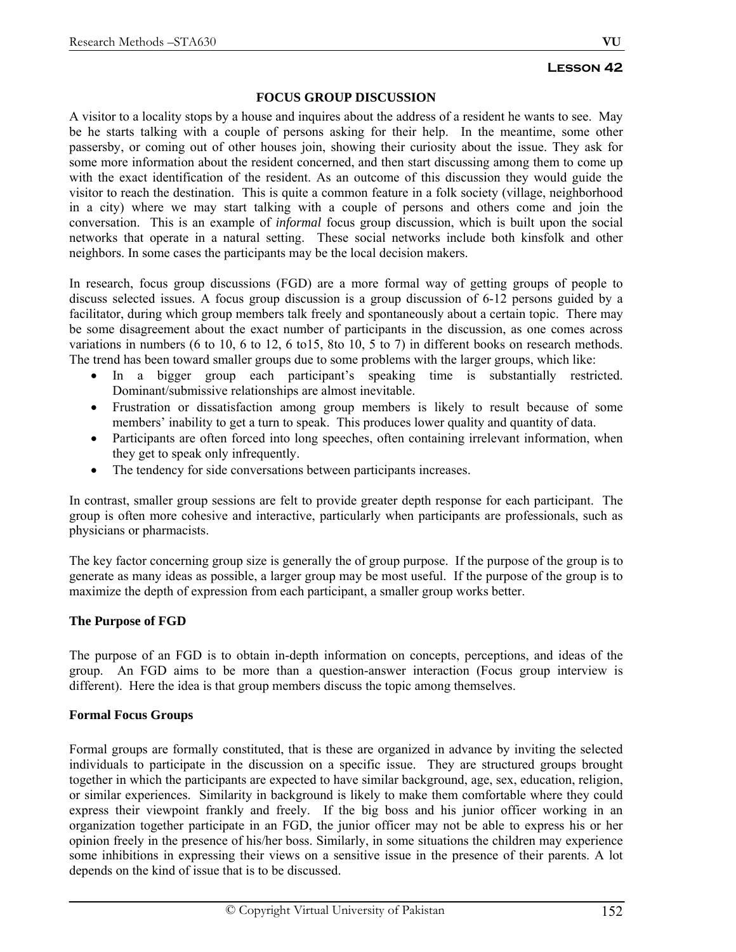### **FOCUS GROUP DISCUSSION**

A visitor to a locality stops by a house and inquires about the address of a resident he wants to see. May be he starts talking with a couple of persons asking for their help. In the meantime, some other passersby, or coming out of other houses join, showing their curiosity about the issue. They ask for some more information about the resident concerned, and then start discussing among them to come up with the exact identification of the resident. As an outcome of this discussion they would guide the visitor to reach the destination. This is quite a common feature in a folk society (village, neighborhood in a city) where we may start talking with a couple of persons and others come and join the conversation. This is an example of *informal* focus group discussion, which is built upon the social networks that operate in a natural setting. These social networks include both kinsfolk and other neighbors. In some cases the participants may be the local decision makers.

In research, focus group discussions (FGD) are a more formal way of getting groups of people to discuss selected issues. A focus group discussion is a group discussion of 6-12 persons guided by a facilitator, during which group members talk freely and spontaneously about a certain topic. There may be some disagreement about the exact number of participants in the discussion, as one comes across variations in numbers (6 to 10, 6 to 12, 6 to15, 8to 10, 5 to 7) in different books on research methods. The trend has been toward smaller groups due to some problems with the larger groups, which like:

- In a bigger group each participant's speaking time is substantially restricted. Dominant/submissive relationships are almost inevitable.
- Frustration or dissatisfaction among group members is likely to result because of some members' inability to get a turn to speak. This produces lower quality and quantity of data.
- Participants are often forced into long speeches, often containing irrelevant information, when they get to speak only infrequently.
- The tendency for side conversations between participants increases.

In contrast, smaller group sessions are felt to provide greater depth response for each participant. The group is often more cohesive and interactive, particularly when participants are professionals, such as physicians or pharmacists.

The key factor concerning group size is generally the of group purpose. If the purpose of the group is to generate as many ideas as possible, a larger group may be most useful. If the purpose of the group is to maximize the depth of expression from each participant, a smaller group works better.

# **The Purpose of FGD**

The purpose of an FGD is to obtain in-depth information on concepts, perceptions, and ideas of the group. An FGD aims to be more than a question-answer interaction (Focus group interview is different). Here the idea is that group members discuss the topic among themselves.

### **Formal Focus Groups**

Formal groups are formally constituted, that is these are organized in advance by inviting the selected individuals to participate in the discussion on a specific issue. They are structured groups brought together in which the participants are expected to have similar background, age, sex, education, religion, or similar experiences. Similarity in background is likely to make them comfortable where they could express their viewpoint frankly and freely. If the big boss and his junior officer working in an organization together participate in an FGD, the junior officer may not be able to express his or her opinion freely in the presence of his/her boss. Similarly, in some situations the children may experience some inhibitions in expressing their views on a sensitive issue in the presence of their parents. A lot depends on the kind of issue that is to be discussed.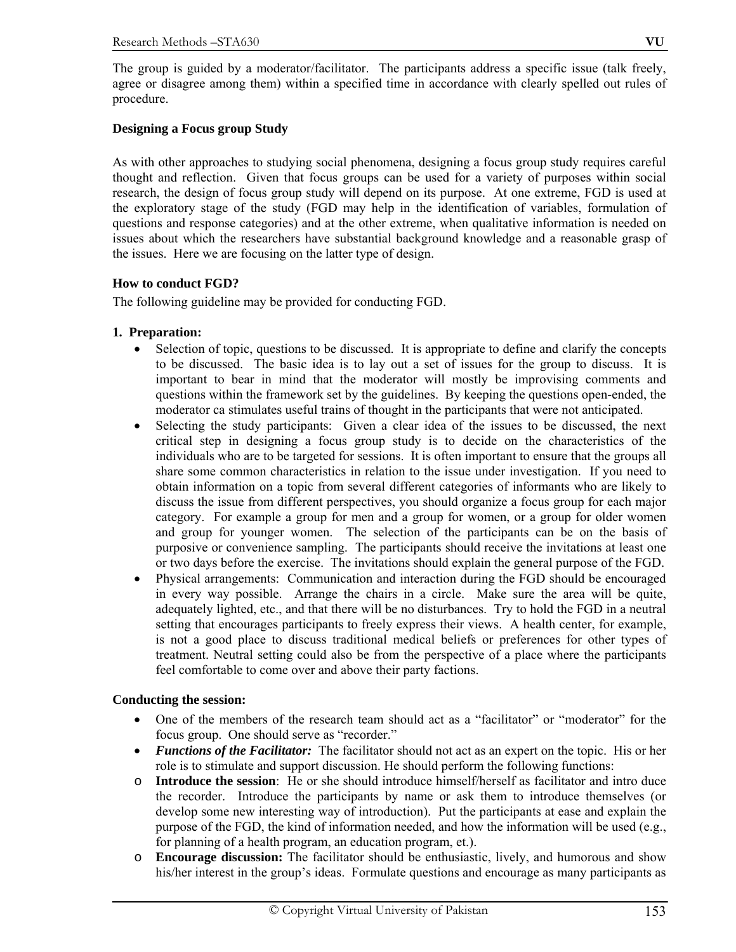The group is guided by a moderator/facilitator. The participants address a specific issue (talk freely, agree or disagree among them) within a specified time in accordance with clearly spelled out rules of procedure.

### **Designing a Focus group Study**

As with other approaches to studying social phenomena, designing a focus group study requires careful thought and reflection. Given that focus groups can be used for a variety of purposes within social research, the design of focus group study will depend on its purpose. At one extreme, FGD is used at the exploratory stage of the study (FGD may help in the identification of variables, formulation of questions and response categories) and at the other extreme, when qualitative information is needed on issues about which the researchers have substantial background knowledge and a reasonable grasp of the issues. Here we are focusing on the latter type of design.

### **How to conduct FGD?**

The following guideline may be provided for conducting FGD.

### **1. Preparation:**

- Selection of topic, questions to be discussed. It is appropriate to define and clarify the concepts to be discussed. The basic idea is to lay out a set of issues for the group to discuss. It is important to bear in mind that the moderator will mostly be improvising comments and questions within the framework set by the guidelines. By keeping the questions open-ended, the moderator ca stimulates useful trains of thought in the participants that were not anticipated.
- Selecting the study participants: Given a clear idea of the issues to be discussed, the next critical step in designing a focus group study is to decide on the characteristics of the individuals who are to be targeted for sessions. It is often important to ensure that the groups all share some common characteristics in relation to the issue under investigation. If you need to obtain information on a topic from several different categories of informants who are likely to discuss the issue from different perspectives, you should organize a focus group for each major category. For example a group for men and a group for women, or a group for older women and group for younger women. The selection of the participants can be on the basis of purposive or convenience sampling. The participants should receive the invitations at least one or two days before the exercise. The invitations should explain the general purpose of the FGD.
- Physical arrangements: Communication and interaction during the FGD should be encouraged in every way possible. Arrange the chairs in a circle. Make sure the area will be quite, adequately lighted, etc., and that there will be no disturbances. Try to hold the FGD in a neutral setting that encourages participants to freely express their views. A health center, for example, is not a good place to discuss traditional medical beliefs or preferences for other types of treatment. Neutral setting could also be from the perspective of a place where the participants feel comfortable to come over and above their party factions.

### **Conducting the session:**

- One of the members of the research team should act as a "facilitator" or "moderator" for the focus group. One should serve as "recorder."
- *Functions of the Facilitator:* The facilitator should not act as an expert on the topic. His or her role is to stimulate and support discussion. He should perform the following functions:
- o **Introduce the session**: He or she should introduce himself/herself as facilitator and intro duce the recorder. Introduce the participants by name or ask them to introduce themselves (or develop some new interesting way of introduction). Put the participants at ease and explain the purpose of the FGD, the kind of information needed, and how the information will be used (e.g., for planning of a health program, an education program, et.).
- o **Encourage discussion:** The facilitator should be enthusiastic, lively, and humorous and show his/her interest in the group's ideas. Formulate questions and encourage as many participants as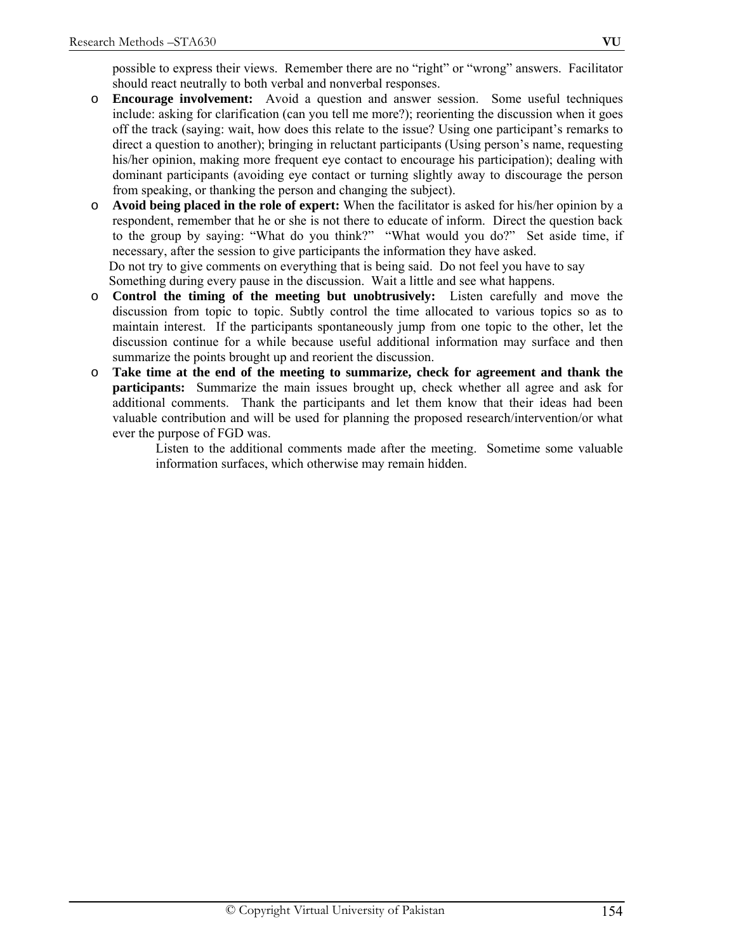- o **Encourage involvement:**Avoid a question and answer session. Some useful techniques include: asking for clarification (can you tell me more?); reorienting the discussion when it goes off the track (saying: wait, how does this relate to the issue? Using one participant's remarks to direct a question to another); bringing in reluctant participants (Using person's name, requesting his/her opinion, making more frequent eye contact to encourage his participation); dealing with dominant participants (avoiding eye contact or turning slightly away to discourage the person from speaking, or thanking the person and changing the subject).
- o **Avoid being placed in the role of expert:** When the facilitator is asked for his/her opinion by a respondent, remember that he or she is not there to educate of inform. Direct the question back to the group by saying: "What do you think?" "What would you do?" Set aside time, if necessary, after the session to give participants the information they have asked. Do not try to give comments on everything that is being said. Do not feel you have to say

Something during every pause in the discussion. Wait a little and see what happens.

- o **Control the timing of the meeting but unobtrusively:** Listen carefully and move the discussion from topic to topic. Subtly control the time allocated to various topics so as to maintain interest. If the participants spontaneously jump from one topic to the other, let the discussion continue for a while because useful additional information may surface and then summarize the points brought up and reorient the discussion.
- o **Take time at the end of the meeting to summarize, check for agreement and thank the participants:**Summarize the main issues brought up, check whether all agree and ask for additional comments. Thank the participants and let them know that their ideas had been valuable contribution and will be used for planning the proposed research/intervention/or what ever the purpose of FGD was.

Listen to the additional comments made after the meeting. Sometime some valuable information surfaces, which otherwise may remain hidden.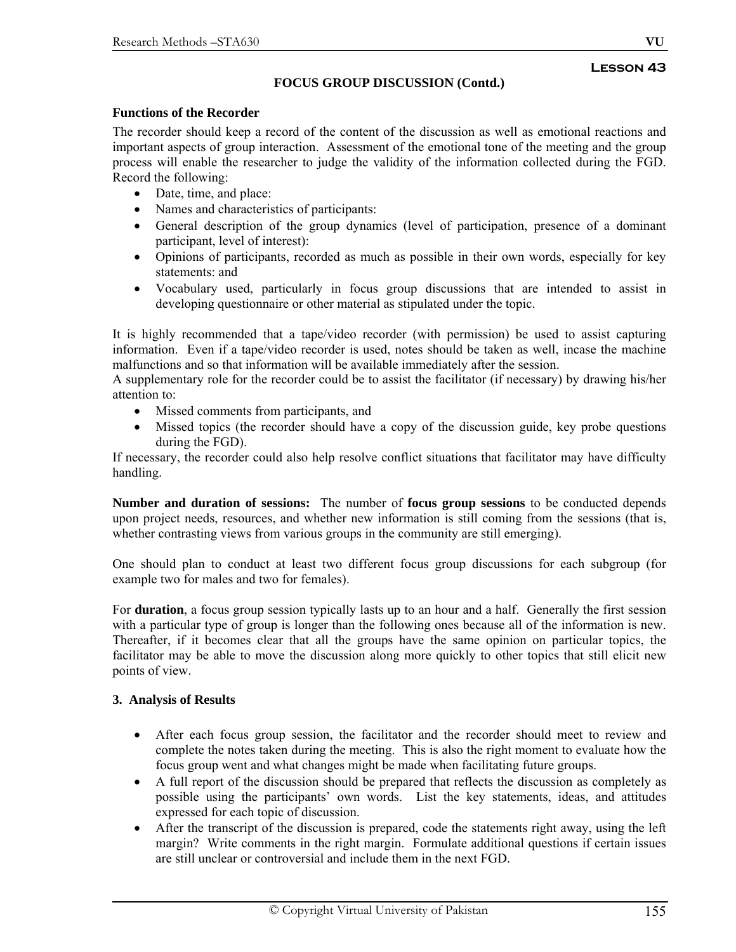# **FOCUS GROUP DISCUSSION (Contd.)**

### **Functions of the Recorder**

The recorder should keep a record of the content of the discussion as well as emotional reactions and important aspects of group interaction. Assessment of the emotional tone of the meeting and the group process will enable the researcher to judge the validity of the information collected during the FGD. Record the following:

- Date, time, and place:
- Names and characteristics of participants:
- General description of the group dynamics (level of participation, presence of a dominant participant, level of interest):
- Opinions of participants, recorded as much as possible in their own words, especially for key statements: and
- Vocabulary used, particularly in focus group discussions that are intended to assist in developing questionnaire or other material as stipulated under the topic.

It is highly recommended that a tape/video recorder (with permission) be used to assist capturing information. Even if a tape/video recorder is used, notes should be taken as well, incase the machine malfunctions and so that information will be available immediately after the session.

A supplementary role for the recorder could be to assist the facilitator (if necessary) by drawing his/her attention to:

- Missed comments from participants, and
- Missed topics (the recorder should have a copy of the discussion guide, key probe questions during the FGD).

If necessary, the recorder could also help resolve conflict situations that facilitator may have difficulty handling.

**Number and duration of sessions:** The number of **focus group sessions** to be conducted depends upon project needs, resources, and whether new information is still coming from the sessions (that is, whether contrasting views from various groups in the community are still emerging).

One should plan to conduct at least two different focus group discussions for each subgroup (for example two for males and two for females).

For **duration**, a focus group session typically lasts up to an hour and a half. Generally the first session with a particular type of group is longer than the following ones because all of the information is new. Thereafter, if it becomes clear that all the groups have the same opinion on particular topics, the facilitator may be able to move the discussion along more quickly to other topics that still elicit new points of view.

# **3. Analysis of Results**

- After each focus group session, the facilitator and the recorder should meet to review and complete the notes taken during the meeting. This is also the right moment to evaluate how the focus group went and what changes might be made when facilitating future groups.
- A full report of the discussion should be prepared that reflects the discussion as completely as possible using the participants' own words. List the key statements, ideas, and attitudes expressed for each topic of discussion.
- After the transcript of the discussion is prepared, code the statements right away, using the left margin? Write comments in the right margin. Formulate additional questions if certain issues are still unclear or controversial and include them in the next FGD.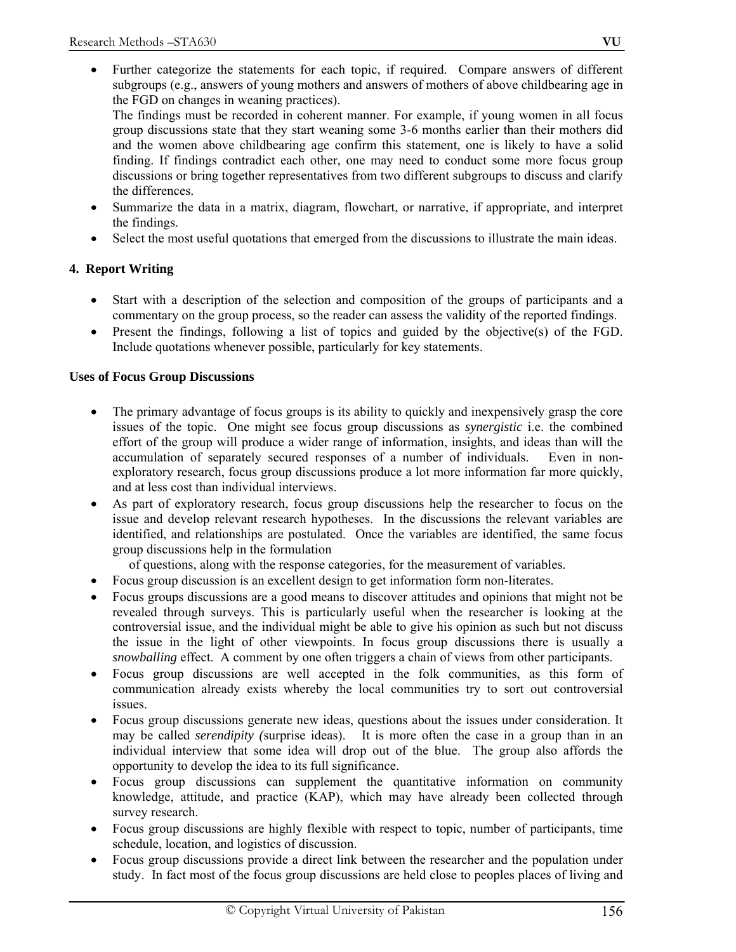• Further categorize the statements for each topic, if required. Compare answers of different subgroups (e.g., answers of young mothers and answers of mothers of above childbearing age in the FGD on changes in weaning practices).

The findings must be recorded in coherent manner. For example, if young women in all focus group discussions state that they start weaning some 3-6 months earlier than their mothers did and the women above childbearing age confirm this statement, one is likely to have a solid finding. If findings contradict each other, one may need to conduct some more focus group discussions or bring together representatives from two different subgroups to discuss and clarify the differences.

- Summarize the data in a matrix, diagram, flowchart, or narrative, if appropriate, and interpret the findings.
- Select the most useful quotations that emerged from the discussions to illustrate the main ideas.

# **4. Report Writing**

- Start with a description of the selection and composition of the groups of participants and a commentary on the group process, so the reader can assess the validity of the reported findings.
- Present the findings, following a list of topics and guided by the objective(s) of the FGD. Include quotations whenever possible, particularly for key statements.

# **Uses of Focus Group Discussions**

- The primary advantage of focus groups is its ability to quickly and inexpensively grasp the core issues of the topic. One might see focus group discussions as *synergistic* i.e. the combined effort of the group will produce a wider range of information, insights, and ideas than will the accumulation of separately secured responses of a number of individuals. Even in nonexploratory research, focus group discussions produce a lot more information far more quickly, and at less cost than individual interviews.
- As part of exploratory research, focus group discussions help the researcher to focus on the issue and develop relevant research hypotheses. In the discussions the relevant variables are identified, and relationships are postulated. Once the variables are identified, the same focus group discussions help in the formulation

of questions, along with the response categories, for the measurement of variables.

- Focus group discussion is an excellent design to get information form non-literates.
- Focus groups discussions are a good means to discover attitudes and opinions that might not be revealed through surveys. This is particularly useful when the researcher is looking at the controversial issue, and the individual might be able to give his opinion as such but not discuss the issue in the light of other viewpoints. In focus group discussions there is usually a *snowballing* effect. A comment by one often triggers a chain of views from other participants.
- Focus group discussions are well accepted in the folk communities, as this form of communication already exists whereby the local communities try to sort out controversial issues.
- Focus group discussions generate new ideas, questions about the issues under consideration. It may be called *serendipity (*surprise ideas). It is more often the case in a group than in an individual interview that some idea will drop out of the blue. The group also affords the opportunity to develop the idea to its full significance.
- Focus group discussions can supplement the quantitative information on community knowledge, attitude, and practice (KAP), which may have already been collected through survey research.
- Focus group discussions are highly flexible with respect to topic, number of participants, time schedule, location, and logistics of discussion.
- Focus group discussions provide a direct link between the researcher and the population under study. In fact most of the focus group discussions are held close to peoples places of living and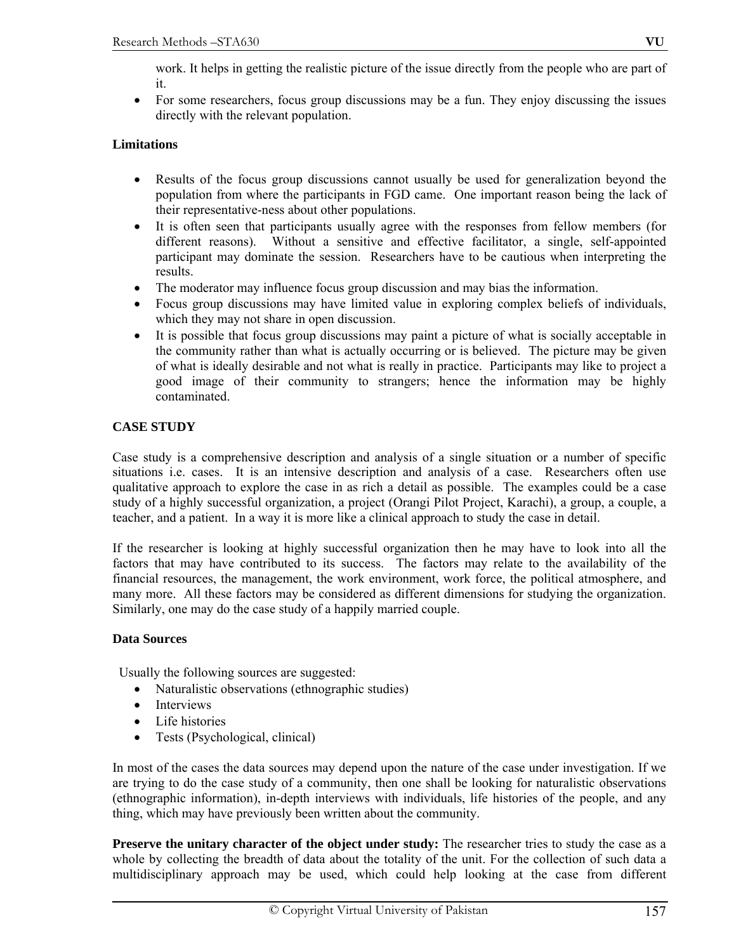work. It helps in getting the realistic picture of the issue directly from the people who are part of it.

• For some researchers, focus group discussions may be a fun. They enjoy discussing the issues directly with the relevant population.

# **Limitations**

- Results of the focus group discussions cannot usually be used for generalization beyond the population from where the participants in FGD came. One important reason being the lack of their representative-ness about other populations.
- It is often seen that participants usually agree with the responses from fellow members (for different reasons). Without a sensitive and effective facilitator, a single, self-appointed participant may dominate the session. Researchers have to be cautious when interpreting the results.
- The moderator may influence focus group discussion and may bias the information.
- Focus group discussions may have limited value in exploring complex beliefs of individuals, which they may not share in open discussion.
- It is possible that focus group discussions may paint a picture of what is socially acceptable in the community rather than what is actually occurring or is believed. The picture may be given of what is ideally desirable and not what is really in practice. Participants may like to project a good image of their community to strangers; hence the information may be highly contaminated.

# **CASE STUDY**

Case study is a comprehensive description and analysis of a single situation or a number of specific situations i.e. cases. It is an intensive description and analysis of a case. Researchers often use qualitative approach to explore the case in as rich a detail as possible. The examples could be a case study of a highly successful organization, a project (Orangi Pilot Project, Karachi), a group, a couple, a teacher, and a patient. In a way it is more like a clinical approach to study the case in detail.

If the researcher is looking at highly successful organization then he may have to look into all the factors that may have contributed to its success. The factors may relate to the availability of the financial resources, the management, the work environment, work force, the political atmosphere, and many more. All these factors may be considered as different dimensions for studying the organization. Similarly, one may do the case study of a happily married couple.

# **Data Sources**

Usually the following sources are suggested:

- Naturalistic observations (ethnographic studies)
- Interviews
- Life histories
- Tests (Psychological, clinical)

In most of the cases the data sources may depend upon the nature of the case under investigation. If we are trying to do the case study of a community, then one shall be looking for naturalistic observations (ethnographic information), in-depth interviews with individuals, life histories of the people, and any thing, which may have previously been written about the community.

**Preserve the unitary character of the object under study:** The researcher tries to study the case as a whole by collecting the breadth of data about the totality of the unit. For the collection of such data a multidisciplinary approach may be used, which could help looking at the case from different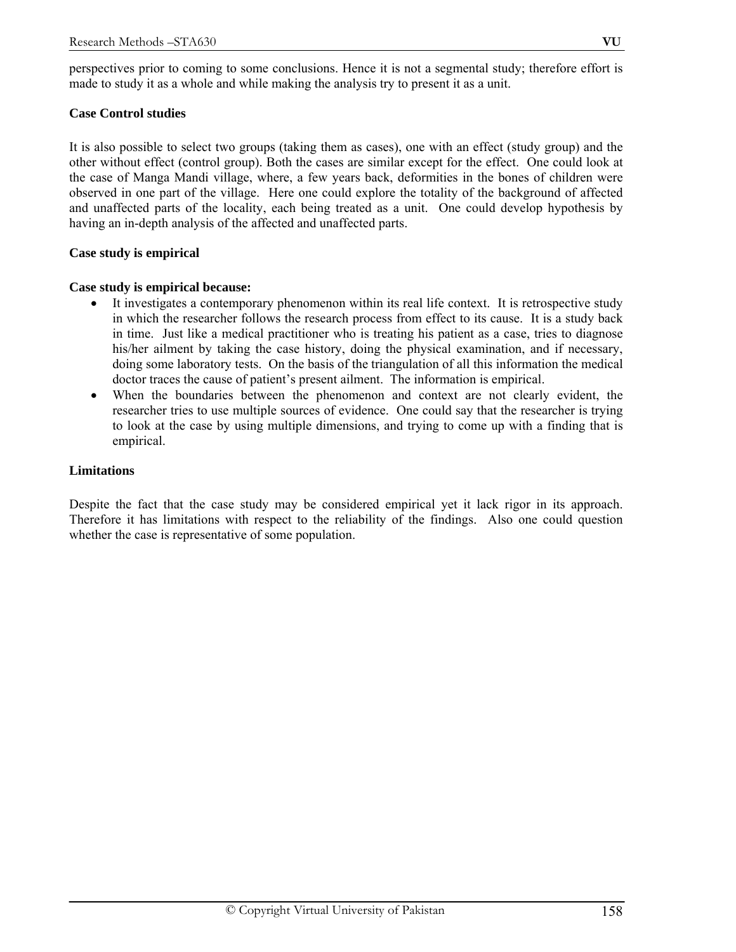perspectives prior to coming to some conclusions. Hence it is not a segmental study; therefore effort is made to study it as a whole and while making the analysis try to present it as a unit.

#### **Case Control studies**

It is also possible to select two groups (taking them as cases), one with an effect (study group) and the other without effect (control group). Both the cases are similar except for the effect. One could look at the case of Manga Mandi village, where, a few years back, deformities in the bones of children were observed in one part of the village. Here one could explore the totality of the background of affected and unaffected parts of the locality, each being treated as a unit. One could develop hypothesis by having an in-depth analysis of the affected and unaffected parts.

#### **Case study is empirical**

#### **Case study is empirical because:**

- It investigates a contemporary phenomenon within its real life context. It is retrospective study in which the researcher follows the research process from effect to its cause. It is a study back in time. Just like a medical practitioner who is treating his patient as a case, tries to diagnose his/her ailment by taking the case history, doing the physical examination, and if necessary, doing some laboratory tests. On the basis of the triangulation of all this information the medical doctor traces the cause of patient's present ailment. The information is empirical.
- When the boundaries between the phenomenon and context are not clearly evident, the researcher tries to use multiple sources of evidence. One could say that the researcher is trying to look at the case by using multiple dimensions, and trying to come up with a finding that is empirical.

#### **Limitations**

Despite the fact that the case study may be considered empirical yet it lack rigor in its approach. Therefore it has limitations with respect to the reliability of the findings. Also one could question whether the case is representative of some population.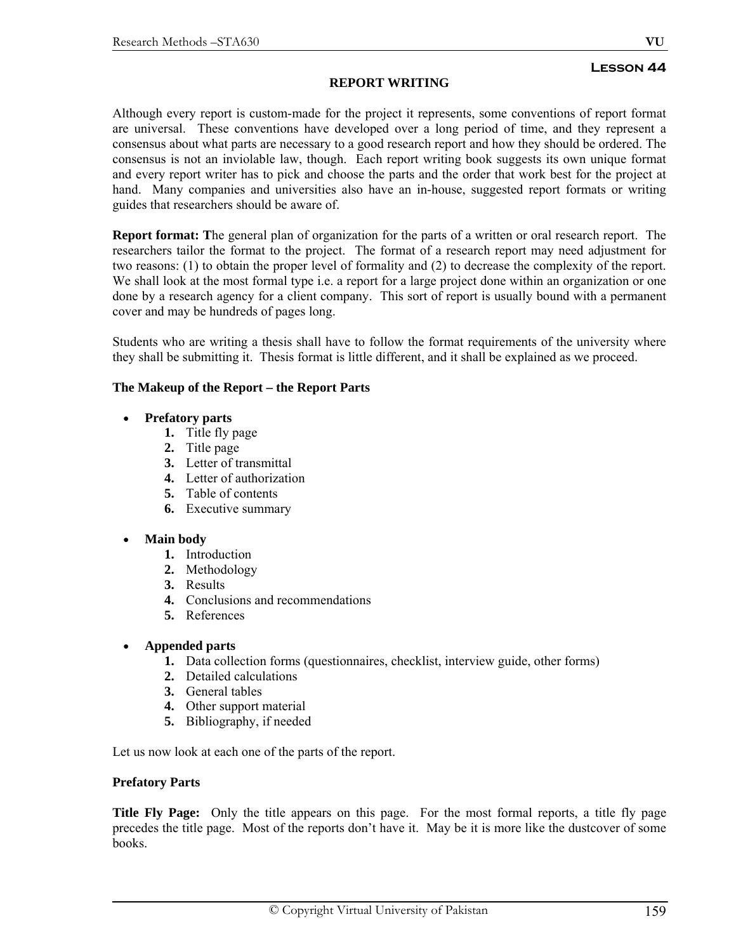### **REPORT WRITING**

Although every report is custom-made for the project it represents, some conventions of report format are universal. These conventions have developed over a long period of time, and they represent a consensus about what parts are necessary to a good research report and how they should be ordered. The consensus is not an inviolable law, though. Each report writing book suggests its own unique format and every report writer has to pick and choose the parts and the order that work best for the project at hand. Many companies and universities also have an in-house, suggested report formats or writing guides that researchers should be aware of.

**Report format: T**he general plan of organization for the parts of a written or oral research report. The researchers tailor the format to the project. The format of a research report may need adjustment for two reasons: (1) to obtain the proper level of formality and (2) to decrease the complexity of the report. We shall look at the most formal type i.e. a report for a large project done within an organization or one done by a research agency for a client company. This sort of report is usually bound with a permanent cover and may be hundreds of pages long.

Students who are writing a thesis shall have to follow the format requirements of the university where they shall be submitting it. Thesis format is little different, and it shall be explained as we proceed.

#### **The Makeup of the Report – the Report Parts**

#### • **Prefatory parts**

- **1.** Title fly page
- **2.** Title page
- **3.** Letter of transmittal
- **4.** Letter of authorization
- **5.** Table of contents
- **6.** Executive summary

#### • **Main body**

- **1.** Introduction
- **2.** Methodology
- **3.** Results
- **4.** Conclusions and recommendations
- **5.** References

### • **Appended parts**

- **1.** Data collection forms (questionnaires, checklist, interview guide, other forms)
- **2.** Detailed calculations
- **3.** General tables
- **4.** Other support material
- **5.** Bibliography, if needed

Let us now look at each one of the parts of the report.

#### **Prefatory Parts**

**Title Fly Page:** Only the title appears on this page. For the most formal reports, a title fly page precedes the title page. Most of the reports don't have it. May be it is more like the dustcover of some books.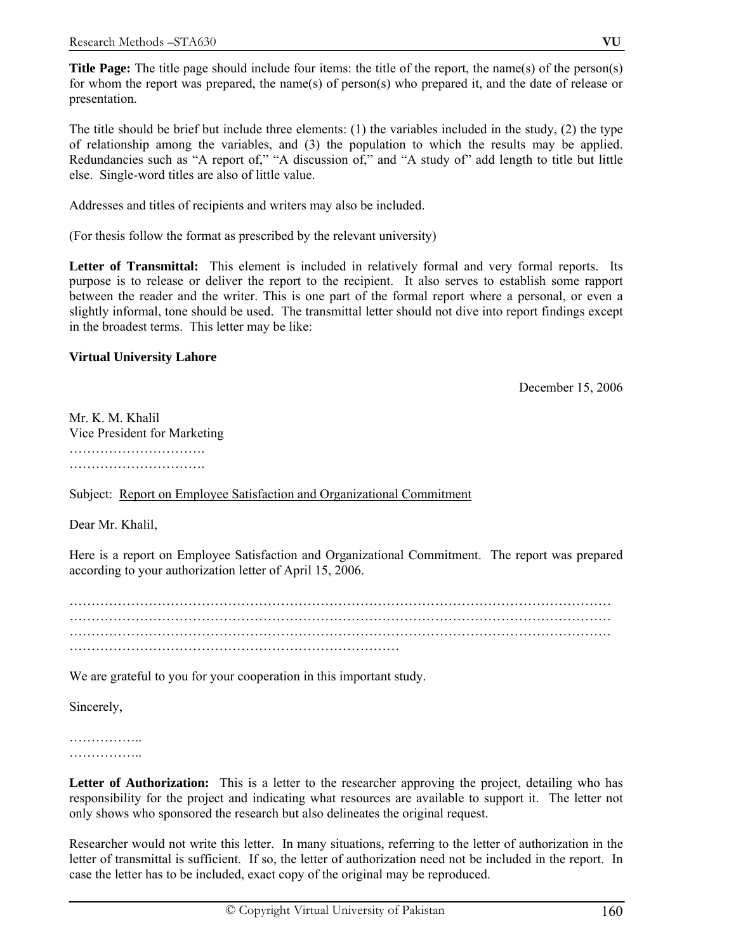**Title Page:** The title page should include four items: the title of the report, the name(s) of the person(s) for whom the report was prepared, the name(s) of person(s) who prepared it, and the date of release or presentation.

The title should be brief but include three elements: (1) the variables included in the study, (2) the type of relationship among the variables, and (3) the population to which the results may be applied. Redundancies such as "A report of," "A discussion of," and "A study of" add length to title but little else. Single-word titles are also of little value.

Addresses and titles of recipients and writers may also be included.

(For thesis follow the format as prescribed by the relevant university)

Letter of Transmittal: This element is included in relatively formal and very formal reports. Its purpose is to release or deliver the report to the recipient. It also serves to establish some rapport between the reader and the writer. This is one part of the formal report where a personal, or even a slightly informal, tone should be used. The transmittal letter should not dive into report findings except in the broadest terms. This letter may be like:

### **Virtual University Lahore**

December 15, 2006

Mr. K. M. Khalil Vice President for Marketing …………………………. ………………………….

Subject: Report on Employee Satisfaction and Organizational Commitment

Dear Mr. Khalil,

Here is a report on Employee Satisfaction and Organizational Commitment. The report was prepared according to your authorization letter of April 15, 2006.

…………………………………………………………………………………………………………… …………………………………………………………………………………………………………… …………………………………………………………………………………………………………… …………………………………………………………………

We are grateful to you for your cooperation in this important study.

Sincerely,

…………….. ……………..

Letter of Authorization: This is a letter to the researcher approving the project, detailing who has responsibility for the project and indicating what resources are available to support it. The letter not only shows who sponsored the research but also delineates the original request.

Researcher would not write this letter. In many situations, referring to the letter of authorization in the letter of transmittal is sufficient. If so, the letter of authorization need not be included in the report. In case the letter has to be included, exact copy of the original may be reproduced.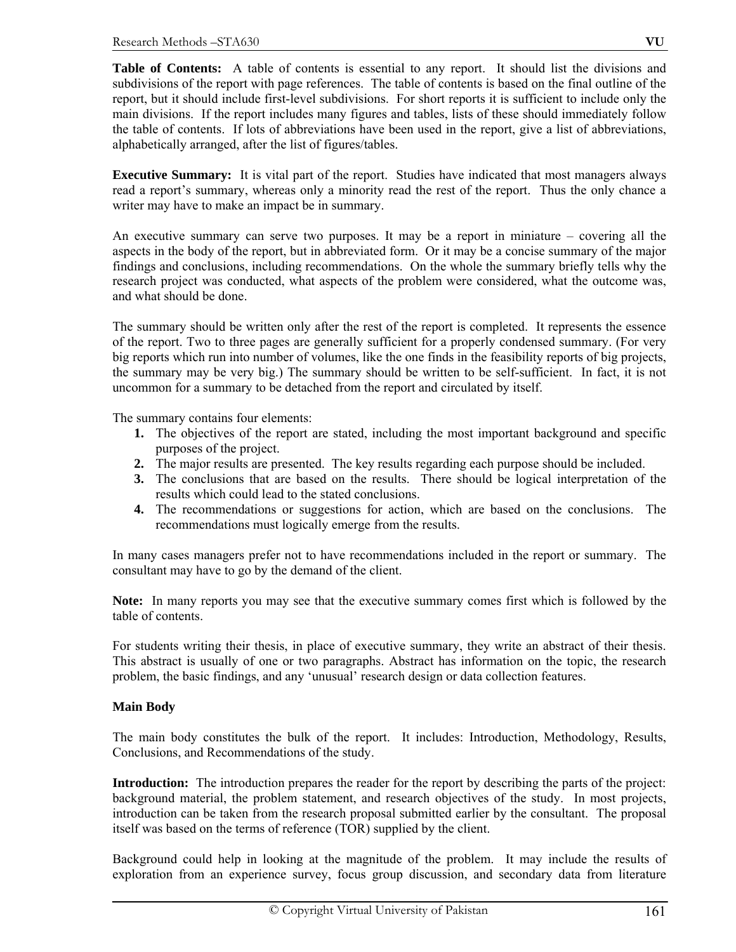**Table of Contents:** A table of contents is essential to any report. It should list the divisions and subdivisions of the report with page references. The table of contents is based on the final outline of the report, but it should include first-level subdivisions. For short reports it is sufficient to include only the main divisions. If the report includes many figures and tables, lists of these should immediately follow the table of contents. If lots of abbreviations have been used in the report, give a list of abbreviations, alphabetically arranged, after the list of figures/tables.

**Executive Summary:** It is vital part of the report. Studies have indicated that most managers always read a report's summary, whereas only a minority read the rest of the report. Thus the only chance a writer may have to make an impact be in summary.

An executive summary can serve two purposes. It may be a report in miniature – covering all the aspects in the body of the report, but in abbreviated form. Or it may be a concise summary of the major findings and conclusions, including recommendations. On the whole the summary briefly tells why the research project was conducted, what aspects of the problem were considered, what the outcome was, and what should be done.

The summary should be written only after the rest of the report is completed. It represents the essence of the report. Two to three pages are generally sufficient for a properly condensed summary. (For very big reports which run into number of volumes, like the one finds in the feasibility reports of big projects, the summary may be very big.) The summary should be written to be self-sufficient. In fact, it is not uncommon for a summary to be detached from the report and circulated by itself.

The summary contains four elements:

- **1.** The objectives of the report are stated, including the most important background and specific purposes of the project.
- **2.** The major results are presented. The key results regarding each purpose should be included.
- **3.** The conclusions that are based on the results. There should be logical interpretation of the results which could lead to the stated conclusions.
- **4.** The recommendations or suggestions for action, which are based on the conclusions. The recommendations must logically emerge from the results.

In many cases managers prefer not to have recommendations included in the report or summary. The consultant may have to go by the demand of the client.

**Note:** In many reports you may see that the executive summary comes first which is followed by the table of contents.

For students writing their thesis, in place of executive summary, they write an abstract of their thesis. This abstract is usually of one or two paragraphs. Abstract has information on the topic, the research problem, the basic findings, and any 'unusual' research design or data collection features.

### **Main Body**

The main body constitutes the bulk of the report. It includes: Introduction, Methodology, Results, Conclusions, and Recommendations of the study.

**Introduction:** The introduction prepares the reader for the report by describing the parts of the project: background material, the problem statement, and research objectives of the study. In most projects, introduction can be taken from the research proposal submitted earlier by the consultant. The proposal itself was based on the terms of reference (TOR) supplied by the client.

Background could help in looking at the magnitude of the problem. It may include the results of exploration from an experience survey, focus group discussion, and secondary data from literature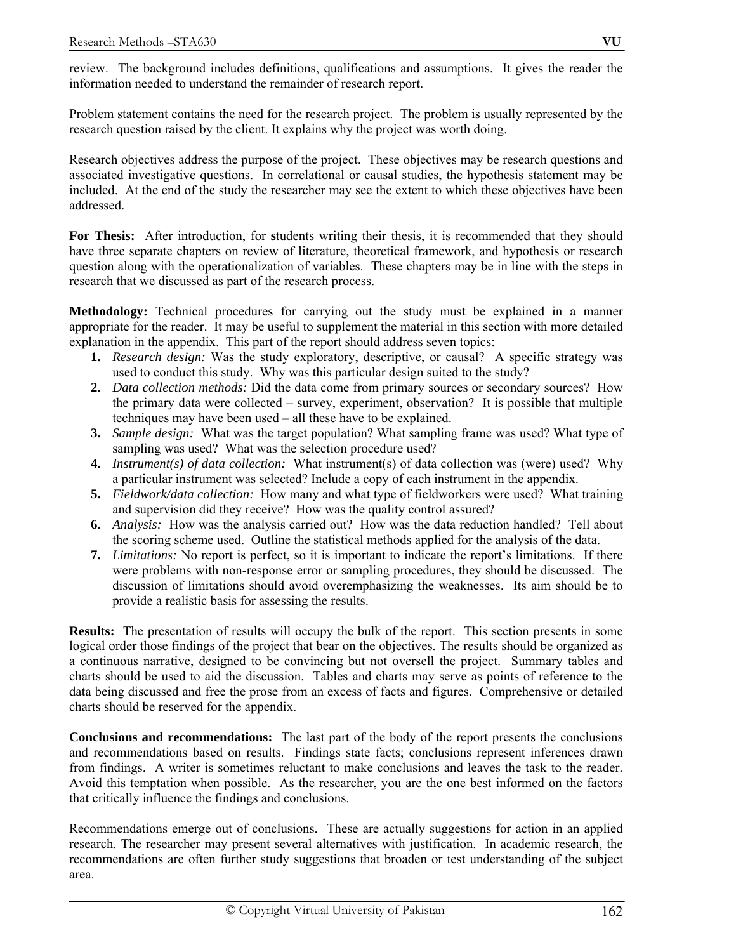review. The background includes definitions, qualifications and assumptions. It gives the reader the information needed to understand the remainder of research report.

Problem statement contains the need for the research project. The problem is usually represented by the research question raised by the client. It explains why the project was worth doing.

Research objectives address the purpose of the project. These objectives may be research questions and associated investigative questions. In correlational or causal studies, the hypothesis statement may be included. At the end of the study the researcher may see the extent to which these objectives have been addressed.

**For Thesis:** After introduction, for **s**tudents writing their thesis, it is recommended that they should have three separate chapters on review of literature, theoretical framework, and hypothesis or research question along with the operationalization of variables. These chapters may be in line with the steps in research that we discussed as part of the research process.

**Methodology:** Technical procedures for carrying out the study must be explained in a manner appropriate for the reader. It may be useful to supplement the material in this section with more detailed explanation in the appendix. This part of the report should address seven topics:

- **1.** *Research design:* Was the study exploratory, descriptive, or causal? A specific strategy was used to conduct this study. Why was this particular design suited to the study?
- **2.** *Data collection methods:* Did the data come from primary sources or secondary sources? How the primary data were collected – survey, experiment, observation? It is possible that multiple techniques may have been used – all these have to be explained.
- **3.** *Sample design:* What was the target population? What sampling frame was used? What type of sampling was used? What was the selection procedure used?
- **4.** *Instrument(s) of data collection:* What instrument(s) of data collection was (were) used? Why a particular instrument was selected? Include a copy of each instrument in the appendix.
- **5.** *Fieldwork/data collection:* How many and what type of fieldworkers were used? What training and supervision did they receive? How was the quality control assured?
- **6.** *Analysis:*How was the analysis carried out? How was the data reduction handled? Tell about the scoring scheme used. Outline the statistical methods applied for the analysis of the data.
- **7.** *Limitations:* No report is perfect, so it is important to indicate the report's limitations. If there were problems with non-response error or sampling procedures, they should be discussed. The discussion of limitations should avoid overemphasizing the weaknesses. Its aim should be to provide a realistic basis for assessing the results.

**Results:** The presentation of results will occupy the bulk of the report. This section presents in some logical order those findings of the project that bear on the objectives. The results should be organized as a continuous narrative, designed to be convincing but not oversell the project. Summary tables and charts should be used to aid the discussion. Tables and charts may serve as points of reference to the data being discussed and free the prose from an excess of facts and figures. Comprehensive or detailed charts should be reserved for the appendix.

**Conclusions and recommendations:** The last part of the body of the report presents the conclusions and recommendations based on results. Findings state facts; conclusions represent inferences drawn from findings. A writer is sometimes reluctant to make conclusions and leaves the task to the reader. Avoid this temptation when possible. As the researcher, you are the one best informed on the factors that critically influence the findings and conclusions.

Recommendations emerge out of conclusions. These are actually suggestions for action in an applied research. The researcher may present several alternatives with justification. In academic research, the recommendations are often further study suggestions that broaden or test understanding of the subject area.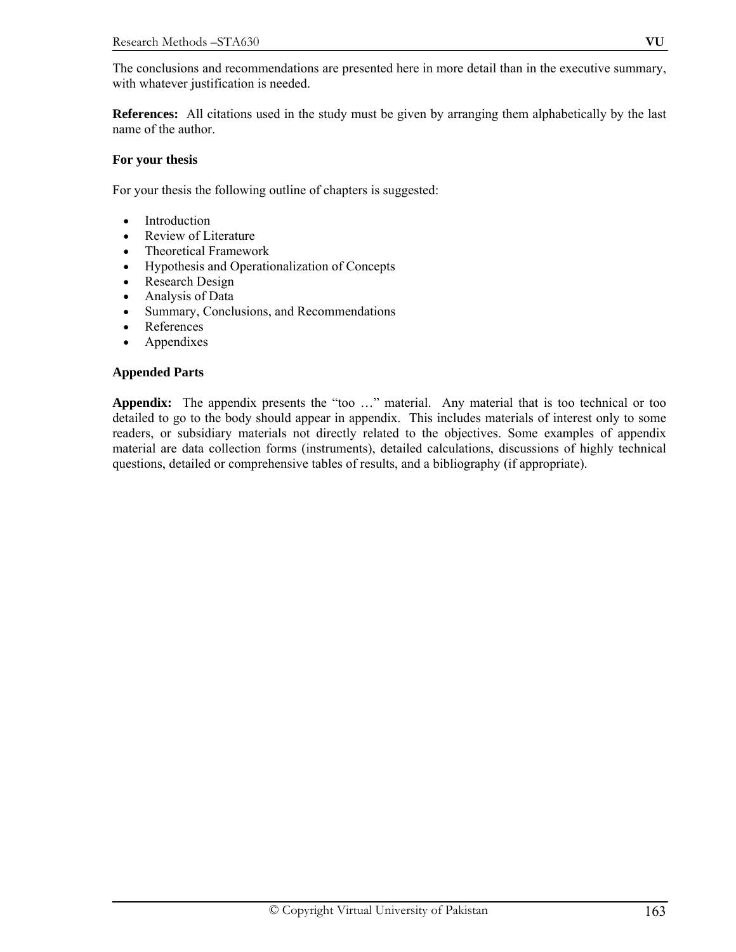The conclusions and recommendations are presented here in more detail than in the executive summary, with whatever justification is needed.

**References:** All citations used in the study must be given by arranging them alphabetically by the last name of the author.

### **For your thesis**

For your thesis the following outline of chapters is suggested:

- Introduction
- Review of Literature
- Theoretical Framework
- Hypothesis and Operationalization of Concepts
- Research Design
- Analysis of Data
- Summary, Conclusions, and Recommendations
- References
- Appendixes

### **Appended Parts**

**Appendix:** The appendix presents the "too …" material. Any material that is too technical or too detailed to go to the body should appear in appendix. This includes materials of interest only to some readers, or subsidiary materials not directly related to the objectives. Some examples of appendix material are data collection forms (instruments), detailed calculations, discussions of highly technical questions, detailed or comprehensive tables of results, and a bibliography (if appropriate).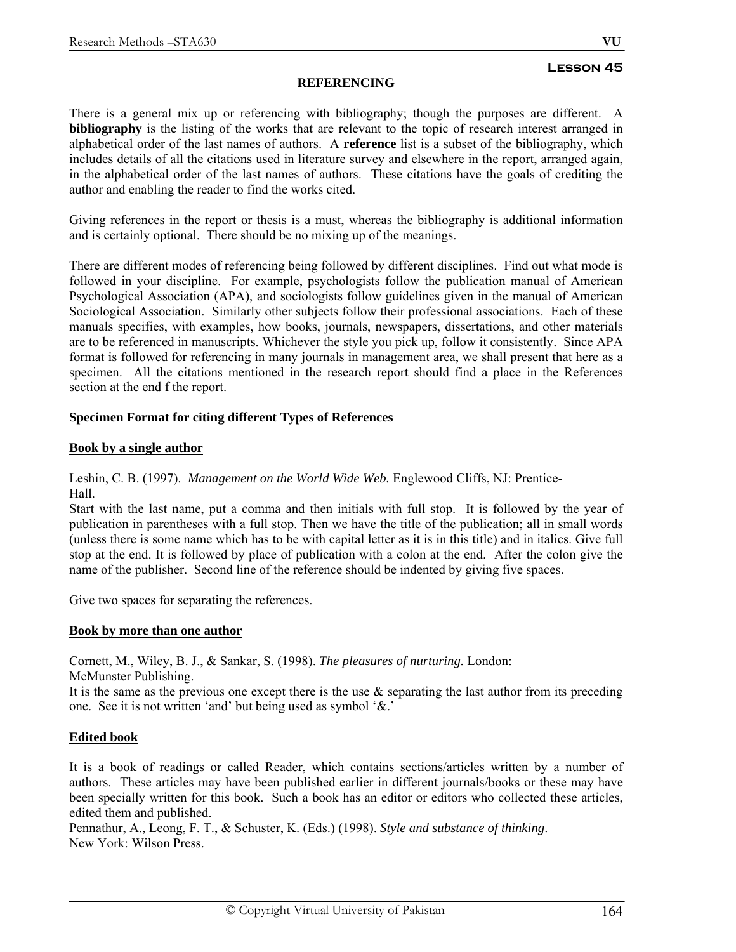# **Lesson 45**

### **REFERENCING**

There is a general mix up or referencing with bibliography; though the purposes are different. A **bibliography** is the listing of the works that are relevant to the topic of research interest arranged in alphabetical order of the last names of authors. A **reference** list is a subset of the bibliography, which includes details of all the citations used in literature survey and elsewhere in the report, arranged again, in the alphabetical order of the last names of authors. These citations have the goals of crediting the author and enabling the reader to find the works cited.

Giving references in the report or thesis is a must, whereas the bibliography is additional information and is certainly optional. There should be no mixing up of the meanings.

There are different modes of referencing being followed by different disciplines. Find out what mode is followed in your discipline. For example, psychologists follow the publication manual of American Psychological Association (APA), and sociologists follow guidelines given in the manual of American Sociological Association. Similarly other subjects follow their professional associations. Each of these manuals specifies, with examples, how books, journals, newspapers, dissertations, and other materials are to be referenced in manuscripts. Whichever the style you pick up, follow it consistently. Since APA format is followed for referencing in many journals in management area, we shall present that here as a specimen. All the citations mentioned in the research report should find a place in the References section at the end f the report.

### **Specimen Format for citing different Types of References**

#### **Book by a single author**

Leshin, C. B. (1997). *Management on the World Wide Web.* Englewood Cliffs, NJ: Prentice-Hall.

Start with the last name, put a comma and then initials with full stop. It is followed by the year of publication in parentheses with a full stop. Then we have the title of the publication; all in small words (unless there is some name which has to be with capital letter as it is in this title) and in italics. Give full stop at the end. It is followed by place of publication with a colon at the end. After the colon give the name of the publisher. Second line of the reference should be indented by giving five spaces.

Give two spaces for separating the references.

### **Book by more than one author**

Cornett, M., Wiley, B. J., & Sankar, S. (1998). *The pleasures of nurturing.* London:

McMunster Publishing.

It is the same as the previous one except there is the use  $\&$  separating the last author from its preceding one. See it is not written 'and' but being used as symbol '&.'

### **Edited book**

It is a book of readings or called Reader, which contains sections/articles written by a number of authors. These articles may have been published earlier in different journals/books or these may have been specially written for this book. Such a book has an editor or editors who collected these articles, edited them and published.

Pennathur, A., Leong, F. T., & Schuster, K. (Eds.) (1998). *Style and substance of thinking*. New York: Wilson Press.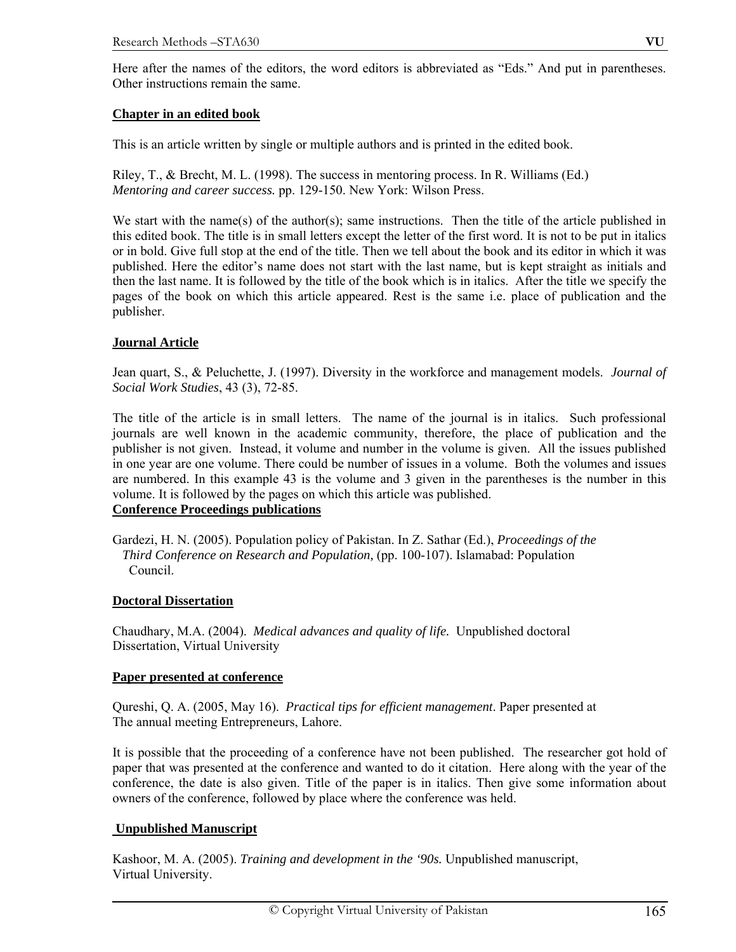### **Chapter in an edited book**

This is an article written by single or multiple authors and is printed in the edited book.

Riley, T., & Brecht, M. L. (1998). The success in mentoring process. In R. Williams (Ed.) *Mentoring and career success.* pp. 129-150. New York: Wilson Press.

We start with the name(s) of the author(s); same instructions. Then the title of the article published in this edited book. The title is in small letters except the letter of the first word. It is not to be put in italics or in bold. Give full stop at the end of the title. Then we tell about the book and its editor in which it was published. Here the editor's name does not start with the last name, but is kept straight as initials and then the last name. It is followed by the title of the book which is in italics. After the title we specify the pages of the book on which this article appeared. Rest is the same i.e. place of publication and the publisher.

### **Journal Article**

Jean quart, S., & Peluchette, J. (1997). Diversity in the workforce and management models. *Journal of Social Work Studies*, 43 (3), 72-85.

The title of the article is in small letters. The name of the journal is in italics. Such professional journals are well known in the academic community, therefore, the place of publication and the publisher is not given. Instead, it volume and number in the volume is given. All the issues published in one year are one volume. There could be number of issues in a volume. Both the volumes and issues are numbered. In this example 43 is the volume and 3 given in the parentheses is the number in this volume. It is followed by the pages on which this article was published.

# **Conference Proceedings publications**

Gardezi, H. N. (2005). Population policy of Pakistan. In Z. Sathar (Ed.), *Proceedings of the Third Conference on Research and Population,* (pp. 100-107). Islamabad: Population Council.

### **Doctoral Dissertation**

Chaudhary, M.A. (2004). *Medical advances and quality of life.* Unpublished doctoral Dissertation, Virtual University

### **Paper presented at conference**

Qureshi, Q. A. (2005, May 16). *Practical tips for efficient management*. Paper presented at The annual meeting Entrepreneurs, Lahore.

It is possible that the proceeding of a conference have not been published. The researcher got hold of paper that was presented at the conference and wanted to do it citation. Here along with the year of the conference, the date is also given. Title of the paper is in italics. Then give some information about owners of the conference, followed by place where the conference was held.

### **Unpublished Manuscript**

Kashoor, M. A. (2005). *Training and development in the '90s.* Unpublished manuscript, Virtual University.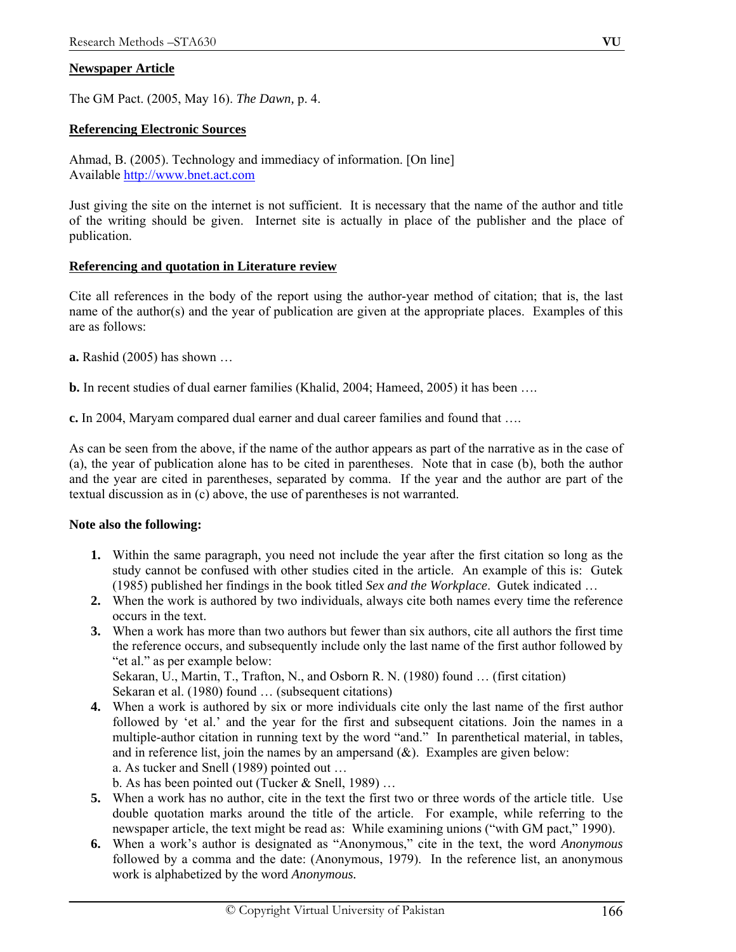#### **Newspaper Article**

The GM Pact. (2005, May 16). *The Dawn,* p. 4.

#### **Referencing Electronic Sources**

Ahmad, B. (2005). Technology and immediacy of information. [On line] Available http://www.bnet.act.com

Just giving the site on the internet is not sufficient. It is necessary that the name of the author and title of the writing should be given. Internet site is actually in place of the publisher and the place of publication.

#### **Referencing and quotation in Literature review**

Cite all references in the body of the report using the author-year method of citation; that is, the last name of the author(s) and the year of publication are given at the appropriate places. Examples of this are as follows:

**a.** Rashid (2005) has shown …

**b.** In recent studies of dual earner families (Khalid, 2004; Hameed, 2005) it has been ...

**c.** In 2004, Maryam compared dual earner and dual career families and found that ….

As can be seen from the above, if the name of the author appears as part of the narrative as in the case of (a), the year of publication alone has to be cited in parentheses. Note that in case (b), both the author and the year are cited in parentheses, separated by comma. If the year and the author are part of the textual discussion as in (c) above, the use of parentheses is not warranted.

#### **Note also the following:**

- **1.** Within the same paragraph, you need not include the year after the first citation so long as the study cannot be confused with other studies cited in the article. An example of this is: Gutek (1985) published her findings in the book titled *Sex and the Workplace*. Gutek indicated …
- **2.** When the work is authored by two individuals, always cite both names every time the reference occurs in the text.
- **3.** When a work has more than two authors but fewer than six authors, cite all authors the first time the reference occurs, and subsequently include only the last name of the first author followed by "et al." as per example below: Sekaran, U., Martin, T., Trafton, N., and Osborn R. N. (1980) found … (first citation)

Sekaran et al. (1980) found … (subsequent citations)

**4.** When a work is authored by six or more individuals cite only the last name of the first author followed by 'et al.' and the year for the first and subsequent citations. Join the names in a multiple-author citation in running text by the word "and." In parenthetical material, in tables, and in reference list, join the names by an ampersand  $(\&)$ . Examples are given below: a. As tucker and Snell (1989) pointed out …

b. As has been pointed out (Tucker  $&$  Snell, 1989) ...

- **5.** When a work has no author, cite in the text the first two or three words of the article title. Use double quotation marks around the title of the article. For example, while referring to the newspaper article, the text might be read as: While examining unions ("with GM pact," 1990).
- **6.** When a work's author is designated as "Anonymous," cite in the text, the word *Anonymous* followed by a comma and the date: (Anonymous, 1979). In the reference list, an anonymous work is alphabetized by the word *Anonymous.*